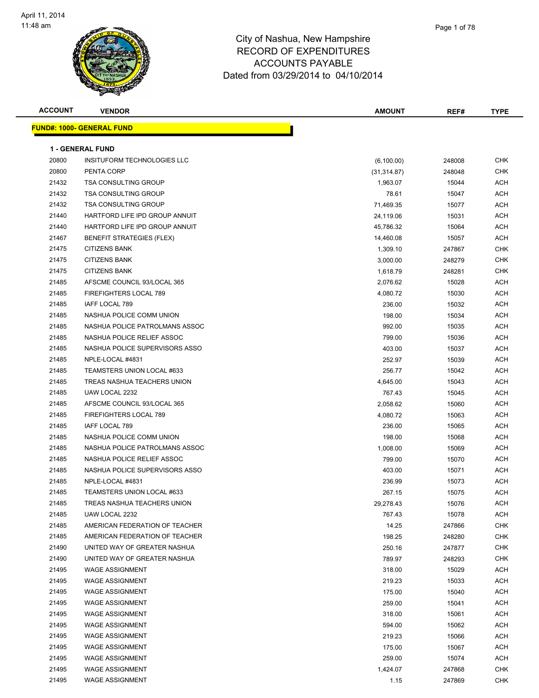

| <b>ACCOUNT</b> | <b>VENDOR</b>                     | <b>AMOUNT</b> | REF#   | TYPE       |
|----------------|-----------------------------------|---------------|--------|------------|
|                | <u> FUND#: 1000- GENERAL FUND</u> |               |        |            |
|                |                                   |               |        |            |
|                | <b>1 - GENERAL FUND</b>           |               |        |            |
| 20800          | INSITUFORM TECHNOLOGIES LLC       | (6,100.00)    | 248008 | <b>CHK</b> |
| 20800          | PENTA CORP                        | (31, 314.87)  | 248048 | <b>CHK</b> |
| 21432          | <b>TSA CONSULTING GROUP</b>       | 1,963.07      | 15044  | ACH        |
| 21432          | <b>TSA CONSULTING GROUP</b>       | 78.61         | 15047  | ACH        |
| 21432          | <b>TSA CONSULTING GROUP</b>       | 71,469.35     | 15077  | ACH        |
| 21440          | HARTFORD LIFE IPD GROUP ANNUIT    | 24,119.06     | 15031  | ACH        |
| 21440          | HARTFORD LIFE IPD GROUP ANNUIT    | 45,786.32     | 15064  | ACH        |
| 21467          | BENEFIT STRATEGIES (FLEX)         | 14,460.08     | 15057  | ACH        |
| 21475          | <b>CITIZENS BANK</b>              | 1,309.10      | 247867 | <b>CHK</b> |
| 21475          | <b>CITIZENS BANK</b>              | 3,000.00      | 248279 | <b>CHK</b> |
| 21475          | <b>CITIZENS BANK</b>              | 1,618.79      | 248281 | <b>CHK</b> |
| 21485          | AFSCME COUNCIL 93/LOCAL 365       | 2,076.62      | 15028  | ACH        |
| 21485          | <b>FIREFIGHTERS LOCAL 789</b>     | 4,080.72      | 15030  | ACH        |
| 21485          | IAFF LOCAL 789                    | 236.00        | 15032  | ACH        |
| 21485          | NASHUA POLICE COMM UNION          | 198.00        | 15034  | ACH        |
| 21485          | NASHUA POLICE PATROLMANS ASSOC    | 992.00        | 15035  | ACH        |
| 21485          | NASHUA POLICE RELIEF ASSOC        | 799.00        | 15036  | ACH        |
| 21485          | NASHUA POLICE SUPERVISORS ASSO    | 403.00        | 15037  | ACH        |
| 21485          | NPLE-LOCAL #4831                  | 252.97        | 15039  | ACH        |
| 21485          | TEAMSTERS UNION LOCAL #633        | 256.77        | 15042  | ACH        |
| 21485          | TREAS NASHUA TEACHERS UNION       | 4,645.00      | 15043  | ACH        |
| 21485          | UAW LOCAL 2232                    | 767.43        | 15045  | ACH        |
| 21485          | AFSCME COUNCIL 93/LOCAL 365       | 2,058.62      | 15060  | ACH        |
| 21485          | FIREFIGHTERS LOCAL 789            | 4,080.72      | 15063  | ACH        |
| 21485          | IAFF LOCAL 789                    | 236.00        | 15065  | ACH        |
| 21485          | NASHUA POLICE COMM UNION          | 198.00        | 15068  | ACH        |
| 21485          | NASHUA POLICE PATROLMANS ASSOC    | 1,008.00      | 15069  | ACH        |
| 21485          | NASHUA POLICE RELIEF ASSOC        | 799.00        | 15070  | ACH        |
| 21485          | NASHUA POLICE SUPERVISORS ASSO    | 403.00        | 15071  | ACH        |
| 21485          | NPLE-LOCAL #4831                  | 236.99        | 15073  | ACH        |
| 21485          | TEAMSTERS UNION LOCAL #633        | 267.15        | 15075  | ACH        |
| 21485          | TREAS NASHUA TEACHERS UNION       | 29,278.43     | 15076  | <b>ACH</b> |
| 21485          | UAW LOCAL 2232                    | 767.43        | 15078  | ACH        |
| 21485          | AMERICAN FEDERATION OF TEACHER    | 14.25         | 247866 | <b>CHK</b> |
| 21485          | AMERICAN FEDERATION OF TEACHER    | 198.25        | 248280 | <b>CHK</b> |
| 21490          | UNITED WAY OF GREATER NASHUA      | 250.16        | 247877 | CHK        |
| 21490          | UNITED WAY OF GREATER NASHUA      | 789.97        | 248293 | <b>CHK</b> |
| 21495          | <b>WAGE ASSIGNMENT</b>            | 318.00        | 15029  | <b>ACH</b> |
| 21495          | <b>WAGE ASSIGNMENT</b>            | 219.23        | 15033  | ACH        |
| 21495          | <b>WAGE ASSIGNMENT</b>            | 175.00        | 15040  | ACH        |
| 21495          | <b>WAGE ASSIGNMENT</b>            | 259.00        | 15041  | ACH        |
| 21495          | <b>WAGE ASSIGNMENT</b>            | 318.00        | 15061  | ACH        |
| 21495          | <b>WAGE ASSIGNMENT</b>            | 594.00        | 15062  | ACH        |
| 21495          | <b>WAGE ASSIGNMENT</b>            | 219.23        | 15066  | ACH        |
| 21495          | <b>WAGE ASSIGNMENT</b>            | 175.00        | 15067  | ACH        |
| 21495          | <b>WAGE ASSIGNMENT</b>            | 259.00        | 15074  | <b>ACH</b> |
| 21495          | <b>WAGE ASSIGNMENT</b>            | 1,424.07      | 247868 | <b>CHK</b> |
| 21495          | <b>WAGE ASSIGNMENT</b>            | 1.15          | 247869 | <b>CHK</b> |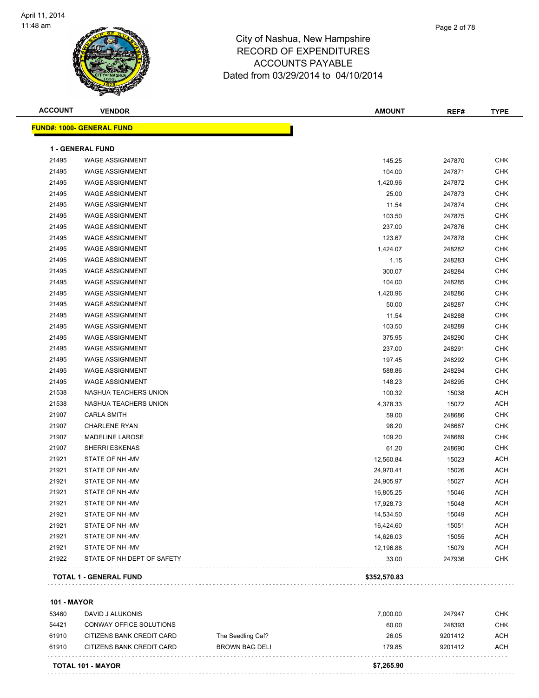

| <b>ACCOUNT</b>     | <b>VENDOR</b>                    |                   | <b>AMOUNT</b> | REF#    | <b>TYPE</b>              |
|--------------------|----------------------------------|-------------------|---------------|---------|--------------------------|
|                    | <b>FUND#: 1000- GENERAL FUND</b> |                   |               |         |                          |
|                    | <b>1 - GENERAL FUND</b>          |                   |               |         |                          |
| 21495              | <b>WAGE ASSIGNMENT</b>           |                   | 145.25        | 247870  | <b>CHK</b>               |
| 21495              | <b>WAGE ASSIGNMENT</b>           |                   | 104.00        | 247871  | <b>CHK</b>               |
| 21495              | <b>WAGE ASSIGNMENT</b>           |                   | 1,420.96      | 247872  | <b>CHK</b>               |
| 21495              | <b>WAGE ASSIGNMENT</b>           |                   | 25.00         | 247873  | <b>CHK</b>               |
| 21495              | <b>WAGE ASSIGNMENT</b>           |                   | 11.54         | 247874  | <b>CHK</b>               |
| 21495              | <b>WAGE ASSIGNMENT</b>           |                   | 103.50        | 247875  | <b>CHK</b>               |
| 21495              | <b>WAGE ASSIGNMENT</b>           |                   | 237.00        | 247876  | CHK                      |
| 21495              | <b>WAGE ASSIGNMENT</b>           |                   | 123.67        | 247878  | <b>CHK</b>               |
| 21495              | <b>WAGE ASSIGNMENT</b>           |                   | 1,424.07      | 248282  | <b>CHK</b>               |
| 21495              | <b>WAGE ASSIGNMENT</b>           |                   | 1.15          | 248283  | <b>CHK</b>               |
| 21495              | <b>WAGE ASSIGNMENT</b>           |                   | 300.07        | 248284  | <b>CHK</b>               |
| 21495              | <b>WAGE ASSIGNMENT</b>           |                   | 104.00        | 248285  | <b>CHK</b>               |
| 21495              | <b>WAGE ASSIGNMENT</b>           |                   | 1,420.96      | 248286  | <b>CHK</b>               |
| 21495              | <b>WAGE ASSIGNMENT</b>           |                   | 50.00         | 248287  | <b>CHK</b>               |
| 21495              | <b>WAGE ASSIGNMENT</b>           |                   | 11.54         | 248288  | <b>CHK</b>               |
| 21495              | <b>WAGE ASSIGNMENT</b>           |                   | 103.50        | 248289  | <b>CHK</b>               |
| 21495              | <b>WAGE ASSIGNMENT</b>           |                   | 375.95        | 248290  | <b>CHK</b>               |
| 21495              | <b>WAGE ASSIGNMENT</b>           |                   | 237.00        | 248291  | <b>CHK</b>               |
| 21495              | <b>WAGE ASSIGNMENT</b>           |                   | 197.45        | 248292  | <b>CHK</b>               |
| 21495              | <b>WAGE ASSIGNMENT</b>           |                   | 588.86        | 248294  | <b>CHK</b>               |
| 21495              | <b>WAGE ASSIGNMENT</b>           |                   | 148.23        | 248295  | <b>CHK</b>               |
| 21538              | NASHUA TEACHERS UNION            |                   | 100.32        | 15038   | <b>ACH</b>               |
| 21538              | NASHUA TEACHERS UNION            |                   | 4,378.33      | 15072   | <b>ACH</b>               |
| 21907              | <b>CARLA SMITH</b>               |                   | 59.00         | 248686  | <b>CHK</b>               |
| 21907              | <b>CHARLENE RYAN</b>             |                   | 98.20         | 248687  | <b>CHK</b>               |
| 21907              | <b>MADELINE LAROSE</b>           |                   | 109.20        | 248689  | <b>CHK</b>               |
| 21907              | <b>SHERRI ESKENAS</b>            |                   | 61.20         | 248690  | <b>CHK</b>               |
| 21921              | STATE OF NH-MV                   |                   | 12,560.84     | 15023   | <b>ACH</b>               |
| 21921              | STATE OF NH-MV                   |                   | 24,970.41     | 15026   | <b>ACH</b>               |
| 21921              | STATE OF NH-MV                   |                   | 24,905.97     | 15027   | <b>ACH</b>               |
| 21921              | STATE OF NH-MV                   |                   | 16,805.25     | 15046   | <b>ACH</b>               |
| 21921              | STATE OF NH-MV                   |                   | 17,928.73     | 15048   | ACH                      |
| 21921              | STATE OF NH-MV                   |                   | 14,534.50     | 15049   | <b>ACH</b>               |
| 21921              | STATE OF NH-MV<br>STATE OF NH-MV |                   | 16,424.60     | 15051   | <b>ACH</b>               |
| 21921<br>21921     | STATE OF NH-MV                   |                   | 14,626.03     | 15055   | <b>ACH</b><br><b>ACH</b> |
| 21922              | STATE OF NH DEPT OF SAFETY       |                   | 12,196.88     | 15079   | <b>CHK</b>               |
|                    |                                  |                   | 33.00         | 247936  |                          |
|                    | TOTAL 1 - GENERAL FUND           |                   | \$352,570.83  |         |                          |
| <b>101 - MAYOR</b> |                                  |                   |               |         |                          |
| 53460              | DAVID J ALUKONIS                 |                   | 7,000.00      | 247947  | <b>CHK</b>               |
| 54421              | CONWAY OFFICE SOLUTIONS          |                   | 60.00         | 248393  | <b>CHK</b>               |
| 61910              | CITIZENS BANK CREDIT CARD        | The Seedling Caf? | 26.05         | 9201412 | <b>ACH</b>               |
|                    |                                  |                   |               |         |                          |

Page 2 of 78

**TOTAL 101 - MAYOR \$7,265.90**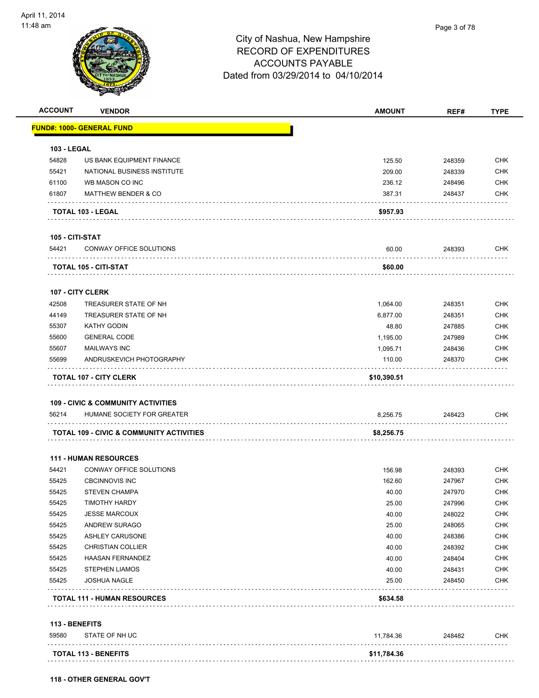

|                    | <b>VENDOR</b>                                 | <b>AMOUNT</b> | REF#   | <b>TYPE</b>                                                                                                                                            |
|--------------------|-----------------------------------------------|---------------|--------|--------------------------------------------------------------------------------------------------------------------------------------------------------|
|                    | <u> FUND#: 1000- GENERAL FUND</u>             |               |        |                                                                                                                                                        |
| <b>103 - LEGAL</b> |                                               |               |        |                                                                                                                                                        |
| 54828              | US BANK EQUIPMENT FINANCE                     | 125.50        | 248359 | <b>CHK</b>                                                                                                                                             |
| 55421              | NATIONAL BUSINESS INSTITUTE                   | 209.00        | 248339 | <b>CHK</b>                                                                                                                                             |
| 61100              | WB MASON CO INC                               | 236.12        | 248496 | <b>CHK</b>                                                                                                                                             |
| 61807              | <b>MATTHEW BENDER &amp; CO</b>                | 387.31        | 248437 | <b>CHK</b>                                                                                                                                             |
|                    | TOTAL 103 - LEGAL                             | \$957.93      |        |                                                                                                                                                        |
| 105 - CITI-STAT    |                                               |               |        |                                                                                                                                                        |
| 54421              | CONWAY OFFICE SOLUTIONS                       | 60.00         | 248393 | <b>CHK</b>                                                                                                                                             |
|                    | TOTAL 105 - CITI-STAT                         | \$60.00       |        |                                                                                                                                                        |
|                    | 107 - CITY CLERK                              |               |        |                                                                                                                                                        |
| 42508              | TREASURER STATE OF NH                         | 1,064.00      | 248351 | <b>CHK</b>                                                                                                                                             |
| 44149              | TREASURER STATE OF NH                         | 6,877.00      | 248351 | <b>CHK</b>                                                                                                                                             |
| 55307              | <b>KATHY GODIN</b>                            | 48.80         | 247885 | <b>CHK</b>                                                                                                                                             |
| 55600              | <b>GENERAL CODE</b>                           | 1,195.00      | 247989 | <b>CHK</b>                                                                                                                                             |
| 55607              | <b>MAILWAYS INC</b>                           | 1,095.71      | 248436 | <b>CHK</b>                                                                                                                                             |
| 55699              | ANDRUSKEVICH PHOTOGRAPHY                      | 110.00        | 248370 | <b>CHK</b>                                                                                                                                             |
|                    | <b>TOTAL 107 - CITY CLERK</b>                 | \$10,390.51   |        |                                                                                                                                                        |
|                    |                                               |               |        |                                                                                                                                                        |
|                    | <b>109 - CIVIC &amp; COMMUNITY ACTIVITIES</b> |               |        |                                                                                                                                                        |
| 56214              | HUMANE SOCIETY FOR GREATER                    | 8,256.75      | 248423 | <b>CHK</b>                                                                                                                                             |
|                    | TOTAL 109 - CIVIC & COMMUNITY ACTIVITIES      | \$8,256.75    |        |                                                                                                                                                        |
|                    | <b>111 - HUMAN RESOURCES</b>                  |               |        |                                                                                                                                                        |
| 54421              | CONWAY OFFICE SOLUTIONS                       | 156.98        | 248393 |                                                                                                                                                        |
| 55425              | <b>CBCINNOVIS INC</b>                         | 162.60        | 247967 |                                                                                                                                                        |
| 55425              | <b>STEVEN CHAMPA</b>                          | 40.00         | 247970 |                                                                                                                                                        |
| 55425              | TIMOTHY HARDY                                 | 25.00         | 247996 |                                                                                                                                                        |
| 55425              | <b>JESSE MARCOUX</b>                          | 40.00         | 248022 |                                                                                                                                                        |
| 55425              | ANDREW SURAGO                                 | 25.00         | 248065 |                                                                                                                                                        |
| 55425              | <b>ASHLEY CARUSONE</b>                        | 40.00         | 248386 |                                                                                                                                                        |
| 55425              | <b>CHRISTIAN COLLIER</b>                      | 40.00         | 248392 |                                                                                                                                                        |
| 55425              | <b>HAASAN FERNANDEZ</b>                       | 40.00         | 248404 |                                                                                                                                                        |
| 55425              | <b>STEPHEN LIAMOS</b>                         | 40.00         | 248431 |                                                                                                                                                        |
| 55425              | <b>JOSHUA NAGLE</b>                           | 25.00         | 248450 | <b>CHK</b><br><b>CHK</b><br><b>CHK</b><br><b>CHK</b><br><b>CHK</b><br><b>CHK</b><br><b>CHK</b><br><b>CHK</b><br><b>CHK</b><br><b>CHK</b><br><b>CHK</b> |

#### 59580 STATE OF NH UC 11,784.36 248482 CHK **TOTAL 113 - BENEFITS \$11,784.36**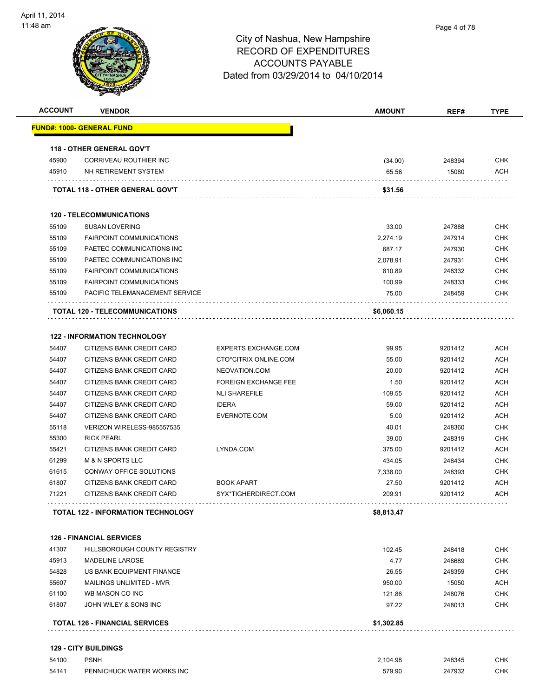| <b>ACCOUNT</b> | <b>VENDOR</b>                             |                             | AMOUNT     | REF#    | <b>TYPE</b> |
|----------------|-------------------------------------------|-----------------------------|------------|---------|-------------|
|                | <u> FUND#: 1000- GENERAL FUND</u>         |                             |            |         |             |
|                | <b>118 - OTHER GENERAL GOV'T</b>          |                             |            |         |             |
| 45900          | CORRIVEAU ROUTHIER INC                    |                             | (34.00)    | 248394  | <b>CHK</b>  |
| 45910          | NH RETIREMENT SYSTEM                      |                             | 65.56      | 15080   | <b>ACH</b>  |
|                | TOTAL 118 - OTHER GENERAL GOV'T           |                             | \$31.56    |         |             |
|                | <b>120 - TELECOMMUNICATIONS</b>           |                             |            |         |             |
| 55109          | <b>SUSAN LOVERING</b>                     |                             | 33.00      | 247888  | <b>CHK</b>  |
| 55109          | <b>FAIRPOINT COMMUNICATIONS</b>           |                             | 2,274.19   | 247914  | <b>CHK</b>  |
| 55109          | PAETEC COMMUNICATIONS INC                 |                             | 687.17     | 247930  | <b>CHK</b>  |
| 55109          | PAETEC COMMUNICATIONS INC                 |                             | 2,078.91   | 247931  | <b>CHK</b>  |
| 55109          | <b>FAIRPOINT COMMUNICATIONS</b>           |                             | 810.89     | 248332  | <b>CHK</b>  |
| 55109          | <b>FAIRPOINT COMMUNICATIONS</b>           |                             | 100.99     | 248333  | <b>CHK</b>  |
| 55109          | PACIFIC TELEMANAGEMENT SERVICE            |                             | 75.00      | 248459  | CHK         |
|                | <b>TOTAL 120 - TELECOMMUNICATIONS</b>     |                             | \$6,060.15 |         |             |
|                | <b>122 - INFORMATION TECHNOLOGY</b>       |                             |            |         |             |
| 54407          | CITIZENS BANK CREDIT CARD                 | <b>EXPERTS EXCHANGE.COM</b> | 99.95      | 9201412 | <b>ACH</b>  |
| 54407          | CITIZENS BANK CREDIT CARD                 | CTO*CITRIX ONLINE.COM       | 55.00      | 9201412 | <b>ACH</b>  |
| 54407          | CITIZENS BANK CREDIT CARD                 | NEOVATION.COM               | 20.00      | 9201412 | <b>ACH</b>  |
| 54407          | CITIZENS BANK CREDIT CARD                 | <b>FOREIGN EXCHANGE FEE</b> | 1.50       | 9201412 | <b>ACH</b>  |
| 54407          | CITIZENS BANK CREDIT CARD                 | <b>NLI SHAREFILE</b>        | 109.55     | 9201412 | <b>ACH</b>  |
| 54407          | CITIZENS BANK CREDIT CARD                 | <b>IDERA</b>                | 59.00      | 9201412 | ACH         |
| 54407          | CITIZENS BANK CREDIT CARD                 | EVERNOTE.COM                | 5.00       | 9201412 | <b>ACH</b>  |
| 55118          | VERIZON WIRELESS-985557535                |                             | 40.01      | 248360  | <b>CHK</b>  |
| 55300          | <b>RICK PEARL</b>                         |                             | 39.00      | 248319  | <b>CHK</b>  |
| 55421          | CITIZENS BANK CREDIT CARD                 | LYNDA.COM                   | 375.00     | 9201412 | <b>ACH</b>  |
| 61299          | <b>M &amp; N SPORTS LLC</b>               |                             | 434.05     | 248434  | <b>CHK</b>  |
| 61615          | CONWAY OFFICE SOLUTIONS                   |                             | 7,338.00   | 248393  | <b>CHK</b>  |
| 61807          | CITIZENS BANK CREDIT CARD                 | <b>BOOK APART</b>           | 27.50      | 9201412 | <b>ACH</b>  |
| 71221          | CITIZENS BANK CREDIT CARD                 | SYX*TIGHERDIRECT.COM        | 209.91     | 9201412 | <b>ACH</b>  |
|                |                                           |                             |            |         |             |
|                | <b>TOTAL 122 - INFORMATION TECHNOLOGY</b> |                             | \$8,813.47 |         |             |
|                |                                           |                             |            |         |             |
|                | <b>126 - FINANCIAL SERVICES</b>           |                             |            |         |             |
| 41307          | HILLSBOROUGH COUNTY REGISTRY              |                             | 102.45     | 248418  | <b>CHK</b>  |
| 45913          | <b>MADELINE LAROSE</b>                    |                             | 4.77       | 248689  | <b>CHK</b>  |
| 54828          | US BANK EQUIPMENT FINANCE                 |                             | 26.55      | 248359  | <b>CHK</b>  |
| 55607          | MAILINGS UNLIMITED - MVR                  |                             | 950.00     | 15050   | <b>ACH</b>  |
| 61100          | WB MASON CO INC                           |                             | 121.86     | 248076  | <b>CHK</b>  |
| 61807          | JOHN WILEY & SONS INC                     |                             | 97.22      | 248013  | <b>CHK</b>  |

**TOTAL 126 - FINANCIAL SERVICES \$1,302.85**

#### **129 - CITY BUILDINGS**

| 54100 | <b>PSNH</b>                | 2.104.98 | 248345 | CHK |
|-------|----------------------------|----------|--------|-----|
| 54141 | PENNICHUCK WATER WORKS INC | 579.90   | 247932 | CHK |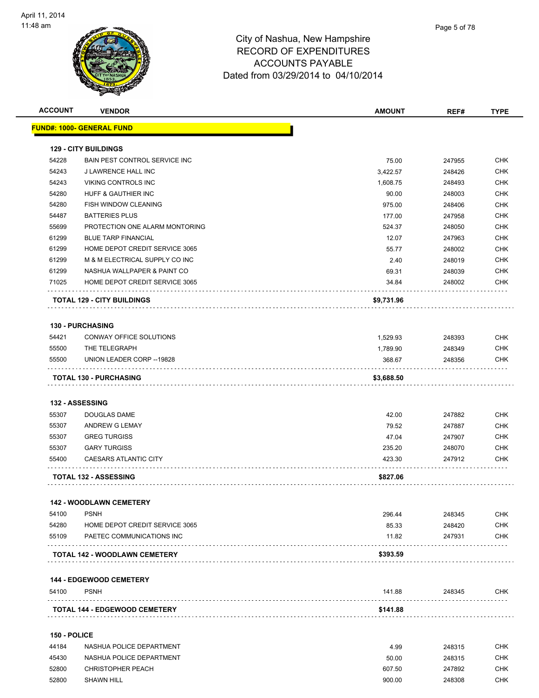

|                | <b>VENDOR</b>                                               | <b>AMOUNT</b>  | REF#             | <b>TYPE</b>                                                                             |
|----------------|-------------------------------------------------------------|----------------|------------------|-----------------------------------------------------------------------------------------|
|                | <b>FUND#: 1000- GENERAL FUND</b>                            |                |                  |                                                                                         |
|                | <b>129 - CITY BUILDINGS</b>                                 |                |                  |                                                                                         |
| 54228          | BAIN PEST CONTROL SERVICE INC                               | 75.00          | 247955           | <b>CHK</b>                                                                              |
| 54243          | J LAWRENCE HALL INC                                         | 3,422.57       | 248426           | <b>CHK</b>                                                                              |
| 54243          | VIKING CONTROLS INC                                         | 1,608.75       | 248493           | <b>CHK</b>                                                                              |
| 54280          | HUFF & GAUTHIER INC                                         | 90.00          | 248003           | <b>CHK</b>                                                                              |
| 54280          | FISH WINDOW CLEANING                                        | 975.00         | 248406           | <b>CHK</b>                                                                              |
| 54487          | <b>BATTERIES PLUS</b>                                       | 177.00         | 247958           | CHK                                                                                     |
| 55699          | PROTECTION ONE ALARM MONTORING                              | 524.37         | 248050           | <b>CHK</b>                                                                              |
| 61299          | <b>BLUE TARP FINANCIAL</b>                                  | 12.07          | 247963           | <b>CHK</b>                                                                              |
| 61299          | HOME DEPOT CREDIT SERVICE 3065                              | 55.77          | 248002           | <b>CHK</b>                                                                              |
| 61299          | M & M ELECTRICAL SUPPLY CO INC                              | 2.40           | 248019           | <b>CHK</b>                                                                              |
| 61299          | NASHUA WALLPAPER & PAINT CO                                 | 69.31          | 248039           | <b>CHK</b>                                                                              |
| 71025          | HOME DEPOT CREDIT SERVICE 3065                              | 34.84          | 248002           | CHK                                                                                     |
|                | <b>TOTAL 129 - CITY BUILDINGS</b>                           | \$9,731.96     |                  |                                                                                         |
|                | <b>130 - PURCHASING</b>                                     |                |                  |                                                                                         |
|                | CONWAY OFFICE SOLUTIONS                                     | 1,529.93       | 248393           | CHK                                                                                     |
|                |                                                             |                |                  | <b>CHK</b>                                                                              |
| 54421          |                                                             |                |                  |                                                                                         |
| 55500          | THE TELEGRAPH                                               | 1,789.90       | 248349           |                                                                                         |
| 55500          | UNION LEADER CORP -- 19828<br>.                             | 368.67         | 248356           | CHK                                                                                     |
|                | <b>TOTAL 130 - PURCHASING</b>                               | \$3,688.50     |                  |                                                                                         |
|                | 132 - ASSESSING                                             |                |                  |                                                                                         |
| 55307          | <b>DOUGLAS DAME</b>                                         | 42.00          | 247882           |                                                                                         |
| 55307          | ANDREW G LEMAY                                              | 79.52          | 247887           |                                                                                         |
| 55307          | <b>GREG TURGISS</b>                                         | 47.04          | 247907           |                                                                                         |
| 55307          | <b>GARY TURGISS</b>                                         | 235.20         | 248070           |                                                                                         |
| 55400          | <b>CAESARS ATLANTIC CITY</b>                                | 423.30         | 247912           |                                                                                         |
|                | TOTAL 132 - ASSESSING                                       | \$827.06       |                  |                                                                                         |
|                |                                                             |                |                  |                                                                                         |
|                | 142 - WOODLAWN CEMETERY                                     |                |                  |                                                                                         |
| 54100          | <b>PSNH</b>                                                 | 296.44         | 248345           |                                                                                         |
| 54280<br>55109 | HOME DEPOT CREDIT SERVICE 3065<br>PAETEC COMMUNICATIONS INC | 85.33<br>11.82 | 248420<br>247931 |                                                                                         |
|                | <b>TOTAL 142 - WOODLAWN CEMETERY</b>                        | \$393.59       |                  |                                                                                         |
|                |                                                             |                |                  |                                                                                         |
|                | <b>144 - EDGEWOOD CEMETERY</b>                              |                |                  | <b>CHK</b><br><b>CHK</b><br><b>CHK</b><br><b>CHK</b><br>CHK<br>CHK<br><b>CHK</b><br>CHK |
| 54100          | <b>PSNH</b>                                                 | 141.88         | 248345           | <b>CHK</b>                                                                              |

#### **150 - POLICE**

| 44184 | NASHUA POLICE DEPARTMENT | 4.99   | 248315 | <b>CHK</b> |
|-------|--------------------------|--------|--------|------------|
| 45430 | NASHUA POLICE DEPARTMENT | 50.00  | 248315 | CHK        |
| 52800 | <b>CHRISTOPHER PEACH</b> | 607.50 | 247892 | СНК        |
| 52800 | <b>SHAWN HILL</b>        | 900.00 | 248308 | снк        |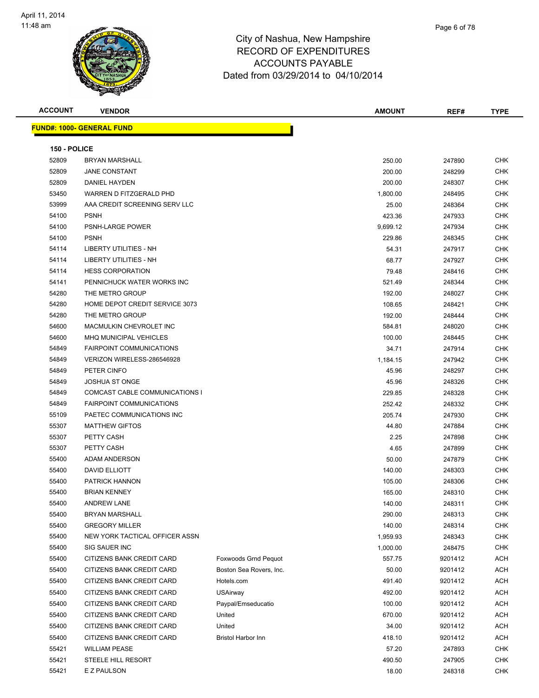

# City of Nashua, New Hampshire RECORD OF ACCOUN<sup>-</sup> Dated from 03/29

| $\overline{\phantom{a}}$ |  |
|--------------------------|--|
| <b>EXPENDITURES</b>      |  |
| TS PAYABLE               |  |
| 9/2014 to 04/10/2014     |  |
|                          |  |

| <b>ACCOUNT</b> | <b>VENDOR</b>                    |                             | <b>AMOUNT</b> | REF#    | <b>TYPE</b> |
|----------------|----------------------------------|-----------------------------|---------------|---------|-------------|
|                | <b>FUND#: 1000- GENERAL FUND</b> |                             |               |         |             |
|                |                                  |                             |               |         |             |
| 150 - POLICE   |                                  |                             |               |         |             |
| 52809          | <b>BRYAN MARSHALL</b>            |                             | 250.00        | 247890  | <b>CHK</b>  |
| 52809          | <b>JANE CONSTANT</b>             |                             | 200.00        | 248299  | <b>CHK</b>  |
| 52809          | DANIEL HAYDEN                    |                             | 200.00        | 248307  | <b>CHK</b>  |
| 53450          | WARREN D FITZGERALD PHD          |                             | 1,800.00      | 248495  | <b>CHK</b>  |
| 53999          | AAA CREDIT SCREENING SERV LLC    |                             | 25.00         | 248364  | <b>CHK</b>  |
| 54100          | <b>PSNH</b>                      |                             | 423.36        | 247933  | <b>CHK</b>  |
| 54100          | <b>PSNH-LARGE POWER</b>          |                             | 9,699.12      | 247934  | <b>CHK</b>  |
| 54100          | <b>PSNH</b>                      |                             | 229.86        | 248345  | <b>CHK</b>  |
| 54114          | LIBERTY UTILITIES - NH           |                             | 54.31         | 247917  | <b>CHK</b>  |
| 54114          | LIBERTY UTILITIES - NH           |                             | 68.77         | 247927  | CHK         |
| 54114          | <b>HESS CORPORATION</b>          |                             | 79.48         | 248416  | <b>CHK</b>  |
| 54141          | PENNICHUCK WATER WORKS INC       |                             | 521.49        | 248344  | <b>CHK</b>  |
| 54280          | THE METRO GROUP                  |                             | 192.00        | 248027  | <b>CHK</b>  |
| 54280          | HOME DEPOT CREDIT SERVICE 3073   |                             | 108.65        | 248421  | <b>CHK</b>  |
| 54280          | THE METRO GROUP                  |                             | 192.00        | 248444  | <b>CHK</b>  |
| 54600          | MACMULKIN CHEVROLET INC          |                             | 584.81        | 248020  | <b>CHK</b>  |
| 54600          | <b>MHQ MUNICIPAL VEHICLES</b>    |                             | 100.00        | 248445  | <b>CHK</b>  |
| 54849          | <b>FAIRPOINT COMMUNICATIONS</b>  |                             | 34.71         | 247914  | <b>CHK</b>  |
| 54849          | VERIZON WIRELESS-286546928       |                             | 1,184.15      | 247942  | <b>CHK</b>  |
| 54849          | PETER CINFO                      |                             | 45.96         | 248297  | <b>CHK</b>  |
| 54849          | <b>JOSHUA ST ONGE</b>            |                             | 45.96         | 248326  | CHK         |
| 54849          | COMCAST CABLE COMMUNICATIONS I   |                             | 229.85        | 248328  | <b>CHK</b>  |
| 54849          | <b>FAIRPOINT COMMUNICATIONS</b>  |                             | 252.42        | 248332  | <b>CHK</b>  |
| 55109          | PAETEC COMMUNICATIONS INC        |                             | 205.74        | 247930  | <b>CHK</b>  |
| 55307          | <b>MATTHEW GIFTOS</b>            |                             | 44.80         | 247884  | <b>CHK</b>  |
| 55307          | PETTY CASH                       |                             | 2.25          | 247898  | <b>CHK</b>  |
| 55307          | PETTY CASH                       |                             | 4.65          | 247899  | <b>CHK</b>  |
| 55400          | ADAM ANDERSON                    |                             | 50.00         | 247879  | <b>CHK</b>  |
| 55400          | DAVID ELLIOTT                    |                             | 140.00        | 248303  | <b>CHK</b>  |
| 55400          | PATRICK HANNON                   |                             | 105.00        | 248306  | <b>CHK</b>  |
| 55400          | <b>BRIAN KENNEY</b>              |                             | 165.00        | 248310  | CHK         |
| 55400          | ANDREW LANE                      |                             | 140.00        | 248311  | <b>CHK</b>  |
| 55400          | <b>BRYAN MARSHALL</b>            |                             | 290.00        | 248313  | <b>CHK</b>  |
| 55400          | <b>GREGORY MILLER</b>            |                             | 140.00        | 248314  | <b>CHK</b>  |
| 55400          | NEW YORK TACTICAL OFFICER ASSN   |                             | 1,959.93      | 248343  | CHK         |
| 55400          | SIG SAUER INC                    |                             | 1,000.00      | 248475  | <b>CHK</b>  |
| 55400          | CITIZENS BANK CREDIT CARD        | <b>Foxwoods Grnd Pequot</b> | 557.75        | 9201412 | <b>ACH</b>  |
| 55400          | CITIZENS BANK CREDIT CARD        | Boston Sea Rovers, Inc.     | 50.00         | 9201412 | <b>ACH</b>  |
| 55400          | CITIZENS BANK CREDIT CARD        | Hotels.com                  | 491.40        | 9201412 | <b>ACH</b>  |
| 55400          | CITIZENS BANK CREDIT CARD        | <b>USAirway</b>             | 492.00        | 9201412 | <b>ACH</b>  |
| 55400          | CITIZENS BANK CREDIT CARD        | Paypal/Emseducatio          | 100.00        | 9201412 | <b>ACH</b>  |
| 55400          | CITIZENS BANK CREDIT CARD        | United                      | 670.00        | 9201412 | ACH         |
| 55400          | CITIZENS BANK CREDIT CARD        | United                      | 34.00         | 9201412 | <b>ACH</b>  |
| 55400          | CITIZENS BANK CREDIT CARD        | <b>Bristol Harbor Inn</b>   | 418.10        | 9201412 | <b>ACH</b>  |
| 55421          | <b>WILLIAM PEASE</b>             |                             | 57.20         | 247893  | <b>CHK</b>  |
| 55421          | STEELE HILL RESORT               |                             | 490.50        | 247905  | CHK         |
| 55421          | E Z PAULSON                      |                             | 18.00         | 248318  | <b>CHK</b>  |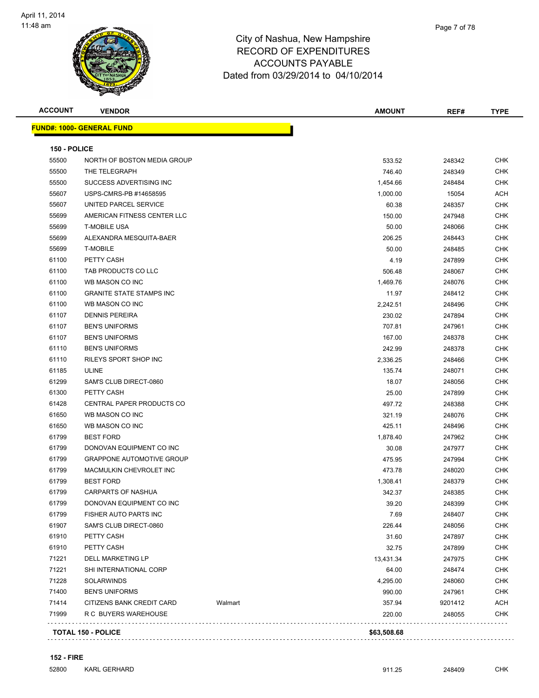

| <b>ACCOUNT</b> | <b>VENDOR</b>                        | <b>AMOUNT</b> | REF#    | <b>TYPE</b> |
|----------------|--------------------------------------|---------------|---------|-------------|
|                | <b>FUND#: 1000- GENERAL FUND</b>     |               |         |             |
| 150 - POLICE   |                                      |               |         |             |
| 55500          | NORTH OF BOSTON MEDIA GROUP          | 533.52        | 248342  | <b>CHK</b>  |
| 55500          | THE TELEGRAPH                        | 746.40        | 248349  | <b>CHK</b>  |
| 55500          | SUCCESS ADVERTISING INC              | 1,454.66      | 248484  | <b>CHK</b>  |
| 55607          | USPS-CMRS-PB #14658595               | 1,000.00      | 15054   | ACH         |
| 55607          | UNITED PARCEL SERVICE                | 60.38         | 248357  | <b>CHK</b>  |
| 55699          | AMERICAN FITNESS CENTER LLC          | 150.00        | 247948  | <b>CHK</b>  |
| 55699          | <b>T-MOBILE USA</b>                  | 50.00         | 248066  | <b>CHK</b>  |
| 55699          | ALEXANDRA MESQUITA-BAER              | 206.25        | 248443  | <b>CHK</b>  |
| 55699          | <b>T-MOBILE</b>                      | 50.00         | 248485  | <b>CHK</b>  |
| 61100          | PETTY CASH                           | 4.19          | 247899  | <b>CHK</b>  |
| 61100          | TAB PRODUCTS CO LLC                  | 506.48        | 248067  | <b>CHK</b>  |
| 61100          | WB MASON CO INC                      | 1,469.76      | 248076  | <b>CHK</b>  |
| 61100          | <b>GRANITE STATE STAMPS INC</b>      | 11.97         | 248412  | <b>CHK</b>  |
| 61100          | WB MASON CO INC                      | 2,242.51      | 248496  | <b>CHK</b>  |
| 61107          | <b>DENNIS PEREIRA</b>                | 230.02        | 247894  | <b>CHK</b>  |
| 61107          | <b>BEN'S UNIFORMS</b>                | 707.81        | 247961  | <b>CHK</b>  |
| 61107          | <b>BEN'S UNIFORMS</b>                | 167.00        | 248378  | <b>CHK</b>  |
| 61110          | <b>BEN'S UNIFORMS</b>                | 242.99        | 248378  | <b>CHK</b>  |
| 61110          | <b>RILEYS SPORT SHOP INC</b>         | 2,336.25      | 248466  | <b>CHK</b>  |
| 61185          | <b>ULINE</b>                         | 135.74        | 248071  | <b>CHK</b>  |
| 61299          | SAM'S CLUB DIRECT-0860               | 18.07         | 248056  | <b>CHK</b>  |
| 61300          | PETTY CASH                           | 25.00         | 247899  | <b>CHK</b>  |
| 61428          | CENTRAL PAPER PRODUCTS CO            | 497.72        | 248388  | <b>CHK</b>  |
| 61650          | WB MASON CO INC                      | 321.19        | 248076  | <b>CHK</b>  |
| 61650          | WB MASON CO INC                      | 425.11        | 248496  | <b>CHK</b>  |
| 61799          | <b>BEST FORD</b>                     | 1,878.40      | 247962  | <b>CHK</b>  |
| 61799          | DONOVAN EQUIPMENT CO INC             | 30.08         | 247977  | <b>CHK</b>  |
| 61799          | <b>GRAPPONE AUTOMOTIVE GROUP</b>     | 475.95        | 247994  | <b>CHK</b>  |
| 61799          | MACMULKIN CHEVROLET INC              | 473.78        | 248020  | <b>CHK</b>  |
| 61799          | <b>BEST FORD</b>                     | 1,308.41      | 248379  | CHK         |
| 61799          | <b>CARPARTS OF NASHUA</b>            | 342.37        | 248385  | <b>CHK</b>  |
| 61799          | DONOVAN EQUIPMENT CO INC             | 39.20         | 248399  | <b>CHK</b>  |
| 61799          | FISHER AUTO PARTS INC                | 7.69          | 248407  | CHK         |
| 61907          | SAM'S CLUB DIRECT-0860               | 226.44        | 248056  | CHK         |
| 61910          | PETTY CASH                           | 31.60         | 247897  | CHK         |
| 61910          | PETTY CASH                           | 32.75         | 247899  | CHK         |
| 71221          | DELL MARKETING LP                    | 13,431.34     | 247975  | <b>CHK</b>  |
| 71221          | SHI INTERNATIONAL CORP               | 64.00         | 248474  | <b>CHK</b>  |
| 71228          | <b>SOLARWINDS</b>                    | 4,295.00      | 248060  | <b>CHK</b>  |
| 71400          | <b>BEN'S UNIFORMS</b>                | 990.00        | 247961  | <b>CHK</b>  |
| 71414          | CITIZENS BANK CREDIT CARD<br>Walmart | 357.94        | 9201412 | ACH         |
| 71999          | R C BUYERS WAREHOUSE                 | 220.00        | 248055  | <b>CHK</b>  |
|                | <b>TOTAL 150 - POLICE</b>            | \$63,508.68   |         |             |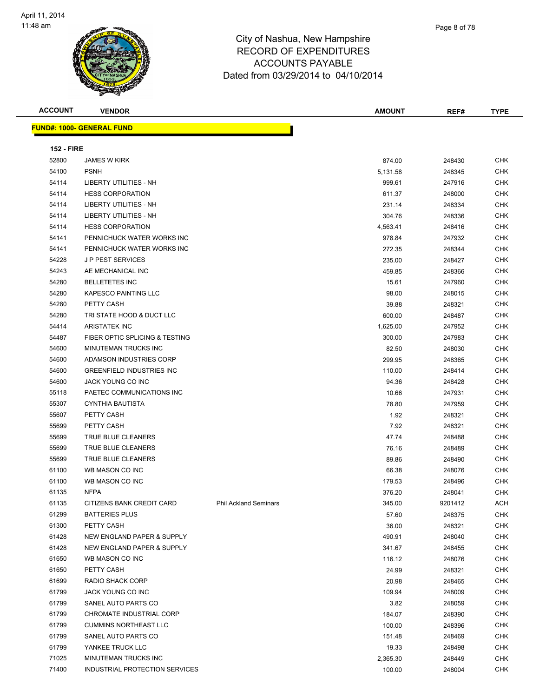

**FUND#: 1000- GENERAL FUND**

#### City of Nashua, New Hampshire RECORD OF EXPENDITURES ACCOUNTS PAYABLE Dated from 03/29/2014 to 04/10/2014

**ACCOUNT VENDOR AMOUNT REF# TYPE**

**152 - FIRE** JAMES W KIRK 874.00 248430 CHK PSNH 5,131.58 248345 CHK LIBERTY UTILITIES - NH 999.61 247916 CHK HESS CORPORATION 611.37 248000 CHK LIBERTY UTILITIES - NH 231.14 248334 CHK LIBERTY UTILITIES - NH 304.76 248336 CHK HESS CORPORATION 4,563.41 248416 CHK PENNICHUCK WATER WORKS INC 978.84 247932 CHK PENNICHUCK WATER WORKS INC 272.35 248344 CHK J P PEST SERVICES 235.00 248427 CHK AE MECHANICAL INC 459.85 248366 CHK BELLETETES INC 15.61 247960 CHK KAPESCO PAINTING LLC 98.00 248015 CHK PETTY CASH 39.88 248321 CHK TRI STATE HOOD & DUCT LLC 600.00 248487 CHK ARISTATEK INC 1,625.00 247952 CHK 54487 FIBER OPTIC SPLICING & TESTING 30000 300.00 247983 CHK

| 54600 | MINUTEMAN TRUCKS INC                  |                              | 82.50  | 248030  | <b>CHK</b> |
|-------|---------------------------------------|------------------------------|--------|---------|------------|
| 54600 | ADAMSON INDUSTRIES CORP               |                              | 299.95 | 248365  | CHK        |
| 54600 | <b>GREENFIELD INDUSTRIES INC</b>      |                              | 110.00 | 248414  | <b>CHK</b> |
| 54600 | <b>JACK YOUNG CO INC</b>              |                              | 94.36  | 248428  | CHK        |
| 55118 | PAETEC COMMUNICATIONS INC             |                              | 10.66  | 247931  | CHK        |
| 55307 | <b>CYNTHIA BAUTISTA</b>               |                              | 78.80  | 247959  | <b>CHK</b> |
| 55607 | PETTY CASH                            |                              | 1.92   | 248321  | <b>CHK</b> |
| 55699 | PETTY CASH                            |                              | 7.92   | 248321  | CHK        |
| 55699 | <b>TRUE BLUE CLEANERS</b>             |                              | 47.74  | 248488  | <b>CHK</b> |
| 55699 | <b>TRUE BLUE CLEANERS</b>             |                              | 76.16  | 248489  | CHK        |
| 55699 | TRUE BLUE CLEANERS                    |                              | 89.86  | 248490  | CHK        |
| 61100 | WB MASON CO INC                       |                              | 66.38  | 248076  | <b>CHK</b> |
| 61100 | WB MASON CO INC                       |                              | 179.53 | 248496  | CHK        |
| 61135 | <b>NFPA</b>                           |                              | 376.20 | 248041  | CHK        |
| 61135 | CITIZENS BANK CREDIT CARD             | <b>Phil Ackland Seminars</b> | 345.00 | 9201412 | <b>ACH</b> |
| 61299 | <b>BATTERIES PLUS</b>                 |                              | 57.60  | 248375  | <b>CHK</b> |
| 61300 | PETTY CASH                            |                              | 36.00  | 248321  | CHK        |
| 61428 | <b>NEW ENGLAND PAPER &amp; SUPPLY</b> |                              | 490.91 | 248040  | <b>CHK</b> |
| 61428 | NEW ENGLAND PAPER & SUPPLY            |                              | 341.67 | 248455  | <b>CHK</b> |
| 61650 | WB MASON CO INC                       |                              | 116.12 | 248076  | CHK        |
| 61650 | PETTY CASH                            |                              | 24.99  | 248321  | CHK        |
| 61699 | RADIO SHACK CORP                      |                              | 20.98  | 248465  | <b>CHK</b> |
| 61799 | JACK YOUNG CO INC                     |                              | 109.94 | 248009  | <b>CHK</b> |
| 61799 | SANEL AUTO PARTS CO                   |                              | 3.82   | 248059  | CHK        |
| 61799 | CHROMATE INDUSTRIAL CORP              |                              | 184.07 | 248390  | <b>CHK</b> |
| 61799 | <b>CUMMINS NORTHEAST LLC</b>          |                              | 100.00 | 248396  | <b>CHK</b> |
| 61799 | SANEL AUTO PARTS CO                   |                              | 151.48 | 248469  | CHK        |
| 61799 | YANKEE TRUCK LLC                      |                              | 19.33  | 248498  | <b>CHK</b> |

 MINUTEMAN TRUCKS INC 2,365.30 248449 CHK INDUSTRIAL PROTECTION SERVICES 100.00 248004 CHK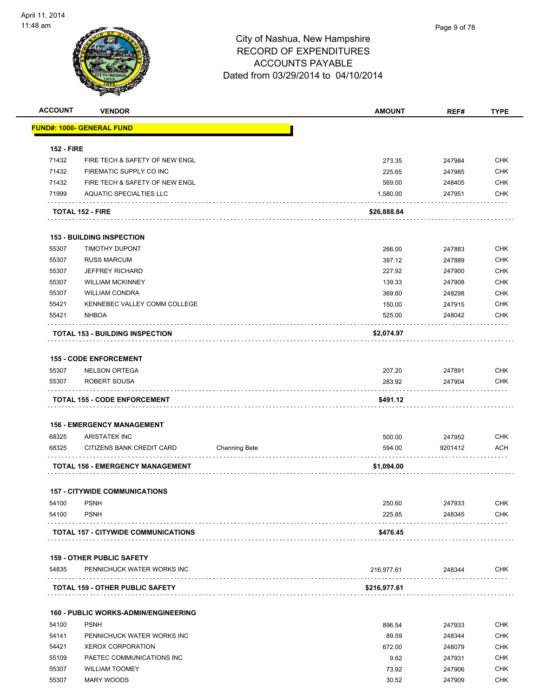

| <b>ACCOUNT</b>    | <b>VENDOR</b>                               |                      | <b>AMOUNT</b> | REF#    | <b>TYPE</b> |
|-------------------|---------------------------------------------|----------------------|---------------|---------|-------------|
|                   | <u> FUND#: 1000- GENERAL FUND</u>           |                      |               |         |             |
| <b>152 - FIRE</b> |                                             |                      |               |         |             |
| 71432             | FIRE TECH & SAFETY OF NEW ENGL              |                      | 273.35        | 247984  | <b>CHK</b>  |
| 71432             | FIREMATIC SUPPLY CO INC                     |                      | 225.65        | 247985  | <b>CHK</b>  |
| 71432             | FIRE TECH & SAFETY OF NEW ENGL              |                      | 569.00        | 248405  | <b>CHK</b>  |
| 71999             | <b>AQUATIC SPECIALTIES LLC</b>              |                      | 1,580.00      | 247951  | <b>CHK</b>  |
|                   | <b>TOTAL 152 - FIRE</b>                     |                      | \$26,888.84   |         |             |
|                   |                                             |                      |               |         |             |
|                   | <b>153 - BUILDING INSPECTION</b>            |                      |               |         | <b>CHK</b>  |
| 55307<br>55307    | <b>TIMOTHY DUPONT</b>                       |                      | 266.00        | 247883  |             |
|                   | <b>RUSS MARCUM</b>                          |                      | 397.12        | 247889  | <b>CHK</b>  |
| 55307             | <b>JEFFREY RICHARD</b>                      |                      | 227.92        | 247900  | <b>CHK</b>  |
| 55307             | <b>WILLIAM MCKINNEY</b>                     |                      | 139.33        | 247908  | <b>CHK</b>  |
| 55307             | <b>WILLIAM CONDRA</b>                       |                      | 369.60        | 248298  | CHK         |
| 55421             | KENNEBEC VALLEY COMM COLLEGE                |                      | 150.00        | 247915  | <b>CHK</b>  |
| 55421             | <b>NHBOA</b>                                |                      | 525.00        | 248042  | <b>CHK</b>  |
|                   | <b>TOTAL 153 - BUILDING INSPECTION</b>      |                      | \$2,074.97    |         |             |
|                   | <b>155 - CODE ENFORCEMENT</b>               |                      |               |         |             |
| 55307             | <b>NELSON ORTEGA</b>                        |                      | 207.20        | 247891  | <b>CHK</b>  |
| 55307             | ROBERT SOUSA                                |                      | 283.92        | 247904  | <b>CHK</b>  |
|                   | <b>TOTAL 155 - CODE ENFORCEMENT</b>         |                      | \$491.12      |         |             |
|                   |                                             |                      |               |         |             |
|                   | <b>156 - EMERGENCY MANAGEMENT</b>           |                      |               |         |             |
| 68325             | <b>ARISTATEK INC</b>                        |                      | 500.00        | 247952  | <b>CHK</b>  |
| 68325             | CITIZENS BANK CREDIT CARD                   | <b>Channing Bete</b> | 594.00        | 9201412 | <b>ACH</b>  |
|                   | <b>TOTAL 156 - EMERGENCY MANAGEMENT</b>     |                      | \$1,094.00    |         |             |
|                   | <b>157 - CITYWIDE COMMUNICATIONS</b>        |                      |               |         |             |
| 54100             | <b>PSNH</b>                                 |                      | 250.60        | 247933  | CHK         |
| 54100             | <b>PSNH</b>                                 |                      | 225.85        | 248345  | <b>CHK</b>  |
|                   | <b>TOTAL 157 - CITYWIDE COMMUNICATIONS</b>  |                      | \$476.45      |         |             |
|                   | <b>159 - OTHER PUBLIC SAFETY</b>            |                      |               |         |             |
| 54835             | PENNICHUCK WATER WORKS INC                  |                      | 216,977.61    | 248344  | <b>CHK</b>  |
|                   | <b>TOTAL 159 - OTHER PUBLIC SAFETY</b>      |                      | \$216,977.61  |         |             |
|                   |                                             |                      |               |         |             |
|                   | <b>160 - PUBLIC WORKS-ADMIN/ENGINEERING</b> |                      |               |         |             |
| 54100             | <b>PSNH</b>                                 |                      | 896.54        | 247933  | <b>CHK</b>  |
| 54141             | PENNICHUCK WATER WORKS INC                  |                      | 89.59         | 248344  | <b>CHK</b>  |
| 54421             | <b>XEROX CORPORATION</b>                    |                      | 672.00        | 248079  | <b>CHK</b>  |
| 55109             | PAETEC COMMUNICATIONS INC                   |                      | 9.62          | 247931  | CHK         |
| 55307             | <b>WILLIAM TOOMEY</b>                       |                      | 73.92         | 247906  | <b>CHK</b>  |
| 55307             | <b>MARY WOODS</b>                           |                      | 30.52         | 247909  | <b>CHK</b>  |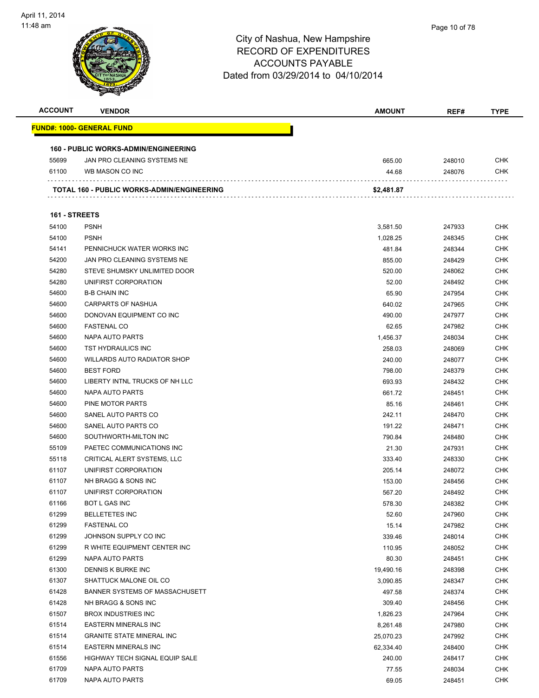

| <b>ACCOUNT</b> | <b>VENDOR</b>                               | AMOUNT     | REF#   | <b>TYPE</b> |
|----------------|---------------------------------------------|------------|--------|-------------|
|                | <b>FUND#: 1000- GENERAL FUND</b>            |            |        |             |
|                |                                             |            |        |             |
|                | <b>160 - PUBLIC WORKS-ADMIN/ENGINEERING</b> |            |        |             |
| 55699          | JAN PRO CLEANING SYSTEMS NE                 | 665.00     | 248010 | <b>CHK</b>  |
| 61100          | WB MASON CO INC                             | 44.68      | 248076 | <b>CHK</b>  |
|                | TOTAL 160 - PUBLIC WORKS-ADMIN/ENGINEERING  | \$2,481.87 |        |             |
| 161 - STREETS  |                                             |            |        |             |
| 54100          | <b>PSNH</b>                                 | 3,581.50   | 247933 | CHK         |
| 54100          | <b>PSNH</b>                                 | 1,028.25   | 248345 | <b>CHK</b>  |
| 54141          | PENNICHUCK WATER WORKS INC                  | 481.84     | 248344 | CHK         |
| 54200          | JAN PRO CLEANING SYSTEMS NE                 | 855.00     | 248429 | CHK         |
| 54280          | STEVE SHUMSKY UNLIMITED DOOR                | 520.00     | 248062 | <b>CHK</b>  |
| 54280          | UNIFIRST CORPORATION                        | 52.00      | 248492 | CHK         |
| 54600          | <b>B-B CHAIN INC</b>                        | 65.90      | 247954 | CHK         |
| 54600          | CARPARTS OF NASHUA                          | 640.02     | 247965 | CHK         |
| 54600          | DONOVAN EQUIPMENT CO INC                    | 490.00     | 247977 | CHK         |
| 54600          | <b>FASTENAL CO</b>                          | 62.65      | 247982 | CHK         |
| 54600          | NAPA AUTO PARTS                             | 1,456.37   | 248034 | CHK         |
| 54600          | TST HYDRAULICS INC                          | 258.03     | 248069 | CHK         |
| 54600          | <b>WILLARDS AUTO RADIATOR SHOP</b>          | 240.00     | 248077 | <b>CHK</b>  |
| 54600          | <b>BEST FORD</b>                            | 798.00     | 248379 | CHK         |
| 54600          | LIBERTY INTNL TRUCKS OF NH LLC              | 693.93     | 248432 | <b>CHK</b>  |
| 54600          | NAPA AUTO PARTS                             | 661.72     | 248451 | <b>CHK</b>  |
| 54600          | PINE MOTOR PARTS                            | 85.16      | 248461 | CHK         |
| 54600          | SANEL AUTO PARTS CO                         | 242.11     | 248470 | <b>CHK</b>  |
| 54600          | SANEL AUTO PARTS CO                         | 191.22     | 248471 | CHK         |
| 54600          | SOUTHWORTH-MILTON INC                       | 790.84     | 248480 | CHK         |
| 55109          | PAETEC COMMUNICATIONS INC                   | 21.30      | 247931 | CHK         |
| 55118          | CRITICAL ALERT SYSTEMS, LLC                 | 333.40     | 248330 | CHK         |
| 61107          | UNIFIRST CORPORATION                        | 205.14     | 248072 | CHK         |
| 61107          | NH BRAGG & SONS INC                         | 153.00     | 248456 | CHK         |
| 61107          | UNIFIRST CORPORATION                        | 567.20     | 248492 | CHK         |
| 61166          | <b>BOT L GAS INC</b>                        | 578.30     | 248382 | CHK         |
| 61299          | <b>BELLETETES INC</b>                       | 52.60      | 247960 | <b>CHK</b>  |
| 61299          | <b>FASTENAL CO</b>                          | 15.14      | 247982 | <b>CHK</b>  |
| 61299          | JOHNSON SUPPLY CO INC                       | 339.46     | 248014 | <b>CHK</b>  |
| 61299          | R WHITE EQUIPMENT CENTER INC                | 110.95     | 248052 | <b>CHK</b>  |
| 61299          | NAPA AUTO PARTS                             | 80.30      | 248451 | <b>CHK</b>  |
| 61300          | DENNIS K BURKE INC                          | 19,490.16  | 248398 | <b>CHK</b>  |
| 61307          | SHATTUCK MALONE OIL CO                      | 3,090.85   | 248347 | <b>CHK</b>  |
| 61428          | BANNER SYSTEMS OF MASSACHUSETT              | 497.58     | 248374 | <b>CHK</b>  |
| 61428          | NH BRAGG & SONS INC                         | 309.40     | 248456 | <b>CHK</b>  |
| 61507          | <b>BROX INDUSTRIES INC</b>                  | 1,826.23   | 247964 | <b>CHK</b>  |
| 61514          | <b>EASTERN MINERALS INC</b>                 | 8,261.48   | 247980 | <b>CHK</b>  |
| 61514          | <b>GRANITE STATE MINERAL INC</b>            | 25,070.23  | 247992 | <b>CHK</b>  |
| 61514          | <b>EASTERN MINERALS INC</b>                 | 62,334.40  | 248400 | <b>CHK</b>  |
| 61556          | HIGHWAY TECH SIGNAL EQUIP SALE              | 240.00     | 248417 | <b>CHK</b>  |
| 61709          | NAPA AUTO PARTS                             | 77.55      | 248034 | CHK         |
| 61709          | NAPA AUTO PARTS                             | 69.05      | 248451 | <b>CHK</b>  |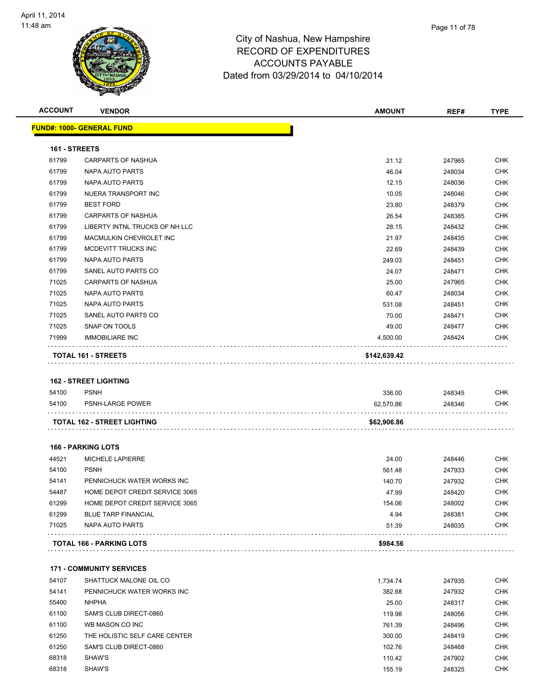

| <b>ACCOUNT</b> | <b>VENDOR</b>                      | <b>AMOUNT</b>       | REF#             | <b>TYPE</b> |
|----------------|------------------------------------|---------------------|------------------|-------------|
|                | <u> FUND#: 1000- GENERAL FUND</u>  |                     |                  |             |
| 161 - STREETS  |                                    |                     |                  |             |
| 61799          | CARPARTS OF NASHUA                 | 21.12               | 247965           | <b>CHK</b>  |
| 61799          | NAPA AUTO PARTS                    | 46.04               | 248034           | <b>CHK</b>  |
| 61799          | NAPA AUTO PARTS                    | 12.15               | 248036           | <b>CHK</b>  |
| 61799          | NUERA TRANSPORT INC                | 10.05               | 248046           | <b>CHK</b>  |
| 61799          | <b>BEST FORD</b>                   | 23.80               | 248379           | <b>CHK</b>  |
| 61799          | <b>CARPARTS OF NASHUA</b>          | 26.54               | 248385           | <b>CHK</b>  |
| 61799          | LIBERTY INTNL TRUCKS OF NH LLC     | 28.15               | 248432           | <b>CHK</b>  |
| 61799          | MACMULKIN CHEVROLET INC            | 21.97               | 248435           | <b>CHK</b>  |
| 61799          | MCDEVITT TRUCKS INC                | 22.69               | 248439           | <b>CHK</b>  |
| 61799          | NAPA AUTO PARTS                    | 249.03              | 248451           | <b>CHK</b>  |
| 61799          | SANEL AUTO PARTS CO                | 24.07               | 248471           | <b>CHK</b>  |
| 71025          | <b>CARPARTS OF NASHUA</b>          | 25.00               | 247965           | <b>CHK</b>  |
| 71025          | NAPA AUTO PARTS                    | 60.47               | 248034           | <b>CHK</b>  |
| 71025          | NAPA AUTO PARTS                    | 531.08              | 248451           | <b>CHK</b>  |
| 71025          | SANEL AUTO PARTS CO                | 70.00               | 248471           | <b>CHK</b>  |
| 71025          | SNAP ON TOOLS                      | 49.00               | 248477           | <b>CHK</b>  |
| 71999          | <b>IMMOBILIARE INC</b>             | 4,500.00            | 248424           | <b>CHK</b>  |
|                | <b>TOTAL 161 - STREETS</b>         | \$142,639.42        |                  |             |
|                | <b>162 - STREET LIGHTING</b>       |                     |                  |             |
| 54100          | <b>PSNH</b>                        |                     |                  | <b>CHK</b>  |
| 54100          | PSNH-LARGE POWER                   | 336.00<br>62,570.86 | 248345<br>248346 | <b>CHK</b>  |
|                |                                    |                     |                  |             |
|                | <b>TOTAL 162 - STREET LIGHTING</b> | \$62,906.86         |                  |             |
|                | <b>166 - PARKING LOTS</b>          |                     |                  |             |
| 44521          | MICHELE LAPIERRE                   | 24.00               | 248446           | <b>CHK</b>  |
| 54100          | <b>PSNH</b>                        | 561.48              | 247933           | <b>CHK</b>  |
| 54141          | PENNICHUCK WATER WORKS INC         | 140.70              | 247932           | <b>CHK</b>  |
| 54487          | HOME DEPOT CREDIT SERVICE 3065     | 47.99               | 248420           | <b>CHK</b>  |
| 61299          | HOME DEPOT CREDIT SERVICE 3065     | 154.06              | 248002           | CHK         |
| 61299          | <b>BLUE TARP FINANCIAL</b>         | 4.94                | 248381           | <b>CHK</b>  |
| 71025          | NAPA AUTO PARTS                    | 51.39               | 248035           | <b>CHK</b>  |
|                |                                    |                     |                  |             |

54107 SHATTUCK MALONE OIL CO **1,734.74** 247935 CHK 54141 PENNICHUCK WATER WORKS INC **1999 PENNICHUCK WATER WORKS INC** 362.68 282.68 247932 CHK NHPHA 25.00 248317 CHK SAM'S CLUB DIRECT-0860 119.98 248056 CHK WB MASON CO INC 761.39 248496 CHK THE HOLISTIC SELF CARE CENTER 300.00 248419 CHK SAM'S CLUB DIRECT-0860 102.76 248468 CHK SHAW'S 110.42 247902 CHK SHAW'S 155.19 248325 CHK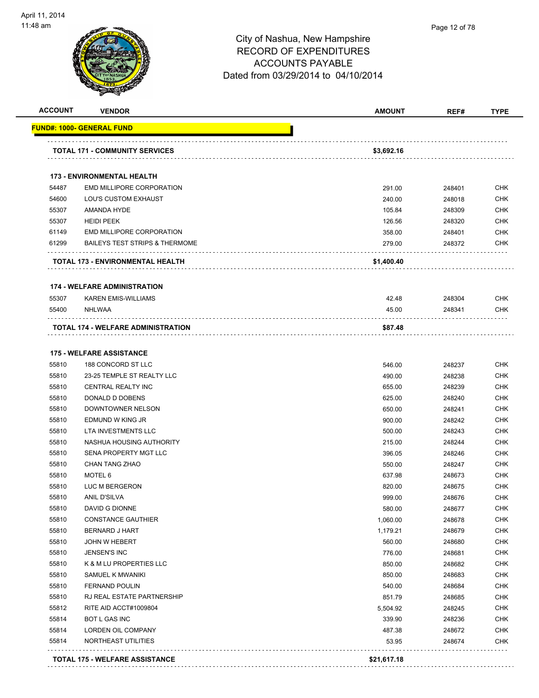

| <u> FUND#: 1000- GENERAL FUND</u><br><b>TOTAL 171 - COMMUNITY SERVICES</b><br><b>173 - ENVIRONMENTAL HEALTH</b> | \$3,692.16<br>291.00<br>240.00 |        |            |
|-----------------------------------------------------------------------------------------------------------------|--------------------------------|--------|------------|
|                                                                                                                 |                                |        |            |
|                                                                                                                 |                                |        |            |
|                                                                                                                 |                                |        |            |
| 54487<br>EMD MILLIPORE CORPORATION                                                                              |                                | 248401 | <b>CHK</b> |
| 54600<br><b>LOU'S CUSTOM EXHAUST</b>                                                                            |                                | 248018 | <b>CHK</b> |
| 55307<br>AMANDA HYDE                                                                                            | 105.84                         | 248309 | <b>CHK</b> |
| <b>HEIDI PEEK</b><br>55307                                                                                      | 126.56                         | 248320 | <b>CHK</b> |
| EMD MILLIPORE CORPORATION<br>61149                                                                              | 358.00                         | 248401 | <b>CHK</b> |
| 61299<br><b>BAILEYS TEST STRIPS &amp; THERMOME</b>                                                              | 279.00                         | 248372 | <b>CHK</b> |
| TOTAL 173 - ENVIRONMENTAL HEALTH                                                                                | \$1,400.40                     |        |            |
| <b>174 - WELFARE ADMINISTRATION</b>                                                                             |                                |        |            |
| 55307<br><b>KAREN EMIS-WILLIAMS</b>                                                                             | 42.48                          | 248304 | <b>CHK</b> |
| 55400<br><b>NHLWAA</b>                                                                                          | 45.00                          | 248341 | <b>CHK</b> |
| TOTAL 174 - WELFARE ADMINISTRATION                                                                              | \$87.48                        |        |            |
| <b>175 - WELFARE ASSISTANCE</b>                                                                                 |                                |        |            |
| 55810<br>188 CONCORD ST LLC                                                                                     | 546.00                         | 248237 | <b>CHK</b> |
| 55810<br>23-25 TEMPLE ST REALTY LLC                                                                             | 490.00                         | 248238 | <b>CHK</b> |
| 55810<br>CENTRAL REALTY INC                                                                                     | 655.00                         | 248239 | <b>CHK</b> |
| 55810<br>DONALD D DOBENS                                                                                        | 625.00                         | 248240 | <b>CHK</b> |
| 55810<br>DOWNTOWNER NELSON                                                                                      | 650.00                         | 248241 | <b>CHK</b> |
| 55810<br>EDMUND W KING JR                                                                                       | 900.00                         | 248242 | <b>CHK</b> |
| 55810<br>LTA INVESTMENTS LLC                                                                                    | 500.00                         | 248243 | <b>CHK</b> |
| 55810<br>NASHUA HOUSING AUTHORITY                                                                               | 215.00                         | 248244 | <b>CHK</b> |
| 55810<br><b>SENA PROPERTY MGT LLC</b>                                                                           | 396.05                         | 248246 | <b>CHK</b> |
| 55810<br>CHAN TANG ZHAO                                                                                         | 550.00                         | 248247 | <b>CHK</b> |
| MOTEL 6<br>55810                                                                                                | 637.98                         | 248673 | <b>CHK</b> |
| 55810<br>LUC M BERGERON                                                                                         | 820.00                         | 248675 | <b>CHK</b> |
| 55810<br>ANIL D'SILVA                                                                                           | 999.00                         | 248676 | <b>CHK</b> |
| DAVID G DIONNE<br>55810                                                                                         | 580.00                         | 248677 | <b>CHK</b> |
| 55810<br><b>CONSTANCE GAUTHIER</b>                                                                              | 1,060.00                       | 248678 | <b>CHK</b> |
| 55810<br><b>BERNARD J HART</b>                                                                                  | 1,179.21                       | 248679 | <b>CHK</b> |
| 55810<br><b>JOHN W HEBERT</b>                                                                                   | 560.00                         | 248680 | <b>CHK</b> |
| 55810<br>JENSEN'S INC                                                                                           | 776.00                         | 248681 | <b>CHK</b> |
| 55810<br>K & M LU PROPERTIES LLC                                                                                | 850.00                         | 248682 | <b>CHK</b> |
| 55810<br>SAMUEL K MWANIKI                                                                                       | 850.00                         | 248683 | <b>CHK</b> |
| 55810<br><b>FERNAND POULIN</b>                                                                                  | 540.00                         | 248684 | <b>CHK</b> |
| 55810<br>RJ REAL ESTATE PARTNERSHIP                                                                             | 851.79                         | 248685 | <b>CHK</b> |
| 55812<br>RITE AID ACCT#1009804                                                                                  | 5,504.92                       | 248245 | <b>CHK</b> |
| 55814<br>BOT L GAS INC                                                                                          | 339.90                         | 248236 | <b>CHK</b> |
| 55814<br>LORDEN OIL COMPANY                                                                                     | 487.38                         | 248672 | <b>CHK</b> |
| 55814<br>NORTHEAST UTILITIES                                                                                    | 53.95                          | 248674 | <b>CHK</b> |
| <b>TOTAL 175 - WELFARE ASSISTANCE</b>                                                                           | \$21,617.18                    |        |            |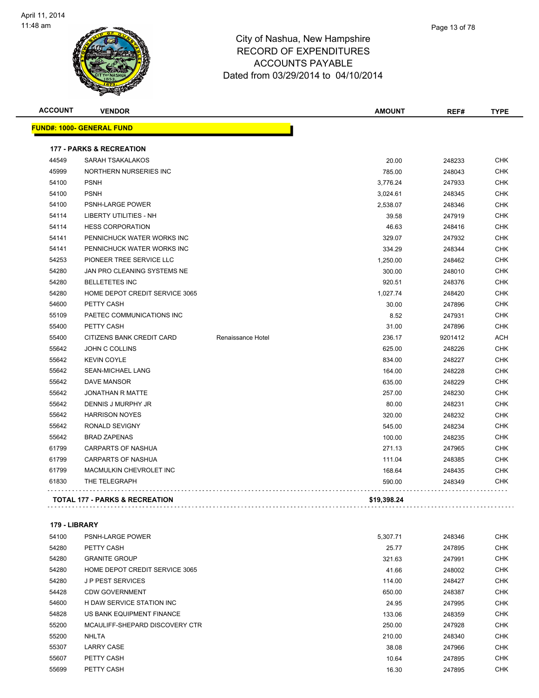

| Page 13 of 78 |
|---------------|
|               |

| <b>ACCOUNT</b> | <b>VENDOR</b>                             |                   | <b>AMOUNT</b> | REF#    | <b>TYPE</b> |
|----------------|-------------------------------------------|-------------------|---------------|---------|-------------|
|                | <u> FUND#: 1000- GENERAL FUND</u>         |                   |               |         |             |
|                | <b>177 - PARKS &amp; RECREATION</b>       |                   |               |         |             |
| 44549          | SARAH TSAKALAKOS                          |                   | 20.00         | 248233  | <b>CHK</b>  |
| 45999          | NORTHERN NURSERIES INC                    |                   | 785.00        | 248043  | CHK         |
| 54100          | <b>PSNH</b>                               |                   | 3,776.24      | 247933  | <b>CHK</b>  |
| 54100          | <b>PSNH</b>                               |                   | 3,024.61      | 248345  | <b>CHK</b>  |
| 54100          | PSNH-LARGE POWER                          |                   | 2,538.07      | 248346  | <b>CHK</b>  |
| 54114          | <b>LIBERTY UTILITIES - NH</b>             |                   | 39.58         | 247919  | <b>CHK</b>  |
| 54114          | <b>HESS CORPORATION</b>                   |                   | 46.63         | 248416  | <b>CHK</b>  |
| 54141          | PENNICHUCK WATER WORKS INC                |                   | 329.07        | 247932  | <b>CHK</b>  |
| 54141          | PENNICHUCK WATER WORKS INC                |                   | 334.29        | 248344  | <b>CHK</b>  |
| 54253          | PIONEER TREE SERVICE LLC                  |                   | 1,250.00      | 248462  | <b>CHK</b>  |
| 54280          | JAN PRO CLEANING SYSTEMS NE               |                   | 300.00        | 248010  | <b>CHK</b>  |
| 54280          | <b>BELLETETES INC</b>                     |                   | 920.51        | 248376  | <b>CHK</b>  |
| 54280          | HOME DEPOT CREDIT SERVICE 3065            |                   | 1,027.74      | 248420  | <b>CHK</b>  |
| 54600          | PETTY CASH                                |                   | 30.00         | 247896  | <b>CHK</b>  |
| 55109          | PAETEC COMMUNICATIONS INC                 |                   | 8.52          | 247931  | <b>CHK</b>  |
| 55400          | PETTY CASH                                |                   | 31.00         | 247896  | CHK         |
| 55400          | CITIZENS BANK CREDIT CARD                 | Renaissance Hotel | 236.17        | 9201412 | ACH         |
| 55642          | <b>JOHN C COLLINS</b>                     |                   | 625.00        | 248226  | <b>CHK</b>  |
| 55642          | <b>KEVIN COYLE</b>                        |                   | 834.00        | 248227  | <b>CHK</b>  |
| 55642          | SEAN-MICHAEL LANG                         |                   | 164.00        | 248228  | CHK         |
| 55642          | <b>DAVE MANSOR</b>                        |                   | 635.00        | 248229  | <b>CHK</b>  |
| 55642          | <b>JONATHAN R MATTE</b>                   |                   | 257.00        | 248230  | <b>CHK</b>  |
| 55642          | DENNIS J MURPHY JR                        |                   | 80.00         | 248231  | CHK         |
| 55642          | <b>HARRISON NOYES</b>                     |                   | 320.00        | 248232  | <b>CHK</b>  |
| 55642          | RONALD SEVIGNY                            |                   | 545.00        | 248234  | <b>CHK</b>  |
| 55642          | <b>BRAD ZAPENAS</b>                       |                   | 100.00        | 248235  | <b>CHK</b>  |
| 61799          | <b>CARPARTS OF NASHUA</b>                 |                   | 271.13        | 247965  | <b>CHK</b>  |
| 61799          | CARPARTS OF NASHUA                        |                   | 111.04        | 248385  | CHK         |
| 61799          | MACMULKIN CHEVROLET INC                   |                   | 168.64        | 248435  | <b>CHK</b>  |
| 61830          | THE TELEGRAPH                             |                   | 590.00        | 248349  | CHK         |
|                | <b>TOTAL 177 - PARKS &amp; RECREATION</b> |                   | \$19,398.24   |         |             |
|                |                                           |                   |               |         |             |

**179 - LIBRARY**

| 54100 | <b>PSNH-LARGE POWER</b>        | 5.307.71 | 248346 | <b>CHK</b> |
|-------|--------------------------------|----------|--------|------------|
| 54280 | PETTY CASH                     | 25.77    | 247895 | <b>CHK</b> |
| 54280 | <b>GRANITE GROUP</b>           | 321.63   | 247991 | <b>CHK</b> |
| 54280 | HOME DEPOT CREDIT SERVICE 3065 | 41.66    | 248002 | <b>CHK</b> |
| 54280 | <b>JP PEST SERVICES</b>        | 114.00   | 248427 | <b>CHK</b> |
| 54428 | <b>CDW GOVERNMENT</b>          | 650.00   | 248387 | <b>CHK</b> |
| 54600 | H DAW SERVICE STATION INC      | 24.95    | 247995 | <b>CHK</b> |
| 54828 | US BANK EQUIPMENT FINANCE      | 133.06   | 248359 | <b>CHK</b> |
| 55200 | MCAULIFF-SHEPARD DISCOVERY CTR | 250.00   | 247928 | <b>CHK</b> |
| 55200 | NHLTA                          | 210.00   | 248340 | <b>CHK</b> |
| 55307 | <b>LARRY CASE</b>              | 38.08    | 247966 | <b>CHK</b> |
| 55607 | PETTY CASH                     | 10.64    | 247895 | <b>CHK</b> |
| 55699 | PETTY CASH                     | 16.30    | 247895 | <b>CHK</b> |
|       |                                |          |        |            |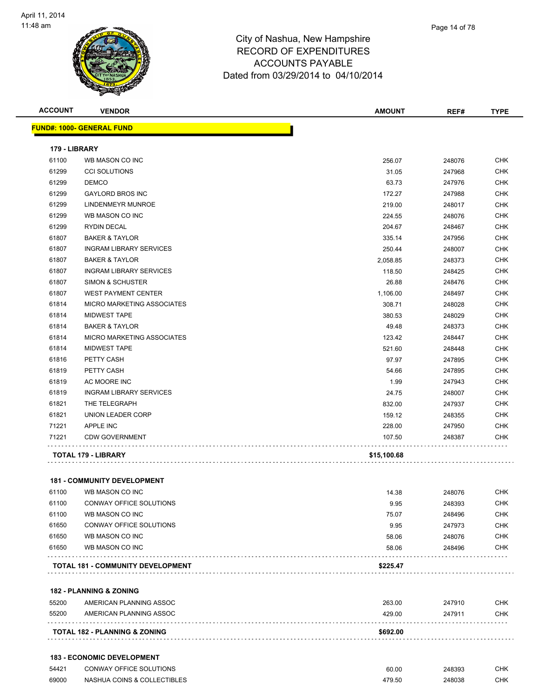

| <b>ACCOUNT</b> | <b>VENDOR</b>                      | AMOUNT      | REF#   | <b>TYPE</b> |
|----------------|------------------------------------|-------------|--------|-------------|
|                | <b>FUND#: 1000- GENERAL FUND</b>   |             |        |             |
| 179 - LIBRARY  |                                    |             |        |             |
| 61100          | WB MASON CO INC                    | 256.07      | 248076 | CHK         |
| 61299          | <b>CCI SOLUTIONS</b>               | 31.05       | 247968 | <b>CHK</b>  |
| 61299          | <b>DEMCO</b>                       | 63.73       | 247976 | <b>CHK</b>  |
| 61299          | <b>GAYLORD BROS INC</b>            | 172.27      | 247988 | CHK         |
| 61299          | LINDENMEYR MUNROE                  | 219.00      | 248017 | <b>CHK</b>  |
| 61299          | WB MASON CO INC                    | 224.55      | 248076 | <b>CHK</b>  |
| 61299          | RYDIN DECAL                        | 204.67      | 248467 | <b>CHK</b>  |
| 61807          | <b>BAKER &amp; TAYLOR</b>          | 335.14      | 247956 | <b>CHK</b>  |
| 61807          | <b>INGRAM LIBRARY SERVICES</b>     | 250.44      | 248007 | CHK         |
| 61807          | <b>BAKER &amp; TAYLOR</b>          | 2,058.85    | 248373 | <b>CHK</b>  |
| 61807          | <b>INGRAM LIBRARY SERVICES</b>     | 118.50      | 248425 | <b>CHK</b>  |
| 61807          | SIMON & SCHUSTER                   | 26.88       | 248476 | <b>CHK</b>  |
| 61807          | <b>WEST PAYMENT CENTER</b>         | 1,106.00    | 248497 | <b>CHK</b>  |
| 61814          | MICRO MARKETING ASSOCIATES         | 308.71      | 248028 | <b>CHK</b>  |
| 61814          | <b>MIDWEST TAPE</b>                | 380.53      | 248029 | <b>CHK</b>  |
| 61814          | <b>BAKER &amp; TAYLOR</b>          | 49.48       | 248373 | <b>CHK</b>  |
| 61814          | MICRO MARKETING ASSOCIATES         | 123.42      | 248447 | <b>CHK</b>  |
| 61814          | <b>MIDWEST TAPE</b>                | 521.60      | 248448 | <b>CHK</b>  |
| 61816          | PETTY CASH                         | 97.97       | 247895 | <b>CHK</b>  |
| 61819          | PETTY CASH                         | 54.66       | 247895 | <b>CHK</b>  |
| 61819          | AC MOORE INC                       | 1.99        | 247943 | <b>CHK</b>  |
| 61819          | <b>INGRAM LIBRARY SERVICES</b>     | 24.75       | 248007 | <b>CHK</b>  |
| 61821          | THE TELEGRAPH                      | 832.00      | 247937 | <b>CHK</b>  |
| 61821          | UNION LEADER CORP                  | 159.12      | 248355 | <b>CHK</b>  |
| 71221          | <b>APPLE INC</b>                   | 228.00      | 247950 | <b>CHK</b>  |
| 71221          | <b>CDW GOVERNMENT</b>              | 107.50      | 248387 | CHK         |
|                | TOTAL 179 - LIBRARY                | \$15,100.68 |        |             |
|                |                                    |             |        |             |
|                | <b>181 - COMMUNITY DEVELOPMENT</b> |             |        |             |
| 61100          | WB MASON CO INC                    | 14.38       | 248076 | <b>CHK</b>  |
| 61100          | CONWAY OFFICE SOLUTIONS            | 9.95        | 248393 | <b>CHK</b>  |
| 61100          | WB MASON CO INC                    | 75.07       | 248496 | <b>CHK</b>  |
| 61650          | CONWAY OFFICE SOLUTIONS            | 9.95        | 247973 | <b>CHK</b>  |
| 61650          | WB MASON CO INC                    | 58.06       | 248076 | <b>CHK</b>  |
| 61650          | WB MASON CO INC                    | 58.06       | 248496 | <b>CHK</b>  |
|                | TOTAL 181 - COMMUNITY DEVELOPMENT  | \$225.47    |        |             |
|                |                                    |             |        |             |
|                | 182 - PLANNING & ZONING            |             |        |             |
| 55200          | AMERICAN PLANNING ASSOC            | 263.00      | 247910 | <b>CHK</b>  |
| 55200          | AMERICAN PLANNING ASSOC            | 429.00      | 247911 | <b>CHK</b>  |
|                | TOTAL 182 - PLANNING & ZONING      | \$692.00    |        |             |
|                |                                    |             |        |             |
|                | <b>183 - ECONOMIC DEVELOPMENT</b>  |             |        |             |
|                |                                    |             |        |             |

| 54421 | <b>CONWAY OFFICE SOLUTIONS</b> | 60.00  | 248393 | СНК |
|-------|--------------------------------|--------|--------|-----|
| 69000 | NASHUA COINS & COLLECTIBLES    | 479.50 | 248038 | СНК |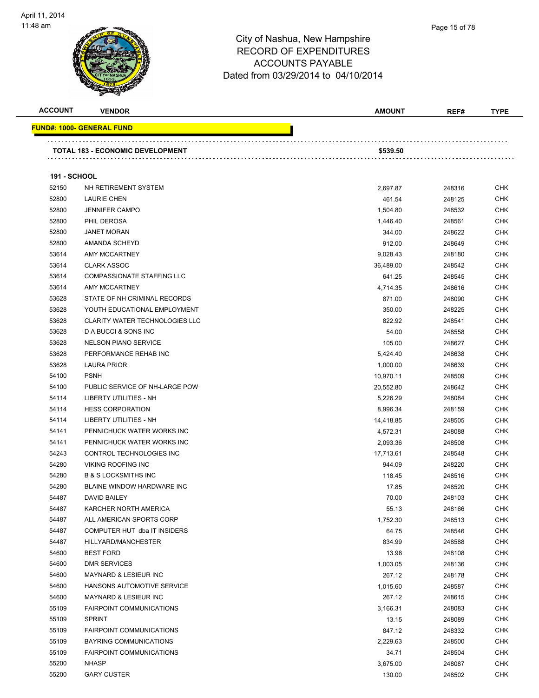

| <b>ACCOUNT</b>      | <b>VENDOR</b>                           | <b>AMOUNT</b> | REF#   | <b>TYPE</b> |
|---------------------|-----------------------------------------|---------------|--------|-------------|
|                     | <u> FUND#: 1000- GENERAL FUND</u>       |               |        |             |
|                     | <b>TOTAL 183 - ECONOMIC DEVELOPMENT</b> | \$539.50      |        |             |
| <b>191 - SCHOOL</b> |                                         |               |        |             |
| 52150               | NH RETIREMENT SYSTEM                    | 2,697.87      | 248316 | <b>CHK</b>  |
| 52800               | <b>LAURIE CHEN</b>                      | 461.54        | 248125 | <b>CHK</b>  |
| 52800               | <b>JENNIFER CAMPO</b>                   | 1,504.80      | 248532 | <b>CHK</b>  |
| 52800               | PHIL DEROSA                             | 1,446.40      | 248561 | CHK         |
| 52800               | <b>JANET MORAN</b>                      | 344.00        | 248622 | <b>CHK</b>  |
| 52800               | AMANDA SCHEYD                           | 912.00        | 248649 | <b>CHK</b>  |
| 53614               | AMY MCCARTNEY                           | 9,028.43      | 248180 | <b>CHK</b>  |
| 53614               | <b>CLARK ASSOC</b>                      | 36,489.00     | 248542 | <b>CHK</b>  |
| 53614               | <b>COMPASSIONATE STAFFING LLC</b>       | 641.25        | 248545 | CHK         |
| 53614               | AMY MCCARTNEY                           | 4,714.35      | 248616 | <b>CHK</b>  |
| 53628               | STATE OF NH CRIMINAL RECORDS            | 871.00        | 248090 | CHK         |
| 53628               | YOUTH EDUCATIONAL EMPLOYMENT            | 350.00        | 248225 | <b>CHK</b>  |
| 53628               | <b>CLARITY WATER TECHNOLOGIES LLC</b>   | 822.92        | 248541 | <b>CHK</b>  |
| 53628               | D A BUCCI & SONS INC                    | 54.00         | 248558 | <b>CHK</b>  |
| 53628               | <b>NELSON PIANO SERVICE</b>             | 105.00        | 248627 | <b>CHK</b>  |
| 53628               | PERFORMANCE REHAB INC                   | 5,424.40      | 248638 | <b>CHK</b>  |
| 53628               | <b>LAURA PRIOR</b>                      | 1,000.00      | 248639 | <b>CHK</b>  |
| 54100               | <b>PSNH</b>                             | 10,970.11     | 248509 | <b>CHK</b>  |
| 54100               | PUBLIC SERVICE OF NH-LARGE POW          | 20,552.80     | 248642 | <b>CHK</b>  |
| 54114               | LIBERTY UTILITIES - NH                  | 5,226.29      | 248084 | <b>CHK</b>  |
| 54114               | <b>HESS CORPORATION</b>                 | 8,996.34      | 248159 | <b>CHK</b>  |
| 54114               | LIBERTY UTILITIES - NH                  | 14,418.85     | 248505 | <b>CHK</b>  |
| 54141               | PENNICHUCK WATER WORKS INC              | 4,572.31      | 248088 | <b>CHK</b>  |
| 54141               | PENNICHUCK WATER WORKS INC              | 2,093.36      | 248508 | <b>CHK</b>  |
| 54243               | CONTROL TECHNOLOGIES INC                | 17,713.61     | 248548 | <b>CHK</b>  |
| 54280               | <b>VIKING ROOFING INC</b>               | 944.09        | 248220 | CHK         |
| 54280               | <b>B &amp; S LOCKSMITHS INC</b>         | 118.45        | 248516 | <b>CHK</b>  |
| 54280               | BLAINE WINDOW HARDWARE INC              | 17.85         | 248520 | <b>CHK</b>  |
| 54487               | DAVID BAILEY                            | 70.00         | 248103 | <b>CHK</b>  |
| 54487               | KARCHER NORTH AMERICA                   | 55.13         | 248166 | <b>CHK</b>  |
| 54487               | ALL AMERICAN SPORTS CORP                | 1,752.30      | 248513 | <b>CHK</b>  |
| 54487               | COMPUTER HUT dba IT INSIDERS            | 64.75         | 248546 | <b>CHK</b>  |
| 54487               | HILLYARD/MANCHESTER                     | 834.99        | 248588 | <b>CHK</b>  |
| 54600               | <b>BEST FORD</b>                        | 13.98         | 248108 | <b>CHK</b>  |
| 54600               | <b>DMR SERVICES</b>                     | 1,003.05      | 248136 | <b>CHK</b>  |
| 54600               | MAYNARD & LESIEUR INC                   | 267.12        | 248178 | <b>CHK</b>  |
| 54600               | HANSONS AUTOMOTIVE SERVICE              | 1,015.60      | 248587 | <b>CHK</b>  |
| 54600               | MAYNARD & LESIEUR INC                   | 267.12        | 248615 | <b>CHK</b>  |
| 55109               | <b>FAIRPOINT COMMUNICATIONS</b>         | 3,166.31      | 248083 | <b>CHK</b>  |
| 55109               | <b>SPRINT</b>                           | 13.15         | 248089 | <b>CHK</b>  |
| 55109               | <b>FAIRPOINT COMMUNICATIONS</b>         | 847.12        | 248332 | <b>CHK</b>  |
| 55109               | BAYRING COMMUNICATIONS                  | 2,229.63      | 248500 | <b>CHK</b>  |
| 55109               | <b>FAIRPOINT COMMUNICATIONS</b>         | 34.71         | 248504 | <b>CHK</b>  |
| 55200               | <b>NHASP</b>                            | 3,675.00      | 248087 | <b>CHK</b>  |
| 55200               | <b>GARY CUSTER</b>                      | 130.00        | 248502 | <b>CHK</b>  |
|                     |                                         |               |        |             |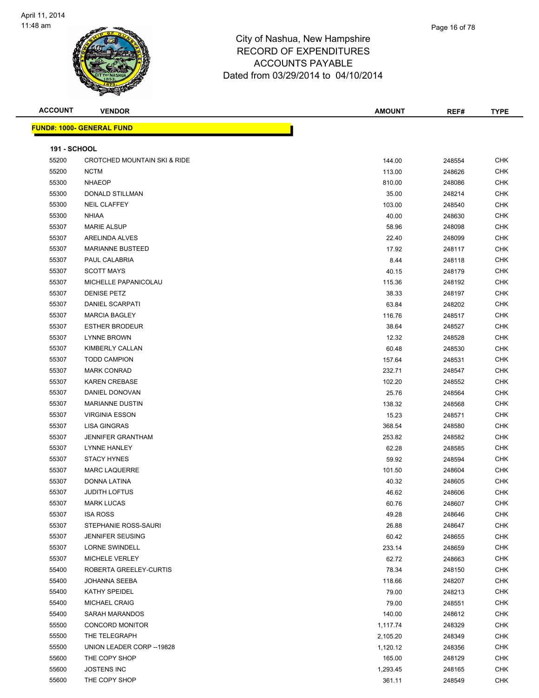

| <b>ACCOUNT</b>      | <b>VENDOR</b>                           | AMOUNT   | REF#   | <b>TYPE</b> |
|---------------------|-----------------------------------------|----------|--------|-------------|
|                     | <b>FUND#: 1000- GENERAL FUND</b>        |          |        |             |
|                     |                                         |          |        |             |
| <b>191 - SCHOOL</b> |                                         |          |        |             |
| 55200               | <b>CROTCHED MOUNTAIN SKI &amp; RIDE</b> | 144.00   | 248554 | <b>CHK</b>  |
| 55200               | <b>NCTM</b>                             | 113.00   | 248626 | <b>CHK</b>  |
| 55300               | <b>NHAEOP</b>                           | 810.00   | 248086 | <b>CHK</b>  |
| 55300               | DONALD STILLMAN                         | 35.00    | 248214 | <b>CHK</b>  |
| 55300               | <b>NEIL CLAFFEY</b>                     | 103.00   | 248540 | <b>CHK</b>  |
| 55300               | <b>NHIAA</b>                            | 40.00    | 248630 | <b>CHK</b>  |
| 55307               | <b>MARIE ALSUP</b>                      | 58.96    | 248098 | <b>CHK</b>  |
| 55307               | <b>ARELINDA ALVES</b>                   | 22.40    | 248099 | <b>CHK</b>  |
| 55307               | <b>MARIANNE BUSTEED</b>                 | 17.92    | 248117 | <b>CHK</b>  |
| 55307               | PAUL CALABRIA                           | 8.44     | 248118 | <b>CHK</b>  |
| 55307               | <b>SCOTT MAYS</b>                       | 40.15    | 248179 | <b>CHK</b>  |
| 55307               | MICHELLE PAPANICOLAU                    | 115.36   | 248192 | <b>CHK</b>  |
| 55307               | <b>DENISE PETZ</b>                      | 38.33    | 248197 | <b>CHK</b>  |
| 55307               | DANIEL SCARPATI                         | 63.84    | 248202 | <b>CHK</b>  |
| 55307               | <b>MARCIA BAGLEY</b>                    | 116.76   | 248517 | <b>CHK</b>  |
| 55307               | <b>ESTHER BRODEUR</b>                   | 38.64    | 248527 | <b>CHK</b>  |
| 55307               | LYNNE BROWN                             | 12.32    | 248528 | <b>CHK</b>  |
| 55307               | KIMBERLY CALLAN                         | 60.48    | 248530 | <b>CHK</b>  |
| 55307               | <b>TODD CAMPION</b>                     | 157.64   | 248531 | <b>CHK</b>  |
| 55307               | <b>MARK CONRAD</b>                      | 232.71   | 248547 | <b>CHK</b>  |
| 55307               | <b>KAREN CREBASE</b>                    | 102.20   | 248552 | <b>CHK</b>  |
| 55307               | DANIEL DONOVAN                          | 25.76    | 248564 | <b>CHK</b>  |
| 55307               | <b>MARIANNE DUSTIN</b>                  | 138.32   | 248568 | <b>CHK</b>  |
| 55307               | <b>VIRGINIA ESSON</b>                   | 15.23    | 248571 | <b>CHK</b>  |
| 55307               | LISA GINGRAS                            | 368.54   | 248580 | <b>CHK</b>  |
| 55307               | <b>JENNIFER GRANTHAM</b>                | 253.82   | 248582 | <b>CHK</b>  |
| 55307               | <b>LYNNE HANLEY</b>                     | 62.28    | 248585 | <b>CHK</b>  |
| 55307               | <b>STACY HYNES</b>                      | 59.92    | 248594 | <b>CHK</b>  |
| 55307               | <b>MARC LAQUERRE</b>                    | 101.50   | 248604 | <b>CHK</b>  |
| 55307               | DONNA LATINA                            | 40.32    | 248605 | <b>CHK</b>  |
| 55307               | <b>JUDITH LOFTUS</b>                    | 46.62    | 248606 | <b>CHK</b>  |
| 55307               | <b>MARK LUCAS</b>                       | 60.76    | 248607 | <b>CHK</b>  |
| 55307               | <b>ISA ROSS</b>                         | 49.28    | 248646 | <b>CHK</b>  |
| 55307               | STEPHANIE ROSS-SAURI                    | 26.88    | 248647 | <b>CHK</b>  |
| 55307               | <b>JENNIFER SEUSING</b>                 | 60.42    | 248655 | <b>CHK</b>  |
| 55307               | LORNE SWINDELL                          | 233.14   | 248659 | <b>CHK</b>  |
| 55307               | MICHELE VERLEY                          | 62.72    | 248663 | <b>CHK</b>  |
| 55400               | ROBERTA GREELEY-CURTIS                  | 78.34    | 248150 | <b>CHK</b>  |
| 55400               | JOHANNA SEEBA                           | 118.66   | 248207 | <b>CHK</b>  |
| 55400               | KATHY SPEIDEL                           | 79.00    | 248213 | <b>CHK</b>  |
| 55400               | <b>MICHAEL CRAIG</b>                    | 79.00    | 248551 | <b>CHK</b>  |
| 55400               | SARAH MARANDOS                          | 140.00   | 248612 | <b>CHK</b>  |
| 55500               | <b>CONCORD MONITOR</b>                  | 1,117.74 | 248329 | <b>CHK</b>  |
| 55500               | THE TELEGRAPH                           | 2,105.20 | 248349 | <b>CHK</b>  |
| 55500               | UNION LEADER CORP -- 19828              | 1,120.12 | 248356 | <b>CHK</b>  |
| 55600               | THE COPY SHOP                           | 165.00   | 248129 | <b>CHK</b>  |
| 55600               | <b>JOSTENS INC</b>                      | 1,293.45 | 248165 | <b>CHK</b>  |
| 55600               | THE COPY SHOP                           | 361.11   | 248549 | <b>CHK</b>  |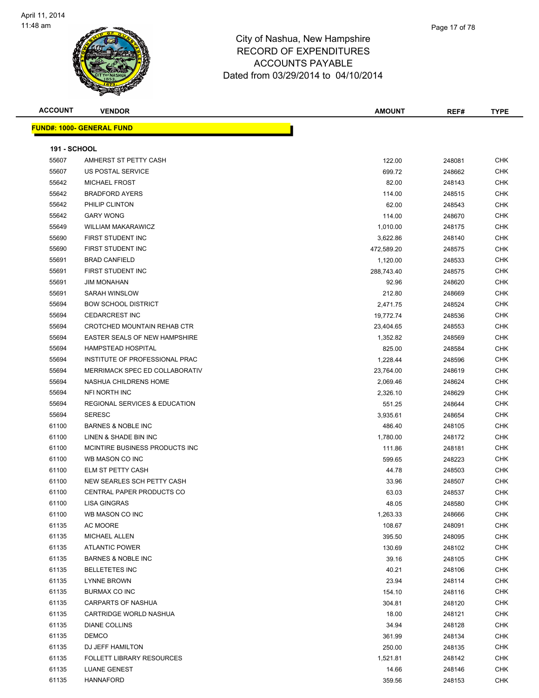

| <b>ACCOUNT</b>      | <b>VENDOR</b>                            | <b>AMOUNT</b> | REF#   | <b>TYPE</b> |
|---------------------|------------------------------------------|---------------|--------|-------------|
|                     | <b>FUND#: 1000- GENERAL FUND</b>         |               |        |             |
| <b>191 - SCHOOL</b> |                                          |               |        |             |
| 55607               | AMHERST ST PETTY CASH                    | 122.00        | 248081 | <b>CHK</b>  |
| 55607               | US POSTAL SERVICE                        | 699.72        | 248662 | <b>CHK</b>  |
| 55642               | <b>MICHAEL FROST</b>                     | 82.00         | 248143 | <b>CHK</b>  |
| 55642               | <b>BRADFORD AYERS</b>                    | 114.00        | 248515 | <b>CHK</b>  |
| 55642               | PHILIP CLINTON                           | 62.00         | 248543 | <b>CHK</b>  |
| 55642               | <b>GARY WONG</b>                         | 114.00        | 248670 | <b>CHK</b>  |
| 55649               | <b>WILLIAM MAKARAWICZ</b>                | 1,010.00      | 248175 | <b>CHK</b>  |
| 55690               | FIRST STUDENT INC                        | 3,622.86      | 248140 | <b>CHK</b>  |
| 55690               | FIRST STUDENT INC                        | 472,589.20    | 248575 | <b>CHK</b>  |
| 55691               | <b>BRAD CANFIELD</b>                     | 1,120.00      | 248533 | <b>CHK</b>  |
| 55691               | FIRST STUDENT INC                        | 288,743.40    | 248575 | <b>CHK</b>  |
| 55691               | <b>JIM MONAHAN</b>                       | 92.96         | 248620 | <b>CHK</b>  |
| 55691               | SARAH WINSLOW                            | 212.80        | 248669 | <b>CHK</b>  |
| 55694               | <b>BOW SCHOOL DISTRICT</b>               | 2,471.75      | 248524 | <b>CHK</b>  |
| 55694               | <b>CEDARCREST INC</b>                    | 19,772.74     | 248536 | <b>CHK</b>  |
| 55694               | CROTCHED MOUNTAIN REHAB CTR              | 23,404.65     | 248553 | <b>CHK</b>  |
| 55694               | <b>EASTER SEALS OF NEW HAMPSHIRE</b>     | 1,352.82      | 248569 | <b>CHK</b>  |
| 55694               | <b>HAMPSTEAD HOSPITAL</b>                | 825.00        | 248584 | <b>CHK</b>  |
| 55694               | INSTITUTE OF PROFESSIONAL PRAC           | 1,228.44      | 248596 | <b>CHK</b>  |
| 55694               | MERRIMACK SPEC ED COLLABORATIV           | 23,764.00     | 248619 | <b>CHK</b>  |
| 55694               | NASHUA CHILDRENS HOME                    | 2,069.46      | 248624 | <b>CHK</b>  |
| 55694               | NFI NORTH INC                            | 2,326.10      | 248629 | <b>CHK</b>  |
| 55694               | <b>REGIONAL SERVICES &amp; EDUCATION</b> | 551.25        | 248644 | <b>CHK</b>  |
| 55694               | <b>SERESC</b>                            | 3,935.61      | 248654 | <b>CHK</b>  |
| 61100               | <b>BARNES &amp; NOBLE INC</b>            | 486.40        | 248105 | <b>CHK</b>  |
| 61100               | LINEN & SHADE BIN INC                    | 1,780.00      | 248172 | <b>CHK</b>  |
| 61100               | MCINTIRE BUSINESS PRODUCTS INC.          | 111.86        | 248181 | <b>CHK</b>  |
| 61100               | WB MASON CO INC                          | 599.65        | 248223 | <b>CHK</b>  |
| 61100               | <b>ELM ST PETTY CASH</b>                 | 44.78         | 248503 | <b>CHK</b>  |
| 61100               | NEW SEARLES SCH PETTY CASH               | 33.96         | 248507 | <b>CHK</b>  |
| 61100               | CENTRAL PAPER PRODUCTS CO                | 63.03         | 248537 | <b>CHK</b>  |
| 61100               | <b>LISA GINGRAS</b>                      | 48.05         | 248580 | CHK         |
| 61100               | WB MASON CO INC                          | 1,263.33      | 248666 | <b>CHK</b>  |
| 61135               | AC MOORE                                 | 108.67        | 248091 | <b>CHK</b>  |
| 61135               | MICHAEL ALLEN                            | 395.50        | 248095 | <b>CHK</b>  |
| 61135               | <b>ATLANTIC POWER</b>                    | 130.69        | 248102 | <b>CHK</b>  |
| 61135               | <b>BARNES &amp; NOBLE INC</b>            | 39.16         | 248105 | <b>CHK</b>  |
| 61135               | <b>BELLETETES INC</b>                    | 40.21         | 248106 | <b>CHK</b>  |
| 61135               | LYNNE BROWN                              | 23.94         | 248114 | <b>CHK</b>  |
| 61135               | <b>BURMAX CO INC</b>                     | 154.10        | 248116 | <b>CHK</b>  |
| 61135               | <b>CARPARTS OF NASHUA</b>                | 304.81        | 248120 | <b>CHK</b>  |
| 61135               | CARTRIDGE WORLD NASHUA                   | 18.00         | 248121 | <b>CHK</b>  |
| 61135               | DIANE COLLINS                            | 34.94         | 248128 | <b>CHK</b>  |
| 61135               | <b>DEMCO</b>                             | 361.99        | 248134 | <b>CHK</b>  |
| 61135               | DJ JEFF HAMILTON                         | 250.00        | 248135 | <b>CHK</b>  |
| 61135               | <b>FOLLETT LIBRARY RESOURCES</b>         | 1,521.81      | 248142 | <b>CHK</b>  |
| 61135               | LUANE GENEST                             | 14.66         | 248146 | <b>CHK</b>  |
| 61135               | <b>HANNAFORD</b>                         | 359.56        | 248153 | <b>CHK</b>  |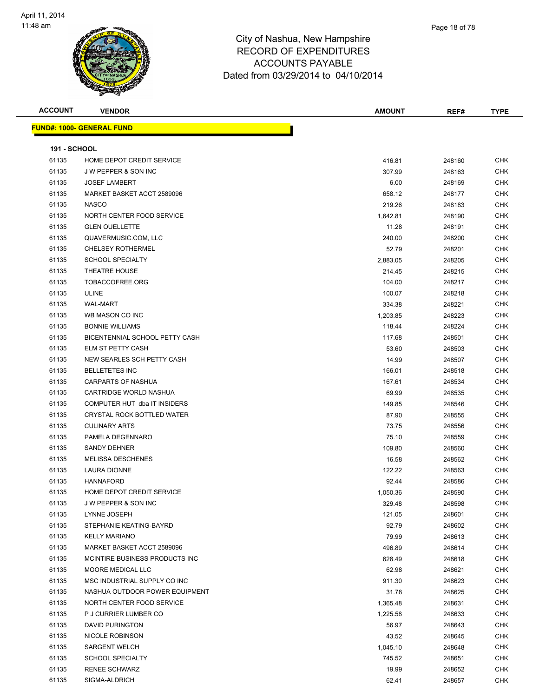

| <b>ACCOUNT</b>      | <b>VENDOR</b>                     | <b>AMOUNT</b> | REF#   | <b>TYPE</b> |
|---------------------|-----------------------------------|---------------|--------|-------------|
|                     | <u> FUND#: 1000- GENERAL FUND</u> |               |        |             |
|                     |                                   |               |        |             |
| <b>191 - SCHOOL</b> |                                   |               |        |             |
| 61135               | HOME DEPOT CREDIT SERVICE         | 416.81        | 248160 | <b>CHK</b>  |
| 61135               | J W PEPPER & SON INC              | 307.99        | 248163 | <b>CHK</b>  |
| 61135               | <b>JOSEF LAMBERT</b>              | 6.00          | 248169 | CHK         |
| 61135               | MARKET BASKET ACCT 2589096        | 658.12        | 248177 | CHK         |
| 61135               | <b>NASCO</b>                      | 219.26        | 248183 | CHK         |
| 61135               | NORTH CENTER FOOD SERVICE         | 1,642.81      | 248190 | <b>CHK</b>  |
| 61135               | <b>GLEN OUELLETTE</b>             | 11.28         | 248191 | CHK         |
| 61135               | QUAVERMUSIC.COM, LLC              | 240.00        | 248200 | <b>CHK</b>  |
| 61135               | <b>CHELSEY ROTHERMEL</b>          | 52.79         | 248201 | CHK         |
| 61135               | <b>SCHOOL SPECIALTY</b>           | 2,883.05      | 248205 | CHK         |
| 61135               | <b>THEATRE HOUSE</b>              | 214.45        | 248215 | <b>CHK</b>  |
| 61135               | TOBACCOFREE.ORG                   | 104.00        | 248217 | CHK         |
| 61135               | ULINE                             | 100.07        | 248218 | CHK         |
| 61135               | <b>WAL-MART</b>                   | 334.38        | 248221 | CHK         |
| 61135               | WB MASON CO INC                   | 1,203.85      | 248223 | CHK         |
| 61135               | <b>BONNIE WILLIAMS</b>            | 118.44        | 248224 | CHK         |
| 61135               | BICENTENNIAL SCHOOL PETTY CASH    | 117.68        | 248501 | <b>CHK</b>  |
| 61135               | ELM ST PETTY CASH                 | 53.60         | 248503 | CHK         |
| 61135               | NEW SEARLES SCH PETTY CASH        | 14.99         | 248507 | CHK         |
| 61135               | <b>BELLETETES INC</b>             | 166.01        | 248518 | CHK         |
| 61135               | CARPARTS OF NASHUA                | 167.61        | 248534 | CHK         |
| 61135               | CARTRIDGE WORLD NASHUA            | 69.99         | 248535 | CHK         |
| 61135               | COMPUTER HUT dba IT INSIDERS      | 149.85        | 248546 | CHK         |
| 61135               | CRYSTAL ROCK BOTTLED WATER        | 87.90         | 248555 | CHK         |
| 61135               | <b>CULINARY ARTS</b>              | 73.75         | 248556 | CHK         |
| 61135               | PAMELA DEGENNARO                  | 75.10         | 248559 | CHK         |
| 61135               | <b>SANDY DEHNER</b>               | 109.80        | 248560 | CHK         |
| 61135               | <b>MELISSA DESCHENES</b>          | 16.58         | 248562 | <b>CHK</b>  |
| 61135               | LAURA DIONNE                      | 122.22        | 248563 | CHK         |
| 61135               | <b>HANNAFORD</b>                  | 92.44         | 248586 | CHK         |
| 61135               | HOME DEPOT CREDIT SERVICE         | 1,050.36      | 248590 | CHK         |
| 61135               | J W PEPPER & SON INC              | 329.48        | 248598 | CHK         |
| 61135               | LYNNE JOSEPH                      | 121.05        | 248601 | CHK         |
| 61135               | STEPHANIE KEATING-BAYRD           | 92.79         | 248602 | CHK         |
| 61135               | <b>KELLY MARIANO</b>              | 79.99         | 248613 | CHK         |
| 61135               | MARKET BASKET ACCT 2589096        | 496.89        | 248614 | CHK         |
| 61135               | MCINTIRE BUSINESS PRODUCTS INC    | 628.49        | 248618 | <b>CHK</b>  |
| 61135               | MOORE MEDICAL LLC                 | 62.98         | 248621 | CHK         |
| 61135               | MSC INDUSTRIAL SUPPLY CO INC      | 911.30        | 248623 | CHK         |
| 61135               | NASHUA OUTDOOR POWER EQUIPMENT    | 31.78         | 248625 | <b>CHK</b>  |
| 61135               | NORTH CENTER FOOD SERVICE         | 1,365.48      | 248631 | CHK         |
| 61135               | P J CURRIER LUMBER CO             | 1,225.58      | 248633 | CHK         |
| 61135               | DAVID PURINGTON                   | 56.97         | 248643 | CHK         |
| 61135               | NICOLE ROBINSON                   | 43.52         | 248645 | CHK         |
| 61135               | <b>SARGENT WELCH</b>              | 1,045.10      | 248648 | CHK         |
| 61135               | <b>SCHOOL SPECIALTY</b>           | 745.52        | 248651 | CHK         |
| 61135               | RENEE SCHWARZ                     | 19.99         | 248652 | CHK         |
| 61135               | SIGMA-ALDRICH                     | 62.41         | 248657 | <b>CHK</b>  |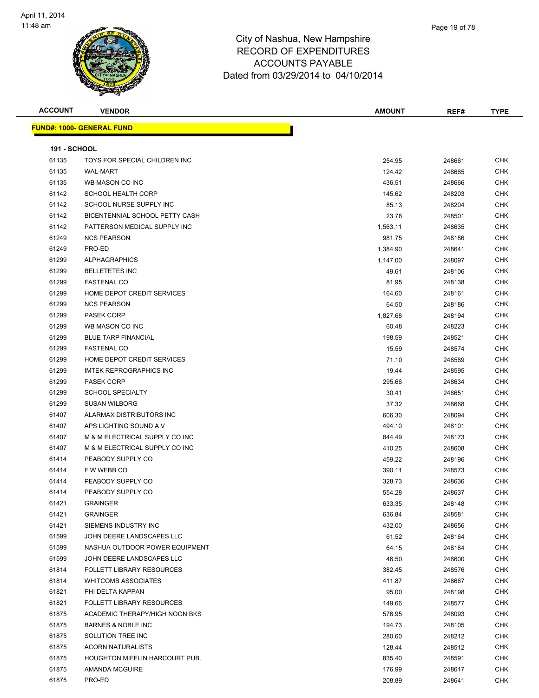

| <b>ACCOUNT</b>      | <b>VENDOR</b>                         | <b>AMOUNT</b> | REF#   | <b>TYPE</b> |
|---------------------|---------------------------------------|---------------|--------|-------------|
|                     | <b>FUND#: 1000- GENERAL FUND</b>      |               |        |             |
|                     |                                       |               |        |             |
| <b>191 - SCHOOL</b> |                                       |               |        |             |
| 61135               | TOYS FOR SPECIAL CHILDREN INC         | 254.95        | 248661 | <b>CHK</b>  |
| 61135               | <b>WAL-MART</b>                       | 124.42        | 248665 | <b>CHK</b>  |
| 61135               | WB MASON CO INC                       | 436.51        | 248666 | <b>CHK</b>  |
| 61142               | <b>SCHOOL HEALTH CORP</b>             | 145.62        | 248203 | <b>CHK</b>  |
| 61142               | SCHOOL NURSE SUPPLY INC               | 85.13         | 248204 | CHK         |
| 61142               | BICENTENNIAL SCHOOL PETTY CASH        | 23.76         | 248501 | CHK         |
| 61142               | PATTERSON MEDICAL SUPPLY INC          | 1,563.11      | 248635 | <b>CHK</b>  |
| 61249               | <b>NCS PEARSON</b>                    | 981.75        | 248186 | CHK         |
| 61249               | PRO-ED                                | 1,384.90      | 248641 | CHK         |
| 61299               | <b>ALPHAGRAPHICS</b>                  | 1,147.00      | 248097 | CHK         |
| 61299               | <b>BELLETETES INC</b>                 | 49.61         | 248106 | <b>CHK</b>  |
| 61299               | <b>FASTENAL CO</b>                    | 81.95         | 248138 | <b>CHK</b>  |
| 61299               | HOME DEPOT CREDIT SERVICES            | 164.60        | 248161 | <b>CHK</b>  |
| 61299               | <b>NCS PEARSON</b>                    | 64.50         | 248186 | CHK         |
| 61299               | <b>PASEK CORP</b>                     | 1,827.68      | 248194 | CHK         |
| 61299               | WB MASON CO INC                       | 60.48         | 248223 | <b>CHK</b>  |
| 61299               | <b>BLUE TARP FINANCIAL</b>            | 198.59        | 248521 | CHK         |
| 61299               | <b>FASTENAL CO</b>                    | 15.59         | 248574 | CHK         |
| 61299               | HOME DEPOT CREDIT SERVICES            | 71.10         | 248589 | <b>CHK</b>  |
| 61299               | <b>IMTEK REPROGRAPHICS INC</b>        | 19.44         | 248595 | <b>CHK</b>  |
| 61299               | <b>PASEK CORP</b>                     | 295.66        | 248634 | <b>CHK</b>  |
| 61299               | <b>SCHOOL SPECIALTY</b>               | 30.41         | 248651 | CHK         |
| 61299               | <b>SUSAN WILBORG</b>                  | 37.32         | 248668 | <b>CHK</b>  |
| 61407               | ALARMAX DISTRIBUTORS INC              | 606.30        | 248094 | <b>CHK</b>  |
| 61407               | APS LIGHTING SOUND A V                | 494.10        | 248101 | CHK         |
| 61407               | M & M ELECTRICAL SUPPLY CO INC        | 844.49        | 248173 | CHK         |
| 61407               | M & M ELECTRICAL SUPPLY CO INC        | 410.25        | 248608 | CHK         |
| 61414               | PEABODY SUPPLY CO                     | 459.22        | 248196 | CHK         |
| 61414               | F W WEBB CO                           | 390.11        | 248573 | CHK         |
| 61414               | PEABODY SUPPLY CO                     | 328.73        | 248636 | CHK         |
| 61414               | PEABODY SUPPLY CO                     | 554.28        | 248637 | <b>CHK</b>  |
| 61421               | <b>GRAINGER</b>                       | 633.35        | 248148 | <b>CHK</b>  |
| 61421               | <b>GRAINGER</b>                       | 636.84        | 248581 | CHK         |
| 61421               | SIEMENS INDUSTRY INC                  | 432.00        | 248656 | CHK         |
| 61599               | JOHN DEERE LANDSCAPES LLC             | 61.52         | 248164 | <b>CHK</b>  |
| 61599               | NASHUA OUTDOOR POWER EQUIPMENT        | 64.15         | 248184 | <b>CHK</b>  |
| 61599               | JOHN DEERE LANDSCAPES LLC             | 46.50         | 248600 | <b>CHK</b>  |
| 61814               | FOLLETT LIBRARY RESOURCES             | 382.45        | 248576 | CHK         |
| 61814               | <b>WHITCOMB ASSOCIATES</b>            | 411.87        | 248667 | CHK         |
| 61821               | PHI DELTA KAPPAN                      | 95.00         | 248198 | CHK         |
| 61821               | FOLLETT LIBRARY RESOURCES             | 149.66        | 248577 | CHK         |
| 61875               | ACADEMIC THERAPY/HIGH NOON BKS        | 576.95        | 248093 | CHK         |
| 61875               | <b>BARNES &amp; NOBLE INC</b>         | 194.73        | 248105 | CHK         |
| 61875               | SOLUTION TREE INC                     | 280.60        | 248212 | CHK         |
| 61875               | <b>ACORN NATURALISTS</b>              | 128.44        | 248512 | CHK         |
| 61875               | <b>HOUGHTON MIFFLIN HARCOURT PUB.</b> | 835.40        | 248591 | CHK         |
| 61875               | AMANDA MCGUIRE                        | 176.99        | 248617 | <b>CHK</b>  |
| 61875               | PRO-ED                                | 208.89        | 248641 | <b>CHK</b>  |
|                     |                                       |               |        |             |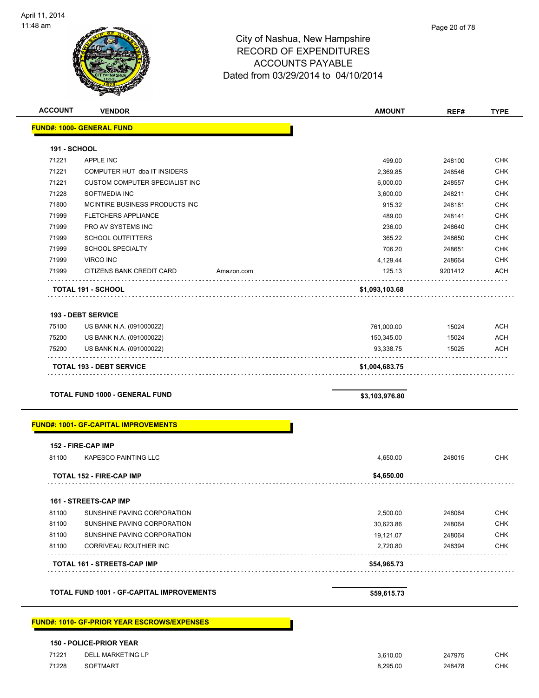

| Page 20 of 78 |
|---------------|
|               |

| <b>ACCOUNT</b>      | <b>VENDOR</b>                                        |            | <b>AMOUNT</b>           | REF#           | <b>TYPE</b>              |
|---------------------|------------------------------------------------------|------------|-------------------------|----------------|--------------------------|
|                     | <b>FUND#: 1000- GENERAL FUND</b>                     |            |                         |                |                          |
| <b>191 - SCHOOL</b> |                                                      |            |                         |                |                          |
| 71221               | <b>APPLE INC</b>                                     |            | 499.00                  | 248100         | <b>CHK</b>               |
| 71221               | COMPUTER HUT dba IT INSIDERS                         |            | 2,369.85                | 248546         | CHK                      |
| 71221               | CUSTOM COMPUTER SPECIALIST INC                       |            | 6,000.00                | 248557         | <b>CHK</b>               |
| 71228               | SOFTMEDIA INC                                        |            | 3,600.00                | 248211         | <b>CHK</b>               |
| 71800               | MCINTIRE BUSINESS PRODUCTS INC                       |            | 915.32                  | 248181         | <b>CHK</b>               |
| 71999               | <b>FLETCHERS APPLIANCE</b>                           |            | 489.00                  | 248141         | <b>CHK</b>               |
| 71999               | PRO AV SYSTEMS INC                                   |            | 236.00                  | 248640         | <b>CHK</b>               |
| 71999               | <b>SCHOOL OUTFITTERS</b>                             |            | 365.22                  | 248650         | <b>CHK</b>               |
| 71999               | <b>SCHOOL SPECIALTY</b>                              |            | 706.20                  | 248651         | <b>CHK</b>               |
| 71999               | <b>VIRCO INC</b>                                     |            | 4,129.44                | 248664         | <b>CHK</b>               |
| 71999               | CITIZENS BANK CREDIT CARD                            | Amazon.com | 125.13                  | 9201412        | <b>ACH</b>               |
|                     | TOTAL 191 - SCHOOL                                   |            | \$1,093,103.68          |                |                          |
|                     |                                                      |            |                         |                |                          |
|                     | <b>193 - DEBT SERVICE</b>                            |            |                         |                |                          |
| 75100               | US BANK N.A. (091000022)                             |            | 761,000.00              | 15024          | <b>ACH</b>               |
| 75200<br>75200      | US BANK N.A. (091000022)<br>US BANK N.A. (091000022) |            | 150,345.00<br>93,338.75 | 15024<br>15025 | <b>ACH</b><br><b>ACH</b> |
|                     | <b>TOTAL 193 - DEBT SERVICE</b>                      |            | \$1,004,683.75          |                |                          |
|                     |                                                      |            |                         |                |                          |
|                     | <b>TOTAL FUND 1000 - GENERAL FUND</b>                |            | \$3,103,976.80          |                |                          |
|                     | <b>FUND#: 1001- GF-CAPITAL IMPROVEMENTS</b>          |            |                         |                |                          |
|                     | 152 - FIRE-CAP IMP                                   |            |                         |                |                          |
| 81100               | <b>KAPESCO PAINTING LLC</b>                          |            | 4.650.00                | 248015         | <b>CHK</b>               |
|                     | <b>TOTAL 152 - FIRE-CAP IMP</b>                      |            | \$4,650.00              |                |                          |
|                     |                                                      |            |                         |                |                          |
|                     | <b>161 - STREETS-CAP IMP</b>                         |            |                         |                |                          |
| 81100               | SUNSHINE PAVING CORPORATION                          |            | 2,500.00                | 248064         | <b>CHK</b>               |
| 81100               | SUNSHINE PAVING CORPORATION                          |            | 30,623.86               | 248064         | <b>CHK</b>               |
| 81100               | SUNSHINE PAVING CORPORATION                          |            | 19,121.07               | 248064         | CHK                      |
| 81100               | CORRIVEAU ROUTHIER INC                               |            | 2,720.80                | 248394         | <b>CHK</b>               |
|                     |                                                      |            |                         |                |                          |

TOTAL FUND 1001 - GF-CAPITAL IMPROVEMENTS **1000 STS9,615.73** 

**FUND#: 1010- GF-PRIOR YEAR ESCROWS/EXPENSES**

|       | <b>150 - POLICE-PRIOR YEAR</b> |          |        |            |
|-------|--------------------------------|----------|--------|------------|
| 71221 | DELL MARKETING LP              | 3.610.00 | 247975 | СНК        |
| 71228 | SOFTMART                       | 8.295.00 | 248478 | <b>CHK</b> |

**TOTAL 161 - STREETS-CAP IMP \$54,965.73**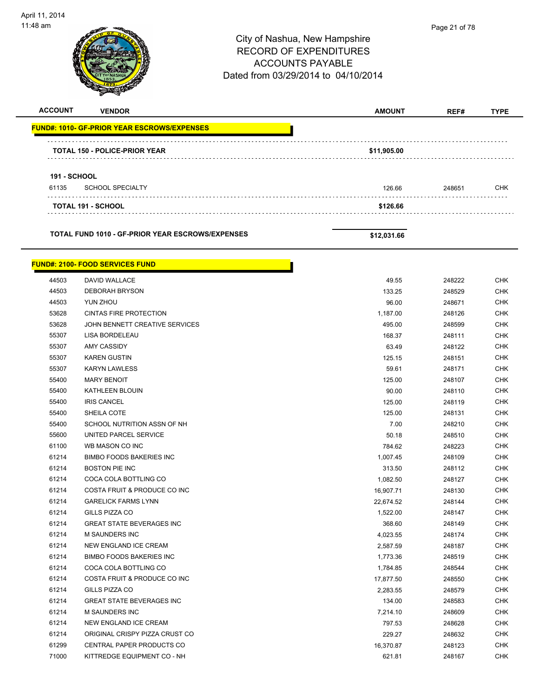

| <b>ACCOUNT</b>      | <b>VENDOR</b>                                       | <b>AMOUNT</b> |        | <b>TYPE</b> |
|---------------------|-----------------------------------------------------|---------------|--------|-------------|
|                     | <u> FUND#: 1010- GF-PRIOR YEAR ESCROWS/EXPENSES</u> |               |        |             |
|                     | TOTAL 150 - POLICE-PRIOR YEAR                       | \$11,905.00   |        |             |
|                     |                                                     |               |        |             |
| <b>191 - SCHOOL</b> |                                                     |               |        |             |
| 61135               | <b>SCHOOL SPECIALTY</b>                             | 126.66        | 248651 | CHK         |
|                     | TOTAL 191 - SCHOOL                                  | \$126.66      |        |             |
|                     | TOTAL FUND 1010 - GF-PRIOR YEAR ESCROWS/EXPENSES    | \$12,031.66   |        |             |
|                     | <u> FUND#: 2100- FOOD SERVICES FUND</u>             |               |        |             |
| 44503               | DAVID WALLACE                                       | 49.55         | 248222 | <b>CHK</b>  |
| 44503               | <b>DEBORAH BRYSON</b>                               | 133.25        | 248529 | CHK         |
| 44503               | YUN ZHOU                                            | 96.00         | 248671 | CHK         |
| 53628               | <b>CINTAS FIRE PROTECTION</b>                       | 1,187.00      | 248126 | <b>CHK</b>  |
| 53628               | JOHN BENNETT CREATIVE SERVICES                      | 495.00        | 248599 | CHK         |
| 55307               | LISA BORDELEAU                                      | 168.37        | 248111 | <b>CHK</b>  |
| 55307               | <b>AMY CASSIDY</b>                                  | 63.49         | 248122 | <b>CHK</b>  |
| 55307               | <b>KAREN GUSTIN</b>                                 | 125.15        | 248151 | CHK         |
| 55307               | <b>KARYN LAWLESS</b>                                | 59.61         | 248171 | <b>CHK</b>  |
| 55400               | <b>MARY BENOIT</b>                                  | 125.00        | 248107 | CHK         |
| 55400               | KATHLEEN BLOUIN                                     | 90.00         | 248110 | CHK         |
| 55400               | <b>IRIS CANCEL</b>                                  | 125.00        | 248119 | <b>CHK</b>  |
| 55400               | SHEILA COTE                                         | 125.00        | 248131 | CHK         |
| 55400               | SCHOOL NUTRITION ASSN OF NH                         | 7.00          | 248210 | CHK         |
| 55600               | UNITED PARCEL SERVICE                               | 50.18         | 248510 | CHK         |
| 61100               | WB MASON CO INC                                     | 784.62        | 248223 | CHK         |
| 61214               | <b>BIMBO FOODS BAKERIES INC</b>                     | 1,007.45      | 248109 | <b>CHK</b>  |
| 61214               | <b>BOSTON PIE INC</b>                               | 313.50        | 248112 | CHK         |
| 61214               | COCA COLA BOTTLING CO                               | 1,082.50      | 248127 | CHK         |
| 61214               | COSTA FRUIT & PRODUCE CO INC                        | 16,907.71     | 248130 | <b>CHK</b>  |
| 61214               | <b>GARELICK FARMS LYNN</b>                          | 22,674.52     | 248144 | <b>CHK</b>  |
| 61214               | GILLS PIZZA CO                                      | 1,522.00      | 248147 | CHK         |
| 61214               | <b>GREAT STATE BEVERAGES INC</b>                    | 368.60        | 248149 | <b>CHK</b>  |
| 61214               | M SAUNDERS INC                                      | 4,023.55      | 248174 | <b>CHK</b>  |
| 61214               | NEW ENGLAND ICE CREAM                               | 2,587.59      | 248187 | <b>CHK</b>  |
| 61214               | <b>BIMBO FOODS BAKERIES INC</b>                     | 1,773.36      | 248519 | CHK         |
| 61214               | COCA COLA BOTTLING CO                               | 1,784.85      | 248544 | <b>CHK</b>  |
| 61214               | COSTA FRUIT & PRODUCE CO INC                        | 17,877.50     | 248550 | <b>CHK</b>  |
| 61214               | GILLS PIZZA CO                                      | 2,283.55      | 248579 | CHK         |
| 61214               | <b>GREAT STATE BEVERAGES INC</b>                    | 134.00        | 248583 | <b>CHK</b>  |
| 61214               | M SAUNDERS INC                                      | 7,214.10      | 248609 | CHK         |
| 61214               | NEW ENGLAND ICE CREAM                               | 797.53        | 248628 | CHK         |
| 61214               | ORIGINAL CRISPY PIZZA CRUST CO                      | 229.27        | 248632 | CHK         |
| 61299               | CENTRAL PAPER PRODUCTS CO                           | 16,370.87     | 248123 | <b>CHK</b>  |
| 71000               | KITTREDGE EQUIPMENT CO - NH                         | 621.81        | 248167 | <b>CHK</b>  |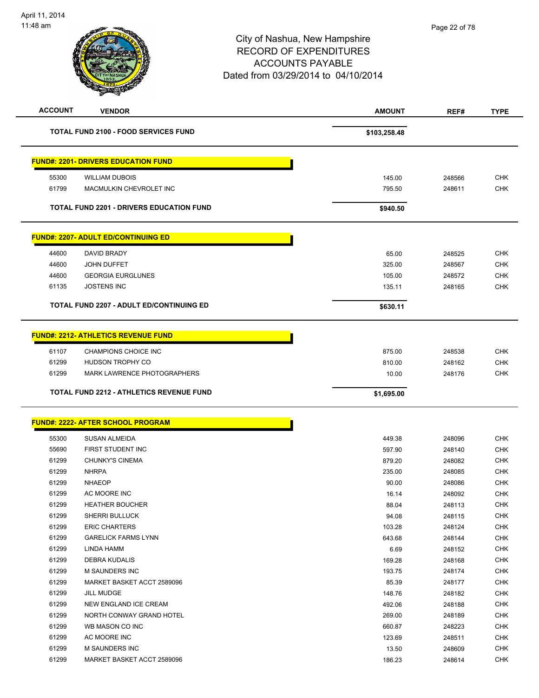| <b>ACCOUNT</b> | <b>VENDOR</b>                                   | <b>AMOUNT</b> | REF#   | <b>TYPE</b> |
|----------------|-------------------------------------------------|---------------|--------|-------------|
|                | <b>TOTAL FUND 2100 - FOOD SERVICES FUND</b>     | \$103,258.48  |        |             |
|                | <b>FUND#: 2201- DRIVERS EDUCATION FUND</b>      |               |        |             |
| 55300          | <b>WILLIAM DUBOIS</b>                           | 145.00        | 248566 | <b>CHK</b>  |
| 61799          | MACMULKIN CHEVROLET INC                         | 795.50        | 248611 | <b>CHK</b>  |
|                |                                                 |               |        |             |
|                | TOTAL FUND 2201 - DRIVERS EDUCATION FUND        | \$940.50      |        |             |
|                | <b>FUND#: 2207- ADULT ED/CONTINUING ED</b>      |               |        |             |
| 44600          | DAVID BRADY                                     | 65.00         | 248525 | <b>CHK</b>  |
| 44600          | <b>JOHN DUFFET</b>                              | 325.00        | 248567 | <b>CHK</b>  |
| 44600          | <b>GEORGIA EURGLUNES</b>                        | 105.00        | 248572 | <b>CHK</b>  |
| 61135          | <b>JOSTENS INC</b>                              | 135.11        | 248165 | <b>CHK</b>  |
|                | <b>TOTAL FUND 2207 - ADULT ED/CONTINUING ED</b> | \$630.11      |        |             |
|                |                                                 |               |        |             |
|                | <b>FUND#: 2212- ATHLETICS REVENUE FUND</b>      |               |        |             |
| 61107          | <b>CHAMPIONS CHOICE INC</b>                     | 875.00        | 248538 | <b>CHK</b>  |
| 61299          | HUDSON TROPHY CO                                | 810.00        | 248162 | <b>CHK</b>  |
| 61299          | <b>MARK LAWRENCE PHOTOGRAPHERS</b>              | 10.00         | 248176 | <b>CHK</b>  |
|                | TOTAL FUND 2212 - ATHLETICS REVENUE FUND        | \$1,695.00    |        |             |
|                | <b>FUND#: 2222- AFTER SCHOOL PROGRAM</b>        |               |        |             |
|                |                                                 |               |        |             |
| 55300          | SUSAN ALMEIDA                                   | 449.38        | 248096 | <b>CHK</b>  |
| 55690          | FIRST STUDENT INC                               | 597.90        | 248140 | <b>CHK</b>  |
| 61299          | <b>CHUNKY'S CINEMA</b>                          | 879.20        | 248082 | <b>CHK</b>  |
| 61299          | <b>NHRPA</b>                                    | 235.00        | 248085 | <b>CHK</b>  |
| 61299          | <b>NHAEOP</b>                                   | 90.00         | 248086 | <b>CHK</b>  |
| 61299          | AC MOORE INC                                    | 16.14         | 248092 | <b>CHK</b>  |
| 61299          | <b>HEATHER BOUCHER</b>                          | 88.04         | 248113 | <b>CHK</b>  |
| 61299          | SHERRI BULLUCK                                  | 94.08         | 248115 | <b>CHK</b>  |
| 61299          | <b>ERIC CHARTERS</b>                            | 103.28        | 248124 | <b>CHK</b>  |
| 61299          | <b>GARELICK FARMS LYNN</b>                      | 643.68        | 248144 | <b>CHK</b>  |
| 61299          | LINDA HAMM                                      | 6.69          | 248152 | <b>CHK</b>  |
| 61299          | DEBRA KUDALIS                                   | 169.28        | 248168 | <b>CHK</b>  |
| 61299          | <b>M SAUNDERS INC</b>                           | 193.75        | 248174 | <b>CHK</b>  |
| 61299          | MARKET BASKET ACCT 2589096                      | 85.39         | 248177 | <b>CHK</b>  |
| 61299          | <b>JILL MUDGE</b>                               | 148.76        | 248182 | <b>CHK</b>  |
| 61299          | NEW ENGLAND ICE CREAM                           | 492.06        | 248188 | <b>CHK</b>  |
| 61299          | NORTH CONWAY GRAND HOTEL                        | 269.00        | 248189 | <b>CHK</b>  |
| 61299          | WB MASON CO INC                                 | 660.87        | 248223 | CHK         |
| 61299          | AC MOORE INC                                    | 123.69        | 248511 | CHK         |
| 61299          | <b>M SAUNDERS INC</b>                           | 13.50         | 248609 | <b>CHK</b>  |
|                | MARKET BASKET ACCT 2589096                      | 186.23        | 248614 | <b>CHK</b>  |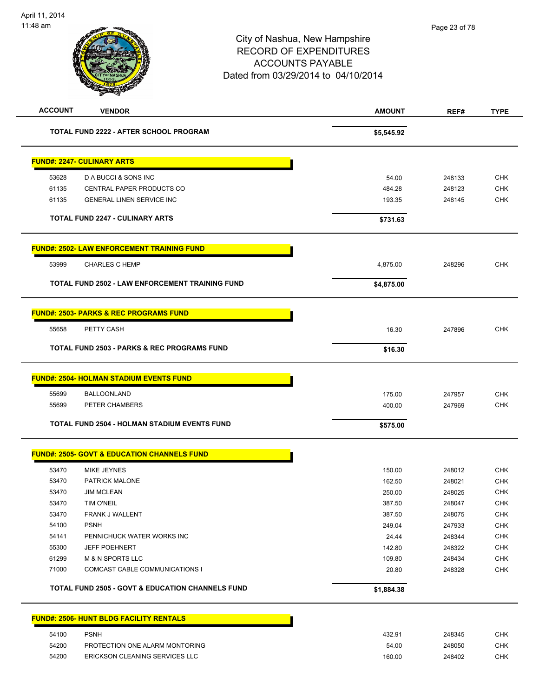| <b>ACCOUNT</b> | <b>VENDOR</b>                                               | <b>AMOUNT</b> | REF#   | <b>TYPE</b> |
|----------------|-------------------------------------------------------------|---------------|--------|-------------|
|                | <b>TOTAL FUND 2222 - AFTER SCHOOL PROGRAM</b>               | \$5,545.92    |        |             |
|                | <b>FUND#: 2247- CULINARY ARTS</b>                           |               |        |             |
| 53628          | D A BUCCI & SONS INC                                        | 54.00         | 248133 | <b>CHK</b>  |
| 61135          | CENTRAL PAPER PRODUCTS CO                                   | 484.28        | 248123 | <b>CHK</b>  |
| 61135          | <b>GENERAL LINEN SERVICE INC</b>                            | 193.35        | 248145 | <b>CHK</b>  |
|                | <b>TOTAL FUND 2247 - CULINARY ARTS</b>                      | \$731.63      |        |             |
|                | <b>FUND#: 2502- LAW ENFORCEMENT TRAINING FUND</b>           |               |        |             |
| 53999          | <b>CHARLES C HEMP</b>                                       | 4,875.00      | 248296 | <b>CHK</b>  |
|                | TOTAL FUND 2502 - LAW ENFORCEMENT TRAINING FUND             | \$4,875.00    |        |             |
|                | <b>FUND#: 2503- PARKS &amp; REC PROGRAMS FUND</b>           |               |        |             |
| 55658          | PETTY CASH                                                  | 16.30         | 247896 | <b>CHK</b>  |
|                | <b>TOTAL FUND 2503 - PARKS &amp; REC PROGRAMS FUND</b>      | \$16.30       |        |             |
|                | <b>FUND#: 2504- HOLMAN STADIUM EVENTS FUND</b>              |               |        |             |
| 55699          | <b>BALLOONLAND</b>                                          | 175.00        | 247957 | <b>CHK</b>  |
| 55699          | PETER CHAMBERS                                              | 400.00        | 247969 | <b>CHK</b>  |
|                | <b>TOTAL FUND 2504 - HOLMAN STADIUM EVENTS FUND</b>         | \$575.00      |        |             |
|                | <b>FUND#: 2505- GOVT &amp; EDUCATION CHANNELS FUND</b>      |               |        |             |
| 53470          | <b>MIKE JEYNES</b>                                          | 150.00        | 248012 | <b>CHK</b>  |
| 53470          | PATRICK MALONE                                              | 162.50        | 248021 | <b>CHK</b>  |
| 53470          | <b>JIM MCLEAN</b>                                           | 250.00        | 248025 | <b>CHK</b>  |
| 53470          | TIM O'NEIL                                                  | 387.50        | 248047 | <b>CHK</b>  |
| 53470          | FRANK J WALLENT                                             | 387.50        | 248075 | <b>CHK</b>  |
| 54100          | <b>PSNH</b>                                                 | 249.04        | 247933 | <b>CHK</b>  |
| 54141          | PENNICHUCK WATER WORKS INC                                  | 24.44         | 248344 | <b>CHK</b>  |
| 55300          | <b>JEFF POEHNERT</b>                                        | 142.80        | 248322 | <b>CHK</b>  |
| 61299          | <b>M &amp; N SPORTS LLC</b>                                 | 109.80        | 248434 | <b>CHK</b>  |
| 71000          | COMCAST CABLE COMMUNICATIONS I                              | 20.80         | 248328 | <b>CHK</b>  |
|                | <b>TOTAL FUND 2505 - GOVT &amp; EDUCATION CHANNELS FUND</b> | \$1,884.38    |        |             |
|                | <b>FUND#: 2506- HUNT BLDG FACILITY RENTALS</b>              |               |        |             |
| 54100          | <b>PSNH</b>                                                 | 432.91        | 248345 | <b>CHK</b>  |
| 54200          | PROTECTION ONE ALARM MONTORING                              | 54.00         | 248050 | <b>CHK</b>  |

54200 ERICKSON CLEANING SERVICES LLC 160.00 248402 CHK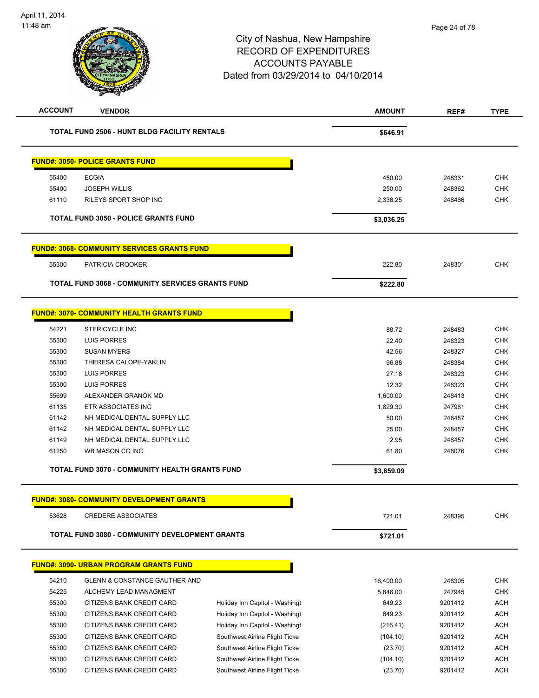| <b>ACCOUNT</b> | <b>VENDOR</b>                                         |                                | <b>AMOUNT</b> | REF#    | <b>TYPE</b> |
|----------------|-------------------------------------------------------|--------------------------------|---------------|---------|-------------|
|                | <b>TOTAL FUND 2506 - HUNT BLDG FACILITY RENTALS</b>   |                                | \$646.91      |         |             |
|                | <b>FUND#: 3050- POLICE GRANTS FUND</b>                |                                |               |         |             |
| 55400          | <b>ECGIA</b>                                          |                                | 450.00        | 248331  | <b>CHK</b>  |
| 55400          | <b>JOSEPH WILLIS</b>                                  |                                | 250.00        | 248362  | <b>CHK</b>  |
| 61110          | RILEYS SPORT SHOP INC                                 |                                | 2,336.25      | 248466  | <b>CHK</b>  |
|                | <b>TOTAL FUND 3050 - POLICE GRANTS FUND</b>           |                                | \$3,036.25    |         |             |
|                | <b>FUND#: 3068- COMMUNITY SERVICES GRANTS FUND</b>    |                                |               |         |             |
| 55300          | PATRICIA CROOKER                                      |                                | 222.80        | 248301  | <b>CHK</b>  |
|                | TOTAL FUND 3068 - COMMUNITY SERVICES GRANTS FUND      |                                | \$222.80      |         |             |
|                |                                                       |                                |               |         |             |
|                | <u> FUND#: 3070- COMMUNITY HEALTH GRANTS FUND</u>     |                                |               |         |             |
| 54221          | <b>STERICYCLE INC</b>                                 |                                | 88.72         | 248483  | <b>CHK</b>  |
| 55300          | LUIS PORRES                                           |                                | 22.40         | 248323  | <b>CHK</b>  |
| 55300          | <b>SUSAN MYERS</b>                                    |                                | 42.56         | 248327  | <b>CHK</b>  |
| 55300          | THERESA CALOPE-YAKLIN                                 |                                | 96.88         | 248384  | <b>CHK</b>  |
| 55300          | <b>LUIS PORRES</b>                                    |                                | 27.16         | 248323  | <b>CHK</b>  |
| 55300          | <b>LUIS PORRES</b>                                    |                                | 12.32         | 248323  | <b>CHK</b>  |
| 55699          | ALEXANDER GRANOK MD                                   |                                | 1,600.00      | 248413  | <b>CHK</b>  |
| 61135          | <b>ETR ASSOCIATES INC</b>                             |                                | 1,829.30      | 247981  | <b>CHK</b>  |
| 61142          | NH MEDICAL DENTAL SUPPLY LLC                          |                                | 50.00         | 248457  | <b>CHK</b>  |
| 61142          | NH MEDICAL DENTAL SUPPLY LLC                          |                                | 25.00         | 248457  | <b>CHK</b>  |
| 61149          | NH MEDICAL DENTAL SUPPLY LLC                          |                                | 2.95          | 248457  | <b>CHK</b>  |
| 61250          | WB MASON CO INC                                       |                                | 61.80         | 248076  | <b>CHK</b>  |
|                | TOTAL FUND 3070 - COMMUNITY HEALTH GRANTS FUND        |                                | \$3,859.09    |         |             |
|                | <b>FUND#: 3080- COMMUNITY DEVELOPMENT GRANTS</b>      |                                |               |         |             |
| 53628          | <b>CREDERE ASSOCIATES</b>                             |                                | 721.01        | 248395  | <b>CHK</b>  |
|                | <b>TOTAL FUND 3080 - COMMUNITY DEVELOPMENT GRANTS</b> |                                | \$721.01      |         |             |
|                | <b>FUND#: 3090- URBAN PROGRAM GRANTS FUND</b>         |                                |               |         |             |
| 54210          | <b>GLENN &amp; CONSTANCE GAUTHER AND</b>              |                                | 16,400.00     | 248305  | <b>CHK</b>  |
| 54225          | ALCHEMY LEAD MANAGMENT                                |                                | 5,646.00      | 247945  | <b>CHK</b>  |
| 55300          | CITIZENS BANK CREDIT CARD                             | Holiday Inn Capitol - Washingt | 649.23        | 9201412 | <b>ACH</b>  |
| 55300          | CITIZENS BANK CREDIT CARD                             | Holiday Inn Capitol - Washingt | 649.23        | 9201412 | <b>ACH</b>  |
| 55300          | CITIZENS BANK CREDIT CARD                             | Holiday Inn Capitol - Washingt | (216.41)      | 9201412 | <b>ACH</b>  |
| 55300          | CITIZENS BANK CREDIT CARD                             | Southwest Airline Flight Ticke | (104.10)      | 9201412 | <b>ACH</b>  |
| 55300          | CITIZENS BANK CREDIT CARD                             | Southwest Airline Flight Ticke | (23.70)       | 9201412 | <b>ACH</b>  |
| 55300          | CITIZENS BANK CREDIT CARD                             | Southwest Airline Flight Ticke | (104.10)      | 9201412 | <b>ACH</b>  |
| 55300          |                                                       |                                |               | 9201412 | <b>ACH</b>  |
|                | CITIZENS BANK CREDIT CARD                             | Southwest Airline Flight Ticke | (23.70)       |         |             |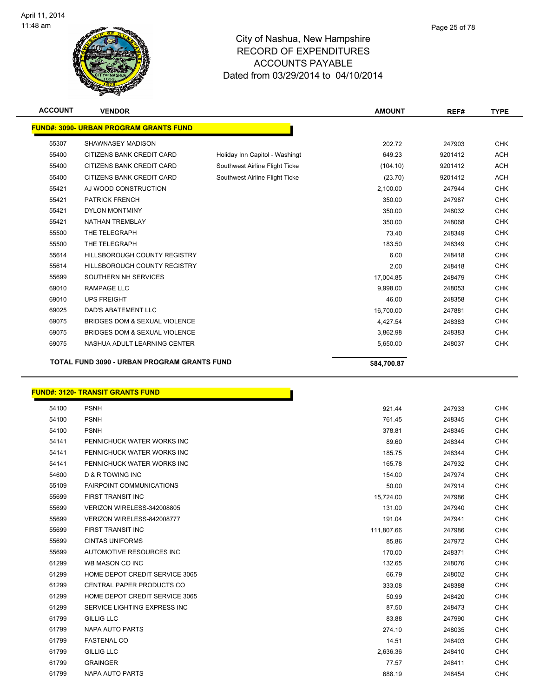

| <b>ACCOUNT</b> | <b>VENDOR</b>                                 |                                | <b>AMOUNT</b> | REF#    | <b>TYPE</b> |
|----------------|-----------------------------------------------|--------------------------------|---------------|---------|-------------|
|                | <b>FUND#: 3090- URBAN PROGRAM GRANTS FUND</b> |                                |               |         |             |
| 55307          | SHAWNASEY MADISON                             |                                | 202.72        | 247903  | <b>CHK</b>  |
| 55400          | CITIZENS BANK CREDIT CARD                     | Holiday Inn Capitol - Washingt | 649.23        | 9201412 | <b>ACH</b>  |
| 55400          | <b>CITIZENS BANK CREDIT CARD</b>              | Southwest Airline Flight Ticke | (104.10)      | 9201412 | <b>ACH</b>  |
| 55400          | CITIZENS BANK CREDIT CARD                     | Southwest Airline Flight Ticke | (23.70)       | 9201412 | <b>ACH</b>  |
| 55421          | AJ WOOD CONSTRUCTION                          |                                | 2,100.00      | 247944  | <b>CHK</b>  |
| 55421          | <b>PATRICK FRENCH</b>                         |                                | 350.00        | 247987  | <b>CHK</b>  |
| 55421          | <b>DYLON MONTMINY</b>                         |                                | 350.00        | 248032  | <b>CHK</b>  |
| 55421          | <b>NATHAN TREMBLAY</b>                        |                                | 350.00        | 248068  | <b>CHK</b>  |
| 55500          | THE TELEGRAPH                                 |                                | 73.40         | 248349  | <b>CHK</b>  |
| 55500          | THE TELEGRAPH                                 |                                | 183.50        | 248349  | <b>CHK</b>  |
| 55614          | HILLSBOROUGH COUNTY REGISTRY                  |                                | 6.00          | 248418  | <b>CHK</b>  |
| 55614          | <b>HILLSBOROUGH COUNTY REGISTRY</b>           |                                | 2.00          | 248418  | <b>CHK</b>  |
| 55699          | SOUTHERN NH SERVICES                          |                                | 17,004.85     | 248479  | <b>CHK</b>  |
| 69010          | <b>RAMPAGE LLC</b>                            |                                | 9,998.00      | 248053  | <b>CHK</b>  |
| 69010          | <b>UPS FREIGHT</b>                            |                                | 46.00         | 248358  | <b>CHK</b>  |
| 69025          | <b>DAD'S ABATEMENT LLC</b>                    |                                | 16,700.00     | 247881  | <b>CHK</b>  |
| 69075          | BRIDGES DOM & SEXUAL VIOLENCE                 |                                | 4,427.54      | 248383  | <b>CHK</b>  |
| 69075          | BRIDGES DOM & SEXUAL VIOLENCE                 |                                | 3,862.98      | 248383  | <b>CHK</b>  |
| 69075          | NASHUA ADULT LEARNING CENTER                  |                                | 5,650.00      | 248037  | <b>CHK</b>  |
|                | TOTAL FUND 3090 - URBAN PROGRAM GRANTS FUND   |                                | \$84.700.87   |         |             |

#### **FUND#: 3120- TRANSIT GRANTS FUND**

| 54100 | <b>PSNH</b>                      | 921.44     | 247933 | <b>CHK</b> |
|-------|----------------------------------|------------|--------|------------|
| 54100 | <b>PSNH</b>                      | 761.45     | 248345 | <b>CHK</b> |
| 54100 | <b>PSNH</b>                      | 378.81     | 248345 | <b>CHK</b> |
| 54141 | PENNICHUCK WATER WORKS INC       | 89.60      | 248344 | <b>CHK</b> |
| 54141 | PENNICHUCK WATER WORKS INC       | 185.75     | 248344 | <b>CHK</b> |
| 54141 | PENNICHUCK WATER WORKS INC       | 165.78     | 247932 | <b>CHK</b> |
| 54600 | <b>D &amp; R TOWING INC</b>      | 154.00     | 247974 | <b>CHK</b> |
| 55109 | <b>FAIRPOINT COMMUNICATIONS</b>  | 50.00      | 247914 | <b>CHK</b> |
| 55699 | <b>FIRST TRANSIT INC</b>         | 15,724.00  | 247986 | <b>CHK</b> |
| 55699 | VERIZON WIRELESS-342008805       | 131.00     | 247940 | <b>CHK</b> |
| 55699 | VERIZON WIRELESS-842008777       | 191.04     | 247941 | <b>CHK</b> |
| 55699 | <b>FIRST TRANSIT INC</b>         | 111,807.66 | 247986 | <b>CHK</b> |
| 55699 | <b>CINTAS UNIFORMS</b>           | 85.86      | 247972 | <b>CHK</b> |
| 55699 | AUTOMOTIVE RESOURCES INC         | 170.00     | 248371 | <b>CHK</b> |
| 61299 | WB MASON CO INC                  | 132.65     | 248076 | <b>CHK</b> |
| 61299 | HOME DEPOT CREDIT SERVICE 3065   | 66.79      | 248002 | <b>CHK</b> |
| 61299 | <b>CENTRAL PAPER PRODUCTS CO</b> | 333.08     | 248388 | <b>CHK</b> |
| 61299 | HOME DEPOT CREDIT SERVICE 3065   | 50.99      | 248420 | <b>CHK</b> |
| 61299 | SERVICE LIGHTING EXPRESS INC     | 87.50      | 248473 | <b>CHK</b> |
| 61799 | <b>GILLIG LLC</b>                | 83.88      | 247990 | <b>CHK</b> |
| 61799 | <b>NAPA AUTO PARTS</b>           | 274.10     | 248035 | <b>CHK</b> |
| 61799 | <b>FASTENAL CO</b>               | 14.51      | 248403 | <b>CHK</b> |
| 61799 | <b>GILLIG LLC</b>                | 2,636.36   | 248410 | <b>CHK</b> |
| 61799 | <b>GRAINGER</b>                  | 77.57      | 248411 | <b>CHK</b> |
| 61799 | <b>NAPA AUTO PARTS</b>           | 688.19     | 248454 | <b>CHK</b> |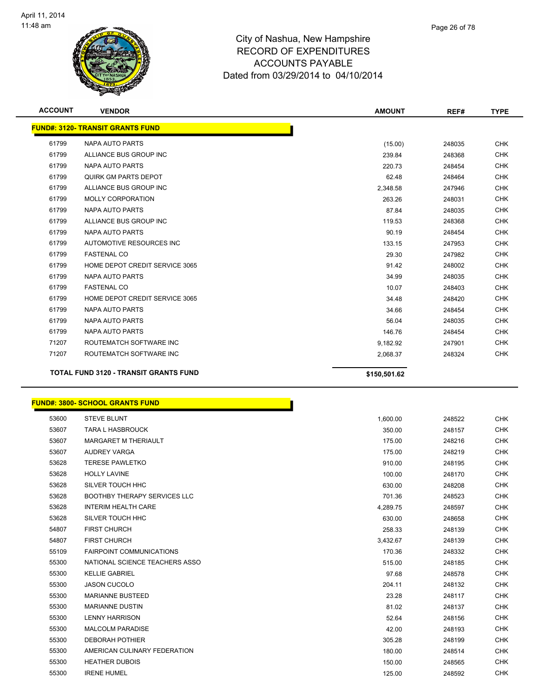

| <b>ACCOUNT</b> | <b>VENDOR</b>                                | <b>AMOUNT</b> | REF#   | <b>TYPE</b> |
|----------------|----------------------------------------------|---------------|--------|-------------|
|                | <b>FUND#: 3120- TRANSIT GRANTS FUND</b>      |               |        |             |
| 61799          | <b>NAPA AUTO PARTS</b>                       | (15.00)       | 248035 | <b>CHK</b>  |
| 61799          | ALLIANCE BUS GROUP INC                       | 239.84        | 248368 | <b>CHK</b>  |
| 61799          | <b>NAPA AUTO PARTS</b>                       | 220.73        | 248454 | <b>CHK</b>  |
| 61799          | QUIRK GM PARTS DEPOT                         | 62.48         | 248464 | <b>CHK</b>  |
| 61799          | ALLIANCE BUS GROUP INC                       | 2.348.58      | 247946 | <b>CHK</b>  |
| 61799          | <b>MOLLY CORPORATION</b>                     | 263.26        | 248031 | <b>CHK</b>  |
| 61799          | <b>NAPA AUTO PARTS</b>                       | 87.84         | 248035 | <b>CHK</b>  |
| 61799          | ALLIANCE BUS GROUP INC                       | 119.53        | 248368 | <b>CHK</b>  |
| 61799          | <b>NAPA AUTO PARTS</b>                       | 90.19         | 248454 | <b>CHK</b>  |
| 61799          | AUTOMOTIVE RESOURCES INC                     | 133.15        | 247953 | <b>CHK</b>  |
| 61799          | <b>FASTENAL CO</b>                           | 29.30         | 247982 | <b>CHK</b>  |
| 61799          | HOME DEPOT CREDIT SERVICE 3065               | 91.42         | 248002 | <b>CHK</b>  |
| 61799          | <b>NAPA AUTO PARTS</b>                       | 34.99         | 248035 | <b>CHK</b>  |
| 61799          | <b>FASTENAL CO</b>                           | 10.07         | 248403 | <b>CHK</b>  |
| 61799          | HOME DEPOT CREDIT SERVICE 3065               | 34.48         | 248420 | <b>CHK</b>  |
| 61799          | <b>NAPA AUTO PARTS</b>                       | 34.66         | 248454 | <b>CHK</b>  |
| 61799          | <b>NAPA AUTO PARTS</b>                       | 56.04         | 248035 | <b>CHK</b>  |
| 61799          | <b>NAPA AUTO PARTS</b>                       | 146.76        | 248454 | <b>CHK</b>  |
| 71207          | ROUTEMATCH SOFTWARE INC                      | 9,182.92      | 247901 | <b>CHK</b>  |
| 71207          | ROUTEMATCH SOFTWARE INC                      | 2,068.37      | 248324 | <b>CHK</b>  |
|                | <b>TOTAL FUND 3120 - TRANSIT GRANTS FUND</b> | \$150,501.62  |        |             |

| <b>FUND#: 3800- SCHOOL GRANTS FUND</b> |
|----------------------------------------|
|----------------------------------------|

| 53600 | <b>STEVE BLUNT</b>                  | 1,600.00 | 248522 | <b>CHK</b> |
|-------|-------------------------------------|----------|--------|------------|
| 53607 | <b>TARA L HASBROUCK</b>             | 350.00   | 248157 | <b>CHK</b> |
| 53607 | <b>MARGARET M THERIAULT</b>         | 175.00   | 248216 | <b>CHK</b> |
| 53607 | <b>AUDREY VARGA</b>                 | 175.00   | 248219 | <b>CHK</b> |
| 53628 | <b>TERESE PAWLETKO</b>              | 910.00   | 248195 | <b>CHK</b> |
| 53628 | <b>HOLLY LAVINE</b>                 | 100.00   | 248170 | <b>CHK</b> |
| 53628 | SILVER TOUCH HHC                    | 630.00   | 248208 | <b>CHK</b> |
| 53628 | <b>BOOTHBY THERAPY SERVICES LLC</b> | 701.36   | 248523 | <b>CHK</b> |
| 53628 | <b>INTERIM HEALTH CARE</b>          | 4,289.75 | 248597 | <b>CHK</b> |
| 53628 | SILVER TOUCH HHC                    | 630.00   | 248658 | <b>CHK</b> |
| 54807 | <b>FIRST CHURCH</b>                 | 258.33   | 248139 | <b>CHK</b> |
| 54807 | <b>FIRST CHURCH</b>                 | 3,432.67 | 248139 | <b>CHK</b> |
| 55109 | <b>FAIRPOINT COMMUNICATIONS</b>     | 170.36   | 248332 | <b>CHK</b> |
| 55300 | NATIONAL SCIENCE TEACHERS ASSO      | 515.00   | 248185 | <b>CHK</b> |
| 55300 | <b>KELLIE GABRIEL</b>               | 97.68    | 248578 | <b>CHK</b> |
| 55300 | <b>JASON CUCOLO</b>                 | 204.11   | 248132 | <b>CHK</b> |
| 55300 | <b>MARIANNE BUSTEED</b>             | 23.28    | 248117 | <b>CHK</b> |
| 55300 | <b>MARIANNE DUSTIN</b>              | 81.02    | 248137 | <b>CHK</b> |
| 55300 | <b>LENNY HARRISON</b>               | 52.64    | 248156 | <b>CHK</b> |
| 55300 | <b>MALCOLM PARADISE</b>             | 42.00    | 248193 | <b>CHK</b> |
| 55300 | <b>DEBORAH POTHIER</b>              | 305.28   | 248199 | <b>CHK</b> |
| 55300 | AMERICAN CULINARY FEDERATION        | 180.00   | 248514 | <b>CHK</b> |
| 55300 | <b>HEATHER DUBOIS</b>               | 150.00   | 248565 | <b>CHK</b> |
| 55300 | <b>IRENE HUMEL</b>                  | 125.00   | 248592 | <b>CHK</b> |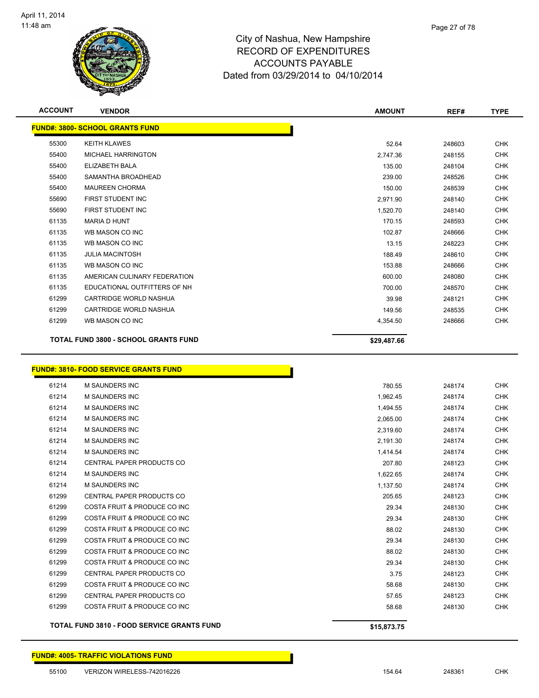

| <b>ACCOUNT</b> | <b>VENDOR</b>                                | <b>AMOUNT</b> | REF#   | <b>TYPE</b> |
|----------------|----------------------------------------------|---------------|--------|-------------|
|                | <b>FUND#: 3800- SCHOOL GRANTS FUND</b>       |               |        |             |
| 55300          | <b>KEITH KLAWES</b>                          | 52.64         | 248603 | <b>CHK</b>  |
| 55400          | <b>MICHAEL HARRINGTON</b>                    | 2,747.36      | 248155 | <b>CHK</b>  |
| 55400          | ELIZABETH BALA                               | 135.00        | 248104 | <b>CHK</b>  |
| 55400          | SAMANTHA BROADHEAD                           | 239.00        | 248526 | <b>CHK</b>  |
| 55400          | <b>MAUREEN CHORMA</b>                        | 150.00        | 248539 | <b>CHK</b>  |
| 55690          | FIRST STUDENT INC                            | 2,971.90      | 248140 | <b>CHK</b>  |
| 55690          | FIRST STUDENT INC                            | 1,520.70      | 248140 | <b>CHK</b>  |
| 61135          | <b>MARIA D HUNT</b>                          | 170.15        | 248593 | <b>CHK</b>  |
| 61135          | WB MASON CO INC                              | 102.87        | 248666 | <b>CHK</b>  |
| 61135          | WB MASON CO INC                              | 13.15         | 248223 | <b>CHK</b>  |
| 61135          | <b>JULIA MACINTOSH</b>                       | 188.49        | 248610 | <b>CHK</b>  |
| 61135          | WB MASON CO INC                              | 153.88        | 248666 | <b>CHK</b>  |
| 61135          | AMERICAN CULINARY FEDERATION                 | 600.00        | 248080 | <b>CHK</b>  |
| 61135          | EDUCATIONAL OUTFITTERS OF NH                 | 700.00        | 248570 | <b>CHK</b>  |
| 61299          | CARTRIDGE WORLD NASHUA                       | 39.98         | 248121 | <b>CHK</b>  |
| 61299          | CARTRIDGE WORLD NASHUA                       | 149.56        | 248535 | <b>CHK</b>  |
| 61299          | WB MASON CO INC                              | 4,354.50      | 248666 | <b>CHK</b>  |
|                | <b>TOTAL FUND 3800 - SCHOOL GRANTS FUND</b>  | \$29,487.66   |        |             |
|                | <b>FUND#: 3810- FOOD SERVICE GRANTS FUND</b> |               |        |             |
| 61214          | M SAUNDERS INC                               | 780.55        | 248174 | <b>CHK</b>  |
| 61214          | M SAUNDERS INC                               | 1,962.45      | 248174 | <b>CHK</b>  |
| 61214          | <b>M SAUNDERS INC</b>                        | 1,494.55      | 248174 | <b>CHK</b>  |
| 61214          | <b>M SAUNDERS INC</b>                        | 2,065.00      | 248174 | <b>CHK</b>  |
| 61214          | <b>M SAUNDERS INC</b>                        | 2,319.60      | 248174 | <b>CHK</b>  |

|       | <b>TOTAL FUND 3810 - FOOD SERVICE GRANTS FUND</b> | \$15,873.75 |        |            |
|-------|---------------------------------------------------|-------------|--------|------------|
| 61299 | COSTA FRUIT & PRODUCE CO INC                      | 58.68       | 248130 | <b>CHK</b> |
| 61299 | <b>CENTRAL PAPER PRODUCTS CO</b>                  | 57.65       | 248123 | <b>CHK</b> |
| 61299 | COSTA FRUIT & PRODUCE CO INC                      | 58.68       | 248130 | <b>CHK</b> |
| 61299 | <b>CENTRAL PAPER PRODUCTS CO</b>                  | 3.75        | 248123 | <b>CHK</b> |
| 61299 | COSTA FRUIT & PRODUCE CO INC                      | 29.34       | 248130 | <b>CHK</b> |
| 61299 | COSTA FRUIT & PRODUCE CO INC                      | 88.02       | 248130 | <b>CHK</b> |
| 61299 | COSTA FRUIT & PRODUCE CO INC                      | 29.34       | 248130 | <b>CHK</b> |
| 61299 | COSTA FRUIT & PRODUCE CO INC                      | 88.02       | 248130 | <b>CHK</b> |
| 61299 | COSTA FRUIT & PRODUCE CO INC                      | 29.34       | 248130 | <b>CHK</b> |
| 61299 | COSTA FRUIT & PRODUCE CO INC                      | 29.34       | 248130 | <b>CHK</b> |
| 61299 | <b>CENTRAL PAPER PRODUCTS CO</b>                  | 205.65      | 248123 | <b>CHK</b> |
| 61214 | <b>M SAUNDERS INC</b>                             | 1,137.50    | 248174 | <b>CHK</b> |
| 61214 | M SAUNDERS INC                                    | 1,622.65    | 248174 | <b>CHK</b> |
| 61214 | <b>CENTRAL PAPER PRODUCTS CO</b>                  | 207.80      | 248123 | <b>CHK</b> |
| 61214 | <b>M SAUNDERS INC</b>                             | 1,414.54    | 248174 | <b>CHK</b> |
| 61214 | <b>M SAUNDERS INC</b>                             | 2,191.30    | 248174 | <b>CHK</b> |
| 61214 | <b>M SAUNDERS INC</b>                             | 2,319.60    | 248174 | <b>CHK</b> |
| 61214 | M SAUNDERS INC                                    | 2,065.00    | 248174 | <b>CHK</b> |

**FUND#: 4005- TRAFFIC VIOLATIONS FUND**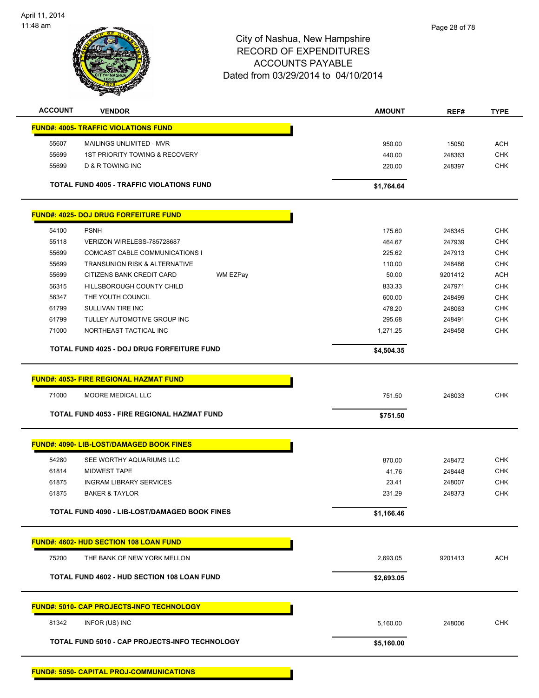

| <b>ACCOUNT</b> | <b>VENDOR</b>                                      | <b>AMOUNT</b>    | REF#             | <b>TYPE</b>              |
|----------------|----------------------------------------------------|------------------|------------------|--------------------------|
|                | <b>FUND#: 4005- TRAFFIC VIOLATIONS FUND</b>        |                  |                  |                          |
| 55607          | MAILINGS UNLIMITED - MVR                           | 950.00           | 15050            | <b>ACH</b>               |
| 55699          | <b>1ST PRIORITY TOWING &amp; RECOVERY</b>          | 440.00           | 248363           | <b>CHK</b>               |
| 55699          | D & R TOWING INC                                   | 220.00           | 248397           | <b>CHK</b>               |
|                | TOTAL FUND 4005 - TRAFFIC VIOLATIONS FUND          | \$1,764.64       |                  |                          |
|                | <b>FUND#: 4025- DOJ DRUG FORFEITURE FUND</b>       |                  |                  |                          |
|                |                                                    |                  |                  |                          |
| 54100<br>55118 | <b>PSNH</b><br>VERIZON WIRELESS-785728687          | 175.60<br>464.67 | 248345<br>247939 | <b>CHK</b><br><b>CHK</b> |
| 55699          | COMCAST CABLE COMMUNICATIONS I                     | 225.62           | 247913           | <b>CHK</b>               |
| 55699          | <b>TRANSUNION RISK &amp; ALTERNATIVE</b>           | 110.00           | 248486           | <b>CHK</b>               |
| 55699          | CITIZENS BANK CREDIT CARD<br>WM EZPay              | 50.00            | 9201412          | <b>ACH</b>               |
| 56315          | HILLSBOROUGH COUNTY CHILD                          |                  |                  | <b>CHK</b>               |
| 56347          | THE YOUTH COUNCIL                                  | 833.33<br>600.00 | 247971<br>248499 | <b>CHK</b>               |
| 61799          | SULLIVAN TIRE INC                                  | 478.20           | 248063           | <b>CHK</b>               |
| 61799          | TULLEY AUTOMOTIVE GROUP INC                        | 295.68           | 248491           | <b>CHK</b>               |
| 71000          | NORTHEAST TACTICAL INC                             | 1,271.25         | 248458           | <b>CHK</b>               |
|                |                                                    |                  |                  |                          |
|                | <b>TOTAL FUND 4025 - DOJ DRUG FORFEITURE FUND</b>  | \$4,504.35       |                  |                          |
|                | <b>FUND#: 4053- FIRE REGIONAL HAZMAT FUND</b>      |                  |                  |                          |
|                |                                                    |                  |                  |                          |
| 71000          | MOORE MEDICAL LLC                                  | 751.50           | 248033           | <b>CHK</b>               |
|                | TOTAL FUND 4053 - FIRE REGIONAL HAZMAT FUND        | \$751.50         |                  |                          |
|                | <b>FUND#: 4090- LIB-LOST/DAMAGED BOOK FINES</b>    |                  |                  |                          |
| 54280          | SEE WORTHY AQUARIUMS LLC                           | 870.00           | 248472           | <b>CHK</b>               |
| 61814          | <b>MIDWEST TAPE</b>                                | 41.76            | 248448           | <b>CHK</b>               |
| 61875          | <b>INGRAM LIBRARY SERVICES</b>                     | 23.41            | 248007           | <b>CHK</b>               |
| 61875          | <b>BAKER &amp; TAYLOR</b>                          | 231.29           | 248373           | <b>CHK</b>               |
|                | TOTAL FUND 4090 - LIB-LOST/DAMAGED BOOK FINES      | \$1,166.46       |                  |                          |
|                |                                                    |                  |                  |                          |
|                | FUND#: 4602- HUD SECTION 108 LOAN FUND             |                  |                  |                          |
| 75200          | THE BANK OF NEW YORK MELLON                        | 2,693.05         | 9201413          | <b>ACH</b>               |
|                | <b>TOTAL FUND 4602 - HUD SECTION 108 LOAN FUND</b> | \$2,693.05       |                  |                          |
|                | <b>FUND#: 5010- CAP PROJECTS-INFO TECHNOLOGY</b>   |                  |                  |                          |
| 81342          | INFOR (US) INC                                     | 5,160.00         | 248006           | <b>CHK</b>               |
|                | TOTAL FUND 5010 - CAP PROJECTS-INFO TECHNOLOGY     | \$5,160.00       |                  |                          |
|                |                                                    |                  |                  |                          |
|                | <b>FUND#: 5050- CAPITAL PROJ-COMMUNICATIONS</b>    |                  |                  |                          |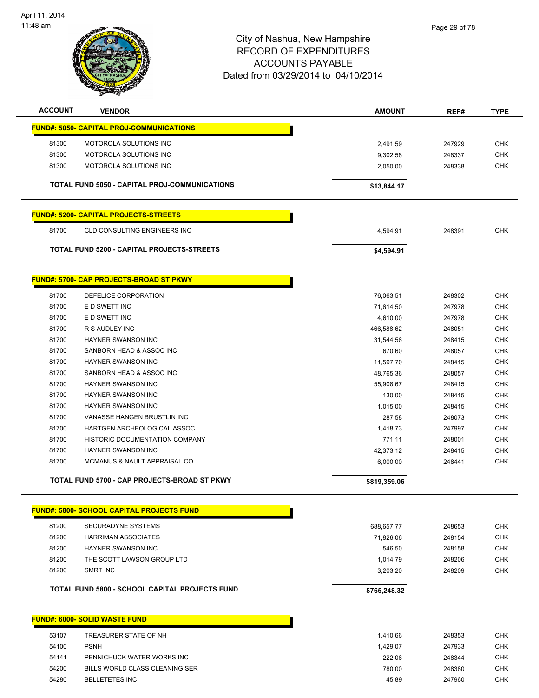

| <b>ACCOUNT</b> | <b>VENDOR</b>                                    | <b>AMOUNT</b>           | REF#             | <b>TYPE</b>              |
|----------------|--------------------------------------------------|-------------------------|------------------|--------------------------|
|                | <b>FUND#: 5050- CAPITAL PROJ-COMMUNICATIONS</b>  |                         |                  |                          |
| 81300          | MOTOROLA SOLUTIONS INC                           | 2,491.59                | 247929           | <b>CHK</b>               |
| 81300          | MOTOROLA SOLUTIONS INC                           | 9,302.58                | 248337           | CHK                      |
| 81300          | <b>MOTOROLA SOLUTIONS INC</b>                    | 2,050.00                | 248338           | <b>CHK</b>               |
|                |                                                  |                         |                  |                          |
|                | TOTAL FUND 5050 - CAPITAL PROJ-COMMUNICATIONS    | \$13,844.17             |                  |                          |
|                | <b>FUND#: 5200- CAPITAL PROJECTS-STREETS</b>     |                         |                  |                          |
| 81700          | <b>CLD CONSULTING ENGINEERS INC</b>              | 4,594.91                | 248391           | <b>CHK</b>               |
|                | TOTAL FUND 5200 - CAPITAL PROJECTS-STREETS       | \$4,594.91              |                  |                          |
|                | <b>FUND#: 5700- CAP PROJECTS-BROAD ST PKWY</b>   |                         |                  |                          |
| 81700          | DEFELICE CORPORATION                             | 76,063.51               | 248302           | <b>CHK</b>               |
| 81700          | E D SWETT INC                                    | 71,614.50               | 247978           | <b>CHK</b>               |
| 81700          | E D SWETT INC                                    | 4,610.00                | 247978           | <b>CHK</b>               |
| 81700          | R S AUDLEY INC                                   | 466,588.62              | 248051           | <b>CHK</b>               |
| 81700          | HAYNER SWANSON INC                               | 31,544.56               | 248415           | <b>CHK</b>               |
| 81700          | SANBORN HEAD & ASSOC INC                         | 670.60                  | 248057           | <b>CHK</b>               |
| 81700          | <b>HAYNER SWANSON INC</b>                        | 11,597.70               | 248415           | <b>CHK</b>               |
| 81700          | SANBORN HEAD & ASSOC INC                         | 48,765.36               | 248057           | CHK                      |
| 81700          | HAYNER SWANSON INC                               | 55,908.67               | 248415           | <b>CHK</b>               |
| 81700          | HAYNER SWANSON INC                               | 130.00                  | 248415           | <b>CHK</b>               |
| 81700          | HAYNER SWANSON INC                               | 1,015.00                | 248415           | CHK                      |
| 81700          | VANASSE HANGEN BRUSTLIN INC                      | 287.58                  | 248073           | <b>CHK</b>               |
| 81700          | HARTGEN ARCHEOLOGICAL ASSOC                      | 1,418.73                | 247997           | <b>CHK</b>               |
| 81700          | HISTORIC DOCUMENTATION COMPANY                   | 771.11                  | 248001           | <b>CHK</b>               |
| 81700          | <b>HAYNER SWANSON INC</b>                        | 42,373.12               | 248415           | <b>CHK</b>               |
| 81700          | MCMANUS & NAULT APPRAISAL CO                     | 6,000.00                | 248441           | <b>CHK</b>               |
|                | TOTAL FUND 5700 - CAP PROJECTS-BROAD ST PKWY     | \$819,359.06            |                  |                          |
|                | <b>FUND#: 5800- SCHOOL CAPITAL PROJECTS FUND</b> |                         |                  |                          |
| 81200          | <b>SECURADYNE SYSTEMS</b>                        |                         |                  |                          |
| 81200          | <b>HARRIMAN ASSOCIATES</b>                       | 688,657.77<br>71,826.06 | 248653<br>248154 | <b>CHK</b><br><b>CHK</b> |
| 81200          | <b>HAYNER SWANSON INC</b>                        | 546.50                  | 248158           | <b>CHK</b>               |
| 81200          | THE SCOTT LAWSON GROUP LTD                       | 1,014.79                | 248206           | <b>CHK</b>               |
| 81200          | <b>SMRT INC</b>                                  | 3,203.20                | 248209           | <b>CHK</b>               |
|                |                                                  |                         |                  |                          |
|                | TOTAL FUND 5800 - SCHOOL CAPITAL PROJECTS FUND   | \$765,248.32            |                  |                          |
|                | <b>FUND#: 6000- SOLID WASTE FUND</b>             |                         |                  |                          |
| 53107          | TREASURER STATE OF NH                            | 1,410.66                | 248353           | <b>CHK</b>               |
| 54100          | <b>PSNH</b>                                      | 1,429.07                | 247933           | <b>CHK</b>               |
| 54141          | PENNICHUCK WATER WORKS INC                       | 222.06                  | 248344           | <b>CHK</b>               |
| 54200          | BILLS WORLD CLASS CLEANING SER                   | 780.00                  | 248380           | <b>CHK</b>               |

BELLETETES INC 45.89 247960 CHK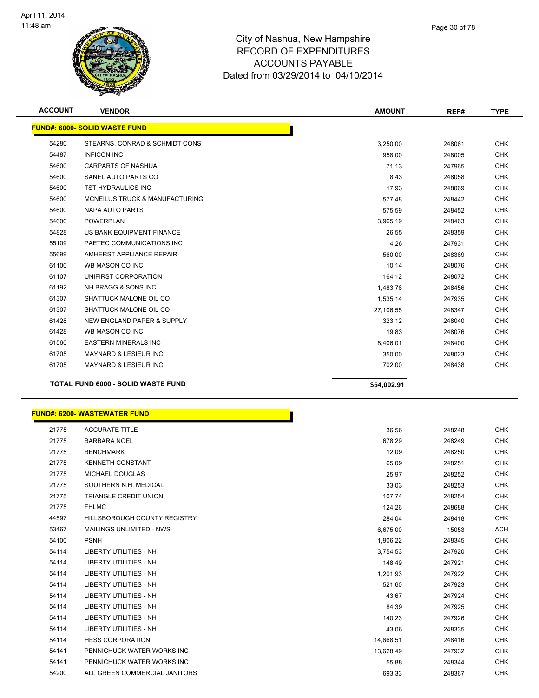

| <b>ACCOUNT</b> | <b>VENDOR</b>                             | <b>AMOUNT</b> | REF#   | <b>TYPE</b> |
|----------------|-------------------------------------------|---------------|--------|-------------|
|                | <b>FUND#: 6000- SOLID WASTE FUND</b>      |               |        |             |
| 54280          | STEARNS, CONRAD & SCHMIDT CONS            | 3,250.00      | 248061 | <b>CHK</b>  |
| 54487          | <b>INFICON INC</b>                        | 958.00        | 248005 | <b>CHK</b>  |
| 54600          | <b>CARPARTS OF NASHUA</b>                 | 71.13         | 247965 | <b>CHK</b>  |
| 54600          | SANEL AUTO PARTS CO                       | 8.43          | 248058 | <b>CHK</b>  |
| 54600          | <b>TST HYDRAULICS INC</b>                 | 17.93         | 248069 | <b>CHK</b>  |
| 54600          | <b>MCNEILUS TRUCK &amp; MANUFACTURING</b> | 577.48        | 248442 | <b>CHK</b>  |
| 54600          | <b>NAPA AUTO PARTS</b>                    | 575.59        | 248452 | <b>CHK</b>  |
| 54600          | <b>POWERPLAN</b>                          | 3,965.19      | 248463 | <b>CHK</b>  |
| 54828          | US BANK EQUIPMENT FINANCE                 | 26.55         | 248359 | <b>CHK</b>  |
| 55109          | PAETEC COMMUNICATIONS INC                 | 4.26          | 247931 | <b>CHK</b>  |
| 55699          | AMHERST APPLIANCE REPAIR                  | 560.00        | 248369 | <b>CHK</b>  |
| 61100          | WB MASON CO INC                           | 10.14         | 248076 | <b>CHK</b>  |
| 61107          | UNIFIRST CORPORATION                      | 164.12        | 248072 | <b>CHK</b>  |
| 61192          | NH BRAGG & SONS INC                       | 1,483.76      | 248456 | <b>CHK</b>  |
| 61307          | SHATTUCK MALONE OIL CO                    | 1,535.14      | 247935 | <b>CHK</b>  |
| 61307          | SHATTUCK MALONE OIL CO                    | 27,106.55     | 248347 | <b>CHK</b>  |
| 61428          | NEW ENGLAND PAPER & SUPPLY                | 323.12        | 248040 | <b>CHK</b>  |
| 61428          | WB MASON CO INC                           | 19.83         | 248076 | <b>CHK</b>  |
| 61560          | <b>EASTERN MINERALS INC</b>               | 8,406.01      | 248400 | <b>CHK</b>  |
| 61705          | <b>MAYNARD &amp; LESIEUR INC</b>          | 350.00        | 248023 | <b>CHK</b>  |
| 61705          | MAYNARD & LESIEUR INC                     | 702.00        | 248438 | <b>CHK</b>  |
|                | <b>TOTAL FUND 6000 - SOLID WASTE FUND</b> | \$54,002.91   |        |             |

#### **FUND#: 6200- WASTEWATER FUND**

| 21775 | <b>ACCURATE TITLE</b>               |           |
|-------|-------------------------------------|-----------|
| 21775 | <b>BARBARA NOEL</b>                 |           |
| 21775 | <b>BENCHMARK</b>                    |           |
| 21775 | <b>KENNETH CONSTANT</b>             |           |
| 21775 | <b>MICHAEL DOUGLAS</b>              |           |
| 21775 | SOUTHERN N.H. MEDICAL               |           |
| 21775 | <b>TRIANGLE CREDIT UNION</b>        |           |
| 21775 | <b>FHLMC</b>                        |           |
| 44597 | <b>HILLSBOROUGH COUNTY REGISTRY</b> |           |
| 53467 | <b>MAILINGS UNLIMITED - NWS</b>     |           |
| 54100 | <b>PSNH</b>                         |           |
| 54114 | <b>LIBERTY UTILITIES - NH</b>       |           |
| 54114 | <b>LIBERTY UTILITIES - NH</b>       |           |
| 54114 | <b>LIBERTY UTILITIES - NH</b>       |           |
| 54114 | <b>LIBERTY UTILITIES - NH</b>       |           |
| 54114 | <b>LIBERTY UTILITIES - NH</b>       |           |
| 54114 | <b>LIBERTY UTILITIES - NH</b>       |           |
| 54114 | LIBERTY UTILITIES - NH              |           |
| 54114 | <b>LIBERTY UTILITIES - NH</b>       |           |
| 54114 | <b>HESS CORPORATION</b>             | 14,668.51 |
| 54141 | PENNICHUCK WATER WORKS INC          | 13,628.49 |
| 54141 | PENNICHUCK WATER WORKS INC          | 55.88     |
| 54200 | ALL GREEN COMMERCIAL JANITORS       | 693.33    |

'n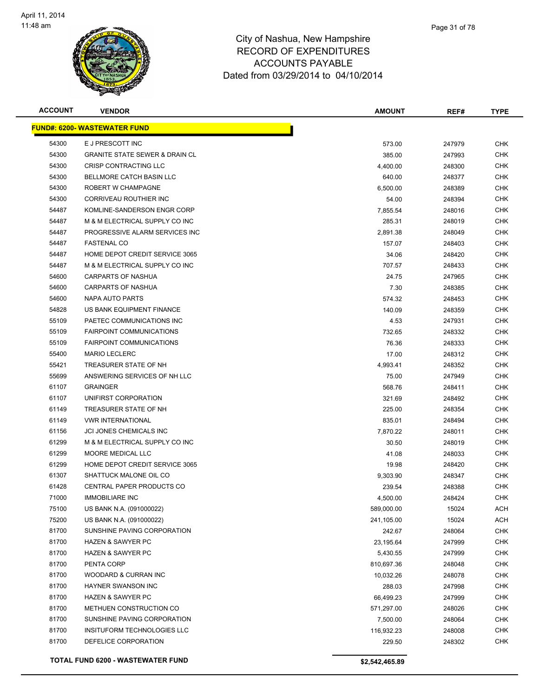

| <b>ACCOUNT</b> | <b>VENDOR</b>                                       | <b>AMOUNT</b> | REF#   | <b>TYPE</b>       |
|----------------|-----------------------------------------------------|---------------|--------|-------------------|
|                | <u> FUND#: 6200- WASTEWATER FUND</u>                |               |        |                   |
| 54300          | E J PRESCOTT INC                                    | 573.00        | 247979 | <b>CHK</b>        |
| 54300          | <b>GRANITE STATE SEWER &amp; DRAIN CL</b>           | 385.00        | 247993 | <b>CHK</b>        |
| 54300          | <b>CRISP CONTRACTING LLC</b>                        | 4,400.00      | 248300 | <b>CHK</b>        |
| 54300          | BELLMORE CATCH BASIN LLC                            | 640.00        | 248377 | <b>CHK</b>        |
| 54300          | ROBERT W CHAMPAGNE                                  | 6,500.00      | 248389 | <b>CHK</b>        |
| 54300          | CORRIVEAU ROUTHIER INC                              | 54.00         | 248394 | <b>CHK</b>        |
| 54487          | KOMLINE-SANDERSON ENGR CORP                         | 7,855.54      | 248016 | CHK               |
| 54487          | M & M ELECTRICAL SUPPLY CO INC                      | 285.31        | 248019 | <b>CHK</b>        |
| 54487          | PROGRESSIVE ALARM SERVICES INC                      | 2,891.38      | 248049 | <b>CHK</b>        |
| 54487          | <b>FASTENAL CO</b>                                  | 157.07        | 248403 | CHK               |
| 54487          | HOME DEPOT CREDIT SERVICE 3065                      | 34.06         | 248420 | CHK               |
| 54487          | M & M ELECTRICAL SUPPLY CO INC                      | 707.57        | 248433 | CHK               |
| 54600          | CARPARTS OF NASHUA                                  | 24.75         | 247965 | <b>CHK</b>        |
| 54600          | CARPARTS OF NASHUA                                  | 7.30          | 248385 | <b>CHK</b>        |
| 54600          | NAPA AUTO PARTS                                     | 574.32        | 248453 | <b>CHK</b>        |
| 54828          | US BANK EQUIPMENT FINANCE                           | 140.09        | 248359 | <b>CHK</b>        |
| 55109          | PAETEC COMMUNICATIONS INC                           | 4.53          | 247931 | <b>CHK</b>        |
| 55109          | <b>FAIRPOINT COMMUNICATIONS</b>                     | 732.65        | 248332 | <b>CHK</b>        |
| 55109          | <b>FAIRPOINT COMMUNICATIONS</b>                     | 76.36         | 248333 | <b>CHK</b>        |
| 55400          | <b>MARIO LECLERC</b>                                | 17.00         | 248312 | <b>CHK</b>        |
| 55421          | TREASURER STATE OF NH                               | 4,993.41      | 248352 | <b>CHK</b>        |
| 55699          | ANSWERING SERVICES OF NH LLC                        | 75.00         | 247949 | <b>CHK</b>        |
| 61107          | <b>GRAINGER</b>                                     | 568.76        | 248411 | <b>CHK</b>        |
| 61107          | UNIFIRST CORPORATION                                | 321.69        | 248492 | <b>CHK</b>        |
| 61149          | TREASURER STATE OF NH                               | 225.00        | 248354 | <b>CHK</b>        |
| 61149          | <b>VWR INTERNATIONAL</b>                            | 835.01        | 248494 | <b>CHK</b>        |
| 61156          | JCI JONES CHEMICALS INC                             | 7,870.22      | 248011 | <b>CHK</b>        |
| 61299          | M & M ELECTRICAL SUPPLY CO INC                      | 30.50         | 248019 | <b>CHK</b>        |
| 61299          | <b>MOORE MEDICAL LLC</b>                            | 41.08         | 248033 | CHK               |
| 61299          | HOME DEPOT CREDIT SERVICE 3065                      | 19.98         | 248420 | <b>CHK</b>        |
| 61307          | SHATTUCK MALONE OIL CO                              | 9,303.90      | 248347 | CHK               |
| 61428          | CENTRAL PAPER PRODUCTS CO                           | 239.54        | 248388 | CHK               |
| 71000          | <b>IMMOBILIARE INC</b>                              | 4,500.00      | 248424 | <b>CHK</b>        |
| 75100          | US BANK N.A. (091000022)                            | 589,000.00    | 15024  | <b>ACH</b>        |
| 75200          | US BANK N.A. (091000022)                            | 241,105.00    | 15024  | <b>ACH</b>        |
| 81700          | SUNSHINE PAVING CORPORATION                         | 242.67        | 248064 | <b>CHK</b>        |
| 81700          | <b>HAZEN &amp; SAWYER PC</b>                        | 23,195.64     | 247999 | <b>CHK</b>        |
| 81700          | <b>HAZEN &amp; SAWYER PC</b>                        | 5,430.55      | 247999 | <b>CHK</b>        |
| 81700          | PENTA CORP                                          | 810,697.36    | 248048 | <b>CHK</b>        |
| 81700          | WOODARD & CURRAN INC                                | 10,032.26     | 248078 | <b>CHK</b>        |
| 81700          | HAYNER SWANSON INC                                  | 288.03        | 247998 | <b>CHK</b>        |
| 81700          | <b>HAZEN &amp; SAWYER PC</b>                        | 66,499.23     | 247999 | <b>CHK</b>        |
| 81700          | METHUEN CONSTRUCTION CO                             | 571,297.00    | 248026 | <b>CHK</b>        |
| 81700          | SUNSHINE PAVING CORPORATION                         | 7,500.00      | 248064 | <b>CHK</b>        |
| 81700<br>81700 | INSITUFORM TECHNOLOGIES LLC<br>DEFELICE CORPORATION | 116,932.23    | 248008 | <b>CHK</b><br>CHK |
|                |                                                     | 229.50        | 248302 |                   |
|                |                                                     |               |        |                   |

**TOTAL FUND 6200 - WASTEWATER FUND \$2,542,465.89**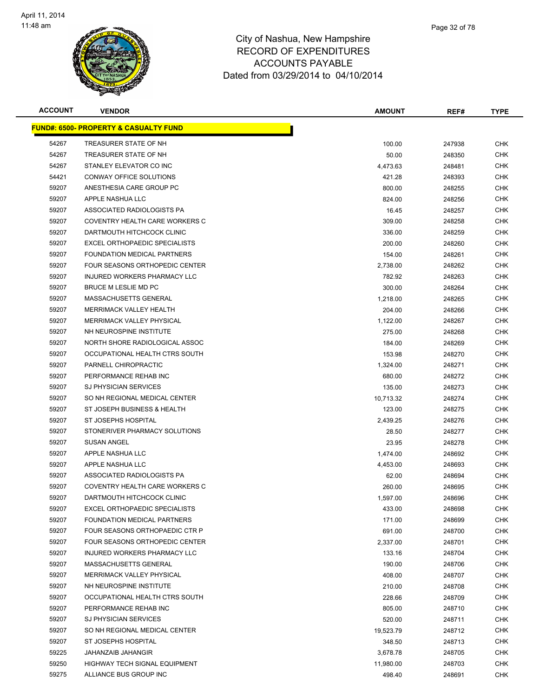

| <b>ACCOUNT</b> | <b>VENDOR</b>                                     | <b>AMOUNT</b> | REF#   | <b>TYPE</b> |
|----------------|---------------------------------------------------|---------------|--------|-------------|
|                | <u> FUND#: 6500- PROPERTY &amp; CASUALTY FUND</u> |               |        |             |
| 54267          | TREASURER STATE OF NH                             | 100.00        | 247938 | <b>CHK</b>  |
| 54267          | TREASURER STATE OF NH                             | 50.00         | 248350 | CHK         |
| 54267          | STANLEY ELEVATOR CO INC                           | 4,473.63      | 248481 | CHK         |
| 54421          | CONWAY OFFICE SOLUTIONS                           | 421.28        | 248393 | <b>CHK</b>  |
| 59207          | ANESTHESIA CARE GROUP PC                          | 800.00        | 248255 | <b>CHK</b>  |
| 59207          | APPLE NASHUA LLC                                  | 824.00        | 248256 | <b>CHK</b>  |
| 59207          | ASSOCIATED RADIOLOGISTS PA                        | 16.45         | 248257 | CHK         |
| 59207          | COVENTRY HEALTH CARE WORKERS C                    | 309.00        | 248258 | CHK         |
| 59207          | DARTMOUTH HITCHCOCK CLINIC                        | 336.00        | 248259 | <b>CHK</b>  |
| 59207          | EXCEL ORTHOPAEDIC SPECIALISTS                     | 200.00        | 248260 | CHK         |
| 59207          | FOUNDATION MEDICAL PARTNERS                       | 154.00        | 248261 | CHK         |
| 59207          | FOUR SEASONS ORTHOPEDIC CENTER                    | 2,738.00      | 248262 | CHK         |
| 59207          | INJURED WORKERS PHARMACY LLC                      | 782.92        | 248263 | <b>CHK</b>  |
| 59207          | BRUCE M LESLIE MD PC                              | 300.00        | 248264 | <b>CHK</b>  |
| 59207          | MASSACHUSETTS GENERAL                             | 1,218.00      | 248265 | <b>CHK</b>  |
| 59207          | MERRIMACK VALLEY HEALTH                           | 204.00        | 248266 | <b>CHK</b>  |
| 59207          | <b>MERRIMACK VALLEY PHYSICAL</b>                  | 1,122.00      | 248267 | <b>CHK</b>  |
| 59207          | NH NEUROSPINE INSTITUTE                           | 275.00        | 248268 | <b>CHK</b>  |
| 59207          | NORTH SHORE RADIOLOGICAL ASSOC                    | 184.00        | 248269 | <b>CHK</b>  |
| 59207          | OCCUPATIONAL HEALTH CTRS SOUTH                    | 153.98        | 248270 | <b>CHK</b>  |
| 59207          | PARNELL CHIROPRACTIC                              | 1,324.00      | 248271 | <b>CHK</b>  |
| 59207          | PERFORMANCE REHAB INC                             | 680.00        | 248272 | CHK         |
| 59207          | <b>SJ PHYSICIAN SERVICES</b>                      | 135.00        | 248273 | <b>CHK</b>  |
| 59207          | SO NH REGIONAL MEDICAL CENTER                     | 10,713.32     | 248274 | <b>CHK</b>  |
| 59207          | ST JOSEPH BUSINESS & HEALTH                       | 123.00        | 248275 | CHK         |
| 59207          | ST JOSEPHS HOSPITAL                               | 2,439.25      | 248276 | <b>CHK</b>  |
| 59207          | STONERIVER PHARMACY SOLUTIONS                     | 28.50         | 248277 | <b>CHK</b>  |
| 59207          | <b>SUSAN ANGEL</b>                                | 23.95         | 248278 | <b>CHK</b>  |
| 59207          | APPLE NASHUA LLC                                  | 1,474.00      | 248692 | CHK         |
| 59207          | APPLE NASHUA LLC                                  | 4,453.00      | 248693 | CHK         |
| 59207          | ASSOCIATED RADIOLOGISTS PA                        | 62.00         | 248694 | CHK         |
| 59207          | COVENTRY HEALTH CARE WORKERS C                    | 260.00        | 248695 | CHK         |
| 59207          | DARTMOUTH HITCHCOCK CLINIC                        | 1.597.00      | 248696 | <b>CHK</b>  |
| 59207          | <b>EXCEL ORTHOPAEDIC SPECIALISTS</b>              | 433.00        | 248698 | <b>CHK</b>  |
| 59207          | FOUNDATION MEDICAL PARTNERS                       | 171.00        | 248699 | <b>CHK</b>  |
| 59207          | FOUR SEASONS ORTHOPAEDIC CTR P                    | 691.00        | 248700 | <b>CHK</b>  |
| 59207          | FOUR SEASONS ORTHOPEDIC CENTER                    | 2,337.00      | 248701 | <b>CHK</b>  |
| 59207          | INJURED WORKERS PHARMACY LLC                      | 133.16        | 248704 | <b>CHK</b>  |
| 59207          | MASSACHUSETTS GENERAL                             | 190.00        | 248706 | <b>CHK</b>  |
| 59207          | MERRIMACK VALLEY PHYSICAL                         | 408.00        | 248707 | <b>CHK</b>  |
| 59207          | NH NEUROSPINE INSTITUTE                           | 210.00        | 248708 | <b>CHK</b>  |
| 59207          | OCCUPATIONAL HEALTH CTRS SOUTH                    | 228.66        | 248709 | <b>CHK</b>  |
| 59207          | PERFORMANCE REHAB INC                             | 805.00        | 248710 | <b>CHK</b>  |
| 59207          | SJ PHYSICIAN SERVICES                             | 520.00        | 248711 | <b>CHK</b>  |
| 59207          | SO NH REGIONAL MEDICAL CENTER                     | 19,523.79     | 248712 | <b>CHK</b>  |
| 59207          | ST JOSEPHS HOSPITAL                               | 348.50        | 248713 | <b>CHK</b>  |
| 59225          | JAHANZAIB JAHANGIR                                | 3,678.78      | 248705 | <b>CHK</b>  |
| 59250          | HIGHWAY TECH SIGNAL EQUIPMENT                     | 11,980.00     | 248703 | <b>CHK</b>  |
| 59275          | ALLIANCE BUS GROUP INC                            | 498.40        | 248691 | <b>CHK</b>  |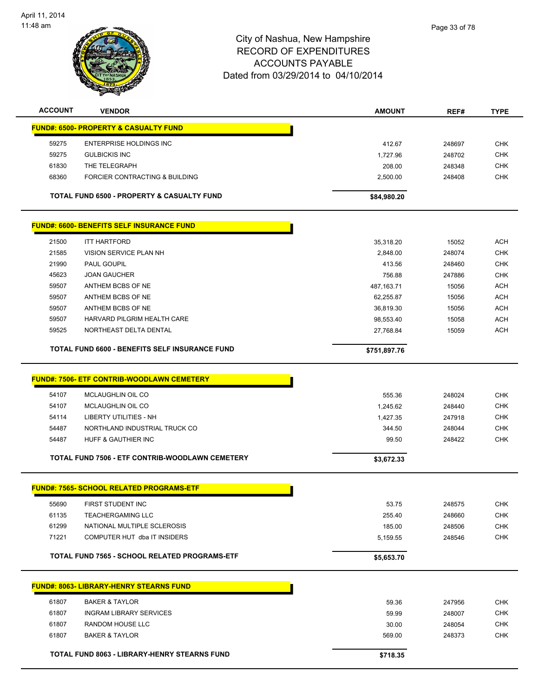

| <b>ACCOUNT</b> | <b>VENDOR</b>                                         | <b>AMOUNT</b>      | REF#             | <b>TYPE</b> |
|----------------|-------------------------------------------------------|--------------------|------------------|-------------|
|                | <b>FUND#: 6500- PROPERTY &amp; CASUALTY FUND</b>      |                    |                  |             |
| 59275          | ENTERPRISE HOLDINGS INC                               | 412.67             |                  | <b>CHK</b>  |
| 59275          | <b>GULBICKIS INC</b>                                  |                    | 248697<br>248702 | <b>CHK</b>  |
| 61830          | THE TELEGRAPH                                         | 1,727.96<br>208.00 | 248348           | <b>CHK</b>  |
| 68360          | FORCIER CONTRACTING & BUILDING                        | 2,500.00           | 248408           | <b>CHK</b>  |
|                |                                                       |                    |                  |             |
|                | TOTAL FUND 6500 - PROPERTY & CASUALTY FUND            | \$84,980.20        |                  |             |
|                | <b>FUND#: 6600- BENEFITS SELF INSURANCE FUND</b>      |                    |                  |             |
| 21500          | <b>ITT HARTFORD</b>                                   | 35,318.20          | 15052            | <b>ACH</b>  |
| 21585          | VISION SERVICE PLAN NH                                | 2,848.00           | 248074           | <b>CHK</b>  |
| 21990          | PAUL GOUPIL                                           | 413.56             | 248460           | <b>CHK</b>  |
| 45623          | <b>JOAN GAUCHER</b>                                   | 756.88             | 247886           | <b>CHK</b>  |
| 59507          | ANTHEM BCBS OF NE                                     | 487, 163. 71       | 15056            | <b>ACH</b>  |
| 59507          | ANTHEM BCBS OF NE                                     | 62,255.87          | 15056            | ACH         |
| 59507          | ANTHEM BCBS OF NE                                     | 36,819.30          | 15056            | <b>ACH</b>  |
| 59507          | HARVARD PILGRIM HEALTH CARE                           | 98,553.40          | 15058            | <b>ACH</b>  |
| 59525          | NORTHEAST DELTA DENTAL                                | 27,768.84          | 15059            | <b>ACH</b>  |
|                | <b>TOTAL FUND 6600 - BENEFITS SELF INSURANCE FUND</b> | \$751,897.76       |                  |             |
|                |                                                       |                    |                  |             |
|                | <b>FUND#: 7506- ETF CONTRIB-WOODLAWN CEMETERY</b>     |                    |                  |             |
| 54107          | <b>MCLAUGHLIN OIL CO</b>                              | 555.36             | 248024           | <b>CHK</b>  |
| 54107          | <b>MCLAUGHLIN OIL CO</b>                              | 1,245.62           | 248440           | <b>CHK</b>  |
| 54114          | <b>LIBERTY UTILITIES - NH</b>                         | 1,427.35           | 247918           | <b>CHK</b>  |
| 54487          | NORTHLAND INDUSTRIAL TRUCK CO                         | 344.50             | 248044           | <b>CHK</b>  |
| 54487          | HUFF & GAUTHIER INC                                   | 99.50              | 248422           | <b>CHK</b>  |
|                | TOTAL FUND 7506 - ETF CONTRIB-WOODLAWN CEMETERY       | \$3,672.33         |                  |             |
|                |                                                       |                    |                  |             |
|                | <b>FUND#: 7565- SCHOOL RELATED PROGRAMS-ETF</b>       |                    |                  |             |
| 55690          | FIRST STUDENT INC                                     | 53.75              | 248575           | <b>CHK</b>  |
| 61135          | <b>TEACHERGAMING LLC</b>                              | 255.40             | 248660           | <b>CHK</b>  |
| 61299          | NATIONAL MULTIPLE SCLEROSIS                           | 185.00             | 248506           | <b>CHK</b>  |
| 71221          | COMPUTER HUT dba IT INSIDERS                          | 5,159.55           | 248546           | <b>CHK</b>  |
|                | TOTAL FUND 7565 - SCHOOL RELATED PROGRAMS-ETF         | \$5,653.70         |                  |             |
|                |                                                       |                    |                  |             |
|                | <b>FUND#: 8063- LIBRARY-HENRY STEARNS FUND</b>        |                    |                  |             |
| 61807          | <b>BAKER &amp; TAYLOR</b>                             | 59.36              | 247956           | <b>CHK</b>  |
| 61807          | <b>INGRAM LIBRARY SERVICES</b>                        | 59.99              | 248007           | <b>CHK</b>  |
| 61807          | RANDOM HOUSE LLC                                      | 30.00              | 248054           | <b>CHK</b>  |
| 61807          | <b>BAKER &amp; TAYLOR</b>                             | 569.00             | 248373           | <b>CHK</b>  |
|                | TOTAL FUND 8063 - LIBRARY-HENRY STEARNS FUND          |                    |                  |             |
|                |                                                       | \$718.35           |                  |             |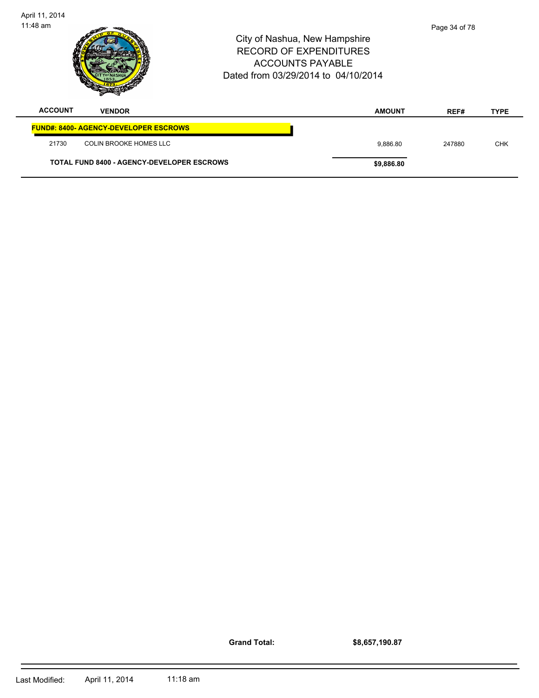| April 11, 2014<br>11:48 am |                                                   | Dated from 03/29/2014 to 04/10/2014 | City of Nashua, New Hampshire<br><b>RECORD OF EXPENDITURES</b><br><b>ACCOUNTS PAYABLE</b> | Page 34 of 78 |             |
|----------------------------|---------------------------------------------------|-------------------------------------|-------------------------------------------------------------------------------------------|---------------|-------------|
| <b>ACCOUNT</b>             | <b>VENDOR</b>                                     |                                     | <b>AMOUNT</b>                                                                             | REF#          | <b>TYPE</b> |
|                            | <b>FUND#: 8400- AGENCY-DEVELOPER ESCROWS</b>      |                                     |                                                                                           |               |             |
| 21730                      | <b>COLIN BROOKE HOMES LLC</b>                     |                                     | 9.886.80                                                                                  | 247880        | <b>CHK</b>  |
|                            | <b>TOTAL FUND 8400 - AGENCY-DEVELOPER ESCROWS</b> |                                     | \$9,886.80                                                                                |               |             |

**Grand Total:**

**\$8,657,190.87**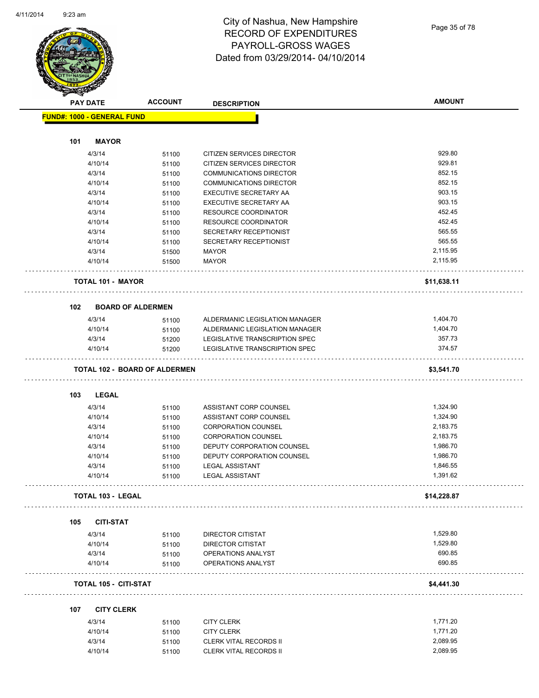# City of Nashua, New Hampshire RECORD OF EXPENDITURES PAYROLL-GROSS WAGES Dated from 03/29/2014- 04/10/2014

|     | <b>PAY DATE</b>                      | <b>ACCOUNT</b> | <b>DESCRIPTION</b>             | <b>AMOUNT</b> |
|-----|--------------------------------------|----------------|--------------------------------|---------------|
|     | FUND#: 1000 - GENERAL FUND           |                |                                |               |
| 101 | <b>MAYOR</b>                         |                |                                |               |
|     |                                      |                |                                |               |
|     | 4/3/14                               | 51100          | CITIZEN SERVICES DIRECTOR      | 929.80        |
|     | 4/10/14                              | 51100          | CITIZEN SERVICES DIRECTOR      | 929.81        |
|     | 4/3/14                               | 51100          | <b>COMMUNICATIONS DIRECTOR</b> | 852.15        |
|     | 4/10/14                              | 51100          | <b>COMMUNICATIONS DIRECTOR</b> | 852.15        |
|     | 4/3/14                               | 51100          | EXECUTIVE SECRETARY AA         | 903.15        |
|     | 4/10/14                              | 51100          | EXECUTIVE SECRETARY AA         | 903.15        |
|     | 4/3/14                               | 51100          | <b>RESOURCE COORDINATOR</b>    | 452.45        |
|     | 4/10/14                              | 51100          | RESOURCE COORDINATOR           | 452.45        |
|     | 4/3/14                               | 51100          | SECRETARY RECEPTIONIST         | 565.55        |
|     | 4/10/14                              | 51100          | SECRETARY RECEPTIONIST         | 565.55        |
|     | 4/3/14                               | 51500          | <b>MAYOR</b>                   | 2,115.95      |
|     | 4/10/14                              | 51500          | <b>MAYOR</b>                   | 2,115.95      |
|     | <b>TOTAL 101 - MAYOR</b>             |                |                                | \$11,638.11   |
|     |                                      |                |                                |               |
| 102 | <b>BOARD OF ALDERMEN</b>             |                |                                |               |
|     | 4/3/14                               | 51100          | ALDERMANIC LEGISLATION MANAGER | 1,404.70      |
|     | 4/10/14                              | 51100          | ALDERMANIC LEGISLATION MANAGER | 1,404.70      |
|     | 4/3/14                               | 51200          | LEGISLATIVE TRANSCRIPTION SPEC | 357.73        |
|     | 4/10/14                              | 51200          | LEGISLATIVE TRANSCRIPTION SPEC | 374.57        |
|     |                                      |                |                                |               |
|     | <b>TOTAL 102 - BOARD OF ALDERMEN</b> |                |                                | \$3,541.70    |
| 103 | <b>LEGAL</b>                         |                |                                |               |
|     |                                      |                |                                |               |
|     | 4/3/14                               | 51100          | ASSISTANT CORP COUNSEL         | 1,324.90      |
|     | 4/10/14                              | 51100          | ASSISTANT CORP COUNSEL         | 1,324.90      |
|     | 4/3/14                               | 51100          | <b>CORPORATION COUNSEL</b>     | 2,183.75      |
|     | 4/10/14                              | 51100          | <b>CORPORATION COUNSEL</b>     | 2,183.75      |
|     | 4/3/14                               | 51100          | DEPUTY CORPORATION COUNSEL     | 1,986.70      |
|     | 4/10/14                              | 51100          | DEPUTY CORPORATION COUNSEL     | 1,986.70      |
|     | 4/3/14                               | 51100          | <b>LEGAL ASSISTANT</b>         | 1,846.55      |
|     | 4/10/14                              | 51100          | <b>LEGAL ASSISTANT</b>         | 1,391.62      |
|     | <b>TOTAL 103 - LEGAL</b>             |                |                                | \$14,228.87   |
|     |                                      |                |                                |               |
| 105 | <b>CITI-STAT</b>                     |                |                                |               |
|     | 4/3/14                               | 51100          | <b>DIRECTOR CITISTAT</b>       | 1,529.80      |
|     | 4/10/14                              | 51100          | DIRECTOR CITISTAT              | 1,529.80      |
|     | 4/3/14                               | 51100          | OPERATIONS ANALYST             | 690.85        |
|     | 4/10/14                              | 51100          | <b>OPERATIONS ANALYST</b>      | 690.85        |
|     |                                      |                |                                | \$4,441.30    |
|     | <b>TOTAL 105 - CITI-STAT</b>         |                |                                |               |
|     |                                      |                |                                |               |
| 107 | <b>CITY CLERK</b>                    |                |                                |               |
|     | 4/3/14                               | 51100          | <b>CITY CLERK</b>              | 1,771.20      |
|     | 4/10/14                              | 51100          | <b>CITY CLERK</b>              | 1,771.20      |
|     | 4/3/14                               | 51100          | <b>CLERK VITAL RECORDS II</b>  | 2,089.95      |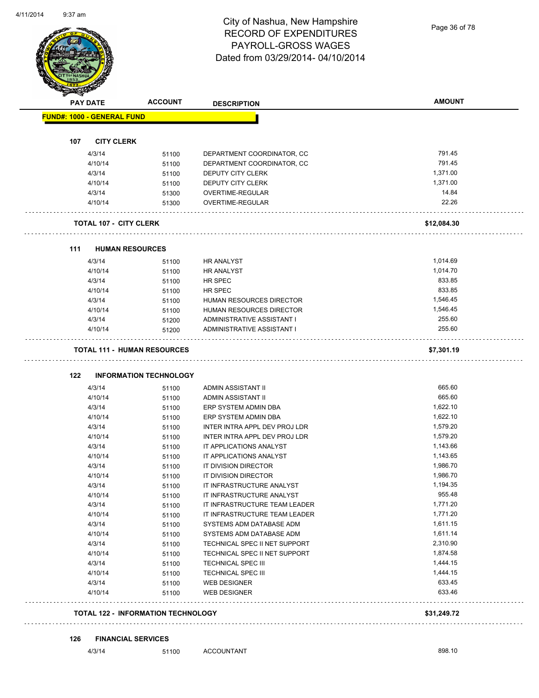#### City of Nashua, New Hampshire RECORD OF EXPENDITURES PAYROLL-GROSS WAGES Dated from 03/29/2014- 04/10/2014

Page 36 of 78

| <b>PAY DATE</b>                           | <b>ACCOUNT</b>                | <b>DESCRIPTION</b>                            | <b>AMOUNT</b>      |
|-------------------------------------------|-------------------------------|-----------------------------------------------|--------------------|
| <b>FUND#: 1000 - GENERAL FUND</b>         |                               |                                               |                    |
|                                           |                               |                                               |                    |
| 107<br><b>CITY CLERK</b>                  |                               |                                               |                    |
| 4/3/14                                    | 51100                         | DEPARTMENT COORDINATOR, CC                    | 791.45             |
| 4/10/14                                   | 51100                         | DEPARTMENT COORDINATOR, CC                    | 791.45<br>1,371.00 |
| 4/3/14<br>4/10/14                         | 51100                         | <b>DEPUTY CITY CLERK</b><br>DEPUTY CITY CLERK | 1,371.00           |
| 4/3/14                                    | 51100                         | OVERTIME-REGULAR                              | 14.84              |
| 4/10/14                                   | 51300<br>51300                | OVERTIME-REGULAR                              | 22.26              |
|                                           |                               |                                               |                    |
| <b>TOTAL 107 - CITY CLERK</b>             |                               |                                               | \$12,084.30        |
| <b>HUMAN RESOURCES</b><br>111             |                               |                                               |                    |
| 4/3/14                                    | 51100                         | HR ANALYST                                    | 1,014.69           |
| 4/10/14                                   | 51100                         | <b>HR ANALYST</b>                             | 1,014.70           |
| 4/3/14                                    | 51100                         | HR SPEC                                       | 833.85             |
| 4/10/14                                   | 51100                         | HR SPEC                                       | 833.85             |
| 4/3/14                                    | 51100                         | HUMAN RESOURCES DIRECTOR                      | 1,546.45           |
| 4/10/14                                   | 51100                         | HUMAN RESOURCES DIRECTOR                      | 1,546.45           |
| 4/3/14                                    | 51200                         | ADMINISTRATIVE ASSISTANT I                    | 255.60             |
| 4/10/14                                   | 51200                         | ADMINISTRATIVE ASSISTANT I                    | 255.60             |
| <b>TOTAL 111 - HUMAN RESOURCES</b>        |                               |                                               | \$7,301.19         |
| 122                                       | <b>INFORMATION TECHNOLOGY</b> |                                               |                    |
| 4/3/14                                    | 51100                         | ADMIN ASSISTANT II                            | 665.60             |
| 4/10/14                                   | 51100                         | ADMIN ASSISTANT II                            | 665.60             |
| 4/3/14                                    | 51100                         | ERP SYSTEM ADMIN DBA                          | 1,622.10           |
| 4/10/14                                   | 51100                         | ERP SYSTEM ADMIN DBA                          | 1,622.10           |
| 4/3/14                                    | 51100                         | INTER INTRA APPL DEV PROJ LDR                 | 1,579.20           |
| 4/10/14                                   | 51100                         | INTER INTRA APPL DEV PROJ LDR                 | 1,579.20           |
| 4/3/14                                    | 51100                         | IT APPLICATIONS ANALYST                       | 1,143.66           |
| 4/10/14                                   | 51100                         | IT APPLICATIONS ANALYST                       | 1,143.65           |
| 4/3/14                                    | 51100                         | IT DIVISION DIRECTOR                          | 1,986.70           |
| 4/10/14                                   | 51100                         | IT DIVISION DIRECTOR                          | 1,986.70           |
| 4/3/14                                    | 51100                         | IT INFRASTRUCTURE ANALYST                     | 1,194.35           |
| 4/10/14                                   | 51100                         | IT INFRASTRUCTURE ANALYST                     | 955.48             |
| 4/3/14                                    | 51100                         | IT INFRASTRUCTURE TEAM LEADER                 | 1,771.20           |
| 4/10/14                                   | 51100                         | IT INFRASTRUCTURE TEAM LEADER                 | 1,771.20           |
| 4/3/14                                    | 51100                         | SYSTEMS ADM DATABASE ADM                      | 1,611.15           |
| 4/10/14                                   | 51100                         | SYSTEMS ADM DATABASE ADM                      | 1,611.14           |
| 4/3/14                                    | 51100                         | TECHNICAL SPEC II NET SUPPORT                 | 2,310.90           |
| 4/10/14                                   | 51100                         | TECHNICAL SPEC II NET SUPPORT                 | 1,874.58           |
| 4/3/14                                    | 51100                         | TECHNICAL SPEC III                            | 1,444.15           |
| 4/10/14                                   | 51100                         | <b>TECHNICAL SPEC III</b>                     | 1,444.15           |
| 4/3/14                                    | 51100                         | <b>WEB DESIGNER</b>                           | 633.45             |
| 4/10/14                                   | 51100                         | <b>WEB DESIGNER</b>                           | 633.46             |
|                                           |                               |                                               |                    |
| <b>TOTAL 122 - INFORMATION TECHNOLOGY</b> |                               |                                               | \$31,249.72        |

4/3/14 51100 ACCOUNTANT 898.10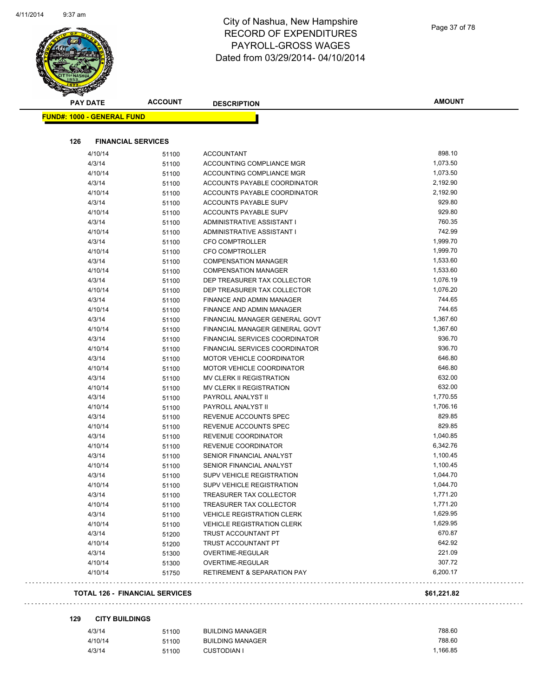| Page 37 of 78 |  |  |
|---------------|--|--|
|---------------|--|--|

| <b>PAY DATE</b>                   | <b>ACCOUNT</b>            | <b>DESCRIPTION</b>                             | <b>AMOUNT</b> |
|-----------------------------------|---------------------------|------------------------------------------------|---------------|
| <b>FUND#: 1000 - GENERAL FUND</b> |                           |                                                |               |
| 126                               | <b>FINANCIAL SERVICES</b> |                                                |               |
| 4/10/14                           |                           |                                                | 898.10        |
| 4/3/14                            | 51100                     | <b>ACCOUNTANT</b><br>ACCOUNTING COMPLIANCE MGR | 1,073.50      |
| 4/10/14                           | 51100                     | ACCOUNTING COMPLIANCE MGR                      | 1,073.50      |
| 4/3/14                            | 51100                     | ACCOUNTS PAYABLE COORDINATOR                   | 2,192.90      |
| 4/10/14                           | 51100<br>51100            | ACCOUNTS PAYABLE COORDINATOR                   | 2,192.90      |
| 4/3/14                            | 51100                     | ACCOUNTS PAYABLE SUPV                          | 929.80        |
| 4/10/14                           | 51100                     | ACCOUNTS PAYABLE SUPV                          | 929.80        |
| 4/3/14                            | 51100                     | ADMINISTRATIVE ASSISTANT I                     | 760.35        |
| 4/10/14                           | 51100                     | ADMINISTRATIVE ASSISTANT I                     | 742.99        |
| 4/3/14                            | 51100                     | <b>CFO COMPTROLLER</b>                         | 1,999.70      |
| 4/10/14                           | 51100                     | <b>CFO COMPTROLLER</b>                         | 1,999.70      |
| 4/3/14                            | 51100                     | <b>COMPENSATION MANAGER</b>                    | 1,533.60      |
| 4/10/14                           | 51100                     | <b>COMPENSATION MANAGER</b>                    | 1,533.60      |
| 4/3/14                            | 51100                     | DEP TREASURER TAX COLLECTOR                    | 1,076.19      |
| 4/10/14                           | 51100                     | DEP TREASURER TAX COLLECTOR                    | 1,076.20      |
| 4/3/14                            | 51100                     | FINANCE AND ADMIN MANAGER                      | 744.65        |
| 4/10/14                           | 51100                     | FINANCE AND ADMIN MANAGER                      | 744.65        |
| 4/3/14                            | 51100                     | FINANCIAL MANAGER GENERAL GOVT                 | 1,367.60      |
| 4/10/14                           | 51100                     | FINANCIAL MANAGER GENERAL GOVT                 | 1,367.60      |
| 4/3/14                            | 51100                     | FINANCIAL SERVICES COORDINATOR                 | 936.70        |
| 4/10/14                           | 51100                     | FINANCIAL SERVICES COORDINATOR                 | 936.70        |
| 4/3/14                            | 51100                     | <b>MOTOR VEHICLE COORDINATOR</b>               | 646.80        |
| 4/10/14                           | 51100                     | MOTOR VEHICLE COORDINATOR                      | 646.80        |
| 4/3/14                            | 51100                     | MV CLERK II REGISTRATION                       | 632.00        |
| 4/10/14                           | 51100                     | MV CLERK II REGISTRATION                       | 632.00        |
| 4/3/14                            | 51100                     | PAYROLL ANALYST II                             | 1,770.55      |
| 4/10/14                           | 51100                     | PAYROLL ANALYST II                             | 1,706.16      |
| 4/3/14                            | 51100                     | REVENUE ACCOUNTS SPEC                          | 829.85        |
| 4/10/14                           | 51100                     | REVENUE ACCOUNTS SPEC                          | 829.85        |
| 4/3/14                            | 51100                     | REVENUE COORDINATOR                            | 1,040.85      |
| 4/10/14                           | 51100                     | REVENUE COORDINATOR                            | 6,342.76      |
| 4/3/14                            | 51100                     | SENIOR FINANCIAL ANALYST                       | 1,100.45      |
| 4/10/14                           | 51100                     | SENIOR FINANCIAL ANALYST                       | 1,100.45      |
| 4/3/14                            | 51100                     | SUPV VEHICLE REGISTRATION                      | 1,044.70      |
| 4/10/14                           | 51100                     | SUPV VEHICLE REGISTRATION                      | 1,044.70      |
| 4/3/14                            | 51100                     | TREASURER TAX COLLECTOR                        | 1,771.20      |
| 4/10/14                           | 51100                     | TREASURER TAX COLLECTOR                        | 1,771.20      |
| 4/3/14                            | 51100                     | <b>VEHICLE REGISTRATION CLERK</b>              | 1,629.95      |
| 4/10/14                           | 51100                     | <b>VEHICLE REGISTRATION CLERK</b>              | 1,629.95      |
| 4/3/14                            | 51200                     | TRUST ACCOUNTANT PT                            | 670.87        |
| 4/10/14                           | 51200                     | TRUST ACCOUNTANT PT                            | 642.92        |
| 4/3/14                            | 51300                     | OVERTIME-REGULAR                               | 221.09        |
| 4/10/14                           | 51300                     | OVERTIME-REGULAR                               | 307.72        |
| 4/10/14                           | 51750                     | <b>RETIREMENT &amp; SEPARATION PAY</b>         | 6,200.17      |

#### **129 CITY BUILDINGS**

| 4/3/14  | 51100 | <b>BUILDING MANAGER</b> | 788.60   |
|---------|-------|-------------------------|----------|
| 4/10/14 | 51100 | BUILDING MANAGER        | 788.60   |
| 4/3/14  | 51100 | <b>CUSTODIAN I</b>      | 1.166.85 |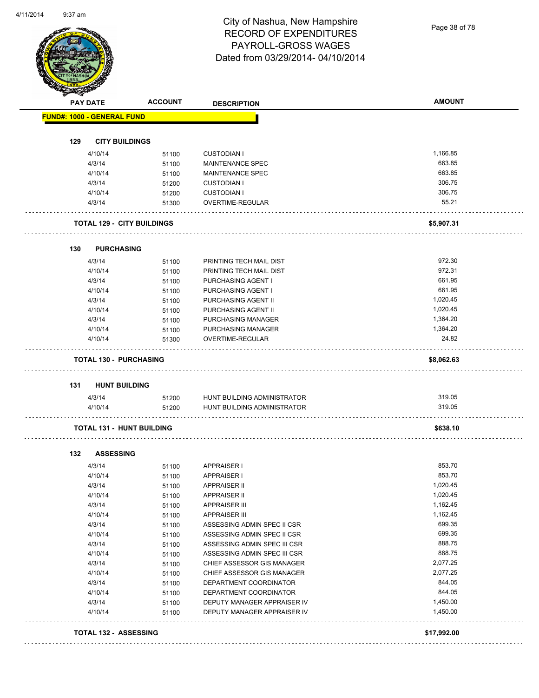Page 38 of 78

| <b>PAY DATE</b>                   | <b>ACCOUNT</b> | <b>DESCRIPTION</b>                                         | <b>AMOUNT</b>    |
|-----------------------------------|----------------|------------------------------------------------------------|------------------|
| <b>FUND#: 1000 - GENERAL FUND</b> |                |                                                            |                  |
|                                   |                |                                                            |                  |
| 129<br><b>CITY BUILDINGS</b>      |                |                                                            |                  |
| 4/10/14                           | 51100          | <b>CUSTODIAN I</b>                                         | 1,166.85         |
| 4/3/14                            | 51100          | <b>MAINTENANCE SPEC</b>                                    | 663.85           |
| 4/10/14                           | 51100          | <b>MAINTENANCE SPEC</b>                                    | 663.85           |
| 4/3/14                            | 51200          | <b>CUSTODIAN I</b>                                         | 306.75           |
| 4/10/14                           | 51200          | <b>CUSTODIAN I</b>                                         | 306.75           |
| 4/3/14                            | 51300          | OVERTIME-REGULAR                                           | 55.21            |
| <b>TOTAL 129 - CITY BUILDINGS</b> |                |                                                            | \$5,907.31       |
| <b>PURCHASING</b><br>130          |                |                                                            |                  |
| 4/3/14                            | 51100          | PRINTING TECH MAIL DIST                                    | 972.30           |
| 4/10/14                           | 51100          | PRINTING TECH MAIL DIST                                    | 972.31           |
| 4/3/14                            | 51100          | PURCHASING AGENT I                                         | 661.95           |
| 4/10/14                           | 51100          | PURCHASING AGENT I                                         | 661.95           |
| 4/3/14                            | 51100          | PURCHASING AGENT II                                        | 1,020.45         |
| 4/10/14                           | 51100          | PURCHASING AGENT II                                        | 1,020.45         |
| 4/3/14                            | 51100          | PURCHASING MANAGER                                         | 1,364.20         |
| 4/10/14                           | 51100          | PURCHASING MANAGER                                         | 1,364.20         |
| 4/10/14                           | 51300          | OVERTIME-REGULAR                                           | 24.82            |
| <b>TOTAL 130 - PURCHASING</b>     |                |                                                            | \$8,062.63       |
| <b>HUNT BUILDING</b><br>131       |                |                                                            |                  |
| 4/3/14<br>4/10/14                 | 51200<br>51200 | HUNT BUILDING ADMINISTRATOR<br>HUNT BUILDING ADMINISTRATOR | 319.05<br>319.05 |
| <b>TOTAL 131 - HUNT BUILDING</b>  |                |                                                            | \$638.10         |
|                                   |                |                                                            |                  |
| 132<br><b>ASSESSING</b><br>4/3/14 | 51100          | <b>APPRAISER I</b>                                         | 853.70           |
| 4/10/14                           | 51100          | APPRAISER I                                                | 853.70           |
| 4/3/14                            | 51100          | <b>APPRAISER II</b>                                        | 1,020.45         |
| 4/10/14                           | 51100          | <b>APPRAISER II</b>                                        | 1,020.45         |
| 4/3/14                            | 51100          | <b>APPRAISER III</b>                                       | 1,162.45         |
| 4/10/14                           | 51100          | <b>APPRAISER III</b>                                       | 1,162.45         |
| 4/3/14                            | 51100          | ASSESSING ADMIN SPEC II CSR                                | 699.35           |
| 4/10/14                           | 51100          | ASSESSING ADMIN SPEC II CSR                                | 699.35           |
| 4/3/14                            | 51100          | ASSESSING ADMIN SPEC III CSR                               | 888.75           |
| 4/10/14                           | 51100          | ASSESSING ADMIN SPEC III CSR                               | 888.75           |
| 4/3/14                            | 51100          | CHIEF ASSESSOR GIS MANAGER                                 | 2,077.25         |
| 4/10/14                           | 51100          | CHIEF ASSESSOR GIS MANAGER                                 | 2,077.25         |
| 4/3/14                            | 51100          | DEPARTMENT COORDINATOR                                     | 844.05           |
| 4/10/14                           | 51100          | DEPARTMENT COORDINATOR                                     | 844.05           |
| 4/3/14                            | 51100          | DEPUTY MANAGER APPRAISER IV                                | 1,450.00         |
| 4/10/14                           | 51100          | DEPUTY MANAGER APPRAISER IV                                | 1,450.00         |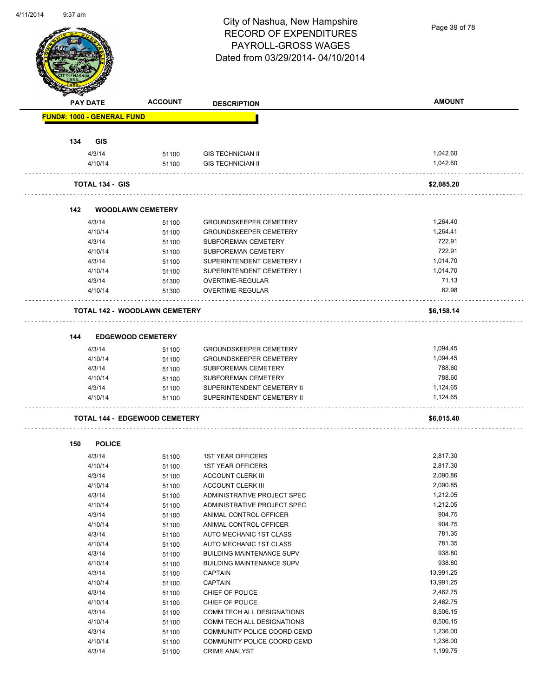Page 39 of 78

| <b>PAY DATE</b>                   | <b>ACCOUNT</b>                       | <b>DESCRIPTION</b>                                         | <b>AMOUNT</b>          |
|-----------------------------------|--------------------------------------|------------------------------------------------------------|------------------------|
| <b>FUND#: 1000 - GENERAL FUND</b> |                                      |                                                            |                        |
|                                   |                                      |                                                            |                        |
| 134<br><b>GIS</b><br>4/3/14       | 51100                                | <b>GIS TECHNICIAN II</b>                                   | 1,042.60               |
| 4/10/14                           | 51100                                | <b>GIS TECHNICIAN II</b>                                   | 1,042.60               |
| <b>TOTAL 134 - GIS</b>            |                                      |                                                            | \$2,085.20             |
| 142                               | <b>WOODLAWN CEMETERY</b>             |                                                            |                        |
| 4/3/14                            | 51100                                | <b>GROUNDSKEEPER CEMETERY</b>                              | 1,264.40               |
| 4/10/14                           | 51100                                | <b>GROUNDSKEEPER CEMETERY</b>                              | 1,264.41               |
| 4/3/14                            | 51100                                | <b>SUBFOREMAN CEMETERY</b>                                 | 722.91                 |
| 4/10/14                           | 51100                                | <b>SUBFOREMAN CEMETERY</b>                                 | 722.91                 |
| 4/3/14                            | 51100                                | SUPERINTENDENT CEMETERY I                                  | 1,014.70               |
| 4/10/14                           | 51100                                | SUPERINTENDENT CEMETERY I                                  | 1.014.70               |
| 4/3/14                            | 51300                                | OVERTIME-REGULAR                                           | 71.13                  |
| 4/10/14                           | 51300                                | <b>OVERTIME-REGULAR</b>                                    | 82.98                  |
|                                   | <b>TOTAL 142 - WOODLAWN CEMETERY</b> |                                                            | \$6,158.14             |
| 144                               | <b>EDGEWOOD CEMETERY</b>             |                                                            |                        |
| 4/3/14                            | 51100                                | <b>GROUNDSKEEPER CEMETERY</b>                              | 1,094.45               |
| 4/10/14                           | 51100                                | <b>GROUNDSKEEPER CEMETERY</b>                              | 1,094.45               |
| 4/3/14                            | 51100                                | SUBFOREMAN CEMETERY                                        | 788.60                 |
| 4/10/14                           | 51100                                | SUBFOREMAN CEMETERY                                        | 788.60                 |
| 4/3/14                            | 51100                                | SUPERINTENDENT CEMETERY II                                 | 1,124.65               |
| 4/10/14                           | 51100                                | SUPERINTENDENT CEMETERY II                                 | 1,124.65               |
|                                   | <b>TOTAL 144 - EDGEWOOD CEMETERY</b> |                                                            | \$6,015.40             |
| <b>POLICE</b><br>150              |                                      |                                                            |                        |
| 4/3/14                            | 51100                                | <b>1ST YEAR OFFICERS</b>                                   | 2,817.30               |
| 4/10/14                           | 51100                                | <b>1ST YEAR OFFICERS</b>                                   | 2,817.30               |
| 4/3/14                            | 51100                                | ACCOUNT CLERK III                                          | 2,090.86               |
| 4/10/14                           | 51100                                | ACCOUNT CLERK III                                          | 2,090.85               |
| 4/3/14                            | 51100                                | ADMINISTRATIVE PROJECT SPEC                                | 1,212.05               |
| 4/10/14                           | 51100                                | ADMINISTRATIVE PROJECT SPEC                                | 1,212.05               |
| 4/3/14                            | 51100                                | ANIMAL CONTROL OFFICER                                     | 904.75                 |
| 4/10/14                           | 51100                                | ANIMAL CONTROL OFFICER                                     | 904.75                 |
| 4/3/14                            | 51100                                | AUTO MECHANIC 1ST CLASS                                    | 781.35                 |
| 4/10/14                           | 51100                                | AUTO MECHANIC 1ST CLASS                                    | 781.35                 |
| 4/3/14                            | 51100                                | <b>BUILDING MAINTENANCE SUPV</b>                           | 938.80                 |
| 4/10/14                           | 51100                                | <b>BUILDING MAINTENANCE SUPV</b>                           | 938.80                 |
| 4/3/14                            | 51100                                | <b>CAPTAIN</b>                                             | 13,991.25<br>13,991.25 |
|                                   | 51100                                | <b>CAPTAIN</b><br>CHIEF OF POLICE                          | 2,462.75               |
| 4/10/14                           | 51100                                |                                                            | 2,462.75               |
| 4/3/14                            |                                      |                                                            |                        |
| 4/10/14                           | 51100                                | CHIEF OF POLICE                                            |                        |
| 4/3/14                            | 51100                                | COMM TECH ALL DESIGNATIONS                                 | 8,506.15               |
| 4/10/14                           | 51100                                | COMM TECH ALL DESIGNATIONS                                 | 8,506.15               |
| 4/3/14<br>4/10/14                 | 51100<br>51100                       | COMMUNITY POLICE COORD CEMD<br>COMMUNITY POLICE COORD CEMD | 1,236.00<br>1,236.00   |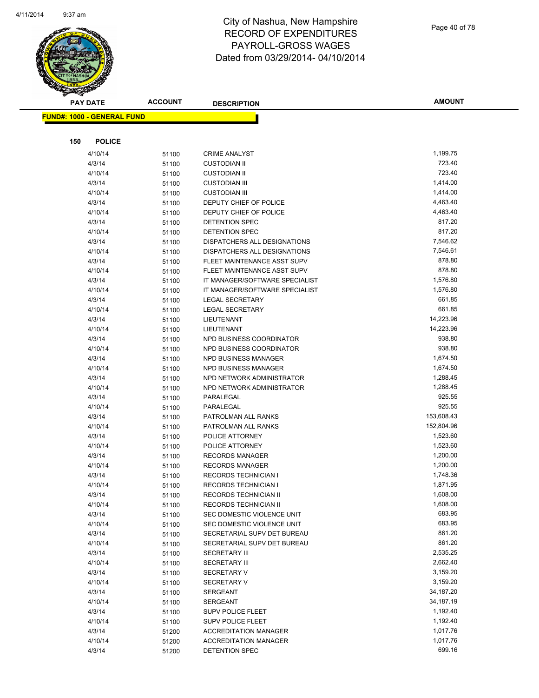

Page 40 of 78

| <b>PAY DATE</b>                   | <b>ACCOUNT</b> | <b>DESCRIPTION</b>                             | <b>AMOUNT</b>      |
|-----------------------------------|----------------|------------------------------------------------|--------------------|
| <b>FUND#: 1000 - GENERAL FUND</b> |                |                                                |                    |
|                                   |                |                                                |                    |
| <b>POLICE</b>                     |                |                                                |                    |
| 150                               |                |                                                |                    |
| 4/10/14                           | 51100          | <b>CRIME ANALYST</b>                           | 1,199.75           |
| 4/3/14                            | 51100          | <b>CUSTODIAN II</b>                            | 723.40             |
| 4/10/14                           | 51100          | <b>CUSTODIAN II</b>                            | 723.40             |
| 4/3/14                            | 51100          | <b>CUSTODIAN III</b>                           | 1,414.00           |
| 4/10/14                           | 51100          | <b>CUSTODIAN III</b>                           | 1,414.00           |
| 4/3/14                            | 51100          | DEPUTY CHIEF OF POLICE                         | 4,463.40           |
| 4/10/14                           | 51100          | DEPUTY CHIEF OF POLICE                         | 4,463.40<br>817.20 |
| 4/3/14                            | 51100          | DETENTION SPEC                                 | 817.20             |
| 4/10/14<br>4/3/14                 | 51100          | DETENTION SPEC<br>DISPATCHERS ALL DESIGNATIONS | 7,546.62           |
| 4/10/14                           | 51100          | DISPATCHERS ALL DESIGNATIONS                   | 7,546.61           |
| 4/3/14                            | 51100          | FLEET MAINTENANCE ASST SUPV                    | 878.80             |
| 4/10/14                           | 51100          | FLEET MAINTENANCE ASST SUPV                    | 878.80             |
| 4/3/14                            | 51100<br>51100 | IT MANAGER/SOFTWARE SPECIALIST                 | 1,576.80           |
| 4/10/14                           |                | IT MANAGER/SOFTWARE SPECIALIST                 | 1,576.80           |
| 4/3/14                            | 51100<br>51100 | <b>LEGAL SECRETARY</b>                         | 661.85             |
| 4/10/14                           | 51100          | <b>LEGAL SECRETARY</b>                         | 661.85             |
| 4/3/14                            | 51100          | LIEUTENANT                                     | 14,223.96          |
| 4/10/14                           | 51100          | LIEUTENANT                                     | 14,223.96          |
| 4/3/14                            | 51100          | NPD BUSINESS COORDINATOR                       | 938.80             |
| 4/10/14                           | 51100          | NPD BUSINESS COORDINATOR                       | 938.80             |
| 4/3/14                            | 51100          | NPD BUSINESS MANAGER                           | 1,674.50           |
| 4/10/14                           | 51100          | NPD BUSINESS MANAGER                           | 1,674.50           |
| 4/3/14                            | 51100          | NPD NETWORK ADMINISTRATOR                      | 1,288.45           |
| 4/10/14                           | 51100          | NPD NETWORK ADMINISTRATOR                      | 1,288.45           |
| 4/3/14                            | 51100          | PARALEGAL                                      | 925.55             |
| 4/10/14                           | 51100          | PARALEGAL                                      | 925.55             |
| 4/3/14                            | 51100          | PATROLMAN ALL RANKS                            | 153,608.43         |
| 4/10/14                           | 51100          | PATROLMAN ALL RANKS                            | 152,804.96         |
| 4/3/14                            | 51100          | POLICE ATTORNEY                                | 1,523.60           |
| 4/10/14                           | 51100          | POLICE ATTORNEY                                | 1,523.60           |
| 4/3/14                            | 51100          | <b>RECORDS MANAGER</b>                         | 1,200.00           |
| 4/10/14                           | 51100          | <b>RECORDS MANAGER</b>                         | 1,200.00           |
| 4/3/14                            | 51100          | <b>RECORDS TECHNICIAN I</b>                    | 1,748.36           |
| 4/10/14                           | 51100          | <b>RECORDS TECHNICIAN I</b>                    | 1,871.95           |
| 4/3/14                            | 51100          | RECORDS TECHNICIAN II                          | 1,608.00           |
| 4/10/14                           | 51100          | RECORDS TECHNICIAN II                          | 1,608.00           |
| 4/3/14                            | 51100          | SEC DOMESTIC VIOLENCE UNIT                     | 683.95             |
| 4/10/14                           | 51100          | SEC DOMESTIC VIOLENCE UNIT                     | 683.95             |
| 4/3/14                            | 51100          | SECRETARIAL SUPV DET BUREAU                    | 861.20             |
| 4/10/14                           | 51100          | SECRETARIAL SUPV DET BUREAU                    | 861.20             |
| 4/3/14                            | 51100          | <b>SECRETARY III</b>                           | 2,535.25           |
| 4/10/14                           | 51100          | <b>SECRETARY III</b>                           | 2,662.40           |
| 4/3/14                            | 51100          | <b>SECRETARY V</b>                             | 3,159.20           |
| 4/10/14                           | 51100          | <b>SECRETARY V</b>                             | 3,159.20           |
| 4/3/14                            | 51100          | SERGEANT                                       | 34,187.20          |
| 4/10/14                           | 51100          | SERGEANT                                       | 34,187.19          |
| 4/3/14                            | 51100          | SUPV POLICE FLEET                              | 1,192.40           |
| 4/10/14                           | 51100          | <b>SUPV POLICE FLEET</b>                       | 1,192.40           |
| 4/3/14                            | 51200          | <b>ACCREDITATION MANAGER</b>                   | 1,017.76           |
| 4/10/14                           | 51200          | <b>ACCREDITATION MANAGER</b>                   | 1,017.76           |
| 4/3/14                            | 51200          | DETENTION SPEC                                 | 699.16             |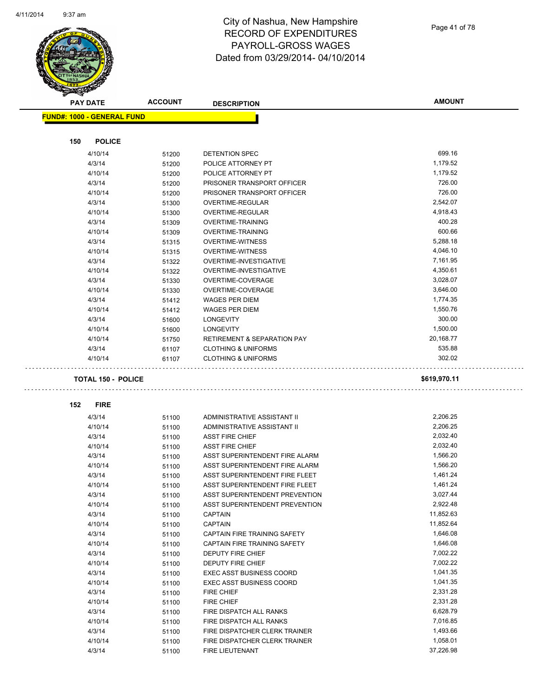Page 41 of 78

|     | <b>PAY DATE</b>                   | <b>ACCOUNT</b> | <b>DESCRIPTION</b>                     | <b>AMOUNT</b> |
|-----|-----------------------------------|----------------|----------------------------------------|---------------|
|     | <b>FUND#: 1000 - GENERAL FUND</b> |                |                                        |               |
|     |                                   |                |                                        |               |
| 150 | <b>POLICE</b>                     |                |                                        |               |
|     | 4/10/14                           | 51200          | DETENTION SPEC                         | 699.16        |
|     | 4/3/14                            | 51200          | POLICE ATTORNEY PT                     | 1,179.52      |
|     | 4/10/14                           | 51200          | POLICE ATTORNEY PT                     | 1,179.52      |
|     | 4/3/14                            | 51200          | PRISONER TRANSPORT OFFICER             | 726.00        |
|     | 4/10/14                           | 51200          | PRISONER TRANSPORT OFFICER             | 726.00        |
|     | 4/3/14                            | 51300          | OVERTIME-REGULAR                       | 2,542.07      |
|     | 4/10/14                           | 51300          | OVERTIME-REGULAR                       | 4,918.43      |
|     | 4/3/14                            | 51309          | <b>OVERTIME-TRAINING</b>               | 400.28        |
|     | 4/10/14                           | 51309          | <b>OVERTIME-TRAINING</b>               | 600.66        |
|     | 4/3/14                            | 51315          | <b>OVERTIME-WITNESS</b>                | 5,288.18      |
|     | 4/10/14                           | 51315          | <b>OVERTIME-WITNESS</b>                | 4,046.10      |
|     | 4/3/14                            | 51322          | OVERTIME-INVESTIGATIVE                 | 7,161.95      |
|     | 4/10/14                           | 51322          | OVERTIME-INVESTIGATIVE                 | 4,350.61      |
|     | 4/3/14                            | 51330          | OVERTIME-COVERAGE                      | 3,028.07      |
|     | 4/10/14                           | 51330          | OVERTIME-COVERAGE                      | 3,646.00      |
|     | 4/3/14                            | 51412          | <b>WAGES PER DIEM</b>                  | 1,774.35      |
|     | 4/10/14                           | 51412          | <b>WAGES PER DIEM</b>                  | 1,550.76      |
|     | 4/3/14                            | 51600          | <b>LONGEVITY</b>                       | 300.00        |
|     | 4/10/14                           | 51600          | <b>LONGEVITY</b>                       | 1,500.00      |
|     | 4/10/14                           | 51750          | <b>RETIREMENT &amp; SEPARATION PAY</b> | 20,168.77     |
|     | 4/3/14                            | 61107          | <b>CLOTHING &amp; UNIFORMS</b>         | 535.88        |
|     | 4/10/14                           | 61107          | <b>CLOTHING &amp; UNIFORMS</b>         | 302.02        |
|     | <b>TOTAL 150 - POLICE</b>         |                |                                        | \$619,970.11  |
| 152 | <b>FIRE</b>                       |                |                                        |               |
|     | 4/3/14                            | 51100          | ADMINISTRATIVE ASSISTANT II            | 2,206.25      |
|     | 4/10/14                           | 51100          | ADMINISTRATIVE ASSISTANT II            | 2,206.25      |
|     | 4/3/14                            | 51100          | <b>ASST FIRE CHIEF</b>                 | 2,032.40      |
|     | 4/10/14                           | 51100          | <b>ASST FIRE CHIEF</b>                 | 2,032.40      |
|     | 4/3/14                            | 51100          | ASST SUPERINTENDENT FIRE ALARM         | 1,566.20      |
|     | 4/10/14                           | 51100          | ASST SUPERINTENDENT FIRE ALARM         | 1,566.20      |
|     | 4/3/14                            | 51100          | ASST SUPERINTENDENT FIRE FLEET         | 1,461.24      |
|     | 4/10/14                           | 51100          | ASST SUPERINTENDENT FIRE FLEET         | 1,461.24      |
|     | 4/3/14                            | 51100          | ASST SUPERINTENDENT PREVENTION         | 3,027.44      |
|     | 4/10/14                           | 51100          | ASST SUPERINTENDENT PREVENTION         | 2,922.48      |
|     | 4/3/14                            | 51100          | <b>CAPTAIN</b>                         | 11,852.63     |
|     | 4/10/14                           | 51100          | <b>CAPTAIN</b>                         | 11,852.64     |
|     | 4/3/14                            | 51100          | CAPTAIN FIRE TRAINING SAFETY           | 1,646.08      |
|     | 4/10/14                           | 51100          | CAPTAIN FIRE TRAINING SAFETY           | 1,646.08      |
|     | 4/3/14                            | 51100          | DEPUTY FIRE CHIEF                      | 7,002.22      |
|     | 4/10/14                           | 51100          | DEPUTY FIRE CHIEF                      | 7,002.22      |
|     | 4/3/14                            | 51100          | <b>EXEC ASST BUSINESS COORD</b>        | 1,041.35      |
|     | 4/10/14                           | 51100          | <b>EXEC ASST BUSINESS COORD</b>        | 1,041.35      |
|     | 4/3/14                            | 51100          | <b>FIRE CHIEF</b>                      | 2,331.28      |
|     | 4/10/14                           | 51100          | FIRE CHIEF                             | 2,331.28      |
|     | 4/3/14                            | 51100          | FIRE DISPATCH ALL RANKS                | 6,628.79      |
|     | 4/10/14                           | 51100          | FIRE DISPATCH ALL RANKS                | 7,016.85      |
|     | 4/3/14                            | 51100          | FIRE DISPATCHER CLERK TRAINER          | 1,493.66      |
|     | 4/10/14                           | 51100          | FIRE DISPATCHER CLERK TRAINER          | 1,058.01      |
|     | 4/3/14                            | 51100          | FIRE LIEUTENANT                        | 37,226.98     |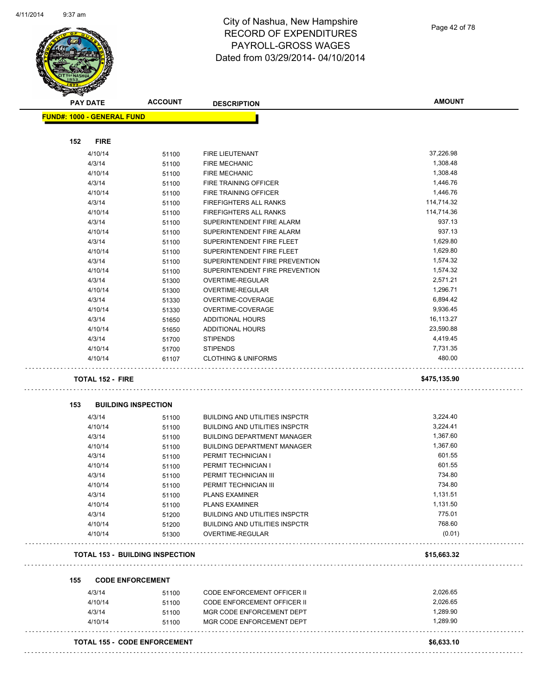| <b>FUND#: 1000 - GENERAL FUND</b><br><b>FIRE</b><br>37,226.98<br>4/10/14<br>51100<br><b>FIRE LIEUTENANT</b><br>1,308.48<br>4/3/14<br><b>FIRE MECHANIC</b><br>51100<br>1,308.48<br>4/10/14<br>51100<br><b>FIRE MECHANIC</b><br>1,446.76<br>4/3/14<br><b>FIRE TRAINING OFFICER</b><br>51100<br>1,446.76<br>4/10/14<br>51100<br>FIRE TRAINING OFFICER<br>114,714.32<br>4/3/14<br><b>FIREFIGHTERS ALL RANKS</b><br>51100<br>114,714.36<br><b>FIREFIGHTERS ALL RANKS</b><br>4/10/14<br>51100<br>937.13<br>4/3/14<br>SUPERINTENDENT FIRE ALARM<br>51100<br>937.13<br>SUPERINTENDENT FIRE ALARM<br>4/10/14<br>51100<br>1,629.80<br>4/3/14<br>SUPERINTENDENT FIRE FLEET<br>51100<br>1,629.80<br>4/10/14<br>SUPERINTENDENT FIRE FLEET<br>51100<br>1,574.32<br>4/3/14<br>SUPERINTENDENT FIRE PREVENTION<br>51100<br>SUPERINTENDENT FIRE PREVENTION<br>1,574.32<br>4/10/14<br>51100<br>2,571.21<br>4/3/14<br>OVERTIME-REGULAR<br>51300<br>1,296.71<br>4/10/14<br><b>OVERTIME-REGULAR</b><br>51300<br>6,894.42<br>4/3/14<br>OVERTIME-COVERAGE<br>51330<br>9,936.45<br>4/10/14<br>OVERTIME-COVERAGE<br>51330<br>16,113.27<br>4/3/14<br><b>ADDITIONAL HOURS</b><br>51650<br>23,590.88<br>4/10/14<br><b>ADDITIONAL HOURS</b><br>51650<br>4,419.45<br>4/3/14<br><b>STIPENDS</b><br>51700<br><b>STIPENDS</b><br>7,731.35<br>4/10/14<br>51700<br>480.00<br><b>CLOTHING &amp; UNIFORMS</b><br>4/10/14<br>61107<br><b>TOTAL 152 - FIRE</b><br>\$475,135.90<br>153<br><b>BUILDING INSPECTION</b><br>3,224.40<br>4/3/14<br><b>BUILDING AND UTILITIES INSPCTR</b><br>51100<br><b>BUILDING AND UTILITIES INSPCTR</b><br>3,224.41<br>4/10/14<br>51100<br>1,367.60<br>4/3/14<br>51100<br><b>BUILDING DEPARTMENT MANAGER</b><br><b>BUILDING DEPARTMENT MANAGER</b><br>1,367.60<br>4/10/14<br>51100<br>601.55<br>PERMIT TECHNICIAN I<br>4/3/14<br>51100<br>601.55<br>4/10/14<br>PERMIT TECHNICIAN I<br>51100<br>734.80<br>4/3/14<br>PERMIT TECHNICIAN III<br>51100<br>734.80<br>4/10/14<br>PERMIT TECHNICIAN III<br>51100<br>1,131.51<br>4/3/14<br><b>PLANS EXAMINER</b><br>51100<br>1,131.50<br>4/10/14<br><b>PLANS EXAMINER</b><br>51100<br>775.01<br>4/3/14<br><b>BUILDING AND UTILITIES INSPCTR</b><br>51200<br>768.60<br>4/10/14<br><b>BUILDING AND UTILITIES INSPCTR</b><br>51200<br>(0.01)<br>4/10/14<br>OVERTIME-REGULAR<br>51300<br><b>TOTAL 153 - BUILDING INSPECTION</b><br>\$15,663.32<br><b>CODE ENFORCEMENT</b><br>2,026.65<br>4/3/14<br>CODE ENFORCEMENT OFFICER II<br>51100<br>2,026.65<br>4/10/14<br>CODE ENFORCEMENT OFFICER II<br>51100<br>1,289.90<br>4/3/14<br>MGR CODE ENFORCEMENT DEPT<br>51100<br>1,289.90<br>4/10/14<br>MGR CODE ENFORCEMENT DEPT<br>51100<br><b>TOTAL 155 - CODE ENFORCEMENT</b> | <b>PAY DATE</b> | <b>ACCOUNT</b> | <b>DESCRIPTION</b> | <b>AMOUNT</b> |
|------------------------------------------------------------------------------------------------------------------------------------------------------------------------------------------------------------------------------------------------------------------------------------------------------------------------------------------------------------------------------------------------------------------------------------------------------------------------------------------------------------------------------------------------------------------------------------------------------------------------------------------------------------------------------------------------------------------------------------------------------------------------------------------------------------------------------------------------------------------------------------------------------------------------------------------------------------------------------------------------------------------------------------------------------------------------------------------------------------------------------------------------------------------------------------------------------------------------------------------------------------------------------------------------------------------------------------------------------------------------------------------------------------------------------------------------------------------------------------------------------------------------------------------------------------------------------------------------------------------------------------------------------------------------------------------------------------------------------------------------------------------------------------------------------------------------------------------------------------------------------------------------------------------------------------------------------------------------------------------------------------------------------------------------------------------------------------------------------------------------------------------------------------------------------------------------------------------------------------------------------------------------------------------------------------------------------------------------------------------------------------------------------------------------------------------------------------------------------------------------------------------------------------------------------------------------------------------------------------------------------------------------------------------------------------------------|-----------------|----------------|--------------------|---------------|
|                                                                                                                                                                                                                                                                                                                                                                                                                                                                                                                                                                                                                                                                                                                                                                                                                                                                                                                                                                                                                                                                                                                                                                                                                                                                                                                                                                                                                                                                                                                                                                                                                                                                                                                                                                                                                                                                                                                                                                                                                                                                                                                                                                                                                                                                                                                                                                                                                                                                                                                                                                                                                                                                                                |                 |                |                    |               |
|                                                                                                                                                                                                                                                                                                                                                                                                                                                                                                                                                                                                                                                                                                                                                                                                                                                                                                                                                                                                                                                                                                                                                                                                                                                                                                                                                                                                                                                                                                                                                                                                                                                                                                                                                                                                                                                                                                                                                                                                                                                                                                                                                                                                                                                                                                                                                                                                                                                                                                                                                                                                                                                                                                | 152             |                |                    |               |
|                                                                                                                                                                                                                                                                                                                                                                                                                                                                                                                                                                                                                                                                                                                                                                                                                                                                                                                                                                                                                                                                                                                                                                                                                                                                                                                                                                                                                                                                                                                                                                                                                                                                                                                                                                                                                                                                                                                                                                                                                                                                                                                                                                                                                                                                                                                                                                                                                                                                                                                                                                                                                                                                                                |                 |                |                    |               |
|                                                                                                                                                                                                                                                                                                                                                                                                                                                                                                                                                                                                                                                                                                                                                                                                                                                                                                                                                                                                                                                                                                                                                                                                                                                                                                                                                                                                                                                                                                                                                                                                                                                                                                                                                                                                                                                                                                                                                                                                                                                                                                                                                                                                                                                                                                                                                                                                                                                                                                                                                                                                                                                                                                |                 |                |                    |               |
|                                                                                                                                                                                                                                                                                                                                                                                                                                                                                                                                                                                                                                                                                                                                                                                                                                                                                                                                                                                                                                                                                                                                                                                                                                                                                                                                                                                                                                                                                                                                                                                                                                                                                                                                                                                                                                                                                                                                                                                                                                                                                                                                                                                                                                                                                                                                                                                                                                                                                                                                                                                                                                                                                                |                 |                |                    |               |
|                                                                                                                                                                                                                                                                                                                                                                                                                                                                                                                                                                                                                                                                                                                                                                                                                                                                                                                                                                                                                                                                                                                                                                                                                                                                                                                                                                                                                                                                                                                                                                                                                                                                                                                                                                                                                                                                                                                                                                                                                                                                                                                                                                                                                                                                                                                                                                                                                                                                                                                                                                                                                                                                                                |                 |                |                    |               |
|                                                                                                                                                                                                                                                                                                                                                                                                                                                                                                                                                                                                                                                                                                                                                                                                                                                                                                                                                                                                                                                                                                                                                                                                                                                                                                                                                                                                                                                                                                                                                                                                                                                                                                                                                                                                                                                                                                                                                                                                                                                                                                                                                                                                                                                                                                                                                                                                                                                                                                                                                                                                                                                                                                |                 |                |                    |               |
|                                                                                                                                                                                                                                                                                                                                                                                                                                                                                                                                                                                                                                                                                                                                                                                                                                                                                                                                                                                                                                                                                                                                                                                                                                                                                                                                                                                                                                                                                                                                                                                                                                                                                                                                                                                                                                                                                                                                                                                                                                                                                                                                                                                                                                                                                                                                                                                                                                                                                                                                                                                                                                                                                                |                 |                |                    |               |
|                                                                                                                                                                                                                                                                                                                                                                                                                                                                                                                                                                                                                                                                                                                                                                                                                                                                                                                                                                                                                                                                                                                                                                                                                                                                                                                                                                                                                                                                                                                                                                                                                                                                                                                                                                                                                                                                                                                                                                                                                                                                                                                                                                                                                                                                                                                                                                                                                                                                                                                                                                                                                                                                                                |                 |                |                    |               |
|                                                                                                                                                                                                                                                                                                                                                                                                                                                                                                                                                                                                                                                                                                                                                                                                                                                                                                                                                                                                                                                                                                                                                                                                                                                                                                                                                                                                                                                                                                                                                                                                                                                                                                                                                                                                                                                                                                                                                                                                                                                                                                                                                                                                                                                                                                                                                                                                                                                                                                                                                                                                                                                                                                |                 |                |                    |               |
|                                                                                                                                                                                                                                                                                                                                                                                                                                                                                                                                                                                                                                                                                                                                                                                                                                                                                                                                                                                                                                                                                                                                                                                                                                                                                                                                                                                                                                                                                                                                                                                                                                                                                                                                                                                                                                                                                                                                                                                                                                                                                                                                                                                                                                                                                                                                                                                                                                                                                                                                                                                                                                                                                                |                 |                |                    |               |
|                                                                                                                                                                                                                                                                                                                                                                                                                                                                                                                                                                                                                                                                                                                                                                                                                                                                                                                                                                                                                                                                                                                                                                                                                                                                                                                                                                                                                                                                                                                                                                                                                                                                                                                                                                                                                                                                                                                                                                                                                                                                                                                                                                                                                                                                                                                                                                                                                                                                                                                                                                                                                                                                                                |                 |                |                    |               |
|                                                                                                                                                                                                                                                                                                                                                                                                                                                                                                                                                                                                                                                                                                                                                                                                                                                                                                                                                                                                                                                                                                                                                                                                                                                                                                                                                                                                                                                                                                                                                                                                                                                                                                                                                                                                                                                                                                                                                                                                                                                                                                                                                                                                                                                                                                                                                                                                                                                                                                                                                                                                                                                                                                |                 |                |                    |               |
|                                                                                                                                                                                                                                                                                                                                                                                                                                                                                                                                                                                                                                                                                                                                                                                                                                                                                                                                                                                                                                                                                                                                                                                                                                                                                                                                                                                                                                                                                                                                                                                                                                                                                                                                                                                                                                                                                                                                                                                                                                                                                                                                                                                                                                                                                                                                                                                                                                                                                                                                                                                                                                                                                                |                 |                |                    |               |
|                                                                                                                                                                                                                                                                                                                                                                                                                                                                                                                                                                                                                                                                                                                                                                                                                                                                                                                                                                                                                                                                                                                                                                                                                                                                                                                                                                                                                                                                                                                                                                                                                                                                                                                                                                                                                                                                                                                                                                                                                                                                                                                                                                                                                                                                                                                                                                                                                                                                                                                                                                                                                                                                                                |                 |                |                    |               |
|                                                                                                                                                                                                                                                                                                                                                                                                                                                                                                                                                                                                                                                                                                                                                                                                                                                                                                                                                                                                                                                                                                                                                                                                                                                                                                                                                                                                                                                                                                                                                                                                                                                                                                                                                                                                                                                                                                                                                                                                                                                                                                                                                                                                                                                                                                                                                                                                                                                                                                                                                                                                                                                                                                |                 |                |                    |               |
|                                                                                                                                                                                                                                                                                                                                                                                                                                                                                                                                                                                                                                                                                                                                                                                                                                                                                                                                                                                                                                                                                                                                                                                                                                                                                                                                                                                                                                                                                                                                                                                                                                                                                                                                                                                                                                                                                                                                                                                                                                                                                                                                                                                                                                                                                                                                                                                                                                                                                                                                                                                                                                                                                                |                 |                |                    |               |
|                                                                                                                                                                                                                                                                                                                                                                                                                                                                                                                                                                                                                                                                                                                                                                                                                                                                                                                                                                                                                                                                                                                                                                                                                                                                                                                                                                                                                                                                                                                                                                                                                                                                                                                                                                                                                                                                                                                                                                                                                                                                                                                                                                                                                                                                                                                                                                                                                                                                                                                                                                                                                                                                                                |                 |                |                    |               |
|                                                                                                                                                                                                                                                                                                                                                                                                                                                                                                                                                                                                                                                                                                                                                                                                                                                                                                                                                                                                                                                                                                                                                                                                                                                                                                                                                                                                                                                                                                                                                                                                                                                                                                                                                                                                                                                                                                                                                                                                                                                                                                                                                                                                                                                                                                                                                                                                                                                                                                                                                                                                                                                                                                |                 |                |                    |               |
|                                                                                                                                                                                                                                                                                                                                                                                                                                                                                                                                                                                                                                                                                                                                                                                                                                                                                                                                                                                                                                                                                                                                                                                                                                                                                                                                                                                                                                                                                                                                                                                                                                                                                                                                                                                                                                                                                                                                                                                                                                                                                                                                                                                                                                                                                                                                                                                                                                                                                                                                                                                                                                                                                                |                 |                |                    |               |
|                                                                                                                                                                                                                                                                                                                                                                                                                                                                                                                                                                                                                                                                                                                                                                                                                                                                                                                                                                                                                                                                                                                                                                                                                                                                                                                                                                                                                                                                                                                                                                                                                                                                                                                                                                                                                                                                                                                                                                                                                                                                                                                                                                                                                                                                                                                                                                                                                                                                                                                                                                                                                                                                                                |                 |                |                    |               |
|                                                                                                                                                                                                                                                                                                                                                                                                                                                                                                                                                                                                                                                                                                                                                                                                                                                                                                                                                                                                                                                                                                                                                                                                                                                                                                                                                                                                                                                                                                                                                                                                                                                                                                                                                                                                                                                                                                                                                                                                                                                                                                                                                                                                                                                                                                                                                                                                                                                                                                                                                                                                                                                                                                |                 |                |                    |               |
|                                                                                                                                                                                                                                                                                                                                                                                                                                                                                                                                                                                                                                                                                                                                                                                                                                                                                                                                                                                                                                                                                                                                                                                                                                                                                                                                                                                                                                                                                                                                                                                                                                                                                                                                                                                                                                                                                                                                                                                                                                                                                                                                                                                                                                                                                                                                                                                                                                                                                                                                                                                                                                                                                                |                 |                |                    |               |
|                                                                                                                                                                                                                                                                                                                                                                                                                                                                                                                                                                                                                                                                                                                                                                                                                                                                                                                                                                                                                                                                                                                                                                                                                                                                                                                                                                                                                                                                                                                                                                                                                                                                                                                                                                                                                                                                                                                                                                                                                                                                                                                                                                                                                                                                                                                                                                                                                                                                                                                                                                                                                                                                                                |                 |                |                    |               |
|                                                                                                                                                                                                                                                                                                                                                                                                                                                                                                                                                                                                                                                                                                                                                                                                                                                                                                                                                                                                                                                                                                                                                                                                                                                                                                                                                                                                                                                                                                                                                                                                                                                                                                                                                                                                                                                                                                                                                                                                                                                                                                                                                                                                                                                                                                                                                                                                                                                                                                                                                                                                                                                                                                |                 |                |                    |               |
|                                                                                                                                                                                                                                                                                                                                                                                                                                                                                                                                                                                                                                                                                                                                                                                                                                                                                                                                                                                                                                                                                                                                                                                                                                                                                                                                                                                                                                                                                                                                                                                                                                                                                                                                                                                                                                                                                                                                                                                                                                                                                                                                                                                                                                                                                                                                                                                                                                                                                                                                                                                                                                                                                                |                 |                |                    |               |
|                                                                                                                                                                                                                                                                                                                                                                                                                                                                                                                                                                                                                                                                                                                                                                                                                                                                                                                                                                                                                                                                                                                                                                                                                                                                                                                                                                                                                                                                                                                                                                                                                                                                                                                                                                                                                                                                                                                                                                                                                                                                                                                                                                                                                                                                                                                                                                                                                                                                                                                                                                                                                                                                                                |                 |                |                    |               |
|                                                                                                                                                                                                                                                                                                                                                                                                                                                                                                                                                                                                                                                                                                                                                                                                                                                                                                                                                                                                                                                                                                                                                                                                                                                                                                                                                                                                                                                                                                                                                                                                                                                                                                                                                                                                                                                                                                                                                                                                                                                                                                                                                                                                                                                                                                                                                                                                                                                                                                                                                                                                                                                                                                |                 |                |                    |               |
|                                                                                                                                                                                                                                                                                                                                                                                                                                                                                                                                                                                                                                                                                                                                                                                                                                                                                                                                                                                                                                                                                                                                                                                                                                                                                                                                                                                                                                                                                                                                                                                                                                                                                                                                                                                                                                                                                                                                                                                                                                                                                                                                                                                                                                                                                                                                                                                                                                                                                                                                                                                                                                                                                                |                 |                |                    |               |
|                                                                                                                                                                                                                                                                                                                                                                                                                                                                                                                                                                                                                                                                                                                                                                                                                                                                                                                                                                                                                                                                                                                                                                                                                                                                                                                                                                                                                                                                                                                                                                                                                                                                                                                                                                                                                                                                                                                                                                                                                                                                                                                                                                                                                                                                                                                                                                                                                                                                                                                                                                                                                                                                                                |                 |                |                    |               |
|                                                                                                                                                                                                                                                                                                                                                                                                                                                                                                                                                                                                                                                                                                                                                                                                                                                                                                                                                                                                                                                                                                                                                                                                                                                                                                                                                                                                                                                                                                                                                                                                                                                                                                                                                                                                                                                                                                                                                                                                                                                                                                                                                                                                                                                                                                                                                                                                                                                                                                                                                                                                                                                                                                |                 |                |                    |               |
|                                                                                                                                                                                                                                                                                                                                                                                                                                                                                                                                                                                                                                                                                                                                                                                                                                                                                                                                                                                                                                                                                                                                                                                                                                                                                                                                                                                                                                                                                                                                                                                                                                                                                                                                                                                                                                                                                                                                                                                                                                                                                                                                                                                                                                                                                                                                                                                                                                                                                                                                                                                                                                                                                                |                 |                |                    |               |
|                                                                                                                                                                                                                                                                                                                                                                                                                                                                                                                                                                                                                                                                                                                                                                                                                                                                                                                                                                                                                                                                                                                                                                                                                                                                                                                                                                                                                                                                                                                                                                                                                                                                                                                                                                                                                                                                                                                                                                                                                                                                                                                                                                                                                                                                                                                                                                                                                                                                                                                                                                                                                                                                                                |                 |                |                    |               |
|                                                                                                                                                                                                                                                                                                                                                                                                                                                                                                                                                                                                                                                                                                                                                                                                                                                                                                                                                                                                                                                                                                                                                                                                                                                                                                                                                                                                                                                                                                                                                                                                                                                                                                                                                                                                                                                                                                                                                                                                                                                                                                                                                                                                                                                                                                                                                                                                                                                                                                                                                                                                                                                                                                |                 |                |                    |               |
|                                                                                                                                                                                                                                                                                                                                                                                                                                                                                                                                                                                                                                                                                                                                                                                                                                                                                                                                                                                                                                                                                                                                                                                                                                                                                                                                                                                                                                                                                                                                                                                                                                                                                                                                                                                                                                                                                                                                                                                                                                                                                                                                                                                                                                                                                                                                                                                                                                                                                                                                                                                                                                                                                                |                 |                |                    |               |
|                                                                                                                                                                                                                                                                                                                                                                                                                                                                                                                                                                                                                                                                                                                                                                                                                                                                                                                                                                                                                                                                                                                                                                                                                                                                                                                                                                                                                                                                                                                                                                                                                                                                                                                                                                                                                                                                                                                                                                                                                                                                                                                                                                                                                                                                                                                                                                                                                                                                                                                                                                                                                                                                                                |                 |                |                    |               |
|                                                                                                                                                                                                                                                                                                                                                                                                                                                                                                                                                                                                                                                                                                                                                                                                                                                                                                                                                                                                                                                                                                                                                                                                                                                                                                                                                                                                                                                                                                                                                                                                                                                                                                                                                                                                                                                                                                                                                                                                                                                                                                                                                                                                                                                                                                                                                                                                                                                                                                                                                                                                                                                                                                |                 |                |                    |               |
|                                                                                                                                                                                                                                                                                                                                                                                                                                                                                                                                                                                                                                                                                                                                                                                                                                                                                                                                                                                                                                                                                                                                                                                                                                                                                                                                                                                                                                                                                                                                                                                                                                                                                                                                                                                                                                                                                                                                                                                                                                                                                                                                                                                                                                                                                                                                                                                                                                                                                                                                                                                                                                                                                                |                 |                |                    |               |
|                                                                                                                                                                                                                                                                                                                                                                                                                                                                                                                                                                                                                                                                                                                                                                                                                                                                                                                                                                                                                                                                                                                                                                                                                                                                                                                                                                                                                                                                                                                                                                                                                                                                                                                                                                                                                                                                                                                                                                                                                                                                                                                                                                                                                                                                                                                                                                                                                                                                                                                                                                                                                                                                                                |                 |                |                    |               |
|                                                                                                                                                                                                                                                                                                                                                                                                                                                                                                                                                                                                                                                                                                                                                                                                                                                                                                                                                                                                                                                                                                                                                                                                                                                                                                                                                                                                                                                                                                                                                                                                                                                                                                                                                                                                                                                                                                                                                                                                                                                                                                                                                                                                                                                                                                                                                                                                                                                                                                                                                                                                                                                                                                |                 |                |                    |               |
|                                                                                                                                                                                                                                                                                                                                                                                                                                                                                                                                                                                                                                                                                                                                                                                                                                                                                                                                                                                                                                                                                                                                                                                                                                                                                                                                                                                                                                                                                                                                                                                                                                                                                                                                                                                                                                                                                                                                                                                                                                                                                                                                                                                                                                                                                                                                                                                                                                                                                                                                                                                                                                                                                                |                 |                |                    |               |
|                                                                                                                                                                                                                                                                                                                                                                                                                                                                                                                                                                                                                                                                                                                                                                                                                                                                                                                                                                                                                                                                                                                                                                                                                                                                                                                                                                                                                                                                                                                                                                                                                                                                                                                                                                                                                                                                                                                                                                                                                                                                                                                                                                                                                                                                                                                                                                                                                                                                                                                                                                                                                                                                                                |                 |                |                    |               |
|                                                                                                                                                                                                                                                                                                                                                                                                                                                                                                                                                                                                                                                                                                                                                                                                                                                                                                                                                                                                                                                                                                                                                                                                                                                                                                                                                                                                                                                                                                                                                                                                                                                                                                                                                                                                                                                                                                                                                                                                                                                                                                                                                                                                                                                                                                                                                                                                                                                                                                                                                                                                                                                                                                | 155             |                |                    |               |
|                                                                                                                                                                                                                                                                                                                                                                                                                                                                                                                                                                                                                                                                                                                                                                                                                                                                                                                                                                                                                                                                                                                                                                                                                                                                                                                                                                                                                                                                                                                                                                                                                                                                                                                                                                                                                                                                                                                                                                                                                                                                                                                                                                                                                                                                                                                                                                                                                                                                                                                                                                                                                                                                                                |                 |                |                    |               |
|                                                                                                                                                                                                                                                                                                                                                                                                                                                                                                                                                                                                                                                                                                                                                                                                                                                                                                                                                                                                                                                                                                                                                                                                                                                                                                                                                                                                                                                                                                                                                                                                                                                                                                                                                                                                                                                                                                                                                                                                                                                                                                                                                                                                                                                                                                                                                                                                                                                                                                                                                                                                                                                                                                |                 |                |                    |               |
|                                                                                                                                                                                                                                                                                                                                                                                                                                                                                                                                                                                                                                                                                                                                                                                                                                                                                                                                                                                                                                                                                                                                                                                                                                                                                                                                                                                                                                                                                                                                                                                                                                                                                                                                                                                                                                                                                                                                                                                                                                                                                                                                                                                                                                                                                                                                                                                                                                                                                                                                                                                                                                                                                                |                 |                |                    |               |
|                                                                                                                                                                                                                                                                                                                                                                                                                                                                                                                                                                                                                                                                                                                                                                                                                                                                                                                                                                                                                                                                                                                                                                                                                                                                                                                                                                                                                                                                                                                                                                                                                                                                                                                                                                                                                                                                                                                                                                                                                                                                                                                                                                                                                                                                                                                                                                                                                                                                                                                                                                                                                                                                                                |                 |                |                    |               |
|                                                                                                                                                                                                                                                                                                                                                                                                                                                                                                                                                                                                                                                                                                                                                                                                                                                                                                                                                                                                                                                                                                                                                                                                                                                                                                                                                                                                                                                                                                                                                                                                                                                                                                                                                                                                                                                                                                                                                                                                                                                                                                                                                                                                                                                                                                                                                                                                                                                                                                                                                                                                                                                                                                |                 |                |                    |               |
|                                                                                                                                                                                                                                                                                                                                                                                                                                                                                                                                                                                                                                                                                                                                                                                                                                                                                                                                                                                                                                                                                                                                                                                                                                                                                                                                                                                                                                                                                                                                                                                                                                                                                                                                                                                                                                                                                                                                                                                                                                                                                                                                                                                                                                                                                                                                                                                                                                                                                                                                                                                                                                                                                                |                 |                |                    | \$6,633.10    |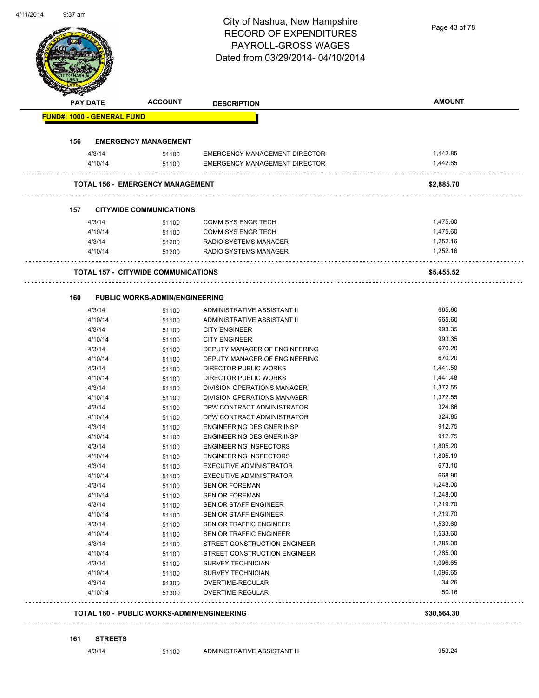# City of Nashua, New Hampshire RECORD OF EXPENDITURES PAYROLL-GROSS WAGES

Page 43 of 78

| <b>PAY DATE</b>                                   | <b>ACCOUNT</b>                        | <b>DESCRIPTION</b>                   | <b>AMOUNT</b>  |
|---------------------------------------------------|---------------------------------------|--------------------------------------|----------------|
| <b>FUND#: 1000 - GENERAL FUND</b>                 |                                       |                                      |                |
| 156                                               | <b>EMERGENCY MANAGEMENT</b>           |                                      |                |
| 4/3/14                                            | 51100                                 | EMERGENCY MANAGEMENT DIRECTOR        | 1,442.85       |
| 4/10/14                                           | 51100                                 | <b>EMERGENCY MANAGEMENT DIRECTOR</b> | 1,442.85       |
| <b>TOTAL 156 - EMERGENCY MANAGEMENT</b>           |                                       |                                      | \$2,885.70     |
| 157                                               | <b>CITYWIDE COMMUNICATIONS</b>        |                                      |                |
| 4/3/14                                            | 51100                                 | <b>COMM SYS ENGR TECH</b>            | 1,475.60       |
| 4/10/14                                           | 51100                                 | COMM SYS ENGR TECH                   | 1,475.60       |
| 4/3/14                                            | 51200                                 | RADIO SYSTEMS MANAGER                | 1,252.16       |
| 4/10/14                                           | 51200                                 | RADIO SYSTEMS MANAGER                | 1,252.16       |
| <b>TOTAL 157 - CITYWIDE COMMUNICATIONS</b>        |                                       |                                      | \$5,455.52     |
| 160                                               | <b>PUBLIC WORKS-ADMIN/ENGINEERING</b> |                                      |                |
| 4/3/14                                            | 51100                                 | ADMINISTRATIVE ASSISTANT II          | 665.60         |
| 4/10/14                                           | 51100                                 | ADMINISTRATIVE ASSISTANT II          | 665.60         |
| 4/3/14                                            | 51100                                 | <b>CITY ENGINEER</b>                 | 993.35         |
| 4/10/14                                           | 51100                                 | <b>CITY ENGINEER</b>                 | 993.35         |
| 4/3/14                                            | 51100                                 | DEPUTY MANAGER OF ENGINEERING        | 670.20         |
| 4/10/14                                           | 51100                                 | DEPUTY MANAGER OF ENGINEERING        | 670.20         |
| 4/3/14                                            | 51100                                 | DIRECTOR PUBLIC WORKS                | 1,441.50       |
| 4/10/14                                           | 51100                                 | <b>DIRECTOR PUBLIC WORKS</b>         | 1,441.48       |
| 4/3/14                                            | 51100                                 | DIVISION OPERATIONS MANAGER          | 1,372.55       |
| 4/10/14                                           | 51100                                 | DIVISION OPERATIONS MANAGER          | 1,372.55       |
| 4/3/14                                            | 51100                                 | DPW CONTRACT ADMINISTRATOR           | 324.86         |
| 4/10/14                                           | 51100                                 | DPW CONTRACT ADMINISTRATOR           | 324.85         |
| 4/3/14                                            | 51100                                 | ENGINEERING DESIGNER INSP            | 912.75         |
| 4/10/14                                           | 51100                                 | ENGINEERING DESIGNER INSP            | 912.75         |
| 4/3/14                                            | 51100                                 | <b>ENGINEERING INSPECTORS</b>        | 1,805.20       |
| 4/10/14                                           | 51100                                 | <b>ENGINEERING INSPECTORS</b>        | 1,805.19       |
| 4/3/14                                            | 51100                                 | <b>EXECUTIVE ADMINISTRATOR</b>       | 673.10         |
| 4/10/14                                           | 51100                                 | <b>EXECUTIVE ADMINISTRATOR</b>       | 668.90         |
| 4/3/14                                            | 51100                                 | <b>SENIOR FOREMAN</b>                | 1,248.00       |
| 4/10/14                                           | 51100                                 | <b>SENIOR FOREMAN</b>                | 1,248.00       |
| 4/3/14                                            | 51100                                 | <b>SENIOR STAFF ENGINEER</b>         | 1,219.70       |
| 4/10/14                                           | 51100                                 | SENIOR STAFF ENGINEER                | 1,219.70       |
| 4/3/14                                            | 51100                                 | SENIOR TRAFFIC ENGINEER              | 1,533.60       |
| 4/10/14                                           | 51100                                 | SENIOR TRAFFIC ENGINEER              | 1,533.60       |
| 4/3/14                                            | 51100                                 | STREET CONSTRUCTION ENGINEER         | 1,285.00       |
| 4/10/14                                           | 51100                                 | STREET CONSTRUCTION ENGINEER         | 1,285.00       |
| 4/3/14                                            | 51100                                 | <b>SURVEY TECHNICIAN</b>             | 1,096.65       |
| 4/10/14                                           | 51100                                 | <b>SURVEY TECHNICIAN</b>             | 1,096.65       |
| 4/3/14<br>4/10/14                                 | 51300<br>51300                        | OVERTIME-REGULAR<br>OVERTIME-REGULAR | 34.26<br>50.16 |
| <b>TOTAL 160 - PUBLIC WORKS-ADMIN/ENGINEERING</b> |                                       |                                      | \$30,564.30    |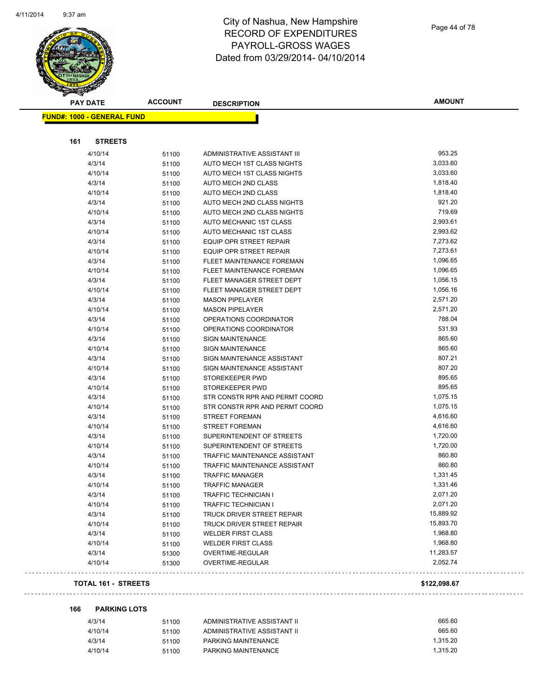

| <b>FUND#: 1000 - GENERAL FUND</b>                              |                       |
|----------------------------------------------------------------|-----------------------|
|                                                                |                       |
|                                                                |                       |
|                                                                | <b>STREETS</b><br>161 |
| 953.25<br>4/10/14<br>ADMINISTRATIVE ASSISTANT III<br>51100     |                       |
| 4/3/14<br>3,033.60<br>AUTO MECH 1ST CLASS NIGHTS<br>51100      |                       |
| 3,033.60<br>4/10/14<br>AUTO MECH 1ST CLASS NIGHTS<br>51100     |                       |
| 4/3/14<br>1,818.40<br>AUTO MECH 2ND CLASS<br>51100             |                       |
| 1,818.40<br>AUTO MECH 2ND CLASS<br>4/10/14<br>51100            |                       |
| 921.20<br>4/3/14<br>AUTO MECH 2ND CLASS NIGHTS<br>51100        |                       |
| 719.69<br>4/10/14<br>AUTO MECH 2ND CLASS NIGHTS<br>51100       |                       |
| 2,993.61<br>AUTO MECHANIC 1ST CLASS<br>4/3/14<br>51100         |                       |
| 2,993.62<br>4/10/14<br>AUTO MECHANIC 1ST CLASS<br>51100        |                       |
| 7,273.62<br>4/3/14<br>EQUIP OPR STREET REPAIR<br>51100         |                       |
| 7,273.61<br>4/10/14<br>EQUIP OPR STREET REPAIR<br>51100        |                       |
| 1,096.65<br>4/3/14<br>FLEET MAINTENANCE FOREMAN<br>51100       |                       |
| 1,096.65<br>4/10/14<br>FLEET MAINTENANCE FOREMAN<br>51100      |                       |
| 1,056.15<br>4/3/14<br>FLEET MANAGER STREET DEPT<br>51100       |                       |
| 1,056.16<br>4/10/14<br>FLEET MANAGER STREET DEPT<br>51100      |                       |
| 2,571.20<br>4/3/14<br><b>MASON PIPELAYER</b><br>51100          |                       |
| 2,571.20<br>4/10/14<br><b>MASON PIPELAYER</b><br>51100         |                       |
| 788.04<br>4/3/14<br>OPERATIONS COORDINATOR<br>51100            |                       |
| 531.93<br>4/10/14<br>OPERATIONS COORDINATOR<br>51100           |                       |
| 865.60<br>4/3/14<br><b>SIGN MAINTENANCE</b><br>51100           |                       |
| 4/10/14<br>865.60<br><b>SIGN MAINTENANCE</b><br>51100          |                       |
| 807.21<br>4/3/14<br>SIGN MAINTENANCE ASSISTANT<br>51100        |                       |
| 807.20<br>4/10/14<br>SIGN MAINTENANCE ASSISTANT<br>51100       |                       |
| 895.65<br>4/3/14<br>STOREKEEPER PWD<br>51100                   |                       |
| 895.65<br>4/10/14<br>STOREKEEPER PWD<br>51100                  |                       |
| 1,075.15<br>4/3/14<br>STR CONSTR RPR AND PERMT COORD<br>51100  |                       |
| 1,075.15<br>STR CONSTR RPR AND PERMT COORD<br>4/10/14<br>51100 |                       |
| 4,616.60<br>4/3/14<br><b>STREET FOREMAN</b><br>51100           |                       |
| 4,616.60<br>4/10/14<br><b>STREET FOREMAN</b><br>51100          |                       |
| 1,720.00<br>4/3/14<br>SUPERINTENDENT OF STREETS<br>51100       |                       |
| 1,720.00<br>4/10/14<br>SUPERINTENDENT OF STREETS<br>51100      |                       |
| 4/3/14<br>860.80<br>TRAFFIC MAINTENANCE ASSISTANT<br>51100     |                       |
| 860.80<br>4/10/14<br>TRAFFIC MAINTENANCE ASSISTANT<br>51100    |                       |
| 1,331.45<br>4/3/14<br><b>TRAFFIC MANAGER</b><br>51100          |                       |
| 1,331.46<br>4/10/14<br><b>TRAFFIC MANAGER</b><br>51100         |                       |
| 2,071.20<br>4/3/14<br><b>TRAFFIC TECHNICIAN I</b><br>51100     |                       |
| 2,071.20<br>4/10/14<br><b>TRAFFIC TECHNICIAN I</b><br>51100    |                       |
| 15,889.92<br>4/3/14<br>TRUCK DRIVER STREET REPAIR<br>51100     |                       |
| 15,893.70<br>4/10/14<br>51100<br>TRUCK DRIVER STREET REPAIR    |                       |
| 1,968.80<br>4/3/14<br><b>WELDER FIRST CLASS</b><br>51100       |                       |
| 1,968.80<br>4/10/14<br><b>WELDER FIRST CLASS</b><br>51100      |                       |
| 11,283.57<br>4/3/14<br>OVERTIME-REGULAR<br>51300               |                       |
| 2,052.74<br>4/10/14<br>OVERTIME-REGULAR<br>51300               |                       |

#### **TOTAL 161 - STREETS \$122,098.67**

**166 PARKING LOTS**

 $\Box$  .

. . .

| 4/3/14  | 51100 | ADMINISTRATIVE ASSISTANT II | 665.60   |
|---------|-------|-----------------------------|----------|
| 4/10/14 | 51100 | ADMINISTRATIVE ASSISTANT II | 665.60   |
| 4/3/14  | 51100 | PARKING MAINTENANCE         | 1.315.20 |
| 4/10/14 | 51100 | PARKING MAINTENANCE         | 1.315.20 |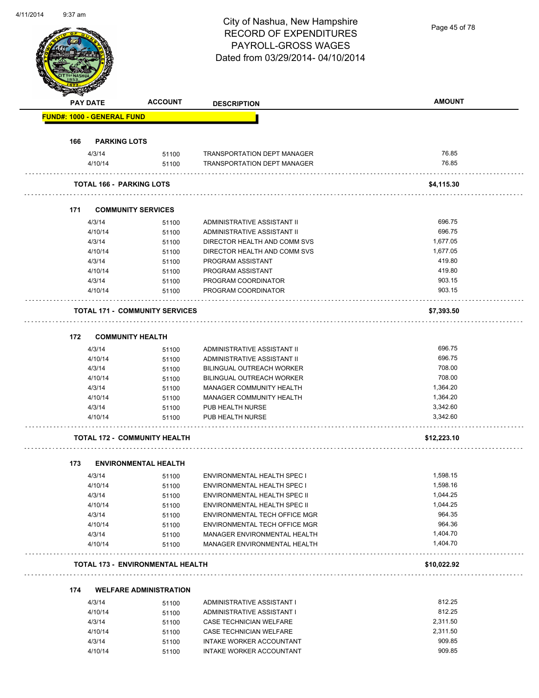# City of Nashua, New Hampshire RECORD OF EXPENDITURES PAYROLL-GROSS WAGES

Page 45 of 78

|     | PAY DATE                   | <b>ACCOUNT</b>                          | <b>DESCRIPTION</b>                   | <b>AMOUNT</b>        |
|-----|----------------------------|-----------------------------------------|--------------------------------------|----------------------|
|     | FUND#: 1000 - GENERAL FUND |                                         |                                      |                      |
| 166 | <b>PARKING LOTS</b>        |                                         |                                      |                      |
|     | 4/3/14                     | 51100                                   | <b>TRANSPORTATION DEPT MANAGER</b>   | 76.85                |
|     | 4/10/14                    | 51100                                   | <b>TRANSPORTATION DEPT MANAGER</b>   | 76.85                |
|     |                            | <b>TOTAL 166 - PARKING LOTS</b>         |                                      | \$4,115.30           |
| 171 |                            | <b>COMMUNITY SERVICES</b>               |                                      |                      |
|     | 4/3/14                     | 51100                                   | ADMINISTRATIVE ASSISTANT II          | 696.75               |
|     | 4/10/14                    | 51100                                   | ADMINISTRATIVE ASSISTANT II          | 696.75               |
|     | 4/3/14                     | 51100                                   | DIRECTOR HEALTH AND COMM SVS         | 1,677.05             |
|     | 4/10/14                    | 51100                                   | DIRECTOR HEALTH AND COMM SVS         | 1,677.05             |
|     | 4/3/14                     | 51100                                   | PROGRAM ASSISTANT                    | 419.80               |
|     | 4/10/14                    | 51100                                   | PROGRAM ASSISTANT                    | 419.80               |
|     | 4/3/14                     | 51100                                   | PROGRAM COORDINATOR                  | 903.15               |
|     | 4/10/14                    | 51100                                   | PROGRAM COORDINATOR                  | 903.15               |
|     |                            | <b>TOTAL 171 - COMMUNITY SERVICES</b>   |                                      | \$7,393.50           |
|     |                            |                                         |                                      |                      |
| 172 |                            | <b>COMMUNITY HEALTH</b>                 |                                      |                      |
|     | 4/3/14                     | 51100                                   | ADMINISTRATIVE ASSISTANT II          | 696.75               |
|     | 4/10/14                    | 51100                                   | ADMINISTRATIVE ASSISTANT II          | 696.75               |
|     | 4/3/14                     | 51100                                   | BILINGUAL OUTREACH WORKER            | 708.00               |
|     | 4/10/14                    | 51100                                   | BILINGUAL OUTREACH WORKER            | 708.00               |
|     | 4/3/14                     | 51100                                   | MANAGER COMMUNITY HEALTH             | 1,364.20             |
|     | 4/10/14                    | 51100                                   | MANAGER COMMUNITY HEALTH             | 1,364.20             |
|     | 4/3/14<br>4/10/14          | 51100<br>51100                          | PUB HEALTH NURSE<br>PUB HEALTH NURSE | 3,342.60<br>3,342.60 |
|     |                            | <b>TOTAL 172 - COMMUNITY HEALTH</b>     |                                      | \$12,223.10          |
|     |                            |                                         |                                      |                      |
| 173 |                            | <b>ENVIRONMENTAL HEALTH</b>             |                                      |                      |
|     | 4/3/14                     | 51100                                   | <b>ENVIRONMENTAL HEALTH SPEC I</b>   | 1,598.15             |
|     | 4/10/14                    | 51100                                   | ENVIRONMENTAL HEALTH SPEC I          | 1,598.16             |
|     | 4/3/14                     | 51100                                   | ENVIRONMENTAL HEALTH SPEC II         | 1,044.25             |
|     | 4/10/14                    | 51100                                   | ENVIRONMENTAL HEALTH SPEC II         | 1,044.25             |
|     | 4/3/14                     | 51100                                   | ENVIRONMENTAL TECH OFFICE MGR        | 964.35               |
|     | 4/10/14                    | 51100                                   | ENVIRONMENTAL TECH OFFICE MGR        | 964.36               |
|     | 4/3/14                     | 51100                                   | MANAGER ENVIRONMENTAL HEALTH         | 1,404.70             |
|     | 4/10/14                    | 51100                                   | MANAGER ENVIRONMENTAL HEALTH         | 1,404.70             |
|     |                            | <b>TOTAL 173 - ENVIRONMENTAL HEALTH</b> |                                      | \$10,022.92          |
| 174 |                            | <b>WELFARE ADMINISTRATION</b>           |                                      |                      |
|     | 4/3/14                     | 51100                                   | ADMINISTRATIVE ASSISTANT I           | 812.25               |
|     | 4/10/14                    | 51100                                   | ADMINISTRATIVE ASSISTANT I           | 812.25               |
|     | 4/3/14                     | 51100                                   | CASE TECHNICIAN WELFARE              | 2,311.50             |
|     | 4/10/14                    | 51100                                   | CASE TECHNICIAN WELFARE              | 2,311.50             |
|     | 4/3/14                     | 51100                                   | INTAKE WORKER ACCOUNTANT             | 909.85               |
|     |                            |                                         |                                      |                      |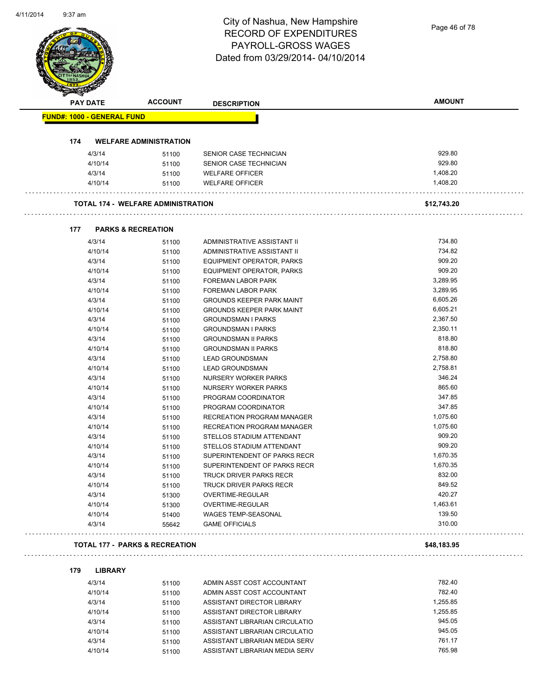# City of Nashua, New Hampshire RECORD OF EXPENDITURES PAYROLL-GROSS WAGES

|     | <b>PAY DATE</b>                   | <b>ACCOUNT</b>                            | <b>DESCRIPTION</b>               | <b>AMOUNT</b> |
|-----|-----------------------------------|-------------------------------------------|----------------------------------|---------------|
|     | <b>FUND#: 1000 - GENERAL FUND</b> |                                           |                                  |               |
|     |                                   |                                           |                                  |               |
| 174 |                                   | <b>WELFARE ADMINISTRATION</b>             |                                  |               |
|     | 4/3/14                            | 51100                                     | SENIOR CASE TECHNICIAN           | 929.80        |
|     | 4/10/14                           | 51100                                     | SENIOR CASE TECHNICIAN           | 929.80        |
|     | 4/3/14                            | 51100                                     | <b>WELFARE OFFICER</b>           | 1,408.20      |
|     | 4/10/14                           | 51100                                     | <b>WELFARE OFFICER</b>           | 1,408.20      |
|     |                                   | <b>TOTAL 174 - WELFARE ADMINISTRATION</b> |                                  | \$12,743.20   |
|     |                                   |                                           |                                  |               |
| 177 | 4/3/14                            | <b>PARKS &amp; RECREATION</b>             | ADMINISTRATIVE ASSISTANT II      | 734.80        |
|     | 4/10/14                           | 51100                                     | ADMINISTRATIVE ASSISTANT II      | 734.82        |
|     | 4/3/14                            | 51100<br>51100                            | EQUIPMENT OPERATOR, PARKS        | 909.20        |
|     | 4/10/14                           |                                           | EQUIPMENT OPERATOR, PARKS        | 909.20        |
|     | 4/3/14                            | 51100<br>51100                            | FOREMAN LABOR PARK               | 3,289.95      |
|     | 4/10/14                           | 51100                                     | <b>FOREMAN LABOR PARK</b>        | 3,289.95      |
|     | 4/3/14                            | 51100                                     | <b>GROUNDS KEEPER PARK MAINT</b> | 6,605.26      |
|     | 4/10/14                           | 51100                                     | <b>GROUNDS KEEPER PARK MAINT</b> | 6,605.21      |
|     | 4/3/14                            | 51100                                     | <b>GROUNDSMAN I PARKS</b>        | 2,367.50      |
|     | 4/10/14                           | 51100                                     | <b>GROUNDSMAN I PARKS</b>        | 2,350.11      |
|     | 4/3/14                            | 51100                                     | <b>GROUNDSMAN II PARKS</b>       | 818.80        |
|     | 4/10/14                           | 51100                                     | <b>GROUNDSMAN II PARKS</b>       | 818.80        |
|     | 4/3/14                            | 51100                                     | <b>LEAD GROUNDSMAN</b>           | 2,758.80      |
|     | 4/10/14                           | 51100                                     | <b>LEAD GROUNDSMAN</b>           | 2,758.81      |
|     | 4/3/14                            | 51100                                     | NURSERY WORKER PARKS             | 346.24        |
|     | 4/10/14                           | 51100                                     | <b>NURSERY WORKER PARKS</b>      | 865.60        |
|     | 4/3/14                            | 51100                                     | PROGRAM COORDINATOR              | 347.85        |
|     | 4/10/14                           | 51100                                     | PROGRAM COORDINATOR              | 347.85        |
|     | 4/3/14                            | 51100                                     | RECREATION PROGRAM MANAGER       | 1,075.60      |
|     | 4/10/14                           | 51100                                     | RECREATION PROGRAM MANAGER       | 1,075.60      |
|     | 4/3/14                            | 51100                                     | STELLOS STADIUM ATTENDANT        | 909.20        |
|     | 4/10/14                           | 51100                                     | STELLOS STADIUM ATTENDANT        | 909.20        |
|     | 4/3/14                            | 51100                                     | SUPERINTENDENT OF PARKS RECR     | 1,670.35      |
|     | 4/10/14                           | 51100                                     | SUPERINTENDENT OF PARKS RECR     | 1,670.35      |
|     | 4/3/14                            | 51100                                     | TRUCK DRIVER PARKS RECR          | 832.00        |
|     | 4/10/14                           | 51100                                     | TRUCK DRIVER PARKS RECR          | 849.52        |
|     | 4/3/14                            | 51300                                     | OVERTIME-REGULAR                 | 420.27        |
|     | 4/10/14                           | 51300                                     | OVERTIME-REGULAR                 | 1,463.61      |
|     | 4/10/14                           | 51400                                     | WAGES TEMP-SEASONAL              | 139.50        |
|     | 4/3/14                            | 55642                                     | <b>GAME OFFICIALS</b>            | 310.00        |
|     |                                   | <b>TOTAL 177 - PARKS &amp; RECREATION</b> |                                  | \$48,183.95   |
| 179 |                                   |                                           |                                  |               |
|     | <b>LIBRARY</b><br>4/3/14          |                                           | ADMIN ASST COST ACCOUNTANT       | 782.40        |
|     | 4/10/14                           | 51100<br>51100                            | ADMIN ASST COST ACCOUNTANT       | 782.40        |
|     | 4/3/14                            |                                           | ASSISTANT DIRECTOR LIBRARY       | 1,255.85      |
|     | 4/10/14                           | 51100<br>51100                            | ASSISTANT DIRECTOR LIBRARY       | 1,255.85      |
|     | 4/3/14                            | 51100                                     | ASSISTANT LIBRARIAN CIRCULATIO   | 945.05        |
|     | 4/10/14                           | 51100                                     | ASSISTANT LIBRARIAN CIRCULATIO   | 945.05        |
|     | 4/3/14                            | 51100                                     | ASSISTANT LIBRARIAN MEDIA SERV   | 761.17        |
|     | 4/10/14                           | 51100                                     | ASSISTANT LIBRARIAN MEDIA SERV   | 765.98        |
|     |                                   |                                           |                                  |               |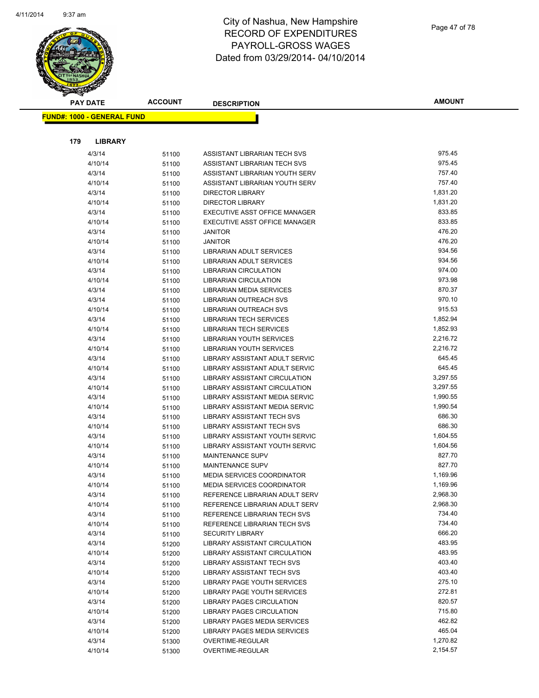

| <b>PAY DATE</b> |                                   | <b>ACCOUNT</b> | <b>DESCRIPTION</b>                                             | <b>AMOUNT</b>      |  |
|-----------------|-----------------------------------|----------------|----------------------------------------------------------------|--------------------|--|
|                 | <b>FUND#: 1000 - GENERAL FUND</b> |                |                                                                |                    |  |
|                 |                                   |                |                                                                |                    |  |
|                 |                                   |                |                                                                |                    |  |
| 179             | <b>LIBRARY</b>                    |                |                                                                |                    |  |
|                 | 4/3/14                            | 51100          | ASSISTANT LIBRARIAN TECH SVS                                   | 975.45             |  |
|                 | 4/10/14                           | 51100          | ASSISTANT LIBRARIAN TECH SVS                                   | 975.45             |  |
|                 | 4/3/14                            | 51100          | ASSISTANT LIBRARIAN YOUTH SERV                                 | 757.40             |  |
|                 | 4/10/14                           | 51100          | ASSISTANT LIBRARIAN YOUTH SERV                                 | 757.40             |  |
|                 | 4/3/14                            | 51100          | <b>DIRECTOR LIBRARY</b>                                        | 1,831.20           |  |
|                 | 4/10/14                           | 51100          | <b>DIRECTOR LIBRARY</b>                                        | 1,831.20<br>833.85 |  |
|                 | 4/3/14<br>4/10/14                 | 51100          | EXECUTIVE ASST OFFICE MANAGER<br>EXECUTIVE ASST OFFICE MANAGER | 833.85             |  |
|                 | 4/3/14                            | 51100          | <b>JANITOR</b>                                                 | 476.20             |  |
|                 | 4/10/14                           | 51100          | <b>JANITOR</b>                                                 | 476.20             |  |
|                 | 4/3/14                            | 51100<br>51100 | LIBRARIAN ADULT SERVICES                                       | 934.56             |  |
|                 | 4/10/14                           | 51100          | LIBRARIAN ADULT SERVICES                                       | 934.56             |  |
|                 | 4/3/14                            | 51100          | <b>LIBRARIAN CIRCULATION</b>                                   | 974.00             |  |
|                 | 4/10/14                           | 51100          | LIBRARIAN CIRCULATION                                          | 973.98             |  |
|                 | 4/3/14                            | 51100          | LIBRARIAN MEDIA SERVICES                                       | 870.37             |  |
|                 | 4/3/14                            | 51100          | <b>LIBRARIAN OUTREACH SVS</b>                                  | 970.10             |  |
|                 | 4/10/14                           | 51100          | LIBRARIAN OUTREACH SVS                                         | 915.53             |  |
|                 | 4/3/14                            | 51100          | <b>LIBRARIAN TECH SERVICES</b>                                 | 1,852.94           |  |
|                 | 4/10/14                           | 51100          | <b>LIBRARIAN TECH SERVICES</b>                                 | 1,852.93           |  |
|                 | 4/3/14                            | 51100          | <b>LIBRARIAN YOUTH SERVICES</b>                                | 2,216.72           |  |
|                 | 4/10/14                           | 51100          | LIBRARIAN YOUTH SERVICES                                       | 2,216.72           |  |
|                 | 4/3/14                            | 51100          | LIBRARY ASSISTANT ADULT SERVIC                                 | 645.45             |  |
|                 | 4/10/14                           | 51100          | LIBRARY ASSISTANT ADULT SERVIC                                 | 645.45             |  |
|                 | 4/3/14                            | 51100          | LIBRARY ASSISTANT CIRCULATION                                  | 3,297.55           |  |
|                 | 4/10/14                           | 51100          | LIBRARY ASSISTANT CIRCULATION                                  | 3,297.55           |  |
|                 | 4/3/14                            | 51100          | LIBRARY ASSISTANT MEDIA SERVIC                                 | 1,990.55           |  |
|                 | 4/10/14                           | 51100          | LIBRARY ASSISTANT MEDIA SERVIC                                 | 1,990.54           |  |
|                 | 4/3/14                            | 51100          | <b>LIBRARY ASSISTANT TECH SVS</b>                              | 686.30             |  |
|                 | 4/10/14                           | 51100          | <b>LIBRARY ASSISTANT TECH SVS</b>                              | 686.30             |  |
|                 | 4/3/14                            | 51100          | LIBRARY ASSISTANT YOUTH SERVIC                                 | 1,604.55           |  |
|                 | 4/10/14                           | 51100          | LIBRARY ASSISTANT YOUTH SERVIC                                 | 1,604.56           |  |
|                 | 4/3/14                            | 51100          | MAINTENANCE SUPV                                               | 827.70             |  |
|                 | 4/10/14                           | 51100          | MAINTENANCE SUPV                                               | 827.70             |  |
|                 | 4/3/14                            | 51100          | <b>MEDIA SERVICES COORDINATOR</b>                              | 1,169.96           |  |
|                 | 4/10/14                           | 51100          | MEDIA SERVICES COORDINATOR                                     | 1,169.96           |  |
|                 | 4/3/14                            | 51100          | REFERENCE LIBRARIAN ADULT SERV                                 | 2,968.30           |  |
|                 | 4/10/14                           | 51100          | REFERENCE LIBRARIAN ADULT SERV                                 | 2,968.30           |  |
|                 | 4/3/14                            | 51100          | REFERENCE LIBRARIAN TECH SVS                                   | 734.40             |  |
|                 | 4/10/14                           | 51100          | REFERENCE LIBRARIAN TECH SVS                                   | 734.40             |  |
|                 | 4/3/14                            | 51100          | <b>SECURITY LIBRARY</b>                                        | 666.20             |  |
|                 | 4/3/14                            | 51200          | LIBRARY ASSISTANT CIRCULATION                                  | 483.95             |  |
|                 | 4/10/14                           | 51200          | LIBRARY ASSISTANT CIRCULATION                                  | 483.95             |  |
|                 | 4/3/14                            | 51200          | LIBRARY ASSISTANT TECH SVS                                     | 403.40             |  |
|                 | 4/10/14                           | 51200          | <b>LIBRARY ASSISTANT TECH SVS</b>                              | 403.40             |  |
|                 | 4/3/14                            | 51200          | LIBRARY PAGE YOUTH SERVICES                                    | 275.10             |  |
|                 | 4/10/14                           | 51200          | LIBRARY PAGE YOUTH SERVICES                                    | 272.81             |  |
|                 | 4/3/14                            | 51200          | LIBRARY PAGES CIRCULATION                                      | 820.57             |  |
|                 | 4/10/14                           | 51200          | LIBRARY PAGES CIRCULATION                                      | 715.80             |  |
|                 | 4/3/14                            | 51200          | LIBRARY PAGES MEDIA SERVICES                                   | 462.82             |  |
|                 | 4/10/14                           | 51200          | LIBRARY PAGES MEDIA SERVICES                                   | 465.04             |  |
|                 | 4/3/14                            | 51300          | OVERTIME-REGULAR                                               | 1,270.82           |  |
|                 | 4/10/14                           | 51300          | OVERTIME-REGULAR                                               | 2,154.57           |  |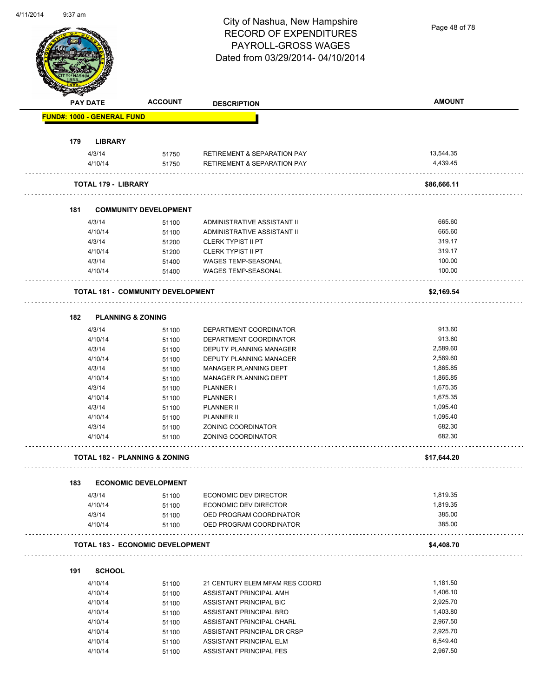Page 48 of 78

|     | <b>PAY DATE</b>                   | <b>ACCOUNT</b>                           | <b>DESCRIPTION</b>                                 | <b>AMOUNT</b>      |
|-----|-----------------------------------|------------------------------------------|----------------------------------------------------|--------------------|
|     | <b>FUND#: 1000 - GENERAL FUND</b> |                                          |                                                    |                    |
| 179 | <b>LIBRARY</b>                    |                                          |                                                    |                    |
|     | 4/3/14                            | 51750                                    | <b>RETIREMENT &amp; SEPARATION PAY</b>             | 13,544.35          |
|     | 4/10/14                           | 51750                                    | <b>RETIREMENT &amp; SEPARATION PAY</b>             | 4,439.45           |
|     | <b>TOTAL 179 - LIBRARY</b>        |                                          |                                                    | \$86,666.11        |
| 181 |                                   | <b>COMMUNITY DEVELOPMENT</b>             |                                                    |                    |
|     | 4/3/14                            | 51100                                    | ADMINISTRATIVE ASSISTANT II                        | 665.60             |
|     | 4/10/14                           | 51100                                    | ADMINISTRATIVE ASSISTANT II                        | 665.60             |
|     | 4/3/14                            | 51200                                    | <b>CLERK TYPIST II PT</b>                          | 319.17             |
|     | 4/10/14                           | 51200                                    | <b>CLERK TYPIST II PT</b>                          | 319.17             |
|     | 4/3/14                            | 51400                                    | WAGES TEMP-SEASONAL                                | 100.00             |
|     | 4/10/14                           | 51400                                    | WAGES TEMP-SEASONAL                                | 100.00             |
|     |                                   | <b>TOTAL 181 - COMMUNITY DEVELOPMENT</b> |                                                    | \$2,169.54         |
|     |                                   |                                          |                                                    |                    |
| 182 | 4/3/14                            | <b>PLANNING &amp; ZONING</b>             | DEPARTMENT COORDINATOR                             | 913.60             |
|     |                                   | 51100                                    |                                                    | 913.60             |
|     | 4/10/14                           | 51100                                    | DEPARTMENT COORDINATOR                             |                    |
|     | 4/3/14                            | 51100                                    | DEPUTY PLANNING MANAGER                            | 2,589.60           |
|     | 4/10/14                           | 51100                                    | DEPUTY PLANNING MANAGER                            | 2,589.60           |
|     | 4/3/14                            | 51100                                    | MANAGER PLANNING DEPT                              | 1,865.85           |
|     | 4/10/14                           | 51100                                    | MANAGER PLANNING DEPT                              | 1,865.85           |
|     | 4/3/14                            | 51100                                    | PLANNER I                                          | 1,675.35           |
|     | 4/10/14                           | 51100                                    | PLANNER I                                          | 1,675.35           |
|     | 4/3/14                            | 51100                                    | <b>PLANNER II</b>                                  | 1,095.40           |
|     | 4/10/14                           | 51100                                    | <b>PLANNER II</b>                                  | 1,095.40<br>682.30 |
|     | 4/3/14<br>4/10/14                 | 51100<br>51100                           | ZONING COORDINATOR<br>ZONING COORDINATOR           | 682.30             |
|     |                                   | <b>TOTAL 182 - PLANNING &amp; ZONING</b> |                                                    | \$17,644.20        |
|     |                                   |                                          |                                                    |                    |
| 183 |                                   | <b>ECONOMIC DEVELOPMENT</b>              |                                                    | 1,819.35           |
|     | 4/3/14                            | 51100                                    | <b>ECONOMIC DEV DIRECTOR</b>                       |                    |
|     | 4/10/14                           | 51100                                    | <b>ECONOMIC DEV DIRECTOR</b>                       | 1,819.35<br>385.00 |
|     | 4/3/14<br>4/10/14                 | 51100<br>51100                           | OED PROGRAM COORDINATOR<br>OED PROGRAM COORDINATOR | 385.00             |
|     |                                   | <b>TOTAL 183 - ECONOMIC DEVELOPMENT</b>  | .                                                  | \$4,408.70         |
| 191 | <b>SCHOOL</b>                     |                                          |                                                    |                    |
|     | 4/10/14                           | 51100                                    | 21 CENTURY ELEM MFAM RES COORD                     | 1,181.50           |
|     | 4/10/14                           | 51100                                    | ASSISTANT PRINCIPAL AMH                            | 1,406.10           |
|     | 4/10/14                           | 51100                                    | ASSISTANT PRINCIPAL BIC                            | 2,925.70           |
|     | 4/10/14                           | 51100                                    | ASSISTANT PRINCIPAL BRO                            | 1,403.80           |
|     | 4/10/14                           | 51100                                    | ASSISTANT PRINCIPAL CHARL                          | 2,967.50           |
|     | 4/10/14                           | 51100                                    | ASSISTANT PRINCIPAL DR CRSP                        | 2,925.70           |
|     |                                   |                                          |                                                    |                    |
|     | 4/10/14                           | 51100                                    | ASSISTANT PRINCIPAL ELM                            | 6,549.40           |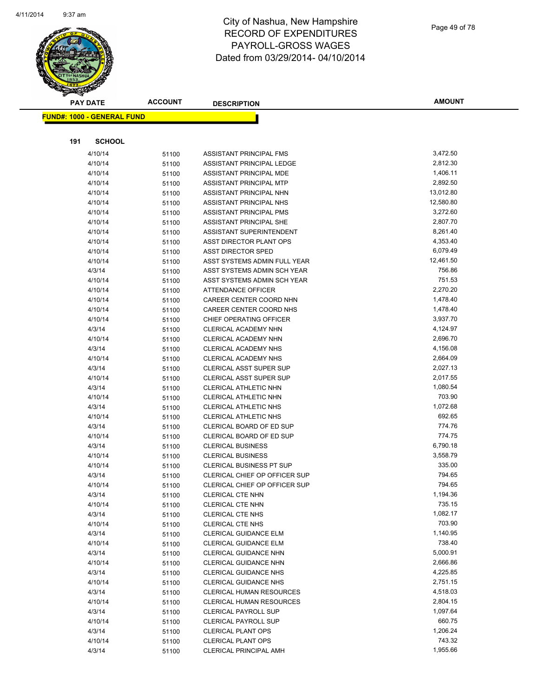

|     | <b>PAY DATE</b>                    | <b>ACCOUNT</b> | <b>DESCRIPTION</b>                   | <b>AMOUNT</b> |
|-----|------------------------------------|----------------|--------------------------------------|---------------|
|     | <u> FUND#: 1000 - GENERAL FUND</u> |                |                                      |               |
|     |                                    |                |                                      |               |
|     |                                    |                |                                      |               |
| 191 | <b>SCHOOL</b>                      |                |                                      |               |
|     | 4/10/14                            | 51100          | ASSISTANT PRINCIPAL FMS              | 3,472.50      |
|     | 4/10/14                            | 51100          | ASSISTANT PRINCIPAL LEDGE            | 2,812.30      |
|     | 4/10/14                            | 51100          | ASSISTANT PRINCIPAL MDE              | 1,406.11      |
|     | 4/10/14                            | 51100          | ASSISTANT PRINCIPAL MTP              | 2,892.50      |
|     | 4/10/14                            | 51100          | ASSISTANT PRINCIPAL NHN              | 13,012.80     |
|     | 4/10/14                            | 51100          | ASSISTANT PRINCIPAL NHS              | 12,580.80     |
|     | 4/10/14                            | 51100          | ASSISTANT PRINCIPAL PMS              | 3,272.60      |
|     | 4/10/14                            | 51100          | ASSISTANT PRINCIPAL SHE              | 2,807.70      |
|     | 4/10/14                            | 51100          | ASSISTANT SUPERINTENDENT             | 8,261.40      |
|     | 4/10/14                            | 51100          | ASST DIRECTOR PLANT OPS              | 4,353.40      |
|     | 4/10/14                            | 51100          | <b>ASST DIRECTOR SPED</b>            | 6,079.49      |
|     | 4/10/14                            | 51100          | ASST SYSTEMS ADMIN FULL YEAR         | 12,461.50     |
|     | 4/3/14                             | 51100          | ASST SYSTEMS ADMIN SCH YEAR          | 756.86        |
|     | 4/10/14                            | 51100          | ASST SYSTEMS ADMIN SCH YEAR          | 751.53        |
|     | 4/10/14                            | 51100          | ATTENDANCE OFFICER                   | 2,270.20      |
|     | 4/10/14                            | 51100          | CAREER CENTER COORD NHN              | 1,478.40      |
|     | 4/10/14                            | 51100          | CAREER CENTER COORD NHS              | 1,478.40      |
|     | 4/10/14                            | 51100          | CHIEF OPERATING OFFICER              | 3,937.70      |
|     | 4/3/14                             | 51100          | CLERICAL ACADEMY NHN                 | 4,124.97      |
|     | 4/10/14                            | 51100          | CLERICAL ACADEMY NHN                 | 2,696.70      |
|     | 4/3/14                             | 51100          | CLERICAL ACADEMY NHS                 | 4,156.08      |
|     | 4/10/14                            | 51100          | <b>CLERICAL ACADEMY NHS</b>          | 2,664.09      |
|     | 4/3/14                             | 51100          | <b>CLERICAL ASST SUPER SUP</b>       | 2,027.13      |
|     | 4/10/14                            | 51100          | <b>CLERICAL ASST SUPER SUP</b>       | 2,017.55      |
|     | 4/3/14                             | 51100          | CLERICAL ATHLETIC NHN                | 1,080.54      |
|     | 4/10/14                            | 51100          | CLERICAL ATHLETIC NHN                | 703.90        |
|     | 4/3/14                             | 51100          | CLERICAL ATHLETIC NHS                | 1,072.68      |
|     | 4/10/14                            | 51100          | CLERICAL ATHLETIC NHS                | 692.65        |
|     | 4/3/14                             | 51100          | CLERICAL BOARD OF ED SUP             | 774.76        |
|     | 4/10/14                            | 51100          | CLERICAL BOARD OF ED SUP             | 774.75        |
|     | 4/3/14                             | 51100          | <b>CLERICAL BUSINESS</b>             | 6,790.18      |
|     | 4/10/14                            | 51100          | <b>CLERICAL BUSINESS</b>             | 3,558.79      |
|     | 4/10/14                            | 51100          | <b>CLERICAL BUSINESS PT SUP</b>      | 335.00        |
|     | 4/3/14                             | 51100          | CLERICAL CHIEF OP OFFICER SUP        | 794.65        |
|     | 4/10/14                            | 51100          | <b>CLERICAL CHIEF OP OFFICER SUP</b> | 794.65        |
|     | 4/3/14                             | 51100          | CLERICAL CTE NHN                     | 1,194.36      |
|     | 4/10/14                            | 51100          | <b>CLERICAL CTE NHN</b>              | 735.15        |
|     | 4/3/14                             | 51100          | <b>CLERICAL CTE NHS</b>              | 1,082.17      |
|     | 4/10/14                            | 51100          | <b>CLERICAL CTE NHS</b>              | 703.90        |
|     | 4/3/14                             | 51100          | <b>CLERICAL GUIDANCE ELM</b>         | 1,140.95      |
|     | 4/10/14                            | 51100          | CLERICAL GUIDANCE ELM                | 738.40        |
|     | 4/3/14                             | 51100          | CLERICAL GUIDANCE NHN                | 5,000.91      |
|     | 4/10/14                            | 51100          | CLERICAL GUIDANCE NHN                | 2,666.86      |
|     | 4/3/14                             | 51100          | CLERICAL GUIDANCE NHS                | 4,225.85      |
|     | 4/10/14                            | 51100          | <b>CLERICAL GUIDANCE NHS</b>         | 2,751.15      |
|     | 4/3/14                             | 51100          | <b>CLERICAL HUMAN RESOURCES</b>      | 4,518.03      |
|     | 4/10/14                            | 51100          | <b>CLERICAL HUMAN RESOURCES</b>      | 2,804.15      |
|     | 4/3/14                             | 51100          | <b>CLERICAL PAYROLL SUP</b>          | 1,097.64      |
|     | 4/10/14                            | 51100          | <b>CLERICAL PAYROLL SUP</b>          | 660.75        |
|     | 4/3/14                             | 51100          | <b>CLERICAL PLANT OPS</b>            | 1,206.24      |
|     | 4/10/14                            | 51100          | <b>CLERICAL PLANT OPS</b>            | 743.32        |
|     | 4/3/14                             | 51100          | CLERICAL PRINCIPAL AMH               | 1,955.66      |
|     |                                    |                |                                      |               |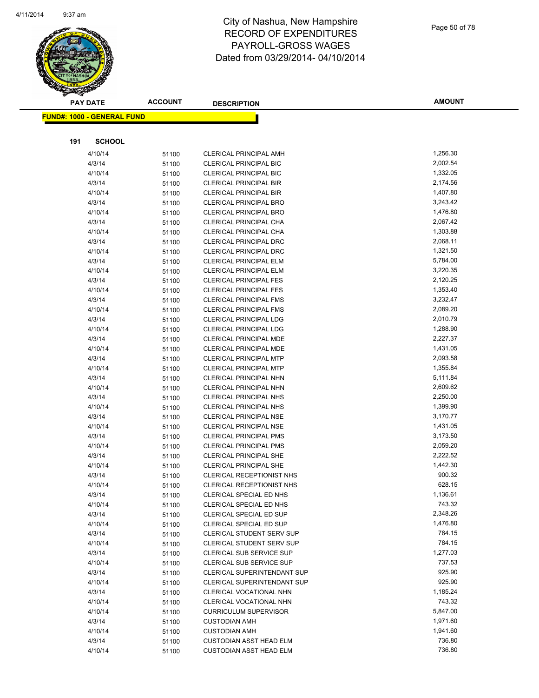

|     | <b>PAY DATE</b>                    | <b>ACCOUNT</b> | <b>DESCRIPTION</b>                                             | <b>AMOUNT</b>        |
|-----|------------------------------------|----------------|----------------------------------------------------------------|----------------------|
|     | <u> FUND#: 1000 - GENERAL FUND</u> |                |                                                                |                      |
|     |                                    |                |                                                                |                      |
|     |                                    |                |                                                                |                      |
| 191 | <b>SCHOOL</b>                      |                |                                                                |                      |
|     | 4/10/14                            | 51100          | <b>CLERICAL PRINCIPAL AMH</b>                                  | 1,256.30             |
|     | 4/3/14                             | 51100          | <b>CLERICAL PRINCIPAL BIC</b>                                  | 2,002.54             |
|     | 4/10/14                            | 51100          | <b>CLERICAL PRINCIPAL BIC</b>                                  | 1,332.05             |
|     | 4/3/14                             | 51100          | <b>CLERICAL PRINCIPAL BIR</b>                                  | 2,174.56             |
|     | 4/10/14                            | 51100          | <b>CLERICAL PRINCIPAL BIR</b>                                  | 1,407.80             |
|     | 4/3/14                             | 51100          | <b>CLERICAL PRINCIPAL BRO</b>                                  | 3,243.42             |
|     | 4/10/14                            | 51100          | <b>CLERICAL PRINCIPAL BRO</b>                                  | 1,476.80             |
|     | 4/3/14                             | 51100          | CLERICAL PRINCIPAL CHA                                         | 2,067.42             |
|     | 4/10/14                            | 51100          | <b>CLERICAL PRINCIPAL CHA</b>                                  | 1,303.88<br>2,068.11 |
|     | 4/3/14<br>4/10/14                  | 51100          | <b>CLERICAL PRINCIPAL DRC</b><br><b>CLERICAL PRINCIPAL DRC</b> | 1,321.50             |
|     | 4/3/14                             | 51100          | <b>CLERICAL PRINCIPAL ELM</b>                                  | 5,784.00             |
|     | 4/10/14                            | 51100          | <b>CLERICAL PRINCIPAL ELM</b>                                  | 3,220.35             |
|     | 4/3/14                             | 51100          | <b>CLERICAL PRINCIPAL FES</b>                                  | 2,120.25             |
|     | 4/10/14                            | 51100          | <b>CLERICAL PRINCIPAL FES</b>                                  | 1,353.40             |
|     | 4/3/14                             | 51100<br>51100 | <b>CLERICAL PRINCIPAL FMS</b>                                  | 3,232.47             |
|     | 4/10/14                            |                | <b>CLERICAL PRINCIPAL FMS</b>                                  | 2,089.20             |
|     | 4/3/14                             | 51100<br>51100 | <b>CLERICAL PRINCIPAL LDG</b>                                  | 2,010.79             |
|     | 4/10/14                            | 51100          | <b>CLERICAL PRINCIPAL LDG</b>                                  | 1,288.90             |
|     | 4/3/14                             | 51100          | CLERICAL PRINCIPAL MDE                                         | 2,227.37             |
|     | 4/10/14                            | 51100          | <b>CLERICAL PRINCIPAL MDE</b>                                  | 1,431.05             |
|     | 4/3/14                             | 51100          | <b>CLERICAL PRINCIPAL MTP</b>                                  | 2,093.58             |
|     | 4/10/14                            | 51100          | <b>CLERICAL PRINCIPAL MTP</b>                                  | 1,355.84             |
|     | 4/3/14                             | 51100          | CLERICAL PRINCIPAL NHN                                         | 5,111.84             |
|     | 4/10/14                            | 51100          | CLERICAL PRINCIPAL NHN                                         | 2,609.62             |
|     | 4/3/14                             | 51100          | <b>CLERICAL PRINCIPAL NHS</b>                                  | 2,250.00             |
|     | 4/10/14                            | 51100          | <b>CLERICAL PRINCIPAL NHS</b>                                  | 1,399.90             |
|     | 4/3/14                             | 51100          | <b>CLERICAL PRINCIPAL NSE</b>                                  | 3,170.77             |
|     | 4/10/14                            | 51100          | <b>CLERICAL PRINCIPAL NSE</b>                                  | 1,431.05             |
|     | 4/3/14                             | 51100          | <b>CLERICAL PRINCIPAL PMS</b>                                  | 3,173.50             |
|     | 4/10/14                            | 51100          | <b>CLERICAL PRINCIPAL PMS</b>                                  | 2,059.20             |
|     | 4/3/14                             | 51100          | <b>CLERICAL PRINCIPAL SHE</b>                                  | 2,222.52             |
|     | 4/10/14                            | 51100          | <b>CLERICAL PRINCIPAL SHE</b>                                  | 1,442.30             |
|     | 4/3/14                             | 51100          | CLERICAL RECEPTIONIST NHS                                      | 900.32               |
|     | 4/10/14                            | 51100          | CLERICAL RECEPTIONIST NHS                                      | 628.15               |
|     | 4/3/14                             | 51100          | CLERICAL SPECIAL ED NHS                                        | 1,136.61             |
|     | 4/10/14                            | 51100          | CLERICAL SPECIAL ED NHS                                        | 743.32               |
|     | 4/3/14                             | 51100          | CLERICAL SPECIAL ED SUP                                        | 2,348.26             |
|     | 4/10/14                            | 51100          | CLERICAL SPECIAL ED SUP                                        | 1,476.80             |
|     | 4/3/14                             | 51100          | <b>CLERICAL STUDENT SERV SUP</b>                               | 784.15               |
|     | 4/10/14                            | 51100          | CLERICAL STUDENT SERV SUP                                      | 784.15               |
|     | 4/3/14                             | 51100          | CLERICAL SUB SERVICE SUP                                       | 1,277.03             |
|     | 4/10/14                            | 51100          | CLERICAL SUB SERVICE SUP                                       | 737.53               |
|     | 4/3/14                             | 51100          | <b>CLERICAL SUPERINTENDANT SUP</b>                             | 925.90               |
|     | 4/10/14                            | 51100          | <b>CLERICAL SUPERINTENDANT SUP</b>                             | 925.90               |
|     | 4/3/14                             | 51100          | CLERICAL VOCATIONAL NHN                                        | 1,185.24             |
|     | 4/10/14                            | 51100          | CLERICAL VOCATIONAL NHN                                        | 743.32               |
|     | 4/10/14                            | 51100          | <b>CURRICULUM SUPERVISOR</b>                                   | 5,847.00             |
|     | 4/3/14                             | 51100          | <b>CUSTODIAN AMH</b>                                           | 1,971.60             |
|     | 4/10/14                            | 51100          | <b>CUSTODIAN AMH</b>                                           | 1,941.60             |
|     | 4/3/14                             | 51100          | <b>CUSTODIAN ASST HEAD ELM</b>                                 | 736.80               |
|     | 4/10/14                            | 51100          | <b>CUSTODIAN ASST HEAD ELM</b>                                 | 736.80               |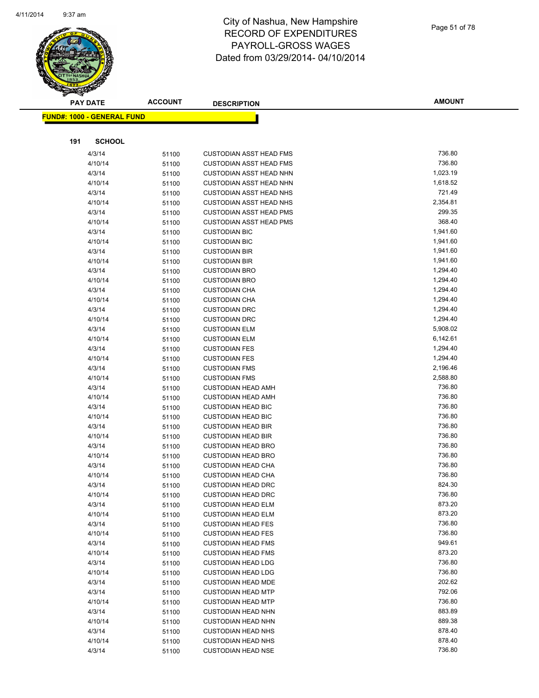

|     | <b>PAY DATE</b>                    | <b>ACCOUNT</b> | <b>DESCRIPTION</b>                                | <b>AMOUNT</b>        |
|-----|------------------------------------|----------------|---------------------------------------------------|----------------------|
|     | <u> FUND#: 1000 - GENERAL FUND</u> |                |                                                   |                      |
|     |                                    |                |                                                   |                      |
|     |                                    |                |                                                   |                      |
| 191 | <b>SCHOOL</b>                      |                |                                                   |                      |
|     | 4/3/14                             | 51100          | CUSTODIAN ASST HEAD FMS                           | 736.80               |
|     | 4/10/14                            | 51100          | <b>CUSTODIAN ASST HEAD FMS</b>                    | 736.80               |
|     | 4/3/14                             | 51100          | <b>CUSTODIAN ASST HEAD NHN</b>                    | 1,023.19             |
|     | 4/10/14                            | 51100          | <b>CUSTODIAN ASST HEAD NHN</b>                    | 1,618.52             |
|     | 4/3/14                             | 51100          | <b>CUSTODIAN ASST HEAD NHS</b>                    | 721.49               |
|     | 4/10/14                            | 51100          | <b>CUSTODIAN ASST HEAD NHS</b>                    | 2,354.81             |
|     | 4/3/14                             | 51100          | <b>CUSTODIAN ASST HEAD PMS</b>                    | 299.35               |
|     | 4/10/14                            | 51100          | <b>CUSTODIAN ASST HEAD PMS</b>                    | 368.40               |
|     | 4/3/14                             | 51100          | <b>CUSTODIAN BIC</b>                              | 1,941.60             |
|     | 4/10/14                            | 51100          | <b>CUSTODIAN BIC</b>                              | 1,941.60             |
|     | 4/3/14                             | 51100          | <b>CUSTODIAN BIR</b>                              | 1,941.60             |
|     | 4/10/14                            | 51100          | <b>CUSTODIAN BIR</b>                              | 1,941.60             |
|     | 4/3/14                             | 51100          | <b>CUSTODIAN BRO</b>                              | 1,294.40             |
|     | 4/10/14                            | 51100          | <b>CUSTODIAN BRO</b>                              | 1,294.40             |
|     | 4/3/14                             | 51100          | <b>CUSTODIAN CHA</b>                              | 1,294.40             |
|     | 4/10/14                            | 51100          | <b>CUSTODIAN CHA</b>                              | 1,294.40             |
|     | 4/3/14                             | 51100          | <b>CUSTODIAN DRC</b>                              | 1,294.40             |
|     | 4/10/14                            | 51100          | <b>CUSTODIAN DRC</b>                              | 1,294.40             |
|     | 4/3/14                             | 51100          | <b>CUSTODIAN ELM</b>                              | 5,908.02             |
|     | 4/10/14                            | 51100          | <b>CUSTODIAN ELM</b>                              | 6,142.61             |
|     | 4/3/14                             | 51100          | <b>CUSTODIAN FES</b>                              | 1,294.40             |
|     | 4/10/14                            | 51100          | <b>CUSTODIAN FES</b>                              | 1,294.40<br>2,196.46 |
|     | 4/3/14                             | 51100          | <b>CUSTODIAN FMS</b>                              | 2,588.80             |
|     | 4/10/14<br>4/3/14                  | 51100          | <b>CUSTODIAN FMS</b><br><b>CUSTODIAN HEAD AMH</b> | 736.80               |
|     | 4/10/14                            | 51100<br>51100 | <b>CUSTODIAN HEAD AMH</b>                         | 736.80               |
|     | 4/3/14                             | 51100          | <b>CUSTODIAN HEAD BIC</b>                         | 736.80               |
|     | 4/10/14                            | 51100          | <b>CUSTODIAN HEAD BIC</b>                         | 736.80               |
|     | 4/3/14                             | 51100          | <b>CUSTODIAN HEAD BIR</b>                         | 736.80               |
|     | 4/10/14                            | 51100          | <b>CUSTODIAN HEAD BIR</b>                         | 736.80               |
|     | 4/3/14                             | 51100          | <b>CUSTODIAN HEAD BRO</b>                         | 736.80               |
|     | 4/10/14                            | 51100          | <b>CUSTODIAN HEAD BRO</b>                         | 736.80               |
|     | 4/3/14                             | 51100          | <b>CUSTODIAN HEAD CHA</b>                         | 736.80               |
|     | 4/10/14                            | 51100          | <b>CUSTODIAN HEAD CHA</b>                         | 736.80               |
|     | 4/3/14                             | 51100          | <b>CUSTODIAN HEAD DRC</b>                         | 824.30               |
|     | 4/10/14                            | 51100          | <b>CUSTODIAN HEAD DRC</b>                         | 736.80               |
|     | 4/3/14                             | 51100          | <b>CUSTODIAN HEAD ELM</b>                         | 873.20               |
|     | 4/10/14                            | 51100          | <b>CUSTODIAN HEAD ELM</b>                         | 873.20               |
|     | 4/3/14                             | 51100          | <b>CUSTODIAN HEAD FES</b>                         | 736.80               |
|     | 4/10/14                            | 51100          | <b>CUSTODIAN HEAD FES</b>                         | 736.80               |
|     | 4/3/14                             | 51100          | <b>CUSTODIAN HEAD FMS</b>                         | 949.61               |
|     | 4/10/14                            | 51100          | <b>CUSTODIAN HEAD FMS</b>                         | 873.20               |
|     | 4/3/14                             | 51100          | <b>CUSTODIAN HEAD LDG</b>                         | 736.80               |
|     | 4/10/14                            | 51100          | <b>CUSTODIAN HEAD LDG</b>                         | 736.80               |
|     | 4/3/14                             | 51100          | <b>CUSTODIAN HEAD MDE</b>                         | 202.62               |
|     | 4/3/14                             | 51100          | <b>CUSTODIAN HEAD MTP</b>                         | 792.06               |
|     | 4/10/14                            | 51100          | <b>CUSTODIAN HEAD MTP</b>                         | 736.80               |
|     | 4/3/14                             | 51100          | <b>CUSTODIAN HEAD NHN</b>                         | 883.89               |
|     | 4/10/14                            | 51100          | <b>CUSTODIAN HEAD NHN</b>                         | 889.38               |
|     | 4/3/14                             | 51100          | <b>CUSTODIAN HEAD NHS</b>                         | 878.40               |
|     | 4/10/14                            | 51100          | <b>CUSTODIAN HEAD NHS</b>                         | 878.40               |
|     | 4/3/14                             | 51100          | <b>CUSTODIAN HEAD NSE</b>                         | 736.80               |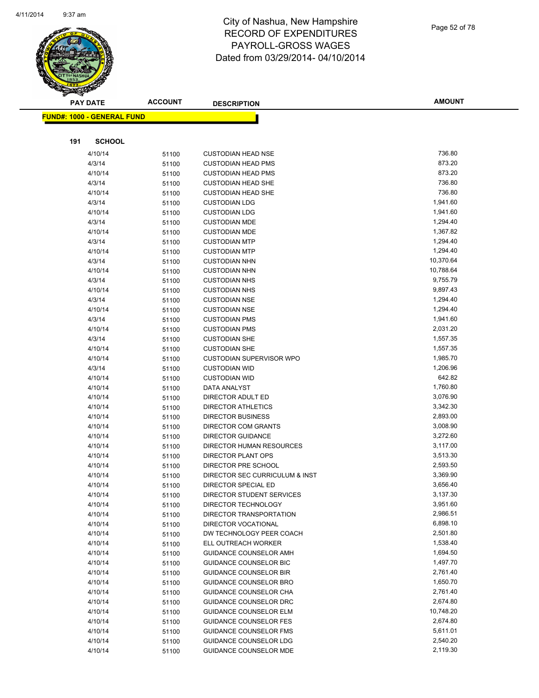

| <b>PAY DATE</b>                   |                   | <b>ACCOUNT</b> | <b>DESCRIPTION</b>                           | <b>AMOUNT</b>        |
|-----------------------------------|-------------------|----------------|----------------------------------------------|----------------------|
| <b>FUND#: 1000 - GENERAL FUND</b> |                   |                |                                              |                      |
|                                   |                   |                |                                              |                      |
|                                   |                   |                |                                              |                      |
| 191                               | <b>SCHOOL</b>     |                |                                              |                      |
|                                   | 4/10/14           | 51100          | <b>CUSTODIAN HEAD NSE</b>                    | 736.80               |
|                                   | 4/3/14            | 51100          | <b>CUSTODIAN HEAD PMS</b>                    | 873.20               |
|                                   | 4/10/14           | 51100          | <b>CUSTODIAN HEAD PMS</b>                    | 873.20               |
|                                   | 4/3/14            | 51100          | <b>CUSTODIAN HEAD SHE</b>                    | 736.80               |
|                                   | 4/10/14           | 51100          | <b>CUSTODIAN HEAD SHE</b>                    | 736.80               |
|                                   | 4/3/14            | 51100          | <b>CUSTODIAN LDG</b>                         | 1,941.60             |
|                                   | 4/10/14           | 51100          | <b>CUSTODIAN LDG</b>                         | 1,941.60             |
|                                   | 4/3/14            | 51100          | <b>CUSTODIAN MDE</b>                         | 1,294.40             |
|                                   | 4/10/14           | 51100          | <b>CUSTODIAN MDE</b>                         | 1,367.82             |
|                                   | 4/3/14            | 51100          | <b>CUSTODIAN MTP</b>                         | 1,294.40             |
|                                   | 4/10/14           | 51100          | <b>CUSTODIAN MTP</b>                         | 1,294.40             |
|                                   | 4/3/14            | 51100          | <b>CUSTODIAN NHN</b>                         | 10,370.64            |
|                                   | 4/10/14           | 51100          | <b>CUSTODIAN NHN</b>                         | 10,788.64            |
|                                   | 4/3/14            | 51100          | <b>CUSTODIAN NHS</b>                         | 9,755.79             |
|                                   | 4/10/14           | 51100          | <b>CUSTODIAN NHS</b>                         | 9,897.43<br>1,294.40 |
|                                   | 4/3/14            | 51100          | <b>CUSTODIAN NSE</b>                         |                      |
|                                   | 4/10/14           | 51100          | <b>CUSTODIAN NSE</b>                         | 1,294.40<br>1,941.60 |
|                                   | 4/3/14            | 51100          | <b>CUSTODIAN PMS</b><br><b>CUSTODIAN PMS</b> | 2,031.20             |
|                                   | 4/10/14           | 51100          |                                              | 1,557.35             |
|                                   | 4/3/14<br>4/10/14 | 51100          | <b>CUSTODIAN SHE</b><br><b>CUSTODIAN SHE</b> | 1,557.35             |
|                                   | 4/10/14           | 51100          | <b>CUSTODIAN SUPERVISOR WPO</b>              | 1,985.70             |
|                                   | 4/3/14            | 51100          | <b>CUSTODIAN WID</b>                         | 1,206.96             |
|                                   | 4/10/14           | 51100          | <b>CUSTODIAN WID</b>                         | 642.82               |
|                                   | 4/10/14           | 51100          | DATA ANALYST                                 | 1,760.80             |
|                                   | 4/10/14           | 51100          | DIRECTOR ADULT ED                            | 3,076.90             |
|                                   | 4/10/14           | 51100<br>51100 | DIRECTOR ATHLETICS                           | 3,342.30             |
|                                   | 4/10/14           | 51100          | <b>DIRECTOR BUSINESS</b>                     | 2,893.00             |
|                                   | 4/10/14           | 51100          | <b>DIRECTOR COM GRANTS</b>                   | 3,008.90             |
|                                   | 4/10/14           | 51100          | <b>DIRECTOR GUIDANCE</b>                     | 3,272.60             |
|                                   | 4/10/14           | 51100          | <b>DIRECTOR HUMAN RESOURCES</b>              | 3,117.00             |
|                                   | 4/10/14           | 51100          | DIRECTOR PLANT OPS                           | 3,513.30             |
|                                   | 4/10/14           | 51100          | DIRECTOR PRE SCHOOL                          | 2,593.50             |
|                                   | 4/10/14           | 51100          | DIRECTOR SEC CURRICULUM & INST               | 3,369.90             |
|                                   | 4/10/14           | 51100          | DIRECTOR SPECIAL ED                          | 3,656.40             |
|                                   | 4/10/14           | 51100          | DIRECTOR STUDENT SERVICES                    | 3,137.30             |
|                                   | 4/10/14           | 51100          | DIRECTOR TECHNOLOGY                          | 3,951.60             |
|                                   | 4/10/14           | 51100          | DIRECTOR TRANSPORTATION                      | 2,986.51             |
|                                   | 4/10/14           | 51100          | DIRECTOR VOCATIONAL                          | 6,898.10             |
|                                   | 4/10/14           | 51100          | DW TECHNOLOGY PEER COACH                     | 2,501.80             |
|                                   | 4/10/14           | 51100          | ELL OUTREACH WORKER                          | 1,538.40             |
|                                   | 4/10/14           | 51100          | <b>GUIDANCE COUNSELOR AMH</b>                | 1,694.50             |
|                                   | 4/10/14           | 51100          | <b>GUIDANCE COUNSELOR BIC</b>                | 1,497.70             |
|                                   | 4/10/14           | 51100          | <b>GUIDANCE COUNSELOR BIR</b>                | 2,761.40             |
|                                   | 4/10/14           | 51100          | <b>GUIDANCE COUNSELOR BRO</b>                | 1,650.70             |
|                                   | 4/10/14           | 51100          | GUIDANCE COUNSELOR CHA                       | 2,761.40             |
|                                   | 4/10/14           | 51100          | <b>GUIDANCE COUNSELOR DRC</b>                | 2,674.80             |
|                                   | 4/10/14           | 51100          | <b>GUIDANCE COUNSELOR ELM</b>                | 10,748.20            |
|                                   | 4/10/14           | 51100          | <b>GUIDANCE COUNSELOR FES</b>                | 2,674.80             |
|                                   | 4/10/14           | 51100          | <b>GUIDANCE COUNSELOR FMS</b>                | 5,611.01             |
|                                   | 4/10/14           | 51100          | <b>GUIDANCE COUNSELOR LDG</b>                | 2,540.20             |
|                                   | 4/10/14           | 51100          | <b>GUIDANCE COUNSELOR MDE</b>                | 2,119.30             |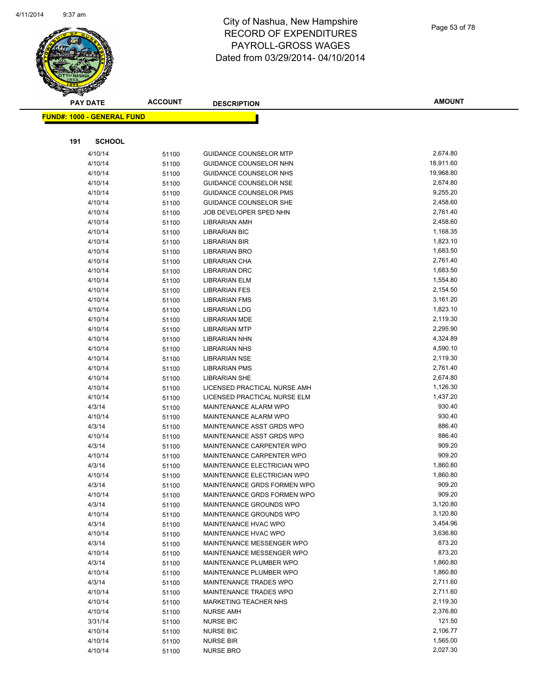

|     | <b>PAY DATE</b>                    | <b>ACCOUNT</b> | <b>DESCRIPTION</b>                           | <b>AMOUNT</b>        |
|-----|------------------------------------|----------------|----------------------------------------------|----------------------|
|     | <u> FUND#: 1000 - GENERAL FUND</u> |                |                                              |                      |
|     |                                    |                |                                              |                      |
|     |                                    |                |                                              |                      |
| 191 | <b>SCHOOL</b>                      |                |                                              |                      |
|     | 4/10/14                            | 51100          | <b>GUIDANCE COUNSELOR MTP</b>                | 2,674.80             |
|     | 4/10/14                            | 51100          | GUIDANCE COUNSELOR NHN                       | 18,911.60            |
|     | 4/10/14                            | 51100          | <b>GUIDANCE COUNSELOR NHS</b>                | 19,968.80            |
|     | 4/10/14                            | 51100          | <b>GUIDANCE COUNSELOR NSE</b>                | 2,674.80             |
|     | 4/10/14                            | 51100          | <b>GUIDANCE COUNSELOR PMS</b>                | 9,255.20             |
|     | 4/10/14                            | 51100          | <b>GUIDANCE COUNSELOR SHE</b>                | 2,458.60             |
|     | 4/10/14                            | 51100          | JOB DEVELOPER SPED NHN                       | 2,761.40             |
|     | 4/10/14                            | 51100          | <b>LIBRARIAN AMH</b>                         | 2,458.60             |
|     | 4/10/14                            | 51100          | <b>LIBRARIAN BIC</b>                         | 1,168.35             |
|     | 4/10/14                            | 51100          | <b>LIBRARIAN BIR</b>                         | 1,823.10             |
|     | 4/10/14                            | 51100          | <b>LIBRARIAN BRO</b>                         | 1,683.50             |
|     | 4/10/14                            | 51100          | LIBRARIAN CHA                                | 2,761.40             |
|     | 4/10/14                            | 51100          | <b>LIBRARIAN DRC</b>                         | 1,683.50             |
|     | 4/10/14                            | 51100          | <b>LIBRARIAN ELM</b>                         | 1,554.80             |
|     | 4/10/14                            | 51100          | <b>LIBRARIAN FES</b>                         | 2,154.50             |
|     | 4/10/14                            | 51100          | <b>LIBRARIAN FMS</b>                         | 3,161.20             |
|     | 4/10/14                            | 51100          | <b>LIBRARIAN LDG</b>                         | 1,823.10<br>2,119.30 |
|     | 4/10/14                            | 51100          | <b>LIBRARIAN MDE</b>                         |                      |
|     | 4/10/14                            | 51100          | <b>LIBRARIAN MTP</b><br><b>LIBRARIAN NHN</b> | 2,295.90<br>4,324.89 |
|     | 4/10/14                            | 51100          |                                              | 4,590.10             |
|     | 4/10/14<br>4/10/14                 | 51100          | <b>LIBRARIAN NHS</b>                         | 2,119.30             |
|     | 4/10/14                            | 51100          | <b>LIBRARIAN NSE</b><br><b>LIBRARIAN PMS</b> | 2,761.40             |
|     | 4/10/14                            | 51100          | <b>LIBRARIAN SHE</b>                         | 2,674.80             |
|     | 4/10/14                            | 51100          | LICENSED PRACTICAL NURSE AMH                 | 1,126.30             |
|     | 4/10/14                            | 51100          | LICENSED PRACTICAL NURSE ELM                 | 1,437.20             |
|     | 4/3/14                             | 51100          | MAINTENANCE ALARM WPO                        | 930.40               |
|     | 4/10/14                            | 51100          | MAINTENANCE ALARM WPO                        | 930.40               |
|     | 4/3/14                             | 51100<br>51100 | MAINTENANCE ASST GRDS WPO                    | 886.40               |
|     | 4/10/14                            | 51100          | MAINTENANCE ASST GRDS WPO                    | 886.40               |
|     | 4/3/14                             | 51100          | MAINTENANCE CARPENTER WPO                    | 909.20               |
|     | 4/10/14                            | 51100          | MAINTENANCE CARPENTER WPO                    | 909.20               |
|     | 4/3/14                             | 51100          | MAINTENANCE ELECTRICIAN WPO                  | 1,860.80             |
|     | 4/10/14                            | 51100          | MAINTENANCE ELECTRICIAN WPO                  | 1,860.80             |
|     | 4/3/14                             | 51100          | MAINTENANCE GRDS FORMEN WPO                  | 909.20               |
|     | 4/10/14                            | 51100          | MAINTENANCE GRDS FORMEN WPO                  | 909.20               |
|     | 4/3/14                             | 51100          | MAINTENANCE GROUNDS WPO                      | 3,120.80             |
|     | 4/10/14                            | 51100          | MAINTENANCE GROUNDS WPO                      | 3,120.80             |
|     | 4/3/14                             | 51100          | MAINTENANCE HVAC WPO                         | 3,454.96             |
|     | 4/10/14                            | 51100          | MAINTENANCE HVAC WPO                         | 3,636.80             |
|     | 4/3/14                             | 51100          | MAINTENANCE MESSENGER WPO                    | 873.20               |
|     | 4/10/14                            | 51100          | MAINTENANCE MESSENGER WPO                    | 873.20               |
|     | 4/3/14                             | 51100          | MAINTENANCE PLUMBER WPO                      | 1,860.80             |
|     | 4/10/14                            | 51100          | MAINTENANCE PLUMBER WPO                      | 1,860.80             |
|     | 4/3/14                             | 51100          | MAINTENANCE TRADES WPO                       | 2,711.60             |
|     | 4/10/14                            | 51100          | MAINTENANCE TRADES WPO                       | 2,711.60             |
|     | 4/10/14                            | 51100          | MARKETING TEACHER NHS                        | 2,119.30             |
|     | 4/10/14                            | 51100          | <b>NURSE AMH</b>                             | 2,376.80             |
|     | 3/31/14                            | 51100          | <b>NURSE BIC</b>                             | 121.50               |
|     | 4/10/14                            | 51100          | <b>NURSE BIC</b>                             | 2,106.77             |
|     | 4/10/14                            | 51100          | <b>NURSE BIR</b>                             | 1,565.00             |
|     | 4/10/14                            | 51100          | <b>NURSE BRO</b>                             | 2,027.30             |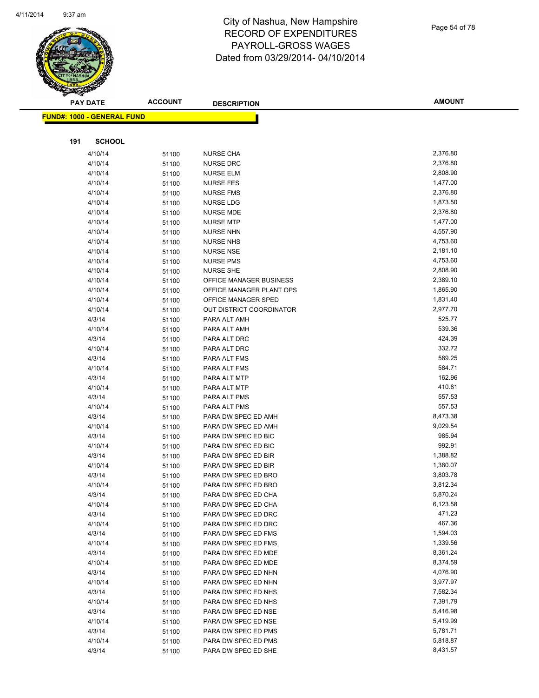

Page 54 of 78

|     | <b>PAY DATE</b>                    | <b>ACCOUNT</b> | <b>DESCRIPTION</b>                   | <b>AMOUNT</b>        |
|-----|------------------------------------|----------------|--------------------------------------|----------------------|
|     | <u> FUND#: 1000 - GENERAL FUND</u> |                |                                      |                      |
|     |                                    |                |                                      |                      |
|     |                                    |                |                                      |                      |
| 191 | <b>SCHOOL</b>                      |                |                                      |                      |
|     | 4/10/14                            | 51100          | <b>NURSE CHA</b>                     | 2,376.80             |
|     | 4/10/14                            | 51100          | <b>NURSE DRC</b>                     | 2,376.80             |
|     | 4/10/14                            | 51100          | <b>NURSE ELM</b>                     | 2,808.90             |
|     | 4/10/14                            | 51100          | <b>NURSE FES</b>                     | 1,477.00             |
|     | 4/10/14                            | 51100          | <b>NURSE FMS</b>                     | 2,376.80             |
|     | 4/10/14                            | 51100          | NURSE LDG                            | 1,873.50             |
|     | 4/10/14                            | 51100          | <b>NURSE MDE</b>                     | 2,376.80             |
|     | 4/10/14                            | 51100          | <b>NURSE MTP</b>                     | 1,477.00             |
|     | 4/10/14                            | 51100          | <b>NURSE NHN</b>                     | 4,557.90             |
|     | 4/10/14                            | 51100          | <b>NURSE NHS</b>                     | 4,753.60             |
|     | 4/10/14                            | 51100          | <b>NURSE NSE</b>                     | 2,181.10<br>4,753.60 |
|     | 4/10/14<br>4/10/14                 | 51100          | <b>NURSE PMS</b><br><b>NURSE SHE</b> | 2,808.90             |
|     | 4/10/14                            | 51100<br>51100 | OFFICE MANAGER BUSINESS              | 2,389.10             |
|     | 4/10/14                            | 51100          | OFFICE MANAGER PLANT OPS             | 1,865.90             |
|     | 4/10/14                            | 51100          | OFFICE MANAGER SPED                  | 1,831.40             |
|     | 4/10/14                            | 51100          | OUT DISTRICT COORDINATOR             | 2,977.70             |
|     | 4/3/14                             | 51100          | PARA ALT AMH                         | 525.77               |
|     | 4/10/14                            | 51100          | PARA ALT AMH                         | 539.36               |
|     | 4/3/14                             | 51100          | PARA ALT DRC                         | 424.39               |
|     | 4/10/14                            | 51100          | PARA ALT DRC                         | 332.72               |
|     | 4/3/14                             | 51100          | PARA ALT FMS                         | 589.25               |
|     | 4/10/14                            | 51100          | PARA ALT FMS                         | 584.71               |
|     | 4/3/14                             | 51100          | PARA ALT MTP                         | 162.96               |
|     | 4/10/14                            | 51100          | PARA ALT MTP                         | 410.81               |
|     | 4/3/14                             | 51100          | PARA ALT PMS                         | 557.53               |
|     | 4/10/14                            | 51100          | PARA ALT PMS                         | 557.53               |
|     | 4/3/14                             | 51100          | PARA DW SPEC ED AMH                  | 8,473.38             |
|     | 4/10/14                            | 51100          | PARA DW SPEC ED AMH                  | 9,029.54             |
|     | 4/3/14                             | 51100          | PARA DW SPEC ED BIC                  | 985.94               |
|     | 4/10/14                            | 51100          | PARA DW SPEC ED BIC                  | 992.91               |
|     | 4/3/14                             | 51100          | PARA DW SPEC ED BIR                  | 1,388.82             |
|     | 4/10/14                            | 51100          | PARA DW SPEC ED BIR                  | 1,380.07             |
|     | 4/3/14                             | 51100          | PARA DW SPEC ED BRO                  | 3,803.78             |
|     | 4/10/14                            | 51100          | PARA DW SPEC ED BRO                  | 3,812.34             |
|     | 4/3/14                             | 51100          | PARA DW SPEC ED CHA                  | 5,870.24             |
|     | 4/10/14                            | 51100          | PARA DW SPEC ED CHA                  | 6,123.58             |
|     | 4/3/14                             | 51100          | PARA DW SPEC ED DRC                  | 471.23               |
|     | 4/10/14                            | 51100          | PARA DW SPEC ED DRC                  | 467.36               |
|     | 4/3/14                             | 51100          | PARA DW SPEC ED FMS                  | 1,594.03             |
|     | 4/10/14                            | 51100          | PARA DW SPEC ED FMS                  | 1,339.56             |
|     | 4/3/14                             | 51100          | PARA DW SPEC ED MDE                  | 8,361.24             |
|     | 4/10/14                            | 51100          | PARA DW SPEC ED MDE                  | 8,374.59             |
|     | 4/3/14                             | 51100          | PARA DW SPEC ED NHN                  | 4,076.90             |
|     | 4/10/14                            | 51100          | PARA DW SPEC ED NHN                  | 3,977.97             |
|     | 4/3/14                             | 51100          | PARA DW SPEC ED NHS                  | 7,582.34             |
|     | 4/10/14                            | 51100          | PARA DW SPEC ED NHS                  | 7,391.79             |
|     | 4/3/14                             | 51100          | PARA DW SPEC ED NSE                  | 5,416.98             |
|     | 4/10/14                            | 51100          | PARA DW SPEC ED NSE                  | 5,419.99             |
|     | 4/3/14                             | 51100          | PARA DW SPEC ED PMS                  | 5,781.71             |
|     | 4/10/14                            | 51100          | PARA DW SPEC ED PMS                  | 5,818.87             |
|     | 4/3/14                             | 51100          | PARA DW SPEC ED SHE                  | 8,431.57             |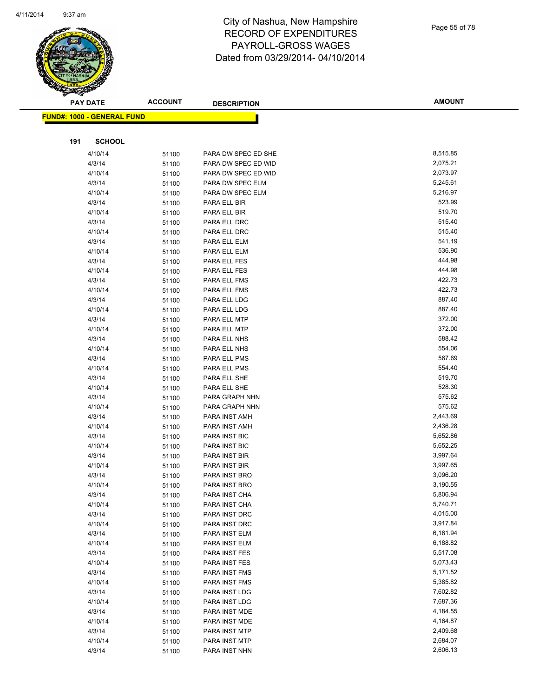

|     | <b>PAY DATE</b>                    | <b>ACCOUNT</b> | <b>DESCRIPTION</b>           | <b>AMOUNT</b>    |
|-----|------------------------------------|----------------|------------------------------|------------------|
|     | <u> FUND#: 1000 - GENERAL FUND</u> |                |                              |                  |
|     |                                    |                |                              |                  |
|     |                                    |                |                              |                  |
| 191 | <b>SCHOOL</b>                      |                |                              |                  |
|     | 4/10/14                            | 51100          | PARA DW SPEC ED SHE          | 8,515.85         |
|     | 4/3/14                             | 51100          | PARA DW SPEC ED WID          | 2,075.21         |
|     | 4/10/14                            | 51100          | PARA DW SPEC ED WID          | 2,073.97         |
|     | 4/3/14                             | 51100          | PARA DW SPEC ELM             | 5,245.61         |
|     | 4/10/14                            | 51100          | PARA DW SPEC ELM             | 5,216.97         |
|     | 4/3/14                             | 51100          | PARA ELL BIR                 | 523.99           |
|     | 4/10/14                            | 51100          | PARA ELL BIR                 | 519.70           |
|     | 4/3/14                             | 51100          | PARA ELL DRC                 | 515.40           |
|     | 4/10/14                            | 51100          | PARA ELL DRC                 | 515.40           |
|     | 4/3/14                             | 51100          | PARA ELL ELM                 | 541.19           |
|     | 4/10/14                            | 51100          | PARA ELL ELM                 | 536.90<br>444.98 |
|     | 4/3/14                             | 51100          | PARA ELL FES                 | 444.98           |
|     | 4/10/14                            | 51100          | PARA ELL FES<br>PARA ELL FMS | 422.73           |
|     | 4/3/14<br>4/10/14                  | 51100          | PARA ELL FMS                 | 422.73           |
|     | 4/3/14                             | 51100          | PARA ELL LDG                 | 887.40           |
|     | 4/10/14                            | 51100          | PARA ELL LDG                 | 887.40           |
|     | 4/3/14                             | 51100<br>51100 | PARA ELL MTP                 | 372.00           |
|     | 4/10/14                            | 51100          | PARA ELL MTP                 | 372.00           |
|     | 4/3/14                             | 51100          | PARA ELL NHS                 | 588.42           |
|     | 4/10/14                            | 51100          | PARA ELL NHS                 | 554.06           |
|     | 4/3/14                             | 51100          | PARA ELL PMS                 | 567.69           |
|     | 4/10/14                            | 51100          | PARA ELL PMS                 | 554.40           |
|     | 4/3/14                             | 51100          | PARA ELL SHE                 | 519.70           |
|     | 4/10/14                            | 51100          | PARA ELL SHE                 | 528.30           |
|     | 4/3/14                             | 51100          | PARA GRAPH NHN               | 575.62           |
|     | 4/10/14                            | 51100          | PARA GRAPH NHN               | 575.62           |
|     | 4/3/14                             | 51100          | PARA INST AMH                | 2,443.69         |
|     | 4/10/14                            | 51100          | PARA INST AMH                | 2,436.28         |
|     | 4/3/14                             | 51100          | PARA INST BIC                | 5,652.86         |
|     | 4/10/14                            | 51100          | PARA INST BIC                | 5,652.25         |
|     | 4/3/14                             | 51100          | PARA INST BIR                | 3,997.64         |
|     | 4/10/14                            | 51100          | PARA INST BIR                | 3,997.65         |
|     | 4/3/14                             | 51100          | PARA INST BRO                | 3,096.20         |
|     | 4/10/14                            | 51100          | PARA INST BRO                | 3,190.55         |
|     | 4/3/14                             | 51100          | PARA INST CHA                | 5,806.94         |
|     | 4/10/14                            | 51100          | PARA INST CHA                | 5,740.71         |
|     | 4/3/14                             | 51100          | PARA INST DRC                | 4,015.00         |
|     | 4/10/14                            | 51100          | PARA INST DRC                | 3,917.84         |
|     | 4/3/14                             | 51100          | PARA INST ELM                | 6,161.94         |
|     | 4/10/14                            | 51100          | PARA INST ELM                | 6,188.82         |
|     | 4/3/14                             | 51100          | PARA INST FES                | 5,517.08         |
|     | 4/10/14                            | 51100          | PARA INST FES                | 5,073.43         |
|     | 4/3/14                             | 51100          | PARA INST FMS                | 5,171.52         |
|     | 4/10/14                            | 51100          | PARA INST FMS                | 5,385.82         |
|     | 4/3/14                             | 51100          | PARA INST LDG                | 7,602.82         |
|     | 4/10/14                            | 51100          | PARA INST LDG                | 7,687.36         |
|     | 4/3/14                             | 51100          | PARA INST MDE                | 4,184.55         |
|     | 4/10/14                            | 51100          | PARA INST MDE                | 4,164.87         |
|     | 4/3/14                             | 51100          | PARA INST MTP                | 2,409.68         |
|     | 4/10/14                            | 51100          | PARA INST MTP                | 2,684.07         |
|     | 4/3/14                             | 51100          | PARA INST NHN                | 2,606.13         |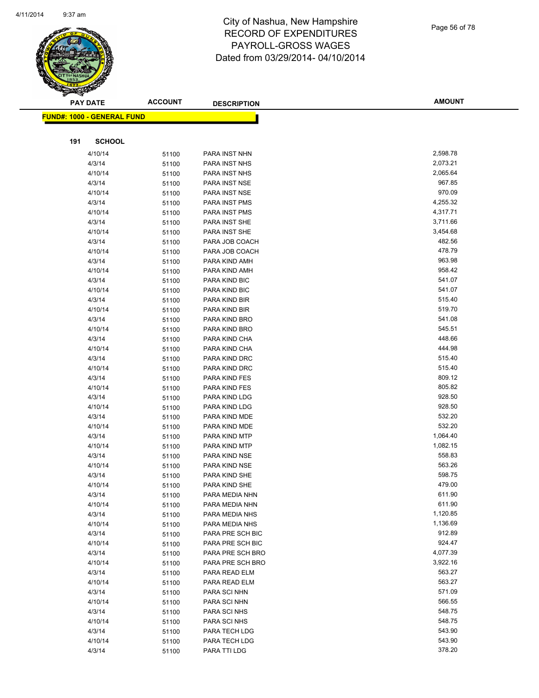

|     | <b>PAY DATE</b>                   | <b>ACCOUNT</b> | <b>DESCRIPTION</b>             | <b>AMOUNT</b>        |
|-----|-----------------------------------|----------------|--------------------------------|----------------------|
|     | <b>FUND#: 1000 - GENERAL FUND</b> |                |                                |                      |
|     |                                   |                |                                |                      |
| 191 | <b>SCHOOL</b>                     |                |                                |                      |
|     |                                   |                |                                |                      |
|     | 4/10/14                           | 51100          | PARA INST NHN                  | 2,598.78             |
|     | 4/3/14                            | 51100          | PARA INST NHS                  | 2,073.21             |
|     | 4/10/14                           | 51100          | PARA INST NHS                  | 2,065.64             |
|     | 4/3/14                            | 51100          | PARA INST NSE                  | 967.85<br>970.09     |
|     | 4/10/14                           | 51100          | PARA INST NSE                  |                      |
|     | 4/3/14                            | 51100          | PARA INST PMS                  | 4,255.32             |
|     | 4/10/14                           | 51100          | PARA INST PMS                  | 4,317.71<br>3,711.66 |
|     | 4/3/14                            | 51100          | PARA INST SHE                  | 3,454.68             |
|     | 4/10/14                           | 51100          | PARA INST SHE                  | 482.56               |
|     | 4/3/14                            | 51100          | PARA JOB COACH                 | 478.79               |
|     | 4/10/14<br>4/3/14                 | 51100          | PARA JOB COACH                 | 963.98               |
|     | 4/10/14                           | 51100          | PARA KIND AMH<br>PARA KIND AMH | 958.42               |
|     | 4/3/14                            | 51100          | PARA KIND BIC                  | 541.07               |
|     | 4/10/14                           | 51100          | PARA KIND BIC                  | 541.07               |
|     | 4/3/14                            | 51100          | PARA KIND BIR                  | 515.40               |
|     | 4/10/14                           | 51100          | PARA KIND BIR                  | 519.70               |
|     | 4/3/14                            | 51100          | PARA KIND BRO                  | 541.08               |
|     | 4/10/14                           | 51100          | PARA KIND BRO                  | 545.51               |
|     | 4/3/14                            | 51100          | PARA KIND CHA                  | 448.66               |
|     | 4/10/14                           | 51100<br>51100 | PARA KIND CHA                  | 444.98               |
|     | 4/3/14                            | 51100          | PARA KIND DRC                  | 515.40               |
|     | 4/10/14                           | 51100          | PARA KIND DRC                  | 515.40               |
|     | 4/3/14                            | 51100          | PARA KIND FES                  | 809.12               |
|     | 4/10/14                           | 51100          | PARA KIND FES                  | 805.82               |
|     | 4/3/14                            | 51100          | PARA KIND LDG                  | 928.50               |
|     | 4/10/14                           | 51100          | PARA KIND LDG                  | 928.50               |
|     | 4/3/14                            | 51100          | PARA KIND MDE                  | 532.20               |
|     | 4/10/14                           | 51100          | PARA KIND MDE                  | 532.20               |
|     | 4/3/14                            | 51100          | PARA KIND MTP                  | 1,064.40             |
|     | 4/10/14                           | 51100          | PARA KIND MTP                  | 1,082.15             |
|     | 4/3/14                            | 51100          | PARA KIND NSE                  | 558.83               |
|     | 4/10/14                           | 51100          | PARA KIND NSE                  | 563.26               |
|     | 4/3/14                            | 51100          | PARA KIND SHE                  | 598.75               |
|     | 4/10/14                           | 51100          | PARA KIND SHE                  | 479.00               |
|     | 4/3/14                            | 51100          | PARA MEDIA NHN                 | 611.90               |
|     | 4/10/14                           | 51100          | PARA MEDIA NHN                 | 611.90               |
|     | 4/3/14                            | 51100          | PARA MEDIA NHS                 | 1,120.85             |
|     | 4/10/14                           | 51100          | PARA MEDIA NHS                 | 1,136.69             |
|     | 4/3/14                            | 51100          | PARA PRE SCH BIC               | 912.89               |
|     | 4/10/14                           | 51100          | PARA PRE SCH BIC               | 924.47               |
|     | 4/3/14                            | 51100          | PARA PRE SCH BRO               | 4,077.39             |
|     | 4/10/14                           | 51100          | PARA PRE SCH BRO               | 3,922.16             |
|     | 4/3/14                            | 51100          | PARA READ ELM                  | 563.27               |
|     | 4/10/14                           | 51100          | PARA READ ELM                  | 563.27               |
|     | 4/3/14                            | 51100          | PARA SCI NHN                   | 571.09               |
|     | 4/10/14                           | 51100          | PARA SCI NHN                   | 566.55               |
|     | 4/3/14                            | 51100          | PARA SCI NHS                   | 548.75               |
|     | 4/10/14                           | 51100          | PARA SCI NHS                   | 548.75               |
|     | 4/3/14                            | 51100          | PARA TECH LDG                  | 543.90               |
|     | 4/10/14                           | 51100          | PARA TECH LDG                  | 543.90               |
|     | 4/3/14                            | 51100          | PARA TTI LDG                   | 378.20               |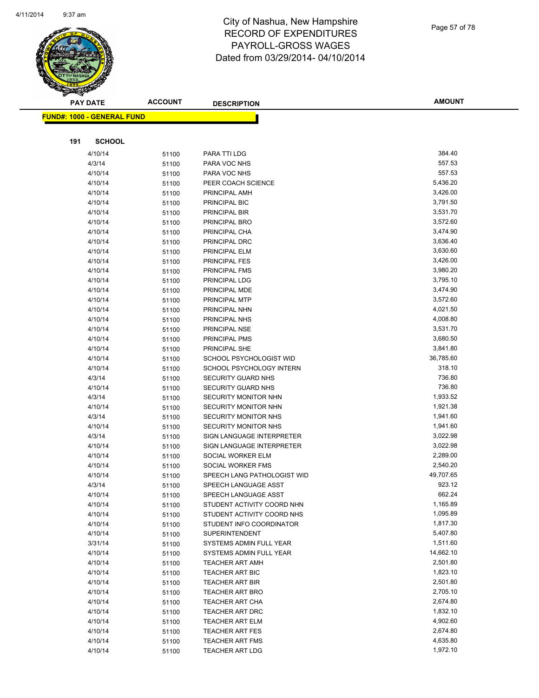

| :၁  |  |  |  |
|-----|--|--|--|
|     |  |  |  |
|     |  |  |  |
| 011 |  |  |  |

| <b>PAY DATE</b>                   | <b>ACCOUNT</b> | <b>DESCRIPTION</b>                 | <b>AMOUNT</b>        |
|-----------------------------------|----------------|------------------------------------|----------------------|
| <b>FUND#: 1000 - GENERAL FUND</b> |                |                                    |                      |
|                                   |                |                                    |                      |
| 191<br><b>SCHOOL</b>              |                |                                    |                      |
|                                   |                |                                    |                      |
| 4/10/14                           | 51100          | PARA TTI LDG                       | 384.40               |
| 4/3/14                            | 51100          | PARA VOC NHS                       | 557.53<br>557.53     |
| 4/10/14                           | 51100          | PARA VOC NHS<br>PEER COACH SCIENCE |                      |
| 4/10/14                           | 51100          |                                    | 5,436.20<br>3,426.00 |
| 4/10/14                           | 51100          | PRINCIPAL AMH<br>PRINCIPAL BIC     | 3,791.50             |
| 4/10/14                           | 51100          |                                    | 3,531.70             |
| 4/10/14<br>4/10/14                | 51100          | PRINCIPAL BIR<br>PRINCIPAL BRO     | 3,572.60             |
| 4/10/14                           | 51100<br>51100 | PRINCIPAL CHA                      | 3,474.90             |
| 4/10/14                           | 51100          | PRINCIPAL DRC                      | 3,636.40             |
| 4/10/14                           | 51100          | PRINCIPAL ELM                      | 3,630.60             |
| 4/10/14                           | 51100          | <b>PRINCIPAL FES</b>               | 3,426.00             |
| 4/10/14                           | 51100          | PRINCIPAL FMS                      | 3,980.20             |
| 4/10/14                           | 51100          | PRINCIPAL LDG                      | 3,795.10             |
| 4/10/14                           | 51100          | PRINCIPAL MDE                      | 3,474.90             |
| 4/10/14                           | 51100          | PRINCIPAL MTP                      | 3,572.60             |
| 4/10/14                           | 51100          | PRINCIPAL NHN                      | 4,021.50             |
| 4/10/14                           | 51100          | PRINCIPAL NHS                      | 4,008.80             |
| 4/10/14                           | 51100          | PRINCIPAL NSE                      | 3,531.70             |
| 4/10/14                           | 51100          | PRINCIPAL PMS                      | 3,680.50             |
| 4/10/14                           | 51100          | PRINCIPAL SHE                      | 3,841.80             |
| 4/10/14                           | 51100          | SCHOOL PSYCHOLOGIST WID            | 36,785.60            |
| 4/10/14                           | 51100          | SCHOOL PSYCHOLOGY INTERN           | 318.10               |
| 4/3/14                            | 51100          | SECURITY GUARD NHS                 | 736.80               |
| 4/10/14                           | 51100          | <b>SECURITY GUARD NHS</b>          | 736.80               |
| 4/3/14                            | 51100          | SECURITY MONITOR NHN               | 1,933.52             |
| 4/10/14                           | 51100          | SECURITY MONITOR NHN               | 1,921.38             |
| 4/3/14                            | 51100          | <b>SECURITY MONITOR NHS</b>        | 1,941.60             |
| 4/10/14                           | 51100          | <b>SECURITY MONITOR NHS</b>        | 1,941.60             |
| 4/3/14                            | 51100          | SIGN LANGUAGE INTERPRETER          | 3,022.98             |
| 4/10/14                           | 51100          | SIGN LANGUAGE INTERPRETER          | 3,022.98             |
| 4/10/14                           | 51100          | SOCIAL WORKER ELM                  | 2,289.00             |
| 4/10/14                           | 51100          | SOCIAL WORKER FMS                  | 2,540.20             |
| 4/10/14                           | 51100          | SPEECH LANG PATHOLOGIST WID        | 49,707.65            |
| 4/3/14                            | 51100          | SPEECH LANGUAGE ASST               | 923.12               |
| 4/10/14                           | 51100          | SPEECH LANGUAGE ASST               | 662.24               |
| 4/10/14                           | 51100          | STUDENT ACTIVITY COORD NHN         | 1,165.89             |
| 4/10/14                           | 51100          | STUDENT ACTIVITY COORD NHS         | 1,095.89             |
| 4/10/14                           | 51100          | STUDENT INFO COORDINATOR           | 1,817.30             |
| 4/10/14                           | 51100          | <b>SUPERINTENDENT</b>              | 5,407.80             |
| 3/31/14                           | 51100          | SYSTEMS ADMIN FULL YEAR            | 1,511.60             |
| 4/10/14                           | 51100          | SYSTEMS ADMIN FULL YEAR            | 14,662.10            |
| 4/10/14                           | 51100          | <b>TEACHER ART AMH</b>             | 2,501.80             |
| 4/10/14                           | 51100          | <b>TEACHER ART BIC</b>             | 1,823.10             |
| 4/10/14                           | 51100          | <b>TEACHER ART BIR</b>             | 2,501.80             |
| 4/10/14                           | 51100          | <b>TEACHER ART BRO</b>             | 2,705.10             |
| 4/10/14                           | 51100          | <b>TEACHER ART CHA</b>             | 2,674.80             |
| 4/10/14                           | 51100          | TEACHER ART DRC                    | 1,832.10             |
| 4/10/14                           | 51100          | <b>TEACHER ART ELM</b>             | 4,902.60             |
| 4/10/14                           | 51100          | <b>TEACHER ART FES</b>             | 2,674.80             |
| 4/10/14                           | 51100          | <b>TEACHER ART FMS</b>             | 4,635.80             |
| 4/10/14                           | 51100          | <b>TEACHER ART LDG</b>             | 1,972.10             |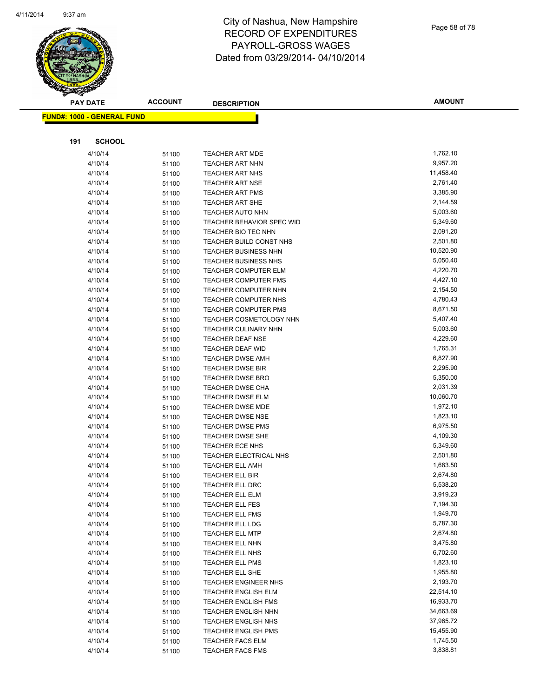

|     | <b>PAY DATE</b>                   | <b>ACCOUNT</b> | <b>DESCRIPTION</b>                        | <b>AMOUNT</b>        |
|-----|-----------------------------------|----------------|-------------------------------------------|----------------------|
|     | <b>FUND#: 1000 - GENERAL FUND</b> |                |                                           |                      |
|     |                                   |                |                                           |                      |
|     |                                   |                |                                           |                      |
| 191 | <b>SCHOOL</b>                     |                |                                           |                      |
|     | 4/10/14                           | 51100          | TEACHER ART MDE                           | 1,762.10             |
|     | 4/10/14                           | 51100          | <b>TEACHER ART NHN</b>                    | 9,957.20             |
|     | 4/10/14                           | 51100          | <b>TEACHER ART NHS</b>                    | 11,458.40            |
|     | 4/10/14                           | 51100          | <b>TEACHER ART NSE</b>                    | 2,761.40             |
|     | 4/10/14                           | 51100          | <b>TEACHER ART PMS</b>                    | 3,385.90             |
|     | 4/10/14                           | 51100          | <b>TEACHER ART SHE</b>                    | 2,144.59             |
|     | 4/10/14                           | 51100          | <b>TEACHER AUTO NHN</b>                   | 5,003.60             |
|     | 4/10/14                           | 51100          | <b>TEACHER BEHAVIOR SPEC WID</b>          | 5,349.60             |
|     | 4/10/14                           | 51100          | TEACHER BIO TEC NHN                       | 2,091.20             |
|     | 4/10/14                           | 51100          | TEACHER BUILD CONST NHS                   | 2,501.80             |
|     | 4/10/14                           | 51100          | <b>TEACHER BUSINESS NHN</b>               | 10,520.90            |
|     | 4/10/14                           | 51100          | <b>TEACHER BUSINESS NHS</b>               | 5,050.40             |
|     | 4/10/14                           | 51100          | <b>TEACHER COMPUTER ELM</b>               | 4,220.70             |
|     | 4/10/14                           | 51100          | <b>TEACHER COMPUTER FMS</b>               | 4,427.10             |
|     | 4/10/14                           | 51100          | <b>TEACHER COMPUTER NHN</b>               | 2,154.50             |
|     | 4/10/14                           | 51100          | <b>TEACHER COMPUTER NHS</b>               | 4,780.43             |
|     | 4/10/14                           | 51100          | TEACHER COMPUTER PMS                      | 8,671.50             |
|     | 4/10/14                           | 51100          | TEACHER COSMETOLOGY NHN                   | 5,407.40             |
|     | 4/10/14                           | 51100          | TEACHER CULINARY NHN                      | 5,003.60             |
|     | 4/10/14                           | 51100          | <b>TEACHER DEAF NSE</b>                   | 4,229.60             |
|     | 4/10/14                           | 51100          | TEACHER DEAF WID                          | 1,765.31             |
|     | 4/10/14                           | 51100          | <b>TEACHER DWSE AMH</b>                   | 6,827.90             |
|     | 4/10/14                           | 51100          | <b>TEACHER DWSE BIR</b>                   | 2,295.90             |
|     | 4/10/14                           | 51100          | <b>TEACHER DWSE BRO</b>                   | 5,350.00             |
|     | 4/10/14                           | 51100          | <b>TEACHER DWSE CHA</b>                   | 2,031.39             |
|     | 4/10/14                           | 51100          | <b>TEACHER DWSE ELM</b>                   | 10,060.70            |
|     | 4/10/14                           | 51100          | <b>TEACHER DWSE MDE</b>                   | 1,972.10             |
|     | 4/10/14                           | 51100          | <b>TEACHER DWSE NSE</b>                   | 1,823.10             |
|     | 4/10/14                           | 51100          | TEACHER DWSE PMS                          | 6,975.50             |
|     | 4/10/14                           | 51100          | <b>TEACHER DWSE SHE</b>                   | 4,109.30             |
|     | 4/10/14                           | 51100          | TEACHER ECE NHS                           | 5,349.60             |
|     | 4/10/14                           | 51100          | TEACHER ELECTRICAL NHS                    | 2,501.80             |
|     | 4/10/14                           | 51100          | <b>TEACHER ELL AMH</b>                    | 1,683.50<br>2,674.80 |
|     | 4/10/14                           | 51100          | TEACHER ELL BIR                           |                      |
|     | 4/10/14                           | 51100          | <b>TEACHER ELL DRC</b>                    | 5,538.20             |
|     | 4/10/14                           | 51100          | TEACHER ELL ELM                           | 3,919.23<br>7,194.30 |
|     | 4/10/14<br>4/10/14                | 51100          | <b>TEACHER ELL FES</b>                    | 1,949.70             |
|     | 4/10/14                           | 51100          | TEACHER ELL FMS<br><b>TEACHER ELL LDG</b> | 5,787.30             |
|     | 4/10/14                           | 51100          | <b>TEACHER ELL MTP</b>                    | 2,674.80             |
|     | 4/10/14                           | 51100          | TEACHER ELL NHN                           | 3,475.80             |
|     | 4/10/14                           | 51100          | TEACHER ELL NHS                           | 6,702.60             |
|     | 4/10/14                           | 51100<br>51100 | <b>TEACHER ELL PMS</b>                    | 1,823.10             |
|     | 4/10/14                           |                | TEACHER ELL SHE                           | 1,955.80             |
|     | 4/10/14                           | 51100<br>51100 | <b>TEACHER ENGINEER NHS</b>               | 2,193.70             |
|     | 4/10/14                           | 51100          | <b>TEACHER ENGLISH ELM</b>                | 22,514.10            |
|     | 4/10/14                           | 51100          | <b>TEACHER ENGLISH FMS</b>                | 16,933.70            |
|     | 4/10/14                           | 51100          | <b>TEACHER ENGLISH NHN</b>                | 34,663.69            |
|     | 4/10/14                           | 51100          | <b>TEACHER ENGLISH NHS</b>                | 37,965.72            |
|     | 4/10/14                           | 51100          | <b>TEACHER ENGLISH PMS</b>                | 15,455.90            |
|     | 4/10/14                           | 51100          | <b>TEACHER FACS ELM</b>                   | 1,745.50             |
|     | 4/10/14                           | 51100          | <b>TEACHER FACS FMS</b>                   | 3,838.81             |
|     |                                   |                |                                           |                      |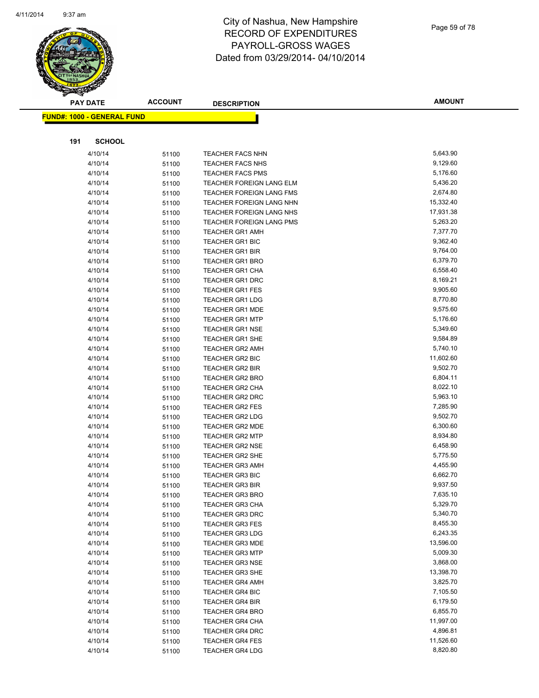

|     | <b>PAY DATE</b>                    | <b>ACCOUNT</b> | <b>DESCRIPTION</b>              | <b>AMOUNT</b> |
|-----|------------------------------------|----------------|---------------------------------|---------------|
|     | <u> FUND#: 1000 - GENERAL FUND</u> |                |                                 |               |
|     |                                    |                |                                 |               |
|     |                                    |                |                                 |               |
| 191 | <b>SCHOOL</b>                      |                |                                 |               |
|     | 4/10/14                            | 51100          | <b>TEACHER FACS NHN</b>         | 5,643.90      |
|     | 4/10/14                            | 51100          | <b>TEACHER FACS NHS</b>         | 9,129.60      |
|     | 4/10/14                            | 51100          | <b>TEACHER FACS PMS</b>         | 5,176.60      |
|     | 4/10/14                            | 51100          | <b>TEACHER FOREIGN LANG ELM</b> | 5,436.20      |
|     | 4/10/14                            | 51100          | TEACHER FOREIGN LANG FMS        | 2,674.80      |
|     | 4/10/14                            | 51100          | TEACHER FOREIGN LANG NHN        | 15,332.40     |
|     | 4/10/14                            | 51100          | TEACHER FOREIGN LANG NHS        | 17,931.38     |
|     | 4/10/14                            | 51100          | TEACHER FOREIGN LANG PMS        | 5,263.20      |
|     | 4/10/14                            | 51100          | <b>TEACHER GR1 AMH</b>          | 7,377.70      |
|     | 4/10/14                            | 51100          | <b>TEACHER GR1 BIC</b>          | 9,362.40      |
|     | 4/10/14                            | 51100          | <b>TEACHER GR1 BIR</b>          | 9,764.00      |
|     | 4/10/14                            | 51100          | <b>TEACHER GR1 BRO</b>          | 6,379.70      |
|     | 4/10/14                            | 51100          | <b>TEACHER GR1 CHA</b>          | 6,558.40      |
|     | 4/10/14                            | 51100          | <b>TEACHER GR1 DRC</b>          | 8,169.21      |
|     | 4/10/14                            | 51100          | <b>TEACHER GR1 FES</b>          | 9,905.60      |
|     | 4/10/14                            | 51100          | <b>TEACHER GR1 LDG</b>          | 8,770.80      |
|     | 4/10/14                            | 51100          | <b>TEACHER GR1 MDE</b>          | 9,575.60      |
|     | 4/10/14                            | 51100          | <b>TEACHER GR1 MTP</b>          | 5,176.60      |
|     | 4/10/14                            | 51100          | <b>TEACHER GR1 NSE</b>          | 5,349.60      |
|     | 4/10/14                            | 51100          | <b>TEACHER GR1 SHE</b>          | 9,584.89      |
|     | 4/10/14                            | 51100          | <b>TEACHER GR2 AMH</b>          | 5,740.10      |
|     | 4/10/14                            | 51100          | <b>TEACHER GR2 BIC</b>          | 11,602.60     |
|     | 4/10/14                            | 51100          | <b>TEACHER GR2 BIR</b>          | 9,502.70      |
|     | 4/10/14                            | 51100          | <b>TEACHER GR2 BRO</b>          | 6,804.11      |
|     | 4/10/14                            | 51100          | <b>TEACHER GR2 CHA</b>          | 8,022.10      |
|     | 4/10/14                            | 51100          | <b>TEACHER GR2 DRC</b>          | 5,963.10      |
|     | 4/10/14                            | 51100          | <b>TEACHER GR2 FES</b>          | 7,285.90      |
|     | 4/10/14                            | 51100          | <b>TEACHER GR2 LDG</b>          | 9,502.70      |
|     | 4/10/14                            | 51100          | <b>TEACHER GR2 MDE</b>          | 6,300.60      |
|     | 4/10/14                            | 51100          | <b>TEACHER GR2 MTP</b>          | 8,934.80      |
|     | 4/10/14                            | 51100          | <b>TEACHER GR2 NSE</b>          | 6,458.90      |
|     | 4/10/14                            | 51100          | <b>TEACHER GR2 SHE</b>          | 5,775.50      |
|     | 4/10/14                            | 51100          | <b>TEACHER GR3 AMH</b>          | 4,455.90      |
|     | 4/10/14                            | 51100          | <b>TEACHER GR3 BIC</b>          | 6,662.70      |
|     | 4/10/14                            | 51100          | <b>TEACHER GR3 BIR</b>          | 9,937.50      |
|     | 4/10/14                            | 51100          | <b>TEACHER GR3 BRO</b>          | 7,635.10      |
|     | 4/10/14                            | 51100          | <b>TEACHER GR3 CHA</b>          | 5,329.70      |
|     | 4/10/14                            | 51100          | <b>TEACHER GR3 DRC</b>          | 5,340.70      |
|     | 4/10/14                            | 51100          | <b>TEACHER GR3 FES</b>          | 8,455.30      |
|     | 4/10/14                            | 51100          | <b>TEACHER GR3 LDG</b>          | 6,243.35      |
|     | 4/10/14                            | 51100          | <b>TEACHER GR3 MDE</b>          | 13,596.00     |
|     | 4/10/14                            | 51100          | <b>TEACHER GR3 MTP</b>          | 5,009.30      |
|     | 4/10/14                            | 51100          | <b>TEACHER GR3 NSE</b>          | 3,868.00      |
|     | 4/10/14                            | 51100          | <b>TEACHER GR3 SHE</b>          | 13,398.70     |
|     | 4/10/14                            | 51100          | <b>TEACHER GR4 AMH</b>          | 3,825.70      |
|     | 4/10/14                            | 51100          | TEACHER GR4 BIC                 | 7,105.50      |
|     | 4/10/14                            | 51100          | <b>TEACHER GR4 BIR</b>          | 6,179.50      |
|     | 4/10/14                            | 51100          | <b>TEACHER GR4 BRO</b>          | 6,855.70      |
|     | 4/10/14                            | 51100          | <b>TEACHER GR4 CHA</b>          | 11,997.00     |
|     | 4/10/14                            | 51100          | <b>TEACHER GR4 DRC</b>          | 4,896.81      |
|     | 4/10/14                            | 51100          | <b>TEACHER GR4 FES</b>          | 11,526.60     |
|     | 4/10/14                            | 51100          | <b>TEACHER GR4 LDG</b>          | 8,820.80      |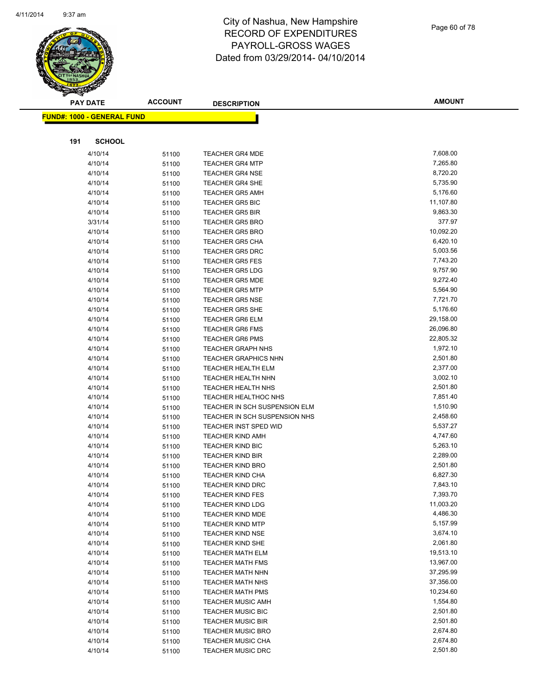

|     | <b>PAY DATE</b>                    | <b>ACCOUNT</b> | <b>DESCRIPTION</b>                               | <b>AMOUNT</b>        |
|-----|------------------------------------|----------------|--------------------------------------------------|----------------------|
|     | <u> FUND#: 1000 - GENERAL FUND</u> |                |                                                  |                      |
|     |                                    |                |                                                  |                      |
|     |                                    |                |                                                  |                      |
| 191 | <b>SCHOOL</b>                      |                |                                                  |                      |
|     | 4/10/14                            | 51100          | TEACHER GR4 MDE                                  | 7,608.00             |
|     | 4/10/14                            | 51100          | <b>TEACHER GR4 MTP</b>                           | 7,265.80             |
|     | 4/10/14                            | 51100          | <b>TEACHER GR4 NSE</b>                           | 8,720.20             |
|     | 4/10/14                            | 51100          | <b>TEACHER GR4 SHE</b>                           | 5,735.90             |
|     | 4/10/14                            | 51100          | <b>TEACHER GR5 AMH</b>                           | 5,176.60             |
|     | 4/10/14                            | 51100          | <b>TEACHER GR5 BIC</b>                           | 11,107.80            |
|     | 4/10/14                            | 51100          | <b>TEACHER GR5 BIR</b>                           | 9,863.30             |
|     | 3/31/14                            | 51100          | <b>TEACHER GR5 BRO</b>                           | 377.97               |
|     | 4/10/14                            | 51100          | <b>TEACHER GR5 BRO</b>                           | 10,092.20            |
|     | 4/10/14                            | 51100          | <b>TEACHER GR5 CHA</b>                           | 6,420.10             |
|     | 4/10/14                            | 51100          | <b>TEACHER GR5 DRC</b>                           | 5,003.56             |
|     | 4/10/14                            | 51100          | <b>TEACHER GR5 FES</b>                           | 7,743.20<br>9,757.90 |
|     | 4/10/14                            | 51100          | <b>TEACHER GR5 LDG</b>                           | 9,272.40             |
|     | 4/10/14<br>4/10/14                 | 51100          | <b>TEACHER GR5 MDE</b><br><b>TEACHER GR5 MTP</b> | 5,564.90             |
|     | 4/10/14                            | 51100          | <b>TEACHER GR5 NSE</b>                           | 7,721.70             |
|     | 4/10/14                            | 51100          | <b>TEACHER GR5 SHE</b>                           | 5,176.60             |
|     | 4/10/14                            | 51100<br>51100 | <b>TEACHER GR6 ELM</b>                           | 29,158.00            |
|     | 4/10/14                            |                | <b>TEACHER GR6 FMS</b>                           | 26,096.80            |
|     | 4/10/14                            | 51100<br>51100 | <b>TEACHER GR6 PMS</b>                           | 22,805.32            |
|     | 4/10/14                            | 51100          | <b>TEACHER GRAPH NHS</b>                         | 1,972.10             |
|     | 4/10/14                            | 51100          | <b>TEACHER GRAPHICS NHN</b>                      | 2,501.80             |
|     | 4/10/14                            | 51100          | <b>TEACHER HEALTH ELM</b>                        | 2,377.00             |
|     | 4/10/14                            | 51100          | <b>TEACHER HEALTH NHN</b>                        | 3,002.10             |
|     | 4/10/14                            | 51100          | <b>TEACHER HEALTH NHS</b>                        | 2,501.80             |
|     | 4/10/14                            | 51100          | <b>TEACHER HEALTHOC NHS</b>                      | 7,851.40             |
|     | 4/10/14                            | 51100          | TEACHER IN SCH SUSPENSION ELM                    | 1,510.90             |
|     | 4/10/14                            | 51100          | TEACHER IN SCH SUSPENSION NHS                    | 2,458.60             |
|     | 4/10/14                            | 51100          | <b>TEACHER INST SPED WID</b>                     | 5,537.27             |
|     | 4/10/14                            | 51100          | <b>TEACHER KIND AMH</b>                          | 4,747.60             |
|     | 4/10/14                            | 51100          | <b>TEACHER KIND BIC</b>                          | 5,263.10             |
|     | 4/10/14                            | 51100          | <b>TEACHER KIND BIR</b>                          | 2,289.00             |
|     | 4/10/14                            | 51100          | <b>TEACHER KIND BRO</b>                          | 2,501.80             |
|     | 4/10/14                            | 51100          | <b>TEACHER KIND CHA</b>                          | 6,827.30             |
|     | 4/10/14                            | 51100          | <b>TEACHER KIND DRC</b>                          | 7,843.10             |
|     | 4/10/14                            | 51100          | <b>TEACHER KIND FES</b>                          | 7,393.70             |
|     | 4/10/14                            | 51100          | <b>TEACHER KIND LDG</b>                          | 11,003.20            |
|     | 4/10/14                            | 51100          | <b>TEACHER KIND MDE</b>                          | 4,486.30             |
|     | 4/10/14                            | 51100          | <b>TEACHER KIND MTP</b>                          | 5,157.99             |
|     | 4/10/14                            | 51100          | <b>TEACHER KIND NSE</b>                          | 3,674.10             |
|     | 4/10/14                            | 51100          | <b>TEACHER KIND SHE</b>                          | 2,061.80             |
|     | 4/10/14                            | 51100          | <b>TEACHER MATH ELM</b>                          | 19,513.10            |
|     | 4/10/14                            | 51100          | <b>TEACHER MATH FMS</b>                          | 13,967.00            |
|     | 4/10/14                            | 51100          | <b>TEACHER MATH NHN</b>                          | 37,295.99            |
|     | 4/10/14                            | 51100          | <b>TEACHER MATH NHS</b>                          | 37,356.00            |
|     | 4/10/14                            | 51100          | <b>TEACHER MATH PMS</b>                          | 10,234.60            |
|     | 4/10/14                            | 51100          | <b>TEACHER MUSIC AMH</b>                         | 1,554.80             |
|     | 4/10/14                            | 51100          | <b>TEACHER MUSIC BIC</b>                         | 2,501.80             |
|     | 4/10/14                            | 51100          | <b>TEACHER MUSIC BIR</b>                         | 2,501.80             |
|     | 4/10/14                            | 51100          | <b>TEACHER MUSIC BRO</b>                         | 2,674.80             |
|     | 4/10/14                            | 51100          | <b>TEACHER MUSIC CHA</b>                         | 2,674.80             |
|     | 4/10/14                            | 51100          | <b>TEACHER MUSIC DRC</b>                         | 2,501.80             |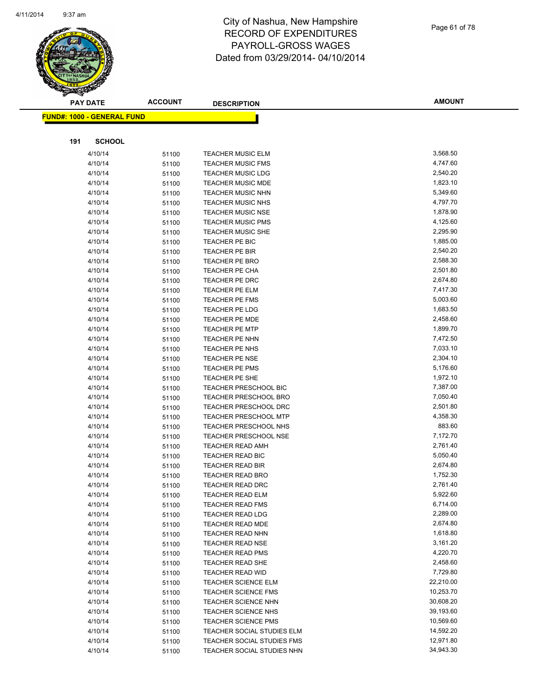

|     | <b>PAY DATE</b>                    | <b>ACCOUNT</b> | <b>DESCRIPTION</b>                             | <b>AMOUNT</b>        |
|-----|------------------------------------|----------------|------------------------------------------------|----------------------|
|     | <u> FUND#: 1000 - GENERAL FUND</u> |                |                                                |                      |
|     |                                    |                |                                                |                      |
|     |                                    |                |                                                |                      |
| 191 | <b>SCHOOL</b>                      |                |                                                |                      |
|     | 4/10/14                            | 51100          | <b>TEACHER MUSIC ELM</b>                       | 3,568.50             |
|     | 4/10/14                            | 51100          | <b>TEACHER MUSIC FMS</b>                       | 4,747.60             |
|     | 4/10/14                            | 51100          | <b>TEACHER MUSIC LDG</b>                       | 2,540.20             |
|     | 4/10/14                            | 51100          | <b>TEACHER MUSIC MDE</b>                       | 1,823.10             |
|     | 4/10/14                            | 51100          | <b>TEACHER MUSIC NHN</b>                       | 5,349.60             |
|     | 4/10/14                            | 51100          | <b>TEACHER MUSIC NHS</b>                       | 4,797.70             |
|     | 4/10/14                            | 51100          | <b>TEACHER MUSIC NSE</b>                       | 1,878.90             |
|     | 4/10/14                            | 51100          | <b>TEACHER MUSIC PMS</b>                       | 4,125.60             |
|     | 4/10/14                            | 51100          | <b>TEACHER MUSIC SHE</b>                       | 2,295.90             |
|     | 4/10/14                            | 51100          | TEACHER PE BIC                                 | 1,885.00             |
|     | 4/10/14                            | 51100          | TEACHER PE BIR                                 | 2,540.20             |
|     | 4/10/14                            | 51100          | <b>TEACHER PE BRO</b>                          | 2,588.30             |
|     | 4/10/14                            | 51100          | <b>TEACHER PE CHA</b>                          | 2,501.80             |
|     | 4/10/14                            | 51100          | TEACHER PE DRC                                 | 2,674.80             |
|     | 4/10/14                            | 51100          | <b>TEACHER PE ELM</b>                          | 7,417.30             |
|     | 4/10/14                            | 51100          | TEACHER PE FMS                                 | 5,003.60<br>1,683.50 |
|     | 4/10/14                            | 51100          | TEACHER PE LDG                                 | 2,458.60             |
|     | 4/10/14                            | 51100          | <b>TEACHER PE MDE</b>                          |                      |
|     | 4/10/14                            | 51100          | <b>TEACHER PE MTP</b>                          | 1,899.70<br>7,472.50 |
|     | 4/10/14<br>4/10/14                 | 51100          | <b>TEACHER PE NHN</b><br>TEACHER PE NHS        | 7,033.10             |
|     | 4/10/14                            | 51100          |                                                | 2,304.10             |
|     | 4/10/14                            | 51100          | <b>TEACHER PE NSE</b><br><b>TEACHER PE PMS</b> | 5,176.60             |
|     | 4/10/14                            | 51100<br>51100 | TEACHER PE SHE                                 | 1,972.10             |
|     | 4/10/14                            |                | <b>TEACHER PRESCHOOL BIC</b>                   | 7,387.00             |
|     | 4/10/14                            | 51100<br>51100 | <b>TEACHER PRESCHOOL BRO</b>                   | 7,050.40             |
|     | 4/10/14                            | 51100          | TEACHER PRESCHOOL DRC                          | 2,501.80             |
|     | 4/10/14                            | 51100          | <b>TEACHER PRESCHOOL MTP</b>                   | 4,358.30             |
|     | 4/10/14                            | 51100          | TEACHER PRESCHOOL NHS                          | 883.60               |
|     | 4/10/14                            | 51100          | <b>TEACHER PRESCHOOL NSE</b>                   | 7,172.70             |
|     | 4/10/14                            | 51100          | <b>TEACHER READ AMH</b>                        | 2,761.40             |
|     | 4/10/14                            | 51100          | TEACHER READ BIC                               | 5,050.40             |
|     | 4/10/14                            | 51100          | <b>TEACHER READ BIR</b>                        | 2,674.80             |
|     | 4/10/14                            | 51100          | <b>TEACHER READ BRO</b>                        | 1,752.30             |
|     | 4/10/14                            | 51100          | <b>TEACHER READ DRC</b>                        | 2,761.40             |
|     | 4/10/14                            | 51100          | TEACHER READ ELM                               | 5,922.60             |
|     | 4/10/14                            | 51100          | <b>TEACHER READ FMS</b>                        | 6,714.00             |
|     | 4/10/14                            | 51100          | <b>TEACHER READ LDG</b>                        | 2,289.00             |
|     | 4/10/14                            | 51100          | TEACHER READ MDE                               | 2,674.80             |
|     | 4/10/14                            | 51100          | <b>TEACHER READ NHN</b>                        | 1,618.80             |
|     | 4/10/14                            | 51100          | <b>TEACHER READ NSE</b>                        | 3,161.20             |
|     | 4/10/14                            | 51100          | <b>TEACHER READ PMS</b>                        | 4,220.70             |
|     | 4/10/14                            | 51100          | <b>TEACHER READ SHE</b>                        | 2,458.60             |
|     | 4/10/14                            | 51100          | <b>TEACHER READ WID</b>                        | 7,729.80             |
|     | 4/10/14                            | 51100          | <b>TEACHER SCIENCE ELM</b>                     | 22,210.00            |
|     | 4/10/14                            | 51100          | <b>TEACHER SCIENCE FMS</b>                     | 10,253.70            |
|     | 4/10/14                            | 51100          | <b>TEACHER SCIENCE NHN</b>                     | 30,608.20            |
|     | 4/10/14                            | 51100          | <b>TEACHER SCIENCE NHS</b>                     | 39,193.60            |
|     | 4/10/14                            | 51100          | <b>TEACHER SCIENCE PMS</b>                     | 10,569.60            |
|     | 4/10/14                            | 51100          | TEACHER SOCIAL STUDIES ELM                     | 14,592.20            |
|     | 4/10/14                            | 51100          | TEACHER SOCIAL STUDIES FMS                     | 12,971.80            |
|     | 4/10/14                            | 51100          | TEACHER SOCIAL STUDIES NHN                     | 34,943.30            |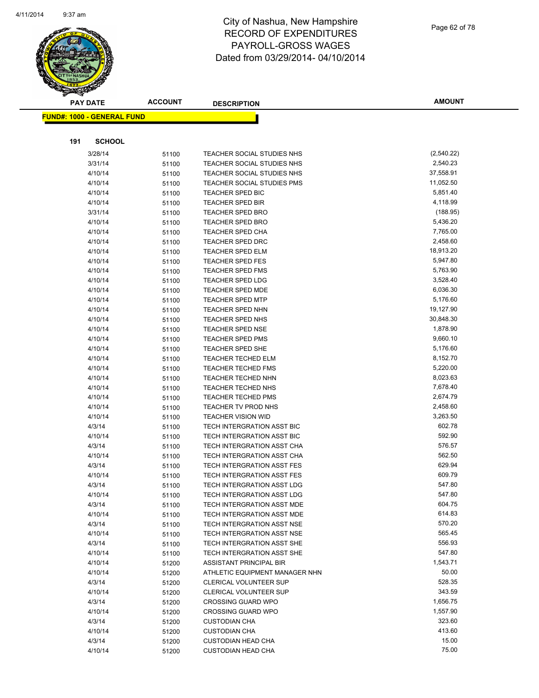

|     | <b>PAY DATE</b>                    | <b>ACCOUNT</b> | <b>DESCRIPTION</b>                                     | <b>AMOUNT</b>          |
|-----|------------------------------------|----------------|--------------------------------------------------------|------------------------|
|     | <u> FUND#: 1000 - GENERAL FUND</u> |                |                                                        |                        |
|     |                                    |                |                                                        |                        |
|     |                                    |                |                                                        |                        |
| 191 | <b>SCHOOL</b>                      |                |                                                        |                        |
|     | 3/28/14                            | 51100          | TEACHER SOCIAL STUDIES NHS                             | (2,540.22)             |
|     | 3/31/14                            | 51100          | TEACHER SOCIAL STUDIES NHS                             | 2,540.23               |
|     | 4/10/14                            | 51100          | TEACHER SOCIAL STUDIES NHS                             | 37,558.91              |
|     | 4/10/14                            | 51100          | <b>TEACHER SOCIAL STUDIES PMS</b>                      | 11,052.50              |
|     | 4/10/14                            | 51100          | TEACHER SPED BIC                                       | 5,851.40               |
|     | 4/10/14                            | 51100          | <b>TEACHER SPED BIR</b>                                | 4,118.99               |
|     | 3/31/14                            | 51100          | <b>TEACHER SPED BRO</b>                                | (188.95)               |
|     | 4/10/14                            | 51100          | <b>TEACHER SPED BRO</b>                                | 5,436.20               |
|     | 4/10/14                            | 51100          | <b>TEACHER SPED CHA</b>                                | 7,765.00               |
|     | 4/10/14                            | 51100          | <b>TEACHER SPED DRC</b>                                | 2,458.60               |
|     | 4/10/14                            | 51100          | <b>TEACHER SPED ELM</b>                                | 18,913.20              |
|     | 4/10/14                            | 51100          | <b>TEACHER SPED FES</b>                                | 5,947.80               |
|     | 4/10/14                            | 51100          | <b>TEACHER SPED FMS</b>                                | 5,763.90<br>3,528.40   |
|     | 4/10/14                            | 51100          | <b>TEACHER SPED LDG</b>                                |                        |
|     | 4/10/14                            | 51100          | <b>TEACHER SPED MDE</b>                                | 6,036.30<br>5,176.60   |
|     | 4/10/14                            | 51100          | <b>TEACHER SPED MTP</b>                                |                        |
|     | 4/10/14                            | 51100          | <b>TEACHER SPED NHN</b>                                | 19,127.90<br>30,848.30 |
|     | 4/10/14                            | 51100          | TEACHER SPED NHS                                       | 1,878.90               |
|     | 4/10/14                            | 51100          | <b>TEACHER SPED NSE</b>                                | 9,660.10               |
|     | 4/10/14                            | 51100          | <b>TEACHER SPED PMS</b>                                | 5,176.60               |
|     | 4/10/14<br>4/10/14                 | 51100          | <b>TEACHER SPED SHE</b>                                | 8,152.70               |
|     | 4/10/14                            | 51100          | <b>TEACHER TECHED ELM</b><br><b>TEACHER TECHED FMS</b> | 5,220.00               |
|     | 4/10/14                            | 51100          | <b>TEACHER TECHED NHN</b>                              | 8,023.63               |
|     | 4/10/14                            | 51100          | TEACHER TECHED NHS                                     | 7,678.40               |
|     | 4/10/14                            | 51100<br>51100 | <b>TEACHER TECHED PMS</b>                              | 2,674.79               |
|     | 4/10/14                            |                | TEACHER TV PROD NHS                                    | 2,458.60               |
|     | 4/10/14                            | 51100          | <b>TEACHER VISION WID</b>                              | 3,263.50               |
|     | 4/3/14                             | 51100<br>51100 | TECH INTERGRATION ASST BIC                             | 602.78                 |
|     | 4/10/14                            | 51100          | TECH INTERGRATION ASST BIC                             | 592.90                 |
|     | 4/3/14                             | 51100          | TECH INTERGRATION ASST CHA                             | 576.57                 |
|     | 4/10/14                            | 51100          | TECH INTERGRATION ASST CHA                             | 562.50                 |
|     | 4/3/14                             | 51100          | TECH INTERGRATION ASST FES                             | 629.94                 |
|     | 4/10/14                            | 51100          | TECH INTERGRATION ASST FES                             | 609.79                 |
|     | 4/3/14                             | 51100          | TECH INTERGRATION ASST LDG                             | 547.80                 |
|     | 4/10/14                            | 51100          | TECH INTERGRATION ASST LDG                             | 547.80                 |
|     | 4/3/14                             | 51100          | TECH INTERGRATION ASST MDE                             | 604.75                 |
|     | 4/10/14                            | 51100          | TECH INTERGRATION ASST MDE                             | 614.83                 |
|     | 4/3/14                             | 51100          | TECH INTERGRATION ASST NSE                             | 570.20                 |
|     | 4/10/14                            | 51100          | TECH INTERGRATION ASST NSE                             | 565.45                 |
|     | 4/3/14                             | 51100          | TECH INTERGRATION ASST SHE                             | 556.93                 |
|     | 4/10/14                            | 51100          | TECH INTERGRATION ASST SHE                             | 547.80                 |
|     | 4/10/14                            | 51200          | ASSISTANT PRINCIPAL BIR                                | 1,543.71               |
|     | 4/10/14                            | 51200          | ATHLETIC EQUIPMENT MANAGER NHN                         | 50.00                  |
|     | 4/3/14                             | 51200          | <b>CLERICAL VOLUNTEER SUP</b>                          | 528.35                 |
|     | 4/10/14                            | 51200          | <b>CLERICAL VOLUNTEER SUP</b>                          | 343.59                 |
|     | 4/3/14                             | 51200          | <b>CROSSING GUARD WPO</b>                              | 1,656.75               |
|     | 4/10/14                            | 51200          | <b>CROSSING GUARD WPO</b>                              | 1,557.90               |
|     | 4/3/14                             | 51200          | <b>CUSTODIAN CHA</b>                                   | 323.60                 |
|     | 4/10/14                            | 51200          | <b>CUSTODIAN CHA</b>                                   | 413.60                 |
|     | 4/3/14                             | 51200          | <b>CUSTODIAN HEAD CHA</b>                              | 15.00                  |
|     | 4/10/14                            | 51200          | <b>CUSTODIAN HEAD CHA</b>                              | 75.00                  |
|     |                                    |                |                                                        |                        |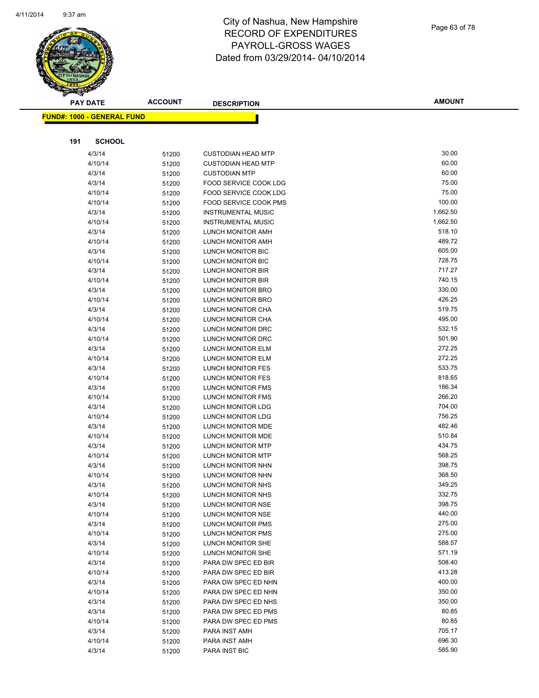

|     | <b>PAY DATE</b>                   | <b>ACCOUNT</b> | <b>DESCRIPTION</b>                            | <b>AMOUNT</b>    |
|-----|-----------------------------------|----------------|-----------------------------------------------|------------------|
|     | <b>FUND#: 1000 - GENERAL FUND</b> |                |                                               |                  |
|     |                                   |                |                                               |                  |
|     |                                   |                |                                               |                  |
| 191 | <b>SCHOOL</b>                     |                |                                               |                  |
|     | 4/3/14                            | 51200          | <b>CUSTODIAN HEAD MTP</b>                     | 30.00            |
|     | 4/10/14                           | 51200          | <b>CUSTODIAN HEAD MTP</b>                     | 60.00            |
|     | 4/3/14                            | 51200          | <b>CUSTODIAN MTP</b>                          | 60.00            |
|     | 4/3/14                            | 51200          | FOOD SERVICE COOK LDG                         | 75.00            |
|     | 4/10/14                           | 51200          | FOOD SERVICE COOK LDG                         | 75.00            |
|     | 4/10/14                           | 51200          | <b>FOOD SERVICE COOK PMS</b>                  | 100.00           |
|     | 4/3/14                            | 51200          | <b>INSTRUMENTAL MUSIC</b>                     | 1,662.50         |
|     | 4/10/14                           | 51200          | <b>INSTRUMENTAL MUSIC</b>                     | 1,662.50         |
|     | 4/3/14                            | 51200          | LUNCH MONITOR AMH                             | 518.10           |
|     | 4/10/14                           | 51200          | LUNCH MONITOR AMH                             | 489.72           |
|     | 4/3/14                            | 51200          | LUNCH MONITOR BIC                             | 605.00           |
|     | 4/10/14                           | 51200          | LUNCH MONITOR BIC                             | 728.75           |
|     | 4/3/14                            | 51200          | LUNCH MONITOR BIR                             | 717.27           |
|     | 4/10/14                           | 51200          | LUNCH MONITOR BIR                             | 740.15           |
|     | 4/3/14                            | 51200          | <b>LUNCH MONITOR BRO</b>                      | 330.00           |
|     | 4/10/14                           | 51200          | LUNCH MONITOR BRO                             | 426.25           |
|     | 4/3/14                            | 51200          | <b>LUNCH MONITOR CHA</b>                      | 519.75           |
|     | 4/10/14                           | 51200          | LUNCH MONITOR CHA                             | 495.00           |
|     | 4/3/14                            | 51200          | LUNCH MONITOR DRC                             | 532.15           |
|     | 4/10/14                           | 51200          | LUNCH MONITOR DRC                             | 501.90           |
|     | 4/3/14                            | 51200          | LUNCH MONITOR ELM                             | 272.25           |
|     | 4/10/14                           | 51200          | LUNCH MONITOR ELM                             | 272.25           |
|     | 4/3/14                            | 51200          | LUNCH MONITOR FES                             | 533.75           |
|     | 4/10/14                           | 51200          | LUNCH MONITOR FES                             | 818.65           |
|     | 4/3/14                            | 51200          | LUNCH MONITOR FMS                             | 186.34           |
|     | 4/10/14                           | 51200          | LUNCH MONITOR FMS                             | 266.20           |
|     | 4/3/14                            | 51200          | LUNCH MONITOR LDG                             | 704.00           |
|     | 4/10/14                           | 51200          | LUNCH MONITOR LDG                             | 756.25           |
|     | 4/3/14                            | 51200          | LUNCH MONITOR MDE                             | 482.46           |
|     | 4/10/14                           | 51200          | LUNCH MONITOR MDE                             | 510.84           |
|     | 4/3/14                            | 51200          | LUNCH MONITOR MTP                             | 434.75           |
|     | 4/10/14                           | 51200          | <b>LUNCH MONITOR MTP</b>                      | 568.25           |
|     | 4/3/14                            | 51200          | LUNCH MONITOR NHN                             | 398.75           |
|     | 4/10/14                           | 51200          | LUNCH MONITOR NHN                             | 368.50<br>349.25 |
|     | 4/3/14                            | 51200          | LUNCH MONITOR NHS                             |                  |
|     | 4/10/14                           | 51200          | LUNCH MONITOR NHS                             | 332.75<br>398.75 |
|     | 4/3/14                            | 51200          | LUNCH MONITOR NSE<br><b>LUNCH MONITOR NSE</b> | 440.00           |
|     | 4/10/14                           | 51200          |                                               | 275.00           |
|     | 4/3/14<br>4/10/14                 | 51200          | LUNCH MONITOR PMS<br>LUNCH MONITOR PMS        | 275.00           |
|     | 4/3/14                            | 51200          | LUNCH MONITOR SHE                             | 588.57           |
|     | 4/10/14                           | 51200          | LUNCH MONITOR SHE                             | 571.19           |
|     | 4/3/14                            | 51200          | PARA DW SPEC ED BIR                           | 508.40           |
|     |                                   | 51200          |                                               | 413.28           |
|     | 4/10/14<br>4/3/14                 | 51200<br>51200 | PARA DW SPEC ED BIR<br>PARA DW SPEC ED NHN    | 400.00           |
|     | 4/10/14                           |                | PARA DW SPEC ED NHN                           | 350.00           |
|     | 4/3/14                            | 51200          | PARA DW SPEC ED NHS                           | 350.00           |
|     | 4/3/14                            | 51200<br>51200 | PARA DW SPEC ED PMS                           | 80.85            |
|     | 4/10/14                           | 51200          | PARA DW SPEC ED PMS                           | 80.85            |
|     | 4/3/14                            | 51200          | PARA INST AMH                                 | 705.17           |
|     | 4/10/14                           | 51200          | PARA INST AMH                                 | 696.30           |
|     | 4/3/14                            | 51200          | PARA INST BIC                                 | 585.90           |
|     |                                   |                |                                               |                  |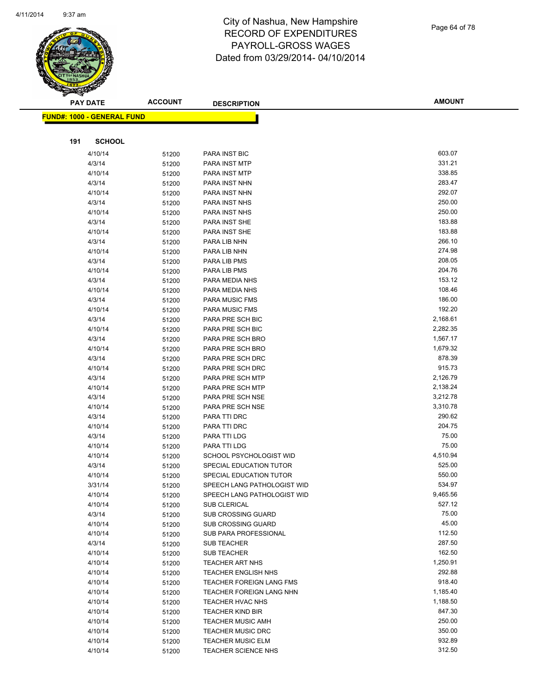

|     | <b>PAY DATE</b>                    | <b>ACCOUNT</b> | <b>DESCRIPTION</b>                   | <b>AMOUNT</b>        |
|-----|------------------------------------|----------------|--------------------------------------|----------------------|
|     | <u> FUND#: 1000 - GENERAL FUND</u> |                |                                      |                      |
|     |                                    |                |                                      |                      |
|     |                                    |                |                                      |                      |
| 191 | <b>SCHOOL</b>                      |                |                                      |                      |
|     | 4/10/14                            | 51200          | PARA INST BIC                        | 603.07               |
|     | 4/3/14                             | 51200          | PARA INST MTP                        | 331.21               |
|     | 4/10/14                            | 51200          | PARA INST MTP                        | 338.85               |
|     | 4/3/14                             | 51200          | PARA INST NHN                        | 283.47               |
|     | 4/10/14                            | 51200          | PARA INST NHN                        | 292.07               |
|     | 4/3/14                             | 51200          | PARA INST NHS                        | 250.00               |
|     | 4/10/14                            | 51200          | PARA INST NHS                        | 250.00               |
|     | 4/3/14                             | 51200          | PARA INST SHE                        | 183.88               |
|     | 4/10/14                            | 51200          | PARA INST SHE                        | 183.88               |
|     | 4/3/14                             | 51200          | PARA LIB NHN                         | 266.10               |
|     | 4/10/14                            | 51200          | PARA LIB NHN                         | 274.98               |
|     | 4/3/14                             | 51200          | PARA LIB PMS                         | 208.05               |
|     | 4/10/14                            | 51200          | PARA LIB PMS                         | 204.76               |
|     | 4/3/14                             | 51200          | PARA MEDIA NHS                       | 153.12               |
|     | 4/10/14                            | 51200          | PARA MEDIA NHS                       | 108.46<br>186.00     |
|     | 4/3/14                             | 51200          | <b>PARA MUSIC FMS</b>                | 192.20               |
|     | 4/10/14                            | 51200          | PARA MUSIC FMS                       |                      |
|     | 4/3/14                             | 51200          | PARA PRE SCH BIC<br>PARA PRE SCH BIC | 2,168.61             |
|     | 4/10/14                            | 51200          | PARA PRE SCH BRO                     | 2,282.35<br>1,567.17 |
|     | 4/3/14                             | 51200          |                                      | 1,679.32             |
|     | 4/10/14                            | 51200          | PARA PRE SCH BRO                     | 878.39               |
|     | 4/3/14<br>4/10/14                  | 51200          | PARA PRE SCH DRC<br>PARA PRE SCH DRC | 915.73               |
|     | 4/3/14                             | 51200          | PARA PRE SCH MTP                     | 2,126.79             |
|     | 4/10/14                            | 51200          | PARA PRE SCH MTP                     | 2,138.24             |
|     | 4/3/14                             | 51200<br>51200 | PARA PRE SCH NSE                     | 3,212.78             |
|     | 4/10/14                            | 51200          | PARA PRE SCH NSE                     | 3,310.78             |
|     | 4/3/14                             |                | PARA TTI DRC                         | 290.62               |
|     | 4/10/14                            | 51200<br>51200 | PARA TTI DRC                         | 204.75               |
|     | 4/3/14                             | 51200          | PARA TTI LDG                         | 75.00                |
|     | 4/10/14                            | 51200          | PARA TTI LDG                         | 75.00                |
|     | 4/10/14                            | 51200          | SCHOOL PSYCHOLOGIST WID              | 4,510.94             |
|     | 4/3/14                             | 51200          | SPECIAL EDUCATION TUTOR              | 525.00               |
|     | 4/10/14                            | 51200          | SPECIAL EDUCATION TUTOR              | 550.00               |
|     | 3/31/14                            | 51200          | SPEECH LANG PATHOLOGIST WID          | 534.97               |
|     | 4/10/14                            | 51200          | SPEECH LANG PATHOLOGIST WID          | 9,465.56             |
|     | 4/10/14                            | 51200          | <b>SUB CLERICAL</b>                  | 527.12               |
|     | 4/3/14                             | 51200          | <b>SUB CROSSING GUARD</b>            | 75.00                |
|     | 4/10/14                            | 51200          | <b>SUB CROSSING GUARD</b>            | 45.00                |
|     | 4/10/14                            | 51200          | SUB PARA PROFESSIONAL                | 112.50               |
|     | 4/3/14                             | 51200          | SUB TEACHER                          | 287.50               |
|     | 4/10/14                            | 51200          | <b>SUB TEACHER</b>                   | 162.50               |
|     | 4/10/14                            | 51200          | <b>TEACHER ART NHS</b>               | 1,250.91             |
|     | 4/10/14                            | 51200          | <b>TEACHER ENGLISH NHS</b>           | 292.88               |
|     | 4/10/14                            | 51200          | TEACHER FOREIGN LANG FMS             | 918.40               |
|     | 4/10/14                            | 51200          | TEACHER FOREIGN LANG NHN             | 1,185.40             |
|     | 4/10/14                            | 51200          | TEACHER HVAC NHS                     | 1,188.50             |
|     | 4/10/14                            | 51200          | <b>TEACHER KIND BIR</b>              | 847.30               |
|     | 4/10/14                            | 51200          | <b>TEACHER MUSIC AMH</b>             | 250.00               |
|     | 4/10/14                            | 51200          | <b>TEACHER MUSIC DRC</b>             | 350.00               |
|     | 4/10/14                            | 51200          | <b>TEACHER MUSIC ELM</b>             | 932.89               |
|     | 4/10/14                            | 51200          | <b>TEACHER SCIENCE NHS</b>           | 312.50               |
|     |                                    |                |                                      |                      |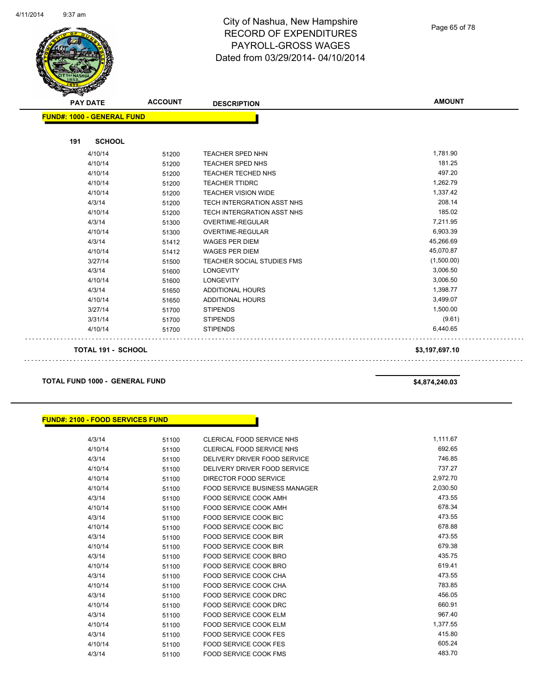Page 65 of 78

| <b>PAY DATE</b>                   | <b>ACCOUNT</b> | <b>DESCRIPTION</b>                | <b>AMOUNT</b>  |
|-----------------------------------|----------------|-----------------------------------|----------------|
| <b>FUND#: 1000 - GENERAL FUND</b> |                |                                   |                |
|                                   |                |                                   |                |
| <b>SCHOOL</b><br>191              |                |                                   |                |
| 4/10/14                           | 51200          | <b>TEACHER SPED NHN</b>           | 1,781.90       |
| 4/10/14                           | 51200          | TEACHER SPED NHS                  | 181.25         |
| 4/10/14                           | 51200          | TEACHER TECHED NHS                | 497.20         |
| 4/10/14                           | 51200          | <b>TEACHER TTIDRC</b>             | 1,262.79       |
| 4/10/14                           | 51200          | <b>TEACHER VISION WIDE</b>        | 1,337.42       |
| 4/3/14                            | 51200          | TECH INTERGRATION ASST NHS        | 208.14         |
| 4/10/14                           | 51200          | TECH INTERGRATION ASST NHS        | 185.02         |
| 4/3/14                            | 51300          | OVERTIME-REGULAR                  | 7,211.95       |
| 4/10/14                           | 51300          | OVERTIME-REGULAR                  | 6,903.39       |
| 4/3/14                            | 51412          | <b>WAGES PER DIEM</b>             | 45,266.69      |
| 4/10/14                           | 51412          | <b>WAGES PER DIEM</b>             | 45,070.87      |
| 3/27/14                           | 51500          | <b>TEACHER SOCIAL STUDIES FMS</b> | (1,500.00)     |
| 4/3/14                            | 51600          | <b>LONGEVITY</b>                  | 3,006.50       |
| 4/10/14                           | 51600          | <b>LONGEVITY</b>                  | 3,006.50       |
| 4/3/14                            | 51650          | <b>ADDITIONAL HOURS</b>           | 1,398.77       |
| 4/10/14                           | 51650          | <b>ADDITIONAL HOURS</b>           | 3,499.07       |
| 3/27/14                           | 51700          | <b>STIPENDS</b>                   | 1,500.00       |
| 3/31/14                           | 51700          | <b>STIPENDS</b>                   | (9.61)         |
| 4/10/14                           | 51700          | <b>STIPENDS</b>                   | 6,440.65       |
| <b>TOTAL 191 - SCHOOL</b>         |                |                                   | \$3,197,697.10 |

**TOTAL FUND 1000 - GENERAL FUND \$4,874,240.03** 

#### **FUND#: 2100 - FOOD SERVICES FUND**

| 4/3/14  | 51100 | CLERICAL FOOD SERVICE NHS            | 1,111.67 |
|---------|-------|--------------------------------------|----------|
| 4/10/14 | 51100 | CLERICAL FOOD SERVICE NHS            | 692.65   |
| 4/3/14  | 51100 | DELIVERY DRIVER FOOD SERVICE         | 746.85   |
| 4/10/14 | 51100 | DELIVERY DRIVER FOOD SERVICE         | 737.27   |
| 4/10/14 | 51100 | <b>DIRECTOR FOOD SERVICE</b>         | 2,972.70 |
| 4/10/14 | 51100 | <b>FOOD SERVICE BUSINESS MANAGER</b> | 2,030.50 |
| 4/3/14  | 51100 | <b>FOOD SERVICE COOK AMH</b>         | 473.55   |
| 4/10/14 | 51100 | <b>FOOD SERVICE COOK AMH</b>         | 678.34   |
| 4/3/14  | 51100 | <b>FOOD SERVICE COOK BIC</b>         | 473.55   |
| 4/10/14 | 51100 | <b>FOOD SERVICE COOK BIC</b>         | 678.88   |
| 4/3/14  | 51100 | <b>FOOD SERVICE COOK BIR</b>         | 473.55   |
| 4/10/14 | 51100 | <b>FOOD SERVICE COOK BIR</b>         | 679.38   |
| 4/3/14  | 51100 | FOOD SERVICE COOK BRO                | 435.75   |
| 4/10/14 | 51100 | <b>FOOD SERVICE COOK BRO</b>         | 619.41   |
| 4/3/14  | 51100 | FOOD SERVICE COOK CHA                | 473.55   |
| 4/10/14 | 51100 | <b>FOOD SERVICE COOK CHA</b>         | 783.85   |
| 4/3/14  | 51100 | FOOD SERVICE COOK DRC                | 456.05   |
| 4/10/14 | 51100 | <b>FOOD SERVICE COOK DRC</b>         | 660.91   |
| 4/3/14  | 51100 | <b>FOOD SERVICE COOK ELM</b>         | 967.40   |
| 4/10/14 | 51100 | <b>FOOD SERVICE COOK ELM</b>         | 1,377.55 |
| 4/3/14  | 51100 | <b>FOOD SERVICE COOK FES</b>         | 415.80   |
| 4/10/14 | 51100 | <b>FOOD SERVICE COOK FES</b>         | 605.24   |
| 4/3/14  | 51100 | <b>FOOD SERVICE COOK FMS</b>         | 483.70   |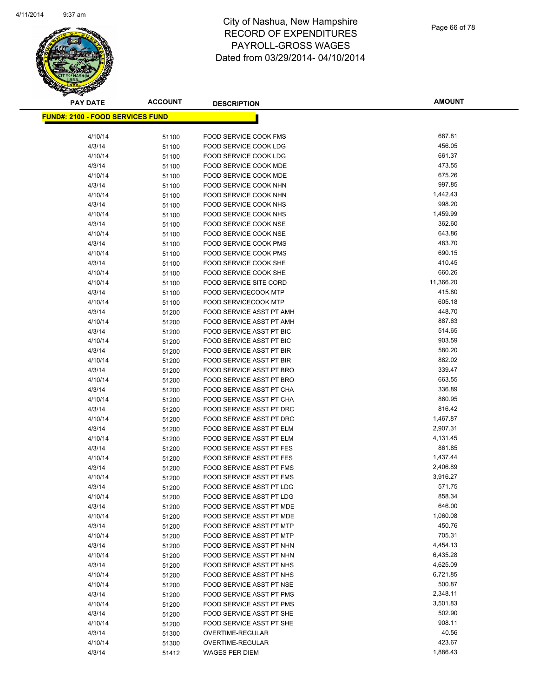

**AMOUNT**

| <mark>FUND#: 2100 - FOOD SERVICES FUND</mark> |       |                                           |                 |
|-----------------------------------------------|-------|-------------------------------------------|-----------------|
| 4/10/14                                       | 51100 | FOOD SERVICE COOK FMS                     | 687.81          |
| 4/3/14                                        | 51100 | <b>FOOD SERVICE COOK LDG</b>              | 456.05          |
| 4/10/14                                       | 51100 | <b>FOOD SERVICE COOK LDG</b>              | 661.37          |
| 4/3/14                                        | 51100 | <b>FOOD SERVICE COOK MDE</b>              | 473.55          |
| 4/10/14                                       | 51100 | <b>FOOD SERVICE COOK MDE</b>              | 675.26          |
| 4/3/14                                        | 51100 | FOOD SERVICE COOK NHN                     | 997.85          |
| 4/10/14                                       | 51100 | <b>FOOD SERVICE COOK NHN</b>              | 1,442.43        |
| 4/3/14                                        | 51100 | <b>FOOD SERVICE COOK NHS</b>              | 998.20          |
| 4/10/14                                       | 51100 | FOOD SERVICE COOK NHS                     | 1,459.99        |
| 4/3/14                                        | 51100 | FOOD SERVICE COOK NSE                     | 362.60          |
| 4/10/14                                       | 51100 | FOOD SERVICE COOK NSE                     | 643.86          |
| 4/3/14                                        | 51100 | <b>FOOD SERVICE COOK PMS</b>              | 483.70          |
| 4/10/14                                       | 51100 | <b>FOOD SERVICE COOK PMS</b>              | 690.15          |
| 4/3/14                                        | 51100 | FOOD SERVICE COOK SHE                     | 410.45          |
| 4/10/14                                       | 51100 | FOOD SERVICE COOK SHE                     | 660.26          |
| 4/10/14                                       | 51100 | <b>FOOD SERVICE SITE CORD</b>             | 11,366.20       |
| 4/3/14                                        | 51100 | <b>FOOD SERVICECOOK MTP</b>               | 415.80          |
| 4/10/14                                       | 51100 | <b>FOOD SERVICECOOK MTP</b>               | 605.18          |
| 4/3/14                                        | 51200 | FOOD SERVICE ASST PT AMH                  | 448.70          |
| 4/10/14                                       | 51200 | FOOD SERVICE ASST PT AMH                  | 887.63          |
| 4/3/14                                        | 51200 | FOOD SERVICE ASST PT BIC                  | 514.65          |
| 4/10/14                                       | 51200 | FOOD SERVICE ASST PT BIC                  | 903.59          |
| 4/3/14                                        | 51200 | FOOD SERVICE ASST PT BIR                  | 580.20          |
| 4/10/14                                       | 51200 | FOOD SERVICE ASST PT BIR                  | 882.02          |
| 4/3/14                                        | 51200 | FOOD SERVICE ASST PT BRO                  | 339.47          |
| 4/10/14                                       | 51200 | FOOD SERVICE ASST PT BRO                  | 663.55          |
| 4/3/14                                        | 51200 | FOOD SERVICE ASST PT CHA                  | 336.89          |
| 4/10/14                                       | 51200 | FOOD SERVICE ASST PT CHA                  | 860.95          |
| 4/3/14                                        | 51200 | FOOD SERVICE ASST PT DRC                  | 816.42          |
| 4/10/14                                       | 51200 | FOOD SERVICE ASST PT DRC                  | 1,467.87        |
| 4/3/14                                        | 51200 | FOOD SERVICE ASST PT ELM                  | 2,907.31        |
| 4/10/14                                       | 51200 | FOOD SERVICE ASST PT ELM                  | 4,131.45        |
| 4/3/14                                        | 51200 | FOOD SERVICE ASST PT FES                  | 861.85          |
| 4/10/14                                       | 51200 | FOOD SERVICE ASST PT FES                  | 1,437.44        |
| 4/3/14                                        | 51200 | <b>FOOD SERVICE ASST PT FMS</b>           | 2,406.89        |
| 4/10/14                                       | 51200 | <b>FOOD SERVICE ASST PT FMS</b>           | 3,916.27        |
| 4/3/14                                        | 51200 | FOOD SERVICE ASST PT LDG                  | 571.75          |
| 4/10/14                                       | 51200 | FOOD SERVICE ASST PT LDG                  | 858.34          |
| 4/3/14                                        | 51200 | FOOD SERVICE ASST PT MDE                  | 646.00          |
| 4/10/14                                       | 51200 | FOOD SERVICE ASST PT MDE                  | 1,060.08        |
| 4/3/14                                        | 51200 | FOOD SERVICE ASST PT MTP                  | 450.76          |
| 4/10/14                                       | 51200 | FOOD SERVICE ASST PT MTP                  | 705.31          |
| 4/3/14                                        | 51200 | FOOD SERVICE ASST PT NHN                  | 4,454.13        |
| 4/10/14                                       | 51200 | FOOD SERVICE ASST PT NHN                  | 6,435.28        |
| 4/3/14                                        | 51200 | FOOD SERVICE ASST PT NHS                  | 4,625.09        |
| 4/10/14                                       | 51200 | FOOD SERVICE ASST PT NHS                  | 6,721.85        |
| 4/10/14                                       | 51200 | FOOD SERVICE ASST PT NSE                  | 500.87          |
| 4/3/14                                        | 51200 | FOOD SERVICE ASST PT PMS                  | 2,348.11        |
| 4/10/14                                       | 51200 | FOOD SERVICE ASST PT PMS                  | 3,501.83        |
| 4/3/14                                        | 51200 | FOOD SERVICE ASST PT SHE                  | 502.90          |
| 4/10/14                                       | 51200 | FOOD SERVICE ASST PT SHE                  | 908.11<br>40.56 |
| 4/3/14                                        | 51300 | OVERTIME-REGULAR                          | 423.67          |
| 4/10/14<br>4/3/14                             | 51300 | OVERTIME-REGULAR<br><b>WAGES PER DIEM</b> | 1,886.43        |
|                                               | 51412 |                                           |                 |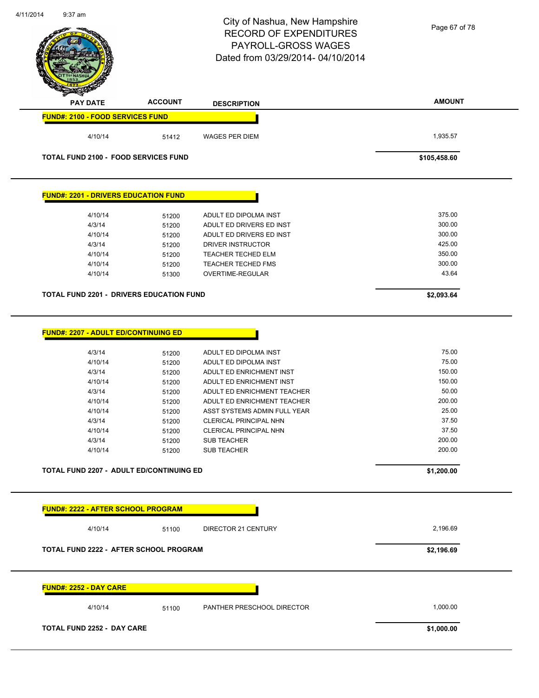|                                                 |                | City of Nashua, New Hampshire<br><b>RECORD OF EXPENDITURES</b><br>PAYROLL-GROSS WAGES<br>Dated from 03/29/2014-04/10/2014 | Page 67 of 78 |
|-------------------------------------------------|----------------|---------------------------------------------------------------------------------------------------------------------------|---------------|
| <b>PAY DATE</b>                                 | <b>ACCOUNT</b> | <b>DESCRIPTION</b>                                                                                                        | <b>AMOUNT</b> |
| <b>FUND#: 2100 - FOOD SERVICES FUND</b>         |                |                                                                                                                           |               |
| 4/10/14                                         | 51412          | <b>WAGES PER DIEM</b>                                                                                                     | 1,935.57      |
| <b>TOTAL FUND 2100 - FOOD SERVICES FUND</b>     |                |                                                                                                                           | \$105,458.60  |
| <b>FUND#: 2201 - DRIVERS EDUCATION FUND</b>     |                |                                                                                                                           |               |
| 4/10/14                                         | 51200          | ADULT ED DIPOLMA INST                                                                                                     | 375.00        |
| 4/3/14                                          | 51200          | ADULT ED DRIVERS ED INST                                                                                                  | 300.00        |
| 4/10/14                                         | 51200          | ADULT ED DRIVERS ED INST                                                                                                  | 300.00        |
| 4/3/14                                          | 51200          | DRIVER INSTRUCTOR                                                                                                         | 425.00        |
| 4/10/14                                         | 51200          | TEACHER TECHED ELM                                                                                                        | 350.00        |
| 4/10/14                                         | 51200          | TEACHER TECHED FMS                                                                                                        | 300.00        |
| 4/10/14                                         | 51300          | OVERTIME-REGULAR                                                                                                          | 43.64         |
| <b>TOTAL FUND 2201 - DRIVERS EDUCATION FUND</b> |                |                                                                                                                           | \$2,093.64    |
|                                                 |                |                                                                                                                           |               |
| <b>FUND#: 2207 - ADULT ED/CONTINUING ED</b>     |                |                                                                                                                           |               |
| 4/3/14                                          | 51200          | ADULT ED DIPOLMA INST                                                                                                     | 75.00         |
| 4/10/14                                         | 51200          | ADULT ED DIPOLMA INST                                                                                                     | 75.00         |
| 4/3/14                                          | 51200          | ADULT ED ENRICHMENT INST                                                                                                  | 150.00        |
| 4/10/14                                         | 51200          | ADULT ED ENRICHMENT INST                                                                                                  | 150.00        |
| 4/3/14                                          | 51200          | ADULT ED ENRICHMENT TEACHER                                                                                               | 50.00         |
| 4/10/14                                         | 51200          | ADULT ED ENRICHMENT TEACHER                                                                                               | 200.00        |
| 4/10/14                                         | 51200          | ASST SYSTEMS ADMIN FULL YEAR                                                                                              | 25.00         |
| 4/3/14                                          | 51200          | <b>CLERICAL PRINCIPAL NHN</b>                                                                                             | 37.50         |
| 4/10/14                                         | 51200          | CLERICAL PRINCIPAL NHN                                                                                                    | 37.50         |
| 4/3/14                                          | 51200          | <b>SUB TEACHER</b>                                                                                                        | 200.00        |
| 4/10/14                                         | 51200          | <b>SUB TEACHER</b>                                                                                                        | 200.00        |
| TOTAL FUND 2207 - ADULT ED/CONTINUING ED        |                |                                                                                                                           | \$1,200.00    |
| <b>FUND#: 2222 - AFTER SCHOOL PROGRAM</b>       |                |                                                                                                                           |               |
| 4/10/14                                         | 51100          | DIRECTOR 21 CENTURY                                                                                                       | 2,196.69      |
| TOTAL FUND 2222 - AFTER SCHOOL PROGRAM          |                |                                                                                                                           | \$2,196.69    |
| <b>FUND#: 2252 - DAY CARE</b>                   |                |                                                                                                                           |               |
| 4/10/14                                         | 51100          | PANTHER PRESCHOOL DIRECTOR                                                                                                | 1,000.00      |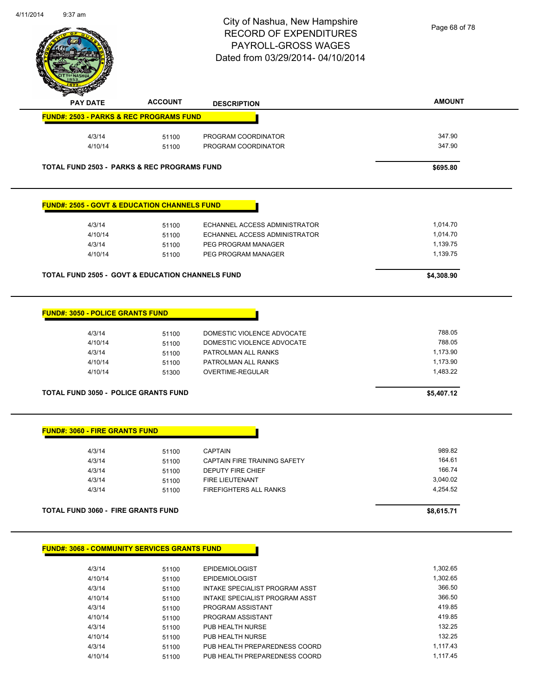

| <b>PAY DATE</b>                                             | <b>ACCOUNT</b>                            | <b>DESCRIPTION</b>                                                                                                         | <b>AMOUNT</b>                                        |
|-------------------------------------------------------------|-------------------------------------------|----------------------------------------------------------------------------------------------------------------------------|------------------------------------------------------|
| <b>FUND#: 2503 - PARKS &amp; REC PROGRAMS FUND</b>          |                                           |                                                                                                                            |                                                      |
| 4/3/14                                                      | 51100                                     | PROGRAM COORDINATOR                                                                                                        | 347.90                                               |
| 4/10/14                                                     | 51100                                     | PROGRAM COORDINATOR                                                                                                        | 347.90                                               |
| <b>TOTAL FUND 2503 - PARKS &amp; REC PROGRAMS FUND</b>      |                                           |                                                                                                                            | \$695.80                                             |
| <b>FUND#: 2505 - GOVT &amp; EDUCATION CHANNELS FUND</b>     |                                           |                                                                                                                            |                                                      |
| 4/3/14                                                      | 51100                                     | ECHANNEL ACCESS ADMINISTRATOR                                                                                              | 1,014.70                                             |
| 4/10/14                                                     | 51100                                     | ECHANNEL ACCESS ADMINISTRATOR                                                                                              | 1,014.70                                             |
| 4/3/14                                                      | 51100                                     | PEG PROGRAM MANAGER                                                                                                        | 1,139.75                                             |
| 4/10/14                                                     | 51100                                     | PEG PROGRAM MANAGER                                                                                                        | 1,139.75                                             |
| <b>TOTAL FUND 2505 - GOVT &amp; EDUCATION CHANNELS FUND</b> |                                           |                                                                                                                            | \$4,308.90                                           |
| 4/3/14<br>4/10/14<br>4/3/14<br>4/10/14<br>4/10/14           | 51100<br>51100<br>51100<br>51100<br>51300 | DOMESTIC VIOLENCE ADVOCATE<br>DOMESTIC VIOLENCE ADVOCATE<br>PATROLMAN ALL RANKS<br>PATROLMAN ALL RANKS<br>OVERTIME-REGULAR | 788.05<br>788.05<br>1,173.90<br>1,173.90<br>1,483.22 |
| <b>TOTAL FUND 3050 - POLICE GRANTS FUND</b>                 |                                           |                                                                                                                            | \$5,407.12                                           |
| <b>FUND#: 3060 - FIRE GRANTS FUND</b>                       |                                           |                                                                                                                            |                                                      |
| 4/3/14                                                      | 51100                                     | <b>CAPTAIN</b>                                                                                                             | 989.82                                               |
| 4/3/14                                                      | 51100                                     | CAPTAIN FIRE TRAINING SAFETY                                                                                               | 164.61                                               |
| 4/3/14                                                      | 51100                                     | DEPUTY FIRE CHIEF                                                                                                          | 166.74                                               |
| 4/3/14                                                      | 51100                                     | FIRE LIEUTENANT                                                                                                            | 3,040.02                                             |
| 4/3/14                                                      | 51100                                     | FIREFIGHTERS ALL RANKS                                                                                                     | 4,254.52                                             |
|                                                             | TOTAL FUND 3060 - FIRE GRANTS FUND        |                                                                                                                            | \$8,615.71                                           |
|                                                             |                                           |                                                                                                                            |                                                      |

| 4/3/14  | 51100 | <b>EPIDEMIOLOGIST</b>          | 1.302.65 |
|---------|-------|--------------------------------|----------|
| 4/10/14 | 51100 | <b>EPIDEMIOLOGIST</b>          | 1.302.65 |
| 4/3/14  | 51100 | INTAKE SPECIALIST PROGRAM ASST | 366.50   |
| 4/10/14 | 51100 | INTAKE SPECIALIST PROGRAM ASST | 366.50   |
| 4/3/14  | 51100 | PROGRAM ASSISTANT              | 419.85   |
| 4/10/14 | 51100 | PROGRAM ASSISTANT              | 419.85   |
| 4/3/14  | 51100 | PUB HEALTH NURSE               | 132.25   |
| 4/10/14 | 51100 | PUB HEALTH NURSE               | 132.25   |
| 4/3/14  | 51100 | PUB HEALTH PREPAREDNESS COORD  | 1.117.43 |
| 4/10/14 | 51100 | PUB HEALTH PREPAREDNESS COORD  | 1.117.45 |
|         |       |                                |          |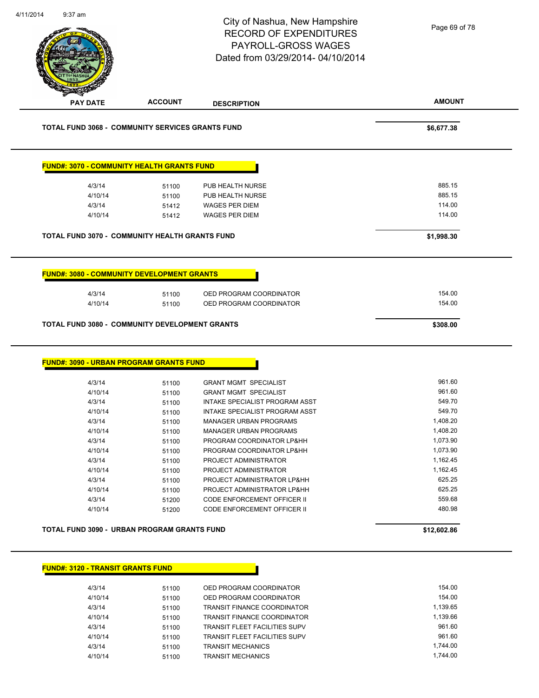|                                                                                                                                                                                        |                                                                                                                   | City of Nashua, New Hampshire<br><b>RECORD OF EXPENDITURES</b><br><b>PAYROLL-GROSS WAGES</b><br>Dated from 03/29/2014-04/10/2014                                                                                                                                                                                                                                                                            | Page 69 of 78                                                                                                                              |
|----------------------------------------------------------------------------------------------------------------------------------------------------------------------------------------|-------------------------------------------------------------------------------------------------------------------|-------------------------------------------------------------------------------------------------------------------------------------------------------------------------------------------------------------------------------------------------------------------------------------------------------------------------------------------------------------------------------------------------------------|--------------------------------------------------------------------------------------------------------------------------------------------|
| <b>PAY DATE</b>                                                                                                                                                                        | <b>ACCOUNT</b>                                                                                                    | <b>DESCRIPTION</b>                                                                                                                                                                                                                                                                                                                                                                                          | <b>AMOUNT</b>                                                                                                                              |
| <b>TOTAL FUND 3068 - COMMUNITY SERVICES GRANTS FUND</b>                                                                                                                                |                                                                                                                   |                                                                                                                                                                                                                                                                                                                                                                                                             | \$6,677.38                                                                                                                                 |
| <b>FUND#: 3070 - COMMUNITY HEALTH GRANTS FUND</b>                                                                                                                                      |                                                                                                                   |                                                                                                                                                                                                                                                                                                                                                                                                             |                                                                                                                                            |
| 4/3/14                                                                                                                                                                                 | 51100                                                                                                             | PUB HEALTH NURSE                                                                                                                                                                                                                                                                                                                                                                                            | 885.15                                                                                                                                     |
| 4/10/14                                                                                                                                                                                | 51100                                                                                                             | PUB HEALTH NURSE                                                                                                                                                                                                                                                                                                                                                                                            | 885.15                                                                                                                                     |
| 4/3/14                                                                                                                                                                                 | 51412                                                                                                             | <b>WAGES PER DIEM</b>                                                                                                                                                                                                                                                                                                                                                                                       | 114.00                                                                                                                                     |
| 4/10/14                                                                                                                                                                                | 51412                                                                                                             | <b>WAGES PER DIEM</b>                                                                                                                                                                                                                                                                                                                                                                                       | 114.00                                                                                                                                     |
| TOTAL FUND 3070 - COMMUNITY HEALTH GRANTS FUND                                                                                                                                         |                                                                                                                   |                                                                                                                                                                                                                                                                                                                                                                                                             | \$1,998.30                                                                                                                                 |
|                                                                                                                                                                                        |                                                                                                                   |                                                                                                                                                                                                                                                                                                                                                                                                             |                                                                                                                                            |
| <b>FUND#: 3080 - COMMUNITY DEVELOPMENT GRANTS</b>                                                                                                                                      |                                                                                                                   |                                                                                                                                                                                                                                                                                                                                                                                                             |                                                                                                                                            |
| 4/3/14                                                                                                                                                                                 | 51100                                                                                                             | OED PROGRAM COORDINATOR                                                                                                                                                                                                                                                                                                                                                                                     | 154.00                                                                                                                                     |
|                                                                                                                                                                                        |                                                                                                                   |                                                                                                                                                                                                                                                                                                                                                                                                             |                                                                                                                                            |
| 4/10/14                                                                                                                                                                                | 51100                                                                                                             | OED PROGRAM COORDINATOR                                                                                                                                                                                                                                                                                                                                                                                     | 154.00                                                                                                                                     |
|                                                                                                                                                                                        |                                                                                                                   |                                                                                                                                                                                                                                                                                                                                                                                                             |                                                                                                                                            |
| TOTAL FUND 3080 - COMMUNITY DEVELOPMENT GRANTS                                                                                                                                         |                                                                                                                   |                                                                                                                                                                                                                                                                                                                                                                                                             | \$308.00                                                                                                                                   |
| <b>FUND#: 3090 - URBAN PROGRAM GRANTS FUND</b><br>4/3/14<br>4/10/14<br>4/3/14<br>4/10/14<br>4/3/14<br>4/10/14<br>4/3/14<br>4/10/14<br>4/3/14<br>4/10/14<br>4/3/14<br>4/10/14<br>4/3/14 | 51100<br>51100<br>51100<br>51100<br>51100<br>51100<br>51100<br>51100<br>51100<br>51100<br>51100<br>51100<br>51200 | <b>GRANT MGMT SPECIALIST</b><br><b>GRANT MGMT SPECIALIST</b><br>INTAKE SPECIALIST PROGRAM ASST<br><b>INTAKE SPECIALIST PROGRAM ASST</b><br>MANAGER URBAN PROGRAMS<br><b>MANAGER URBAN PROGRAMS</b><br>PROGRAM COORDINATOR LP&HH<br>PROGRAM COORDINATOR LP&HH<br>PROJECT ADMINISTRATOR<br>PROJECT ADMINISTRATOR<br>PROJECT ADMINISTRATOR LP&HH<br>PROJECT ADMINISTRATOR LP&HH<br>CODE ENFORCEMENT OFFICER II | 961.60<br>961.60<br>549.70<br>549.70<br>1,408.20<br>1,408.20<br>1,073.90<br>1,073.90<br>1,162.45<br>1,162.45<br>625.25<br>625.25<br>559.68 |
| 4/10/14                                                                                                                                                                                | 51200                                                                                                             | CODE ENFORCEMENT OFFICER II                                                                                                                                                                                                                                                                                                                                                                                 | 480.98                                                                                                                                     |
| TOTAL FUND 3090 - URBAN PROGRAM GRANTS FUND                                                                                                                                            |                                                                                                                   |                                                                                                                                                                                                                                                                                                                                                                                                             | \$12,602.86                                                                                                                                |
| <b>FUND#: 3120 - TRANSIT GRANTS FUND</b>                                                                                                                                               |                                                                                                                   |                                                                                                                                                                                                                                                                                                                                                                                                             |                                                                                                                                            |
| 4/3/14                                                                                                                                                                                 | 51100                                                                                                             | OED PROGRAM COORDINATOR                                                                                                                                                                                                                                                                                                                                                                                     | 154.00                                                                                                                                     |
| 4/10/14                                                                                                                                                                                | 51100                                                                                                             | OED PROGRAM COORDINATOR                                                                                                                                                                                                                                                                                                                                                                                     | 154.00                                                                                                                                     |

4/10/14 51100 TRANSIT FINANCE COORDINATOR 1,139.66 4/3/14 51100 TRANSIT FLEET FACILITIES SUPV 961.60 4/10/14 51100 TRANSIT FLEET FACILITIES SUPV 561.60 4/3/14 51100 TRANSIT MECHANICS 1,744.00 4/10/14 51100 TRANSIT MECHANICS 1,744.00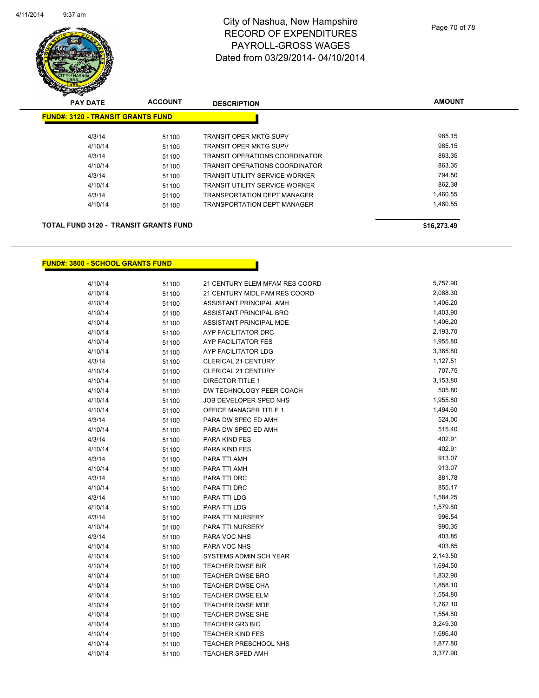

| <b>PAY DATE</b> | <b>ACCOUNT</b> | <b>DESCRIPTION</b>                       | <b>AMOUNT</b> |
|-----------------|----------------|------------------------------------------|---------------|
|                 |                |                                          |               |
| 4/3/14          | 51100          | <b>TRANSIT OPER MKTG SUPV</b>            | 985.15        |
| 4/10/14         | 51100          | <b>TRANSIT OPER MKTG SUPV</b>            | 985.15        |
| 4/3/14          | 51100          | <b>TRANSIT OPERATIONS COORDINATOR</b>    | 863.35        |
| 4/10/14         | 51100          | <b>TRANSIT OPERATIONS COORDINATOR</b>    | 863.35        |
| 4/3/14          | 51100          | <b>TRANSIT UTILITY SERVICE WORKER</b>    | 794.50        |
| 4/10/14         | 51100          | <b>TRANSIT UTILITY SERVICE WORKER</b>    | 862.38        |
| 4/3/14          | 51100          | <b>TRANSPORTATION DEPT MANAGER</b>       | 1,460.55      |
| 4/10/14         | 51100          | <b>TRANSPORTATION DEPT MANAGER</b>       | 1.460.55      |
|                 |                |                                          |               |
|                 |                | <b>FUND#: 3120 - TRANSIT GRANTS FUND</b> |               |

#### **TOTAL FUND 3120 - TRANSIT GRANTS FUND \$16,273.49**

#### **FUND#: 3800 - SCHOOL GRANTS FUND**

| 4/10/14 | 51100 | 21 CENTURY ELEM MFAM RES COORD | 5,757.90 |
|---------|-------|--------------------------------|----------|
| 4/10/14 | 51100 | 21 CENTURY MIDL FAM RES COORD  | 2,088.30 |
| 4/10/14 | 51100 | ASSISTANT PRINCIPAL AMH        | 1,406.20 |
| 4/10/14 | 51100 | ASSISTANT PRINCIPAL BRO        | 1,403.90 |
| 4/10/14 | 51100 | ASSISTANT PRINCIPAL MDE        | 1,406.20 |
| 4/10/14 | 51100 | AYP FACILITATOR DRC            | 2,193.70 |
| 4/10/14 | 51100 | AYP FACILITATOR FES            | 1,955.80 |
| 4/10/14 | 51100 | AYP FACILITATOR LDG            | 3,365.80 |
| 4/3/14  | 51100 | <b>CLERICAL 21 CENTURY</b>     | 1,127.51 |
| 4/10/14 | 51100 | <b>CLERICAL 21 CENTURY</b>     | 707.75   |
| 4/10/14 | 51100 | <b>DIRECTOR TITLE 1</b>        | 3,153.80 |
| 4/10/14 | 51100 | DW TECHNOLOGY PEER COACH       | 505.80   |
| 4/10/14 | 51100 | JOB DEVELOPER SPED NHS         | 1,955.80 |
| 4/10/14 | 51100 | OFFICE MANAGER TITLE 1         | 1,494.60 |
| 4/3/14  | 51100 | PARA DW SPEC ED AMH            | 524.00   |
| 4/10/14 | 51100 | PARA DW SPEC ED AMH            | 515.40   |
| 4/3/14  | 51100 | PARA KIND FES                  | 402.91   |
| 4/10/14 | 51100 | PARA KIND FES                  | 402.91   |
| 4/3/14  | 51100 | PARA TTI AMH                   | 913.07   |
| 4/10/14 | 51100 | PARA TTI AMH                   | 913.07   |
| 4/3/14  | 51100 | PARA TTI DRC                   | 881.78   |
| 4/10/14 | 51100 | PARA TTI DRC                   | 855.17   |
| 4/3/14  | 51100 | PARA TTI LDG                   | 1,584.25 |
| 4/10/14 | 51100 | PARA TTI LDG                   | 1,579.80 |
| 4/3/14  | 51100 | PARA TTI NURSERY               | 996.54   |
| 4/10/14 | 51100 | PARA TTI NURSERY               | 990.35   |
| 4/3/14  | 51100 | PARA VOC NHS                   | 403.85   |
| 4/10/14 | 51100 | PARA VOC NHS                   | 403.85   |
| 4/10/14 | 51100 | SYSTEMS ADMIN SCH YEAR         | 2,143.50 |
| 4/10/14 | 51100 | <b>TEACHER DWSE BIR</b>        | 1,694.50 |
| 4/10/14 | 51100 | <b>TEACHER DWSE BRO</b>        | 1,832.90 |
| 4/10/14 | 51100 | TEACHER DWSE CHA               | 1,858.10 |
| 4/10/14 | 51100 | <b>TEACHER DWSE ELM</b>        | 1,554.80 |
| 4/10/14 | 51100 | <b>TEACHER DWSE MDE</b>        | 1,762.10 |
| 4/10/14 | 51100 | TEACHER DWSE SHE               | 1,554.80 |
| 4/10/14 | 51100 | <b>TEACHER GR3 BIC</b>         | 3,249.30 |
| 4/10/14 | 51100 | <b>TEACHER KIND FES</b>        | 1,686.40 |
| 4/10/14 | 51100 | <b>TEACHER PRESCHOOL NHS</b>   | 1,877.80 |
| 4/10/14 | 51100 | <b>TEACHER SPED AMH</b>        | 3,377.90 |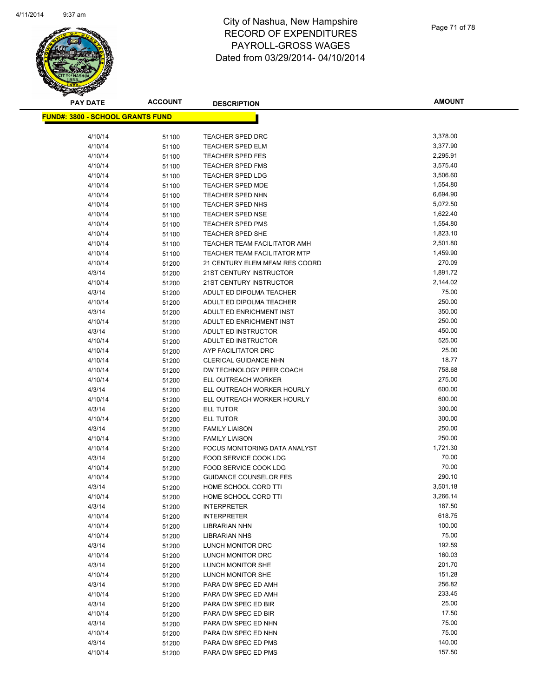

**AMOUNT**

| <b>FUND#: 3800 - SCHOOL GRANTS FUND</b> |                |                                                    |                      |
|-----------------------------------------|----------------|----------------------------------------------------|----------------------|
|                                         |                |                                                    |                      |
| 4/10/14                                 | 51100          | TEACHER SPED DRC                                   | 3,378.00             |
| 4/10/14                                 | 51100          | <b>TEACHER SPED ELM</b>                            | 3,377.90             |
| 4/10/14                                 | 51100          | <b>TEACHER SPED FES</b>                            | 2,295.91             |
| 4/10/14                                 | 51100          | <b>TEACHER SPED FMS</b>                            | 3,575.40             |
| 4/10/14                                 | 51100          | <b>TEACHER SPED LDG</b>                            | 3,506.60             |
| 4/10/14                                 | 51100          | <b>TEACHER SPED MDE</b>                            | 1,554.80             |
| 4/10/14                                 | 51100          | <b>TEACHER SPED NHN</b>                            | 6,694.90             |
| 4/10/14                                 | 51100          | TEACHER SPED NHS                                   | 5,072.50             |
| 4/10/14                                 | 51100          | <b>TEACHER SPED NSE</b>                            | 1,622.40             |
| 4/10/14                                 | 51100          | <b>TEACHER SPED PMS</b><br><b>TEACHER SPED SHE</b> | 1,554.80<br>1,823.10 |
| 4/10/14<br>4/10/14                      | 51100          | TEACHER TEAM FACILITATOR AMH                       | 2,501.80             |
| 4/10/14                                 | 51100          | <b>TEACHER TEAM FACILITATOR MTP</b>                | 1,459.90             |
| 4/10/14                                 | 51100          | 21 CENTURY ELEM MFAM RES COORD                     | 270.09               |
|                                         | 51200          | 21ST CENTURY INSTRUCTOR                            | 1,891.72             |
| 4/3/14<br>4/10/14                       | 51200          | 21ST CENTURY INSTRUCTOR                            | 2,144.02             |
| 4/3/14                                  | 51200<br>51200 | ADULT ED DIPOLMA TEACHER                           | 75.00                |
| 4/10/14                                 |                | ADULT ED DIPOLMA TEACHER                           | 250.00               |
| 4/3/14                                  | 51200<br>51200 | ADULT ED ENRICHMENT INST                           | 350.00               |
| 4/10/14                                 | 51200          | ADULT ED ENRICHMENT INST                           | 250.00               |
| 4/3/14                                  | 51200          | ADULT ED INSTRUCTOR                                | 450.00               |
| 4/10/14                                 | 51200          | ADULT ED INSTRUCTOR                                | 525.00               |
| 4/10/14                                 | 51200          | AYP FACILITATOR DRC                                | 25.00                |
| 4/10/14                                 | 51200          | <b>CLERICAL GUIDANCE NHN</b>                       | 18.77                |
| 4/10/14                                 | 51200          | DW TECHNOLOGY PEER COACH                           | 758.68               |
| 4/10/14                                 | 51200          | ELL OUTREACH WORKER                                | 275.00               |
| 4/3/14                                  | 51200          | ELL OUTREACH WORKER HOURLY                         | 600.00               |
| 4/10/14                                 | 51200          | ELL OUTREACH WORKER HOURLY                         | 600.00               |
| 4/3/14                                  | 51200          | ELL TUTOR                                          | 300.00               |
| 4/10/14                                 | 51200          | ELL TUTOR                                          | 300.00               |
| 4/3/14                                  | 51200          | <b>FAMILY LIAISON</b>                              | 250.00               |
| 4/10/14                                 | 51200          | <b>FAMILY LIAISON</b>                              | 250.00               |
| 4/10/14                                 | 51200          | FOCUS MONITORING DATA ANALYST                      | 1,721.30             |
| 4/3/14                                  | 51200          | FOOD SERVICE COOK LDG                              | 70.00                |
| 4/10/14                                 | 51200          | FOOD SERVICE COOK LDG                              | 70.00                |
| 4/10/14                                 | 51200          | <b>GUIDANCE COUNSELOR FES</b>                      | 290.10               |
| 4/3/14                                  | 51200          | HOME SCHOOL CORD TTI                               | 3,501.18             |
| 4/10/14                                 | 51200          | HOME SCHOOL CORD TTI                               | 3,266.14             |
| 4/3/14                                  | 51200          | <b>INTERPRETER</b>                                 | 187.50               |
| 4/10/14                                 | 51200          | <b>INTERPRETER</b>                                 | 618.75               |
| 4/10/14                                 | 51200          | <b>LIBRARIAN NHN</b>                               | 100.00               |
| 4/10/14                                 | 51200          | <b>LIBRARIAN NHS</b>                               | 75.00                |
| 4/3/14                                  | 51200          | LUNCH MONITOR DRC                                  | 192.59               |
| 4/10/14                                 | 51200          | LUNCH MONITOR DRC                                  | 160.03               |
| 4/3/14                                  | 51200          | LUNCH MONITOR SHE                                  | 201.70               |
| 4/10/14                                 | 51200          | LUNCH MONITOR SHE                                  | 151.28               |
| 4/3/14                                  | 51200          | PARA DW SPEC ED AMH                                | 256.82               |
| 4/10/14                                 | 51200          | PARA DW SPEC ED AMH                                | 233.45               |
| 4/3/14                                  | 51200          | PARA DW SPEC ED BIR                                | 25.00                |
| 4/10/14                                 | 51200          | PARA DW SPEC ED BIR                                | 17.50                |
| 4/3/14                                  | 51200          | PARA DW SPEC ED NHN                                | 75.00                |
| 4/10/14                                 | 51200          | PARA DW SPEC ED NHN                                | 75.00                |
| 4/3/14                                  | 51200          | PARA DW SPEC ED PMS                                | 140.00               |
| 4/10/14                                 | 51200          | PARA DW SPEC ED PMS                                | 157.50               |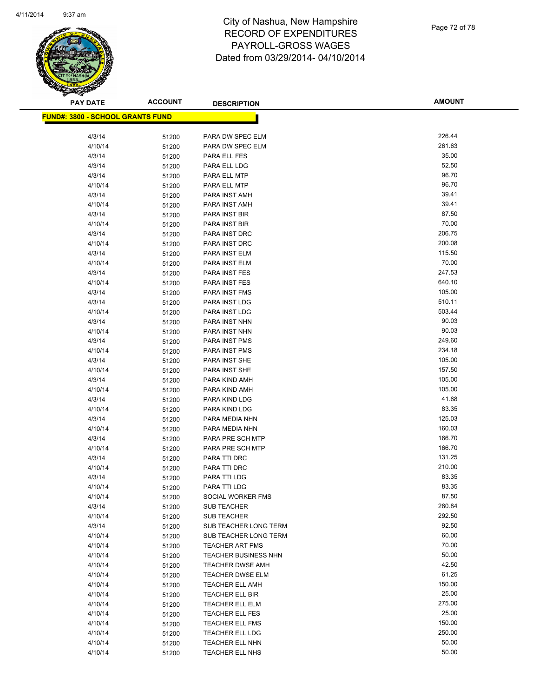

**AMOUNT**

| <u> FUND#: 3800 - SCHOOL GRANTS FUND</u> |                |                                  |                  |
|------------------------------------------|----------------|----------------------------------|------------------|
|                                          |                |                                  |                  |
| 4/3/14                                   | 51200          | PARA DW SPEC ELM                 | 226.44           |
| 4/10/14                                  | 51200          | PARA DW SPEC ELM                 | 261.63           |
| 4/3/14                                   | 51200          | PARA ELL FES                     | 35.00            |
| 4/3/14                                   | 51200          | PARA ELL LDG                     | 52.50            |
| 4/3/14                                   | 51200          | PARA ELL MTP                     | 96.70            |
| 4/10/14                                  | 51200          | PARA ELL MTP                     | 96.70            |
| 4/3/14                                   | 51200          | PARA INST AMH                    | 39.41            |
| 4/10/14                                  | 51200          | PARA INST AMH                    | 39.41            |
| 4/3/14                                   | 51200          | PARA INST BIR                    | 87.50            |
| 4/10/14                                  | 51200          | PARA INST BIR                    | 70.00            |
| 4/3/14                                   | 51200          | PARA INST DRC                    | 206.75           |
| 4/10/14                                  | 51200          | PARA INST DRC                    | 200.08           |
| 4/3/14                                   | 51200          | PARA INST ELM                    | 115.50           |
| 4/10/14                                  | 51200          | PARA INST ELM                    | 70.00            |
| 4/3/14                                   | 51200          | PARA INST FES                    | 247.53           |
| 4/10/14                                  | 51200          | PARA INST FES                    | 640.10           |
| 4/3/14                                   | 51200          | PARA INST FMS                    | 105.00           |
| 4/3/14                                   | 51200          | PARA INST LDG                    | 510.11           |
| 4/10/14                                  | 51200          | PARA INST LDG                    | 503.44           |
| 4/3/14                                   | 51200          | PARA INST NHN                    | 90.03            |
| 4/10/14                                  | 51200          | PARA INST NHN                    | 90.03            |
| 4/3/14                                   | 51200          | PARA INST PMS                    | 249.60           |
| 4/10/14                                  | 51200          | PARA INST PMS                    | 234.18           |
| 4/3/14                                   | 51200          | PARA INST SHE                    | 105.00           |
| 4/10/14                                  | 51200          | PARA INST SHE                    | 157.50           |
| 4/3/14                                   | 51200          | PARA KIND AMH                    | 105.00           |
| 4/10/14                                  | 51200          | PARA KIND AMH                    | 105.00           |
| 4/3/14                                   | 51200          | PARA KIND LDG                    | 41.68            |
| 4/10/14                                  | 51200          | PARA KIND LDG                    | 83.35            |
| 4/3/14                                   | 51200          | PARA MEDIA NHN                   | 125.03           |
| 4/10/14                                  | 51200          | PARA MEDIA NHN                   | 160.03           |
| 4/3/14                                   | 51200          | PARA PRE SCH MTP                 | 166.70<br>166.70 |
| 4/10/14                                  | 51200          | PARA PRE SCH MTP<br>PARA TTI DRC | 131.25           |
| 4/3/14<br>4/10/14                        | 51200          | PARA TTI DRC                     | 210.00           |
|                                          | 51200          |                                  | 83.35            |
| 4/3/14<br>4/10/14                        | 51200          | PARA TTI LDG<br>PARA TTI LDG     | 83.35            |
| 4/10/14                                  | 51200<br>51200 | SOCIAL WORKER FMS                | 87.50            |
| 4/3/14                                   | 51200          | <b>SUB TEACHER</b>               | 280.84           |
| 4/10/14                                  | 51200          | SUB TEACHER                      | 292.50           |
| 4/3/14                                   | 51200          | SUB TEACHER LONG TERM            | 92.50            |
| 4/10/14                                  | 51200          | SUB TEACHER LONG TERM            | 60.00            |
| 4/10/14                                  | 51200          | <b>TEACHER ART PMS</b>           | 70.00            |
| 4/10/14                                  | 51200          | <b>TEACHER BUSINESS NHN</b>      | 50.00            |
| 4/10/14                                  | 51200          | <b>TEACHER DWSE AMH</b>          | 42.50            |
| 4/10/14                                  | 51200          | TEACHER DWSE ELM                 | 61.25            |
| 4/10/14                                  | 51200          | <b>TEACHER ELL AMH</b>           | 150.00           |
| 4/10/14                                  | 51200          | TEACHER ELL BIR                  | 25.00            |
| 4/10/14                                  | 51200          | <b>TEACHER ELL ELM</b>           | 275.00           |
| 4/10/14                                  | 51200          | <b>TEACHER ELL FES</b>           | 25.00            |
| 4/10/14                                  | 51200          | <b>TEACHER ELL FMS</b>           | 150.00           |
| 4/10/14                                  | 51200          | <b>TEACHER ELL LDG</b>           | 250.00           |
| 4/10/14                                  | 51200          | TEACHER ELL NHN                  | 50.00            |
| 4/10/14                                  | 51200          | TEACHER ELL NHS                  | 50.00            |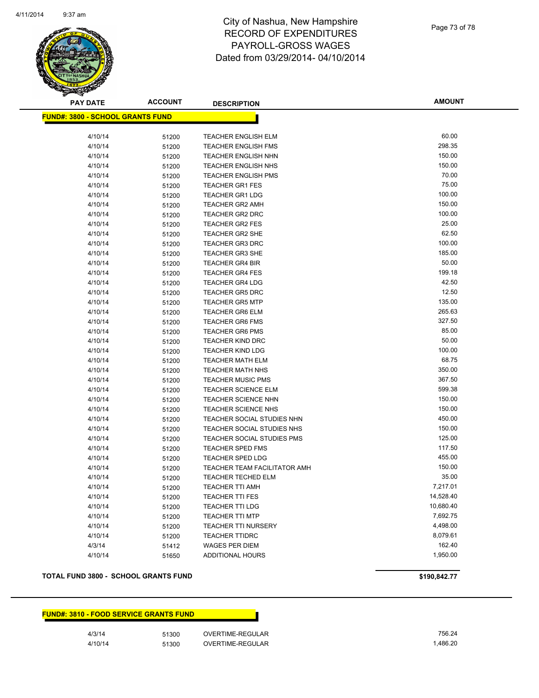**PAY DATE ACCOUNT DESCRIPTION**

# City of Nashua, New Hampshire **RECORD** PAYROLL-GROSS WAGES Dated from 03/29/2014- 04/10/2014

| D OF EXPENDITURES |  |
|-------------------|--|
| 71 I -GROSS WAGES |  |

Page 73 of 78

**AMOUNT**

| <b>FUND#: 3800 - SCHOOL GRANTS FUND</b> |       |                                     |           |
|-----------------------------------------|-------|-------------------------------------|-----------|
|                                         |       |                                     |           |
| 4/10/14                                 | 51200 | TEACHER ENGLISH ELM                 | 60.00     |
| 4/10/14                                 | 51200 | <b>TEACHER ENGLISH FMS</b>          | 298.35    |
| 4/10/14                                 | 51200 | <b>TEACHER ENGLISH NHN</b>          | 150.00    |
| 4/10/14                                 | 51200 | <b>TEACHER ENGLISH NHS</b>          | 150.00    |
| 4/10/14                                 | 51200 | <b>TEACHER ENGLISH PMS</b>          | 70.00     |
| 4/10/14                                 | 51200 | <b>TEACHER GR1 FES</b>              | 75.00     |
| 4/10/14                                 | 51200 | <b>TEACHER GR1 LDG</b>              | 100.00    |
| 4/10/14                                 | 51200 | <b>TEACHER GR2 AMH</b>              | 150.00    |
| 4/10/14                                 | 51200 | <b>TEACHER GR2 DRC</b>              | 100.00    |
| 4/10/14                                 | 51200 | <b>TEACHER GR2 FES</b>              | 25.00     |
| 4/10/14                                 | 51200 | <b>TEACHER GR2 SHE</b>              | 62.50     |
| 4/10/14                                 | 51200 | <b>TEACHER GR3 DRC</b>              | 100.00    |
| 4/10/14                                 | 51200 | <b>TEACHER GR3 SHE</b>              | 185.00    |
| 4/10/14                                 | 51200 | <b>TEACHER GR4 BIR</b>              | 50.00     |
| 4/10/14                                 | 51200 | <b>TEACHER GR4 FES</b>              | 199.18    |
| 4/10/14                                 | 51200 | <b>TEACHER GR4 LDG</b>              | 42.50     |
| 4/10/14                                 | 51200 | <b>TEACHER GR5 DRC</b>              | 12.50     |
| 4/10/14                                 | 51200 | <b>TEACHER GR5 MTP</b>              | 135.00    |
| 4/10/14                                 | 51200 | <b>TEACHER GR6 ELM</b>              | 265.63    |
| 4/10/14                                 | 51200 | <b>TEACHER GR6 FMS</b>              | 327.50    |
| 4/10/14                                 | 51200 | <b>TEACHER GR6 PMS</b>              | 85.00     |
| 4/10/14                                 | 51200 | <b>TEACHER KIND DRC</b>             | 50.00     |
| 4/10/14                                 | 51200 | <b>TEACHER KIND LDG</b>             | 100.00    |
| 4/10/14                                 | 51200 | <b>TEACHER MATH ELM</b>             | 68.75     |
| 4/10/14                                 | 51200 | TEACHER MATH NHS                    | 350.00    |
| 4/10/14                                 | 51200 | <b>TEACHER MUSIC PMS</b>            | 367.50    |
| 4/10/14                                 | 51200 | <b>TEACHER SCIENCE ELM</b>          | 599.38    |
| 4/10/14                                 | 51200 | <b>TEACHER SCIENCE NHN</b>          | 150.00    |
| 4/10/14                                 | 51200 | <b>TEACHER SCIENCE NHS</b>          | 150.00    |
| 4/10/14                                 | 51200 | TEACHER SOCIAL STUDIES NHN          | 450.00    |
| 4/10/14                                 | 51200 | TEACHER SOCIAL STUDIES NHS          | 150.00    |
| 4/10/14                                 | 51200 | TEACHER SOCIAL STUDIES PMS          | 125.00    |
| 4/10/14                                 | 51200 | <b>TEACHER SPED FMS</b>             | 117.50    |
| 4/10/14                                 | 51200 | <b>TEACHER SPED LDG</b>             | 455.00    |
| 4/10/14                                 | 51200 | <b>TEACHER TEAM FACILITATOR AMH</b> | 150.00    |
| 4/10/14                                 | 51200 | <b>TEACHER TECHED ELM</b>           | 35.00     |
| 4/10/14                                 | 51200 | <b>TEACHER TTI AMH</b>              | 7,217.01  |
| 4/10/14                                 | 51200 | <b>TEACHER TTI FES</b>              | 14,528.40 |
| 4/10/14                                 | 51200 | <b>TEACHER TTI LDG</b>              | 10,680.40 |
| 4/10/14                                 | 51200 | <b>TEACHER TTI MTP</b>              | 7,692.75  |
| 4/10/14                                 | 51200 | <b>TEACHER TTI NURSERY</b>          | 4,498.00  |
| 4/10/14                                 | 51200 | <b>TEACHER TTIDRC</b>               | 8,079.61  |
| 4/3/14                                  | 51412 | <b>WAGES PER DIEM</b>               | 162.40    |
| 4/10/14                                 | 51650 | <b>ADDITIONAL HOURS</b>             | 1,950.00  |

### **TOTAL FUND 3800 - SCHOOL GRANTS FUND \$190,842.77**

### **FUND#: 3810 - FOOD SERVICE GRANTS FUND**

4/3/14 51300 OVERTIME-REGULAR 756.24 4/10/14 51300 OVERTIME-REGULAR 1,486.20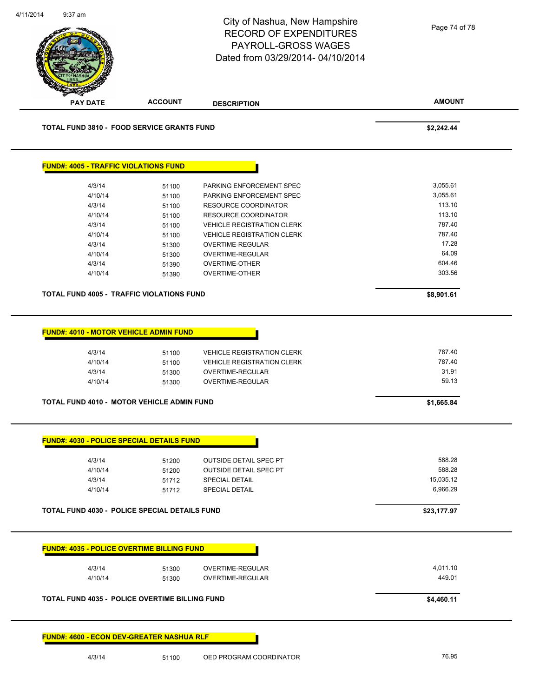|                                                                                  |                                  | City of Nashua, New Hampshire<br><b>RECORD OF EXPENDITURES</b><br>PAYROLL-GROSS WAGES<br>Dated from 03/29/2014-04/10/2014 | Page 74 of 78                      |
|----------------------------------------------------------------------------------|----------------------------------|---------------------------------------------------------------------------------------------------------------------------|------------------------------------|
| <b>PAY DATE</b>                                                                  | <b>ACCOUNT</b>                   | <b>DESCRIPTION</b>                                                                                                        | <b>AMOUNT</b>                      |
| <b>TOTAL FUND 3810 - FOOD SERVICE GRANTS FUND</b>                                |                                  |                                                                                                                           | \$2,242.44                         |
| <b>FUND#: 4005 - TRAFFIC VIOLATIONS FUND</b>                                     |                                  |                                                                                                                           |                                    |
| 4/3/14                                                                           | 51100                            | PARKING ENFORCEMENT SPEC                                                                                                  | 3,055.61                           |
| 4/10/14                                                                          | 51100                            | PARKING ENFORCEMENT SPEC                                                                                                  | 3,055.61                           |
| 4/3/14                                                                           | 51100                            | <b>RESOURCE COORDINATOR</b>                                                                                               | 113.10                             |
| 4/10/14                                                                          | 51100                            | RESOURCE COORDINATOR                                                                                                      | 113.10<br>787.40                   |
| 4/3/14<br>4/10/14                                                                | 51100                            | <b>VEHICLE REGISTRATION CLERK</b><br><b>VEHICLE REGISTRATION CLERK</b>                                                    | 787.40                             |
| 4/3/14                                                                           | 51100<br>51300                   | OVERTIME-REGULAR                                                                                                          | 17.28                              |
| 4/10/14                                                                          | 51300                            | OVERTIME-REGULAR                                                                                                          | 64.09                              |
| 4/3/14                                                                           | 51390                            | <b>OVERTIME-OTHER</b>                                                                                                     | 604.46                             |
| 4/10/14                                                                          | 51390                            | <b>OVERTIME-OTHER</b>                                                                                                     | 303.56                             |
| TOTAL FUND 4005 - TRAFFIC VIOLATIONS FUND                                        |                                  |                                                                                                                           |                                    |
|                                                                                  |                                  |                                                                                                                           | \$8,901.61                         |
| FUND#: 4010 - MOTOR VEHICLE ADMIN FUND<br>4/3/14<br>4/10/14<br>4/3/14<br>4/10/14 | 51100<br>51100<br>51300<br>51300 | <b>VEHICLE REGISTRATION CLERK</b><br><b>VEHICLE REGISTRATION CLERK</b><br>OVERTIME-REGULAR<br><b>OVERTIME-REGULAR</b>     | 787.40<br>787.40<br>31.91<br>59.13 |
| TOTAL FUND 4010 - MOTOR VEHICLE ADMIN FUND                                       |                                  |                                                                                                                           | \$1,665.84                         |
| <b>FUND#: 4030 - POLICE SPECIAL DETAILS FUND</b>                                 |                                  |                                                                                                                           |                                    |
| 4/3/14                                                                           | 51200                            | <b>OUTSIDE DETAIL SPEC PT</b>                                                                                             | 588.28                             |
| 4/10/14                                                                          | 51200                            | <b>OUTSIDE DETAIL SPEC PT</b>                                                                                             | 588.28                             |
| 4/3/14                                                                           | 51712                            | <b>SPECIAL DETAIL</b>                                                                                                     | 15.035.12                          |
| 4/10/14                                                                          | 51712                            | <b>SPECIAL DETAIL</b>                                                                                                     | 6,966.29                           |
| TOTAL FUND 4030 - POLICE SPECIAL DETAILS FUND                                    |                                  |                                                                                                                           | \$23,177.97                        |
| <b>FUND#: 4035 - POLICE OVERTIME BILLING FUND</b>                                |                                  |                                                                                                                           |                                    |
|                                                                                  |                                  |                                                                                                                           |                                    |
| 4/3/14<br>4/10/14                                                                | 51300<br>51300                   | OVERTIME-REGULAR<br>OVERTIME-REGULAR                                                                                      | 4,011.10<br>449.01                 |
| <b>TOTAL FUND 4035 - POLICE OVERTIME BILLING FUND</b>                            |                                  |                                                                                                                           | \$4,460.11                         |

4/3/14 51100 OED PROGRAM COORDINATOR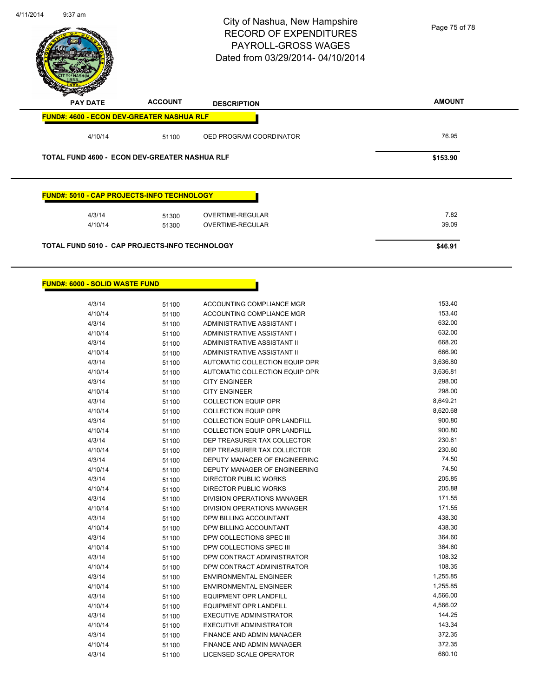

| 4/3/14  | 51100 | AUTOMATIC COLLECTION EQUIP OPR       | 3,636.80 |
|---------|-------|--------------------------------------|----------|
| 4/10/14 | 51100 | AUTOMATIC COLLECTION EQUIP OPR       | 3,636.81 |
| 4/3/14  | 51100 | <b>CITY ENGINEER</b>                 | 298.00   |
| 4/10/14 | 51100 | <b>CITY ENGINEER</b>                 | 298.00   |
| 4/3/14  | 51100 | <b>COLLECTION EQUIP OPR</b>          | 8,649.21 |
| 4/10/14 | 51100 | <b>COLLECTION EQUIP OPR</b>          | 8,620.68 |
| 4/3/14  | 51100 | <b>COLLECTION EQUIP OPR LANDFILL</b> | 900.80   |
| 4/10/14 | 51100 | <b>COLLECTION EQUIP OPR LANDFILL</b> | 900.80   |
| 4/3/14  | 51100 | DEP TREASURER TAX COLLECTOR          | 230.61   |
| 4/10/14 | 51100 | DEP TREASURER TAX COLLECTOR          | 230.60   |
| 4/3/14  | 51100 | DEPUTY MANAGER OF ENGINEERING        | 74.50    |
| 4/10/14 | 51100 | DEPUTY MANAGER OF ENGINEERING        | 74.50    |
| 4/3/14  | 51100 | <b>DIRECTOR PUBLIC WORKS</b>         | 205.85   |
| 4/10/14 | 51100 | DIRECTOR PUBLIC WORKS                | 205.88   |
| 4/3/14  | 51100 | DIVISION OPERATIONS MANAGER          | 171.55   |
| 4/10/14 | 51100 | <b>DIVISION OPERATIONS MANAGER</b>   | 171.55   |
| 4/3/14  | 51100 | DPW BILLING ACCOUNTANT               | 438.30   |
| 4/10/14 | 51100 | <b>DPW BILLING ACCOUNTANT</b>        | 438.30   |
| 4/3/14  | 51100 | DPW COLLECTIONS SPEC III             | 364.60   |
| 4/10/14 | 51100 | DPW COLLECTIONS SPEC III             | 364.60   |
| 4/3/14  | 51100 | DPW CONTRACT ADMINISTRATOR           | 108.32   |
| 4/10/14 | 51100 | DPW CONTRACT ADMINISTRATOR           | 108.35   |
| 4/3/14  | 51100 | <b>ENVIRONMENTAL ENGINEER</b>        | 1,255.85 |
| 4/10/14 | 51100 | <b>ENVIRONMENTAL ENGINEER</b>        | 1,255.85 |
| 4/3/14  | 51100 | <b>EQUIPMENT OPR LANDFILL</b>        | 4,566.00 |
| 4/10/14 | 51100 | <b>EQUIPMENT OPR LANDFILL</b>        | 4,566.02 |
| 4/3/14  | 51100 | <b>EXECUTIVE ADMINISTRATOR</b>       | 144.25   |
| 4/10/14 | 51100 | <b>EXECUTIVE ADMINISTRATOR</b>       | 143.34   |
| 4/3/14  | 51100 | FINANCE AND ADMIN MANAGER            | 372.35   |
| 4/10/14 | 51100 | <b>FINANCE AND ADMIN MANAGER</b>     | 372.35   |
| 4/3/14  | 51100 | <b>LICENSED SCALE OPERATOR</b>       | 680.10   |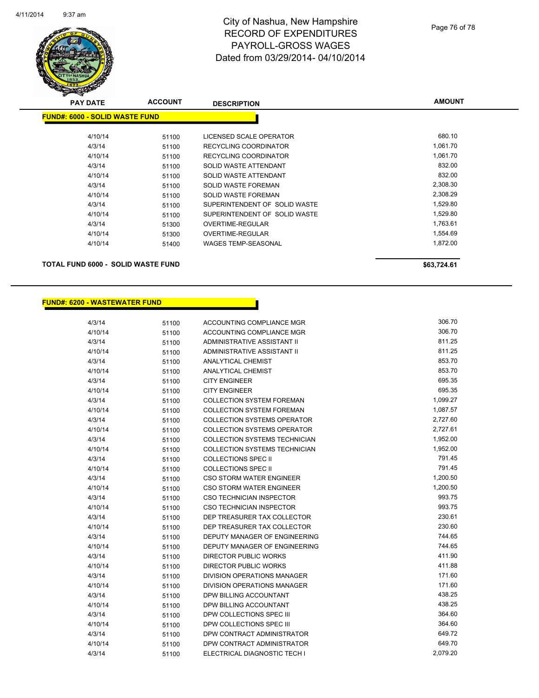

# City of Nashua, New Hampshire RECORD OF EXPENDITURES PAYROLL-GROSS WAGES Dated from 03/29/2014- 04/10/2014

| <b>PAY DATE</b>                           | <b>ACCOUNT</b> | <b>DESCRIPTION</b>            | <b>AMOUNT</b> |
|-------------------------------------------|----------------|-------------------------------|---------------|
| <b>FUND#: 6000 - SOLID WASTE FUND</b>     |                |                               |               |
|                                           |                |                               |               |
| 4/10/14                                   | 51100          | LICENSED SCALE OPERATOR       | 680.10        |
| 4/3/14                                    | 51100          | RECYCLING COORDINATOR         | 1,061.70      |
| 4/10/14                                   | 51100          | RECYCLING COORDINATOR         | 1,061.70      |
| 4/3/14                                    | 51100          | SOLID WASTE ATTENDANT         | 832.00        |
| 4/10/14                                   | 51100          | SOLID WASTE ATTENDANT         | 832.00        |
| 4/3/14                                    | 51100          | <b>SOLID WASTE FOREMAN</b>    | 2,308.30      |
| 4/10/14                                   | 51100          | SOLID WASTE FOREMAN           | 2,308.29      |
| 4/3/14                                    | 51100          | SUPERINTENDENT OF SOLID WASTE | 1,529.80      |
| 4/10/14                                   | 51100          | SUPERINTENDENT OF SOLID WASTE | 1,529.80      |
| 4/3/14                                    | 51300          | OVERTIME-REGULAR              | 1,763.61      |
| 4/10/14                                   | 51300          | OVERTIME-REGULAR              | 1,554.69      |
| 4/10/14                                   | 51400          | <b>WAGES TEMP-SEASONAL</b>    | 1,872.00      |
| <b>TOTAL FUND 6000 - SOLID WASTE FUND</b> |                |                               | \$63,724.61   |

**FUND#: 6200 - WASTEWATER FUND**

| 4/3/14  | 51100 | ACCOUNTING COMPLIANCE MGR            | 306.70   |
|---------|-------|--------------------------------------|----------|
| 4/10/14 | 51100 | <b>ACCOUNTING COMPLIANCE MGR</b>     | 306.70   |
| 4/3/14  | 51100 | ADMINISTRATIVE ASSISTANT II          | 811.25   |
| 4/10/14 | 51100 | <b>ADMINISTRATIVE ASSISTANT II</b>   | 811.25   |
| 4/3/14  | 51100 | <b>ANALYTICAL CHEMIST</b>            | 853.70   |
| 4/10/14 | 51100 | <b>ANALYTICAL CHEMIST</b>            | 853.70   |
| 4/3/14  | 51100 | <b>CITY ENGINEER</b>                 | 695.35   |
| 4/10/14 | 51100 | <b>CITY ENGINEER</b>                 | 695.35   |
| 4/3/14  | 51100 | <b>COLLECTION SYSTEM FOREMAN</b>     | 1,099.27 |
| 4/10/14 | 51100 | <b>COLLECTION SYSTEM FOREMAN</b>     | 1,087.57 |
| 4/3/14  | 51100 | <b>COLLECTION SYSTEMS OPERATOR</b>   | 2,727.60 |
| 4/10/14 | 51100 | <b>COLLECTION SYSTEMS OPERATOR</b>   | 2,727.61 |
| 4/3/14  | 51100 | <b>COLLECTION SYSTEMS TECHNICIAN</b> | 1,952.00 |
| 4/10/14 | 51100 | COLLECTION SYSTEMS TECHNICIAN        | 1,952.00 |
| 4/3/14  | 51100 | <b>COLLECTIONS SPEC II</b>           | 791.45   |
| 4/10/14 | 51100 | <b>COLLECTIONS SPEC II</b>           | 791.45   |
| 4/3/14  | 51100 | CSO STORM WATER ENGINEER             | 1,200.50 |
| 4/10/14 | 51100 | <b>CSO STORM WATER ENGINEER</b>      | 1,200.50 |
| 4/3/14  | 51100 | CSO TECHNICIAN INSPECTOR             | 993.75   |
| 4/10/14 | 51100 | <b>CSO TECHNICIAN INSPECTOR</b>      | 993.75   |
| 4/3/14  | 51100 | DEP TREASURER TAX COLLECTOR          | 230.61   |
| 4/10/14 | 51100 | DEP TREASURER TAX COLLECTOR          | 230.60   |
| 4/3/14  | 51100 | DEPUTY MANAGER OF ENGINEERING        | 744.65   |
| 4/10/14 | 51100 | DEPUTY MANAGER OF ENGINEERING        | 744.65   |
| 4/3/14  | 51100 | DIRECTOR PUBLIC WORKS                | 411.90   |
| 4/10/14 | 51100 | <b>DIRECTOR PUBLIC WORKS</b>         | 411.88   |
| 4/3/14  | 51100 | DIVISION OPERATIONS MANAGER          | 171.60   |
| 4/10/14 | 51100 | <b>DIVISION OPERATIONS MANAGER</b>   | 171.60   |
| 4/3/14  | 51100 | DPW BILLING ACCOUNTANT               | 438.25   |
| 4/10/14 | 51100 | DPW BILLING ACCOUNTANT               | 438.25   |
| 4/3/14  | 51100 | DPW COLLECTIONS SPEC III             | 364.60   |
| 4/10/14 | 51100 | DPW COLLECTIONS SPEC III             | 364.60   |
| 4/3/14  | 51100 | DPW CONTRACT ADMINISTRATOR           | 649.72   |
| 4/10/14 | 51100 | DPW CONTRACT ADMINISTRATOR           | 649.70   |
| 4/3/14  | 51100 | ELECTRICAL DIAGNOSTIC TECH I         | 2,079.20 |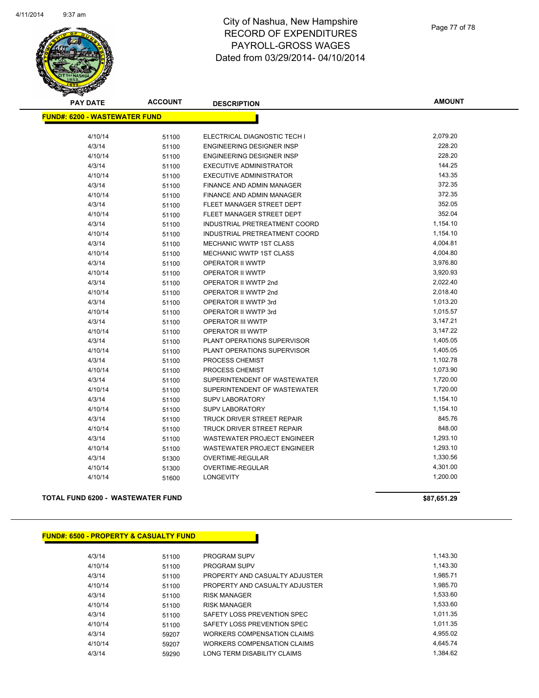

# City of Nashua, New Hampshire RECORD OF EXPENDITURES PAYROLL-GROSS WAGES Dated from 03/29/2014- 04/10/2014

Page 77 of 78

| <b>PAY DATE</b>                      | <b>ACCOUNT</b> | <b>DESCRIPTION</b>                 | <b>AMOUNT</b>        |
|--------------------------------------|----------------|------------------------------------|----------------------|
| <b>FUND#: 6200 - WASTEWATER FUND</b> |                |                                    |                      |
| 4/10/14                              |                | ELECTRICAL DIAGNOSTIC TECH I       | 2,079.20             |
| 4/3/14                               | 51100<br>51100 | <b>ENGINEERING DESIGNER INSP</b>   | 228.20               |
| 4/10/14                              |                | <b>ENGINEERING DESIGNER INSP</b>   | 228.20               |
| 4/3/14                               | 51100          | <b>EXECUTIVE ADMINISTRATOR</b>     | 144.25               |
| 4/10/14                              | 51100          | <b>EXECUTIVE ADMINISTRATOR</b>     | 143.35               |
| 4/3/14                               | 51100          | <b>FINANCE AND ADMIN MANAGER</b>   | 372.35               |
| 4/10/14                              | 51100          | FINANCE AND ADMIN MANAGER          | 372.35               |
|                                      | 51100          | FLEET MANAGER STREET DEPT          | 352.05               |
| 4/3/14                               | 51100          |                                    | 352.04               |
| 4/10/14                              | 51100          | FLEET MANAGER STREET DEPT          |                      |
| 4/3/14                               | 51100          | INDUSTRIAL PRETREATMENT COORD      | 1,154.10<br>1,154.10 |
| 4/10/14                              | 51100          | INDUSTRIAL PRETREATMENT COORD      |                      |
| 4/3/14                               | 51100          | <b>MECHANIC WWTP 1ST CLASS</b>     | 4,004.81             |
| 4/10/14                              | 51100          | MECHANIC WWTP 1ST CLASS            | 4,004.80             |
| 4/3/14                               | 51100          | OPERATOR II WWTP                   | 3,976.80             |
| 4/10/14                              | 51100          | <b>OPERATOR II WWTP</b>            | 3,920.93             |
| 4/3/14                               | 51100          | OPERATOR II WWTP 2nd               | 2,022.40             |
| 4/10/14                              | 51100          | OPERATOR II WWTP 2nd               | 2,018.40             |
| 4/3/14                               | 51100          | OPERATOR II WWTP 3rd               | 1,013.20             |
| 4/10/14                              | 51100          | OPERATOR II WWTP 3rd               | 1,015.57             |
| 4/3/14                               | 51100          | <b>OPERATOR III WWTP</b>           | 3,147.21             |
| 4/10/14                              | 51100          | <b>OPERATOR III WWTP</b>           | 3,147.22             |
| 4/3/14                               | 51100          | PLANT OPERATIONS SUPERVISOR        | 1,405.05             |
| 4/10/14                              | 51100          | PLANT OPERATIONS SUPERVISOR        | 1,405.05             |
| 4/3/14                               | 51100          | PROCESS CHEMIST                    | 1,102.78             |
| 4/10/14                              | 51100          | PROCESS CHEMIST                    | 1,073.90             |
| 4/3/14                               | 51100          | SUPERINTENDENT OF WASTEWATER       | 1,720.00             |
| 4/10/14                              | 51100          | SUPERINTENDENT OF WASTEWATER       | 1,720.00             |
| 4/3/14                               | 51100          | <b>SUPV LABORATORY</b>             | 1,154.10             |
| 4/10/14                              | 51100          | <b>SUPV LABORATORY</b>             | 1,154.10             |
| 4/3/14                               | 51100          | TRUCK DRIVER STREET REPAIR         | 845.76               |
| 4/10/14                              | 51100          | TRUCK DRIVER STREET REPAIR         | 848.00               |
| 4/3/14                               | 51100          | <b>WASTEWATER PROJECT ENGINEER</b> | 1,293.10             |
| 4/10/14                              | 51100          | <b>WASTEWATER PROJECT ENGINEER</b> | 1,293.10             |
| 4/3/14                               | 51300          | <b>OVERTIME-REGULAR</b>            | 1,330.56             |
| 4/10/14                              | 51300          | OVERTIME-REGULAR                   | 4,301.00             |
| 4/10/14                              | 51600          | <b>LONGEVITY</b>                   | 1,200.00             |

### **TOTAL FUND 6200 - WASTEWATER FUND \$87,651.29**

|  |  | <b>FUND#: 6500 - PROPERTY &amp; CASUALTY FUND</b> |
|--|--|---------------------------------------------------|
|--|--|---------------------------------------------------|

| 4/3/14  | 51100 | <b>PROGRAM SUPV</b>            | 1.143.30 |
|---------|-------|--------------------------------|----------|
| 4/10/14 | 51100 | <b>PROGRAM SUPV</b>            | 1,143.30 |
| 4/3/14  | 51100 | PROPERTY AND CASUALTY ADJUSTER | 1,985.71 |
| 4/10/14 | 51100 | PROPERTY AND CASUALTY ADJUSTER | 1,985.70 |
| 4/3/14  | 51100 | <b>RISK MANAGER</b>            | 1,533.60 |
| 4/10/14 | 51100 | <b>RISK MANAGER</b>            | 1.533.60 |
| 4/3/14  | 51100 | SAFETY LOSS PREVENTION SPEC    | 1.011.35 |
| 4/10/14 | 51100 | SAFETY LOSS PREVENTION SPEC    | 1.011.35 |
| 4/3/14  | 59207 | WORKERS COMPENSATION CLAIMS    | 4,955.02 |
| 4/10/14 | 59207 | WORKERS COMPENSATION CLAIMS    | 4.645.74 |
| 4/3/14  | 59290 | LONG TERM DISABILITY CLAIMS    | 1.384.62 |